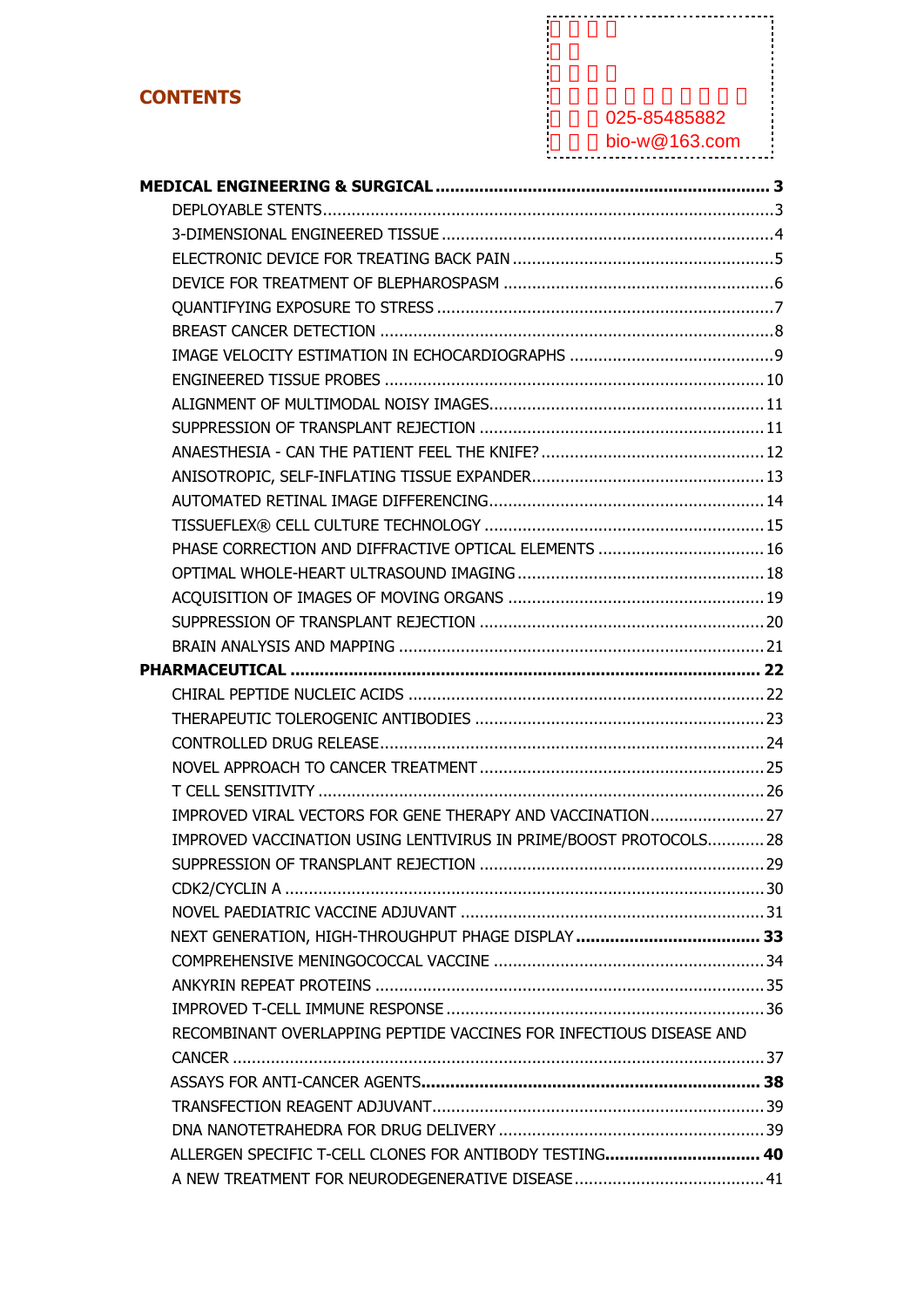### **CONTENTS**

### 电话:025-85485882

| <b>CONTENTS</b>                                                     |                   |
|---------------------------------------------------------------------|-------------------|
|                                                                     | 025-85485882      |
|                                                                     | bio-w $@163$ .com |
|                                                                     |                   |
|                                                                     |                   |
|                                                                     |                   |
|                                                                     |                   |
|                                                                     |                   |
|                                                                     |                   |
|                                                                     |                   |
|                                                                     |                   |
|                                                                     |                   |
|                                                                     |                   |
|                                                                     |                   |
|                                                                     |                   |
|                                                                     |                   |
|                                                                     |                   |
| PHASE CORRECTION AND DIFFRACTIVE OPTICAL ELEMENTS  16               |                   |
|                                                                     |                   |
|                                                                     |                   |
|                                                                     |                   |
|                                                                     |                   |
|                                                                     |                   |
|                                                                     |                   |
|                                                                     |                   |
|                                                                     |                   |
|                                                                     |                   |
|                                                                     |                   |
| IMPROVED VIRAL VECTORS FOR GENE THERAPY AND VACCINATION 27          |                   |
| IMPROVED VACCINATION USING LENTIVIRUS IN PRIME/BOOST PROTOCOLS28    |                   |
|                                                                     |                   |
|                                                                     |                   |
|                                                                     |                   |
|                                                                     |                   |
|                                                                     |                   |
|                                                                     |                   |
|                                                                     |                   |
| RECOMBINANT OVERLAPPING PEPTIDE VACCINES FOR INFECTIOUS DISEASE AND |                   |
|                                                                     |                   |
|                                                                     |                   |
|                                                                     |                   |
| ALLERGEN SPECIFIC T-CELL CLONES FOR ANTIBODY TESTING 40             |                   |
|                                                                     |                   |
|                                                                     |                   |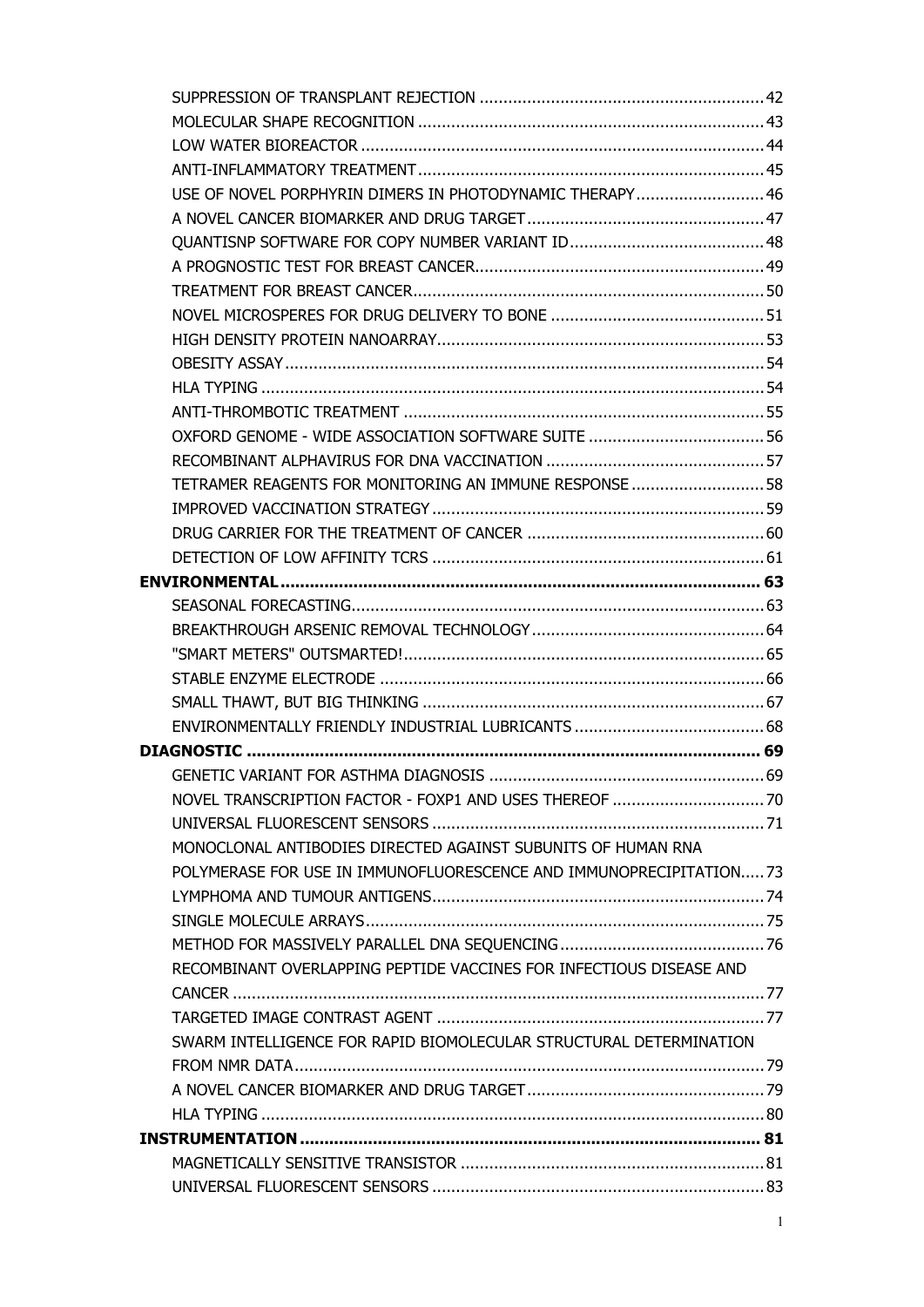| USE OF NOVEL PORPHYRIN DIMERS IN PHOTODYNAMIC THERAPY 46            |  |
|---------------------------------------------------------------------|--|
|                                                                     |  |
|                                                                     |  |
|                                                                     |  |
|                                                                     |  |
|                                                                     |  |
|                                                                     |  |
|                                                                     |  |
|                                                                     |  |
|                                                                     |  |
|                                                                     |  |
|                                                                     |  |
| TETRAMER REAGENTS FOR MONITORING AN IMMUNE RESPONSE  58             |  |
|                                                                     |  |
|                                                                     |  |
|                                                                     |  |
|                                                                     |  |
|                                                                     |  |
|                                                                     |  |
|                                                                     |  |
|                                                                     |  |
|                                                                     |  |
|                                                                     |  |
|                                                                     |  |
|                                                                     |  |
|                                                                     |  |
|                                                                     |  |
| MONOCLONAL ANTIBODIES DIRECTED AGAINST SUBUNITS OF HUMAN RNA        |  |
| POLYMERASE FOR USE IN IMMUNOFLUORESCENCE AND IMMUNOPRECIPITATION73  |  |
|                                                                     |  |
|                                                                     |  |
|                                                                     |  |
| RECOMBINANT OVERLAPPING PEPTIDE VACCINES FOR INFECTIOUS DISEASE AND |  |
|                                                                     |  |
|                                                                     |  |
| SWARM INTELLIGENCE FOR RAPID BIOMOLECULAR STRUCTURAL DETERMINATION  |  |
|                                                                     |  |
|                                                                     |  |
|                                                                     |  |
|                                                                     |  |
|                                                                     |  |
|                                                                     |  |
|                                                                     |  |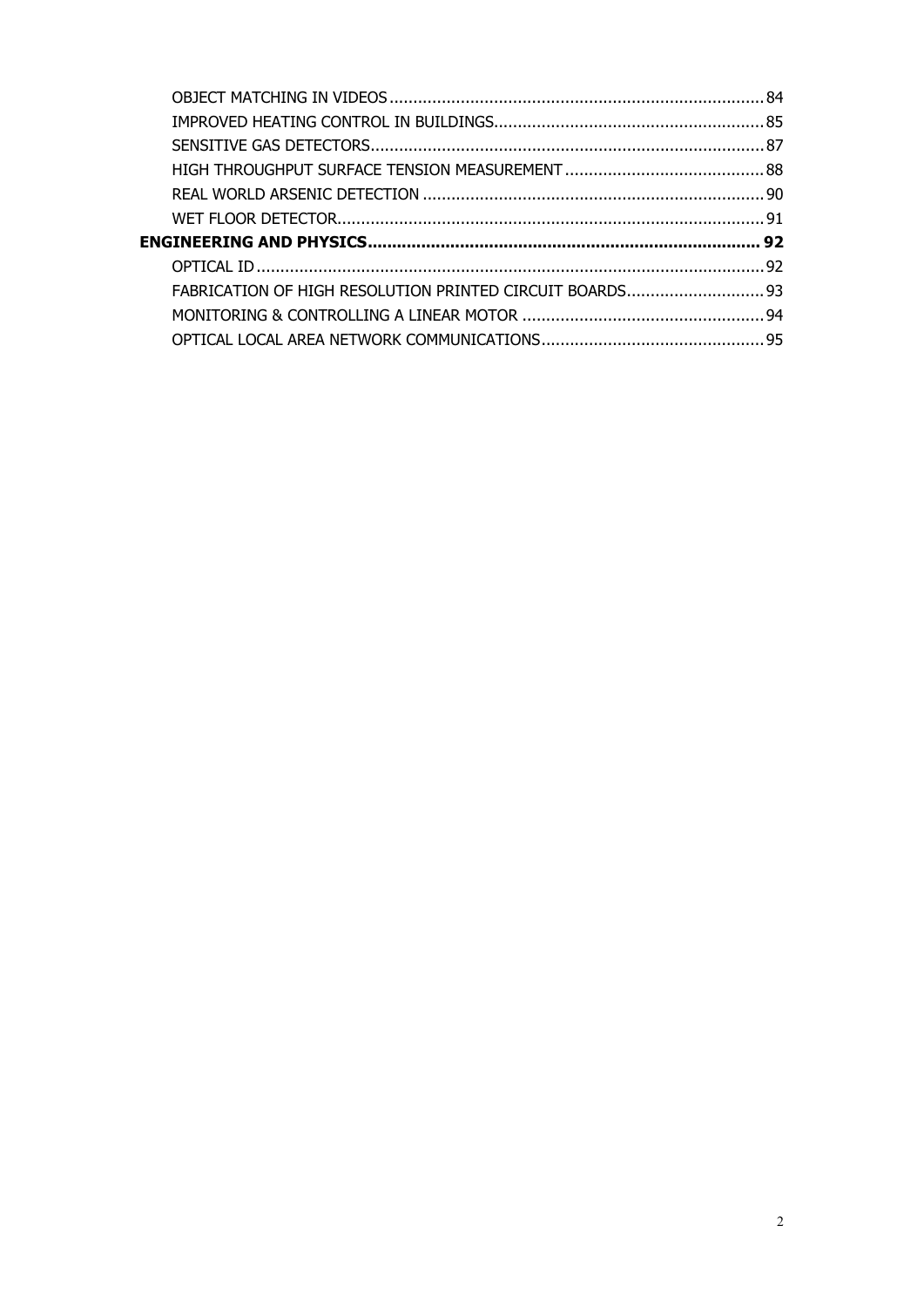| ENGINEERING AND PHYSICS…………………………………………………………………………… 92  |  |
|----------------------------------------------------------|--|
|                                                          |  |
| FABRICATION OF HIGH RESOLUTION PRINTED CIRCUIT BOARDS 93 |  |
|                                                          |  |
|                                                          |  |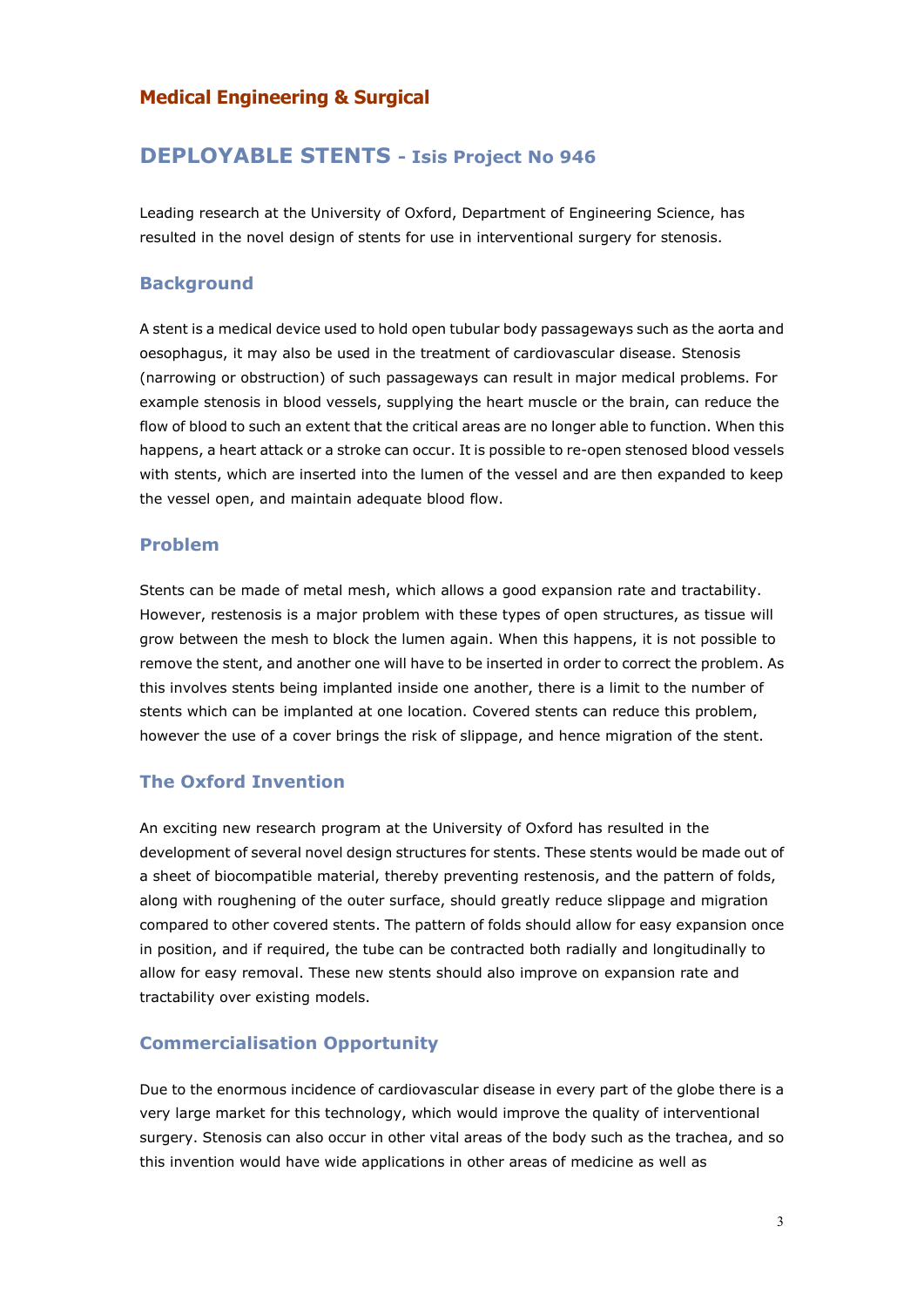### **Medical Engineering & Surgical**

### **DEPLOYABLE STENTS - Isis Project No 946**

Leading research at the University of Oxford, Department of Engineering Science, has resulted in the novel design of stents for use in interventional surgery for stenosis.

#### **Background**

A stent is a medical device used to hold open tubular body passageways such as the aorta and oesophagus, it may also be used in the treatment of cardiovascular disease. Stenosis (narrowing or obstruction) of such passageways can result in major medical problems. For example stenosis in blood vessels, supplying the heart muscle or the brain, can reduce the flow of blood to such an extent that the critical areas are no longer able to function. When this happens, a heart attack or a stroke can occur. It is possible to re-open stenosed blood vessels with stents, which are inserted into the lumen of the vessel and are then expanded to keep the vessel open, and maintain adequate blood flow.

#### **Problem**

Stents can be made of metal mesh, which allows a good expansion rate and tractability. However, restenosis is a major problem with these types of open structures, as tissue will grow between the mesh to block the lumen again. When this happens, it is not possible to remove the stent, and another one will have to be inserted in order to correct the problem. As this involves stents being implanted inside one another, there is a limit to the number of stents which can be implanted at one location. Covered stents can reduce this problem, however the use of a cover brings the risk of slippage, and hence migration of the stent.

### **The Oxford Invention**

An exciting new research program at the University of Oxford has resulted in the development of several novel design structures for stents. These stents would be made out of a sheet of biocompatible material, thereby preventing restenosis, and the pattern of folds, along with roughening of the outer surface, should greatly reduce slippage and migration compared to other covered stents. The pattern of folds should allow for easy expansion once in position, and if required, the tube can be contracted both radially and longitudinally to allow for easy removal. These new stents should also improve on expansion rate and tractability over existing models.

### **Commercialisation Opportunity**

Due to the enormous incidence of cardiovascular disease in every part of the globe there is a very large market for this technology, which would improve the quality of interventional surgery. Stenosis can also occur in other vital areas of the body such as the trachea, and so this invention would have wide applications in other areas of medicine as well as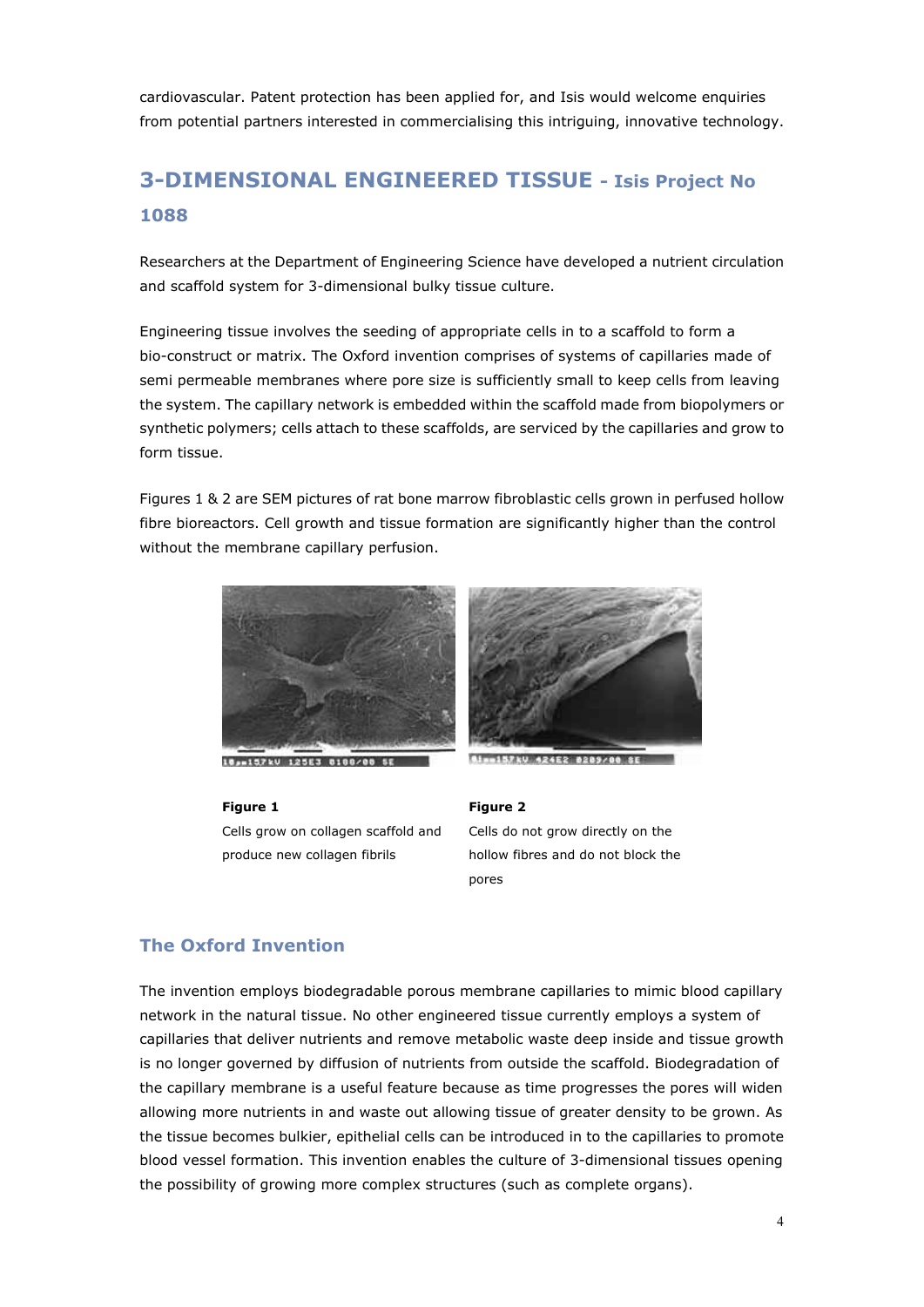cardiovascular. Patent protection has been applied for, and Isis would welcome enquiries from potential partners interested in commercialising this intriguing, innovative technology.

# **3-DIMENSIONAL ENGINEERED TISSUE - Isis Project No 1088**

Researchers at the Department of Engineering Science have developed a nutrient circulation and scaffold system for 3-dimensional bulky tissue culture.

Engineering tissue involves the seeding of appropriate cells in to a scaffold to form a bio-construct or matrix. The Oxford invention comprises of systems of capillaries made of semi permeable membranes where pore size is sufficiently small to keep cells from leaving the system. The capillary network is embedded within the scaffold made from biopolymers or synthetic polymers; cells attach to these scaffolds, are serviced by the capillaries and grow to form tissue.

Figures 1 & 2 are SEM pictures of rat bone marrow fibroblastic cells grown in perfused hollow fibre bioreactors. Cell growth and tissue formation are significantly higher than the control without the membrane capillary perfusion.



18, 157kV 125E3 8188/00 SE

#### **Figure 1**

Cells grow on collagen scaffold and produce new collagen fibrils



**Rimmi57kV 424E2 8289/00 SE** 

#### **Figure 2**

Cells do not grow directly on the hollow fibres and do not block the pores

### **The Oxford Invention**

The invention employs biodegradable porous membrane capillaries to mimic blood capillary network in the natural tissue. No other engineered tissue currently employs a system of capillaries that deliver nutrients and remove metabolic waste deep inside and tissue growth is no longer governed by diffusion of nutrients from outside the scaffold. Biodegradation of the capillary membrane is a useful feature because as time progresses the pores will widen allowing more nutrients in and waste out allowing tissue of greater density to be grown. As the tissue becomes bulkier, epithelial cells can be introduced in to the capillaries to promote blood vessel formation. This invention enables the culture of 3-dimensional tissues opening the possibility of growing more complex structures (such as complete organs).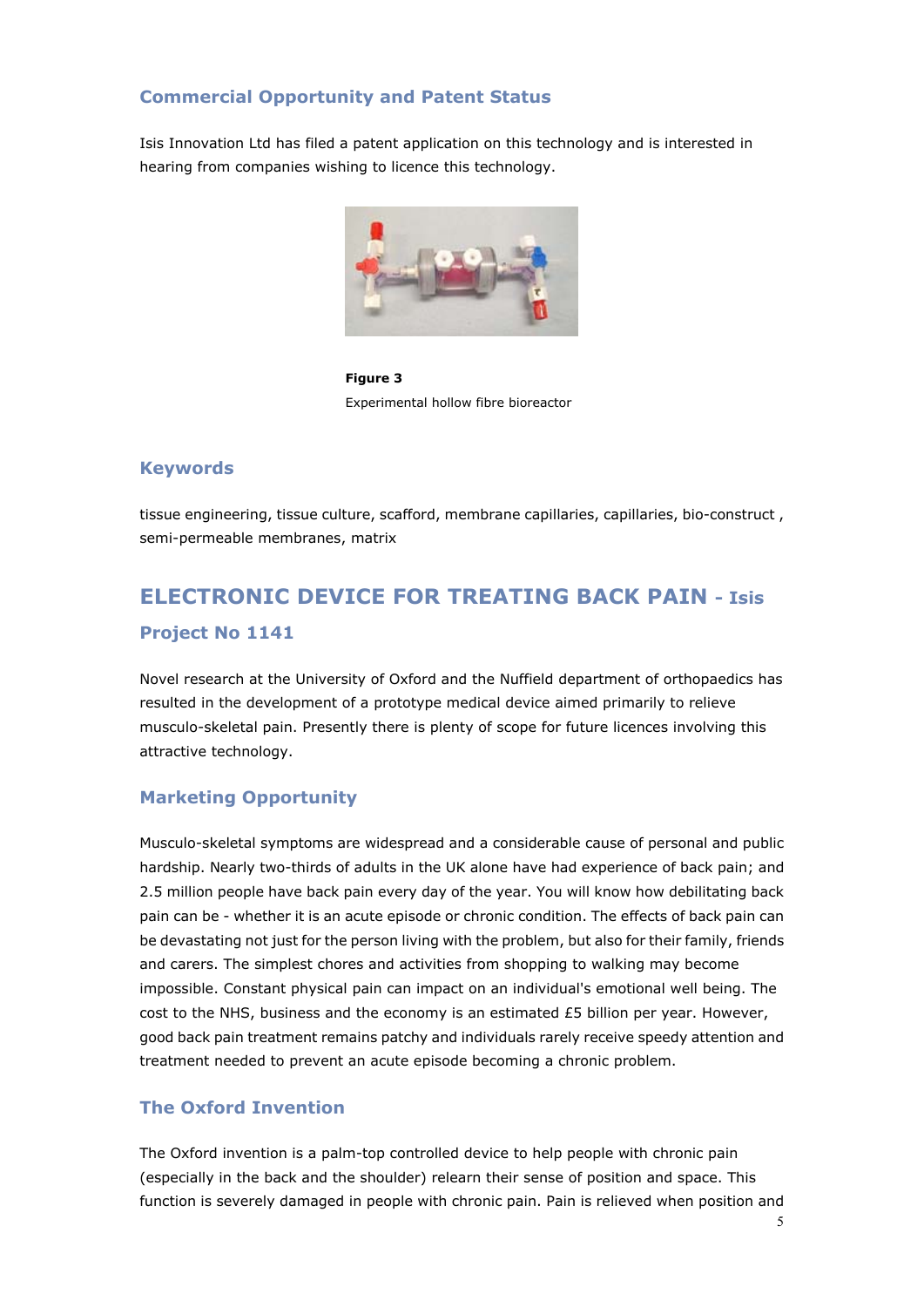### **Commercial Opportunity and Patent Status**

Isis Innovation Ltd has filed a patent application on this technology and is interested in hearing from companies wishing to licence this technology.



**Figure 3** Experimental hollow fibre bioreactor

### **Keywords**

tissue engineering, tissue culture, scafford, membrane capillaries, capillaries, bio-construct , semi-permeable membranes, matrix

# **ELECTRONIC DEVICE FOR TREATING BACK PAIN - Isis Project No 1141**

Novel research at the University of Oxford and the Nuffield department of orthopaedics has resulted in the development of a prototype medical device aimed primarily to relieve musculo-skeletal pain. Presently there is plenty of scope for future licences involving this attractive technology.

### **Marketing Opportunity**

Musculo-skeletal symptoms are widespread and a considerable cause of personal and public hardship. Nearly two-thirds of adults in the UK alone have had experience of back pain; and 2.5 million people have back pain every day of the year. You will know how debilitating back pain can be - whether it is an acute episode or chronic condition. The effects of back pain can be devastating not just for the person living with the problem, but also for their family, friends and carers. The simplest chores and activities from shopping to walking may become impossible. Constant physical pain can impact on an individual's emotional well being. The cost to the NHS, business and the economy is an estimated  $£5$  billion per year. However, good back pain treatment remains patchy and individuals rarely receive speedy attention and treatment needed to prevent an acute episode becoming a chronic problem.

### **The Oxford Invention**

The Oxford invention is a palm-top controlled device to help people with chronic pain (especially in the back and the shoulder) relearn their sense of position and space. This function is severely damaged in people with chronic pain. Pain is relieved when position and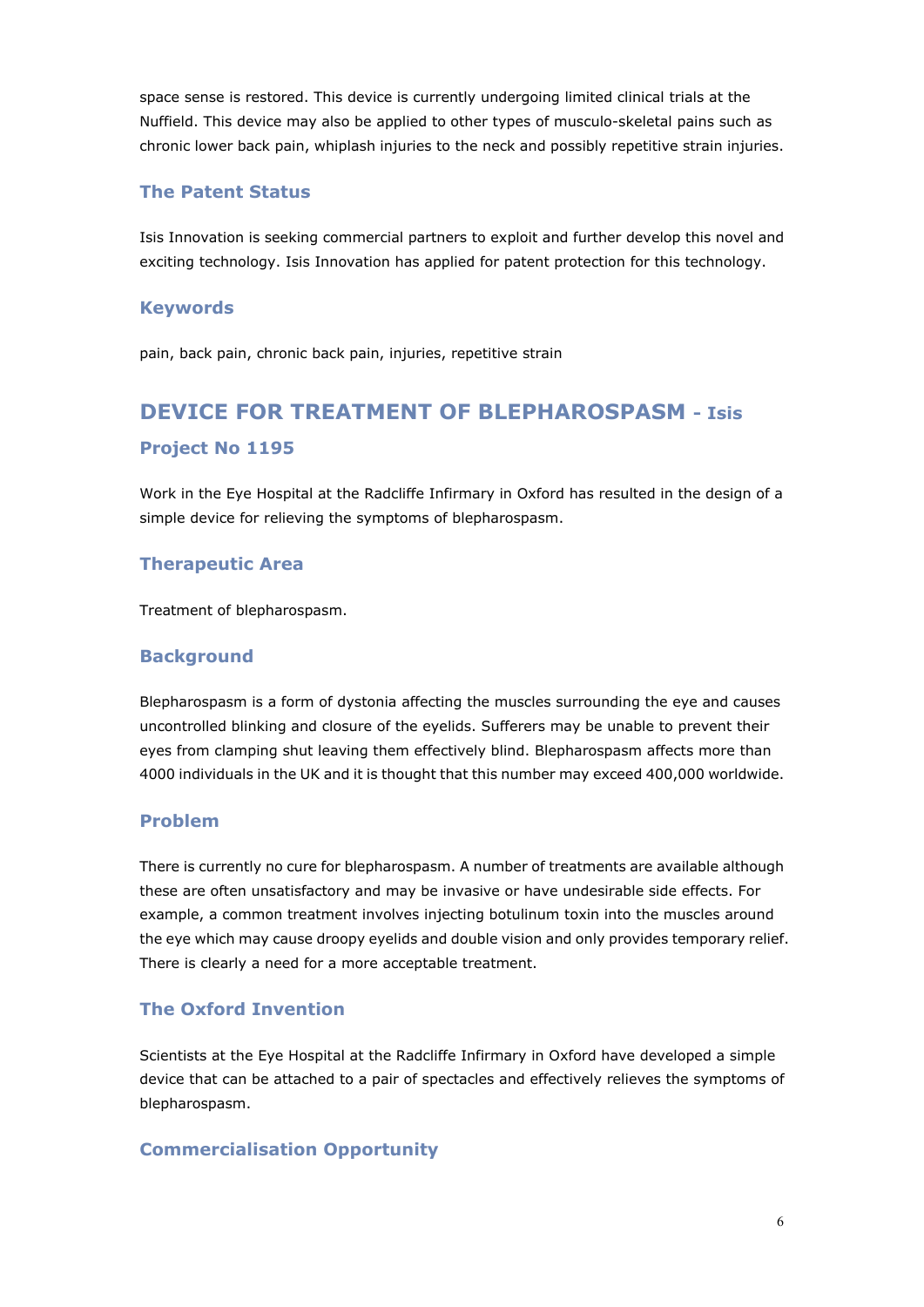space sense is restored. This device is currently undergoing limited clinical trials at the Nuffield. This device may also be applied to other types of musculo-skeletal pains such as chronic lower back pain, whiplash injuries to the neck and possibly repetitive strain injuries.

#### **The Patent Status**

Isis Innovation is seeking commercial partners to exploit and further develop this novel and exciting technology. Isis Innovation has applied for patent protection for this technology.

#### **Keywords**

pain, back pain, chronic back pain, injuries, repetitive strain

# **DEVICE FOR TREATMENT OF BLEPHAROSPASM - Isis Project No 1195**

Work in the Eye Hospital at the Radcliffe Infirmary in Oxford has resulted in the design of a simple device for relieving the symptoms of blepharospasm.

### **Therapeutic Area**

Treatment of blepharospasm.

#### **Background**

Blepharospasm is a form of dystonia affecting the muscles surrounding the eye and causes uncontrolled blinking and closure of the eyelids. Sufferers may be unable to prevent their eyes from clamping shut leaving them effectively blind. Blepharospasm affects more than 4000 individuals in the UK and it is thought that this number may exceed 400,000 worldwide.

### **Problem**

There is currently no cure for blepharospasm. A number of treatments are available although these are often unsatisfactory and may be invasive or have undesirable side effects. For example, a common treatment involves injecting botulinum toxin into the muscles around the eye which may cause droopy eyelids and double vision and only provides temporary relief. There is clearly a need for a more acceptable treatment.

### **The Oxford Invention**

Scientists at the Eye Hospital at the Radcliffe Infirmary in Oxford have developed a simple device that can be attached to a pair of spectacles and effectively relieves the symptoms of blepharospasm.

### **Commercialisation Opportunity**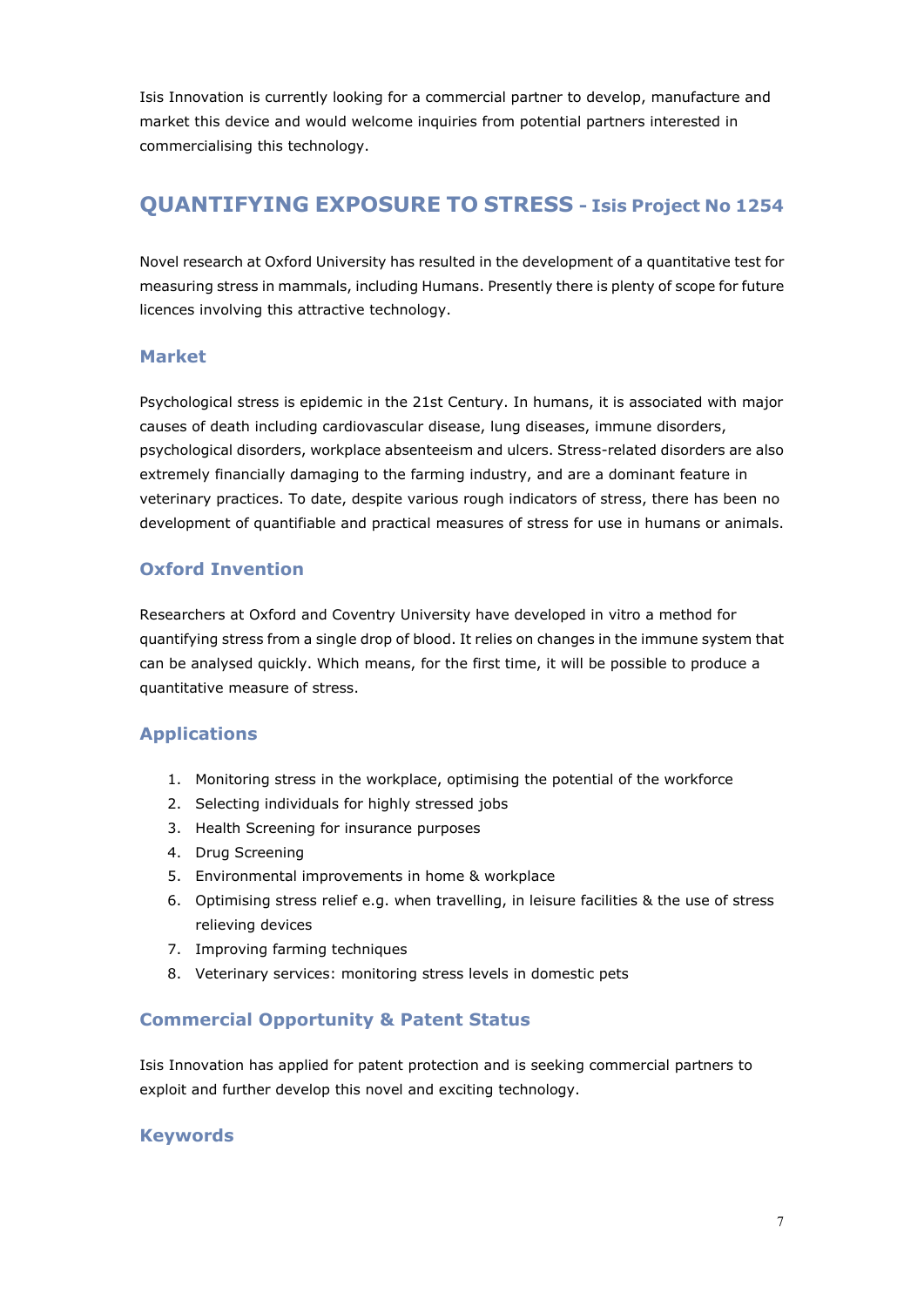Isis Innovation is currently looking for a commercial partner to develop, manufacture and market this device and would welcome inquiries from potential partners interested in commercialising this technology.

### **QUANTIFYING EXPOSURE TO STRESS - Isis Project No 1254**

Novel research at Oxford University has resulted in the development of a quantitative test for measuring stress in mammals, including Humans. Presently there is plenty of scope for future licences involving this attractive technology.

### **Market**

Psychological stress is epidemic in the 21st Century. In humans, it is associated with major causes of death including cardiovascular disease, lung diseases, immune disorders, psychological disorders, workplace absenteeism and ulcers. Stress-related disorders are also extremely financially damaging to the farming industry, and are a dominant feature in veterinary practices. To date, despite various rough indicators of stress, there has been no development of quantifiable and practical measures of stress for use in humans or animals.

### **Oxford Invention**

Researchers at Oxford and Coventry University have developed in vitro a method for quantifying stress from a single drop of blood. It relies on changes in the immune system that can be analysed quickly. Which means, for the first time, it will be possible to produce a quantitative measure of stress.

### **Applications**

- 1. Monitoring stress in the workplace, optimising the potential of the workforce
- 2. Selecting individuals for highly stressed jobs
- 3. Health Screening for insurance purposes
- 4. Drug Screening
- 5. Environmental improvements in home & workplace
- 6. Optimising stress relief e.g. when travelling, in leisure facilities & the use of stress relieving devices
- 7. Improving farming techniques
- 8. Veterinary services: monitoring stress levels in domestic pets

### **Commercial Opportunity & Patent Status**

Isis Innovation has applied for patent protection and is seeking commercial partners to exploit and further develop this novel and exciting technology.

### **Keywords**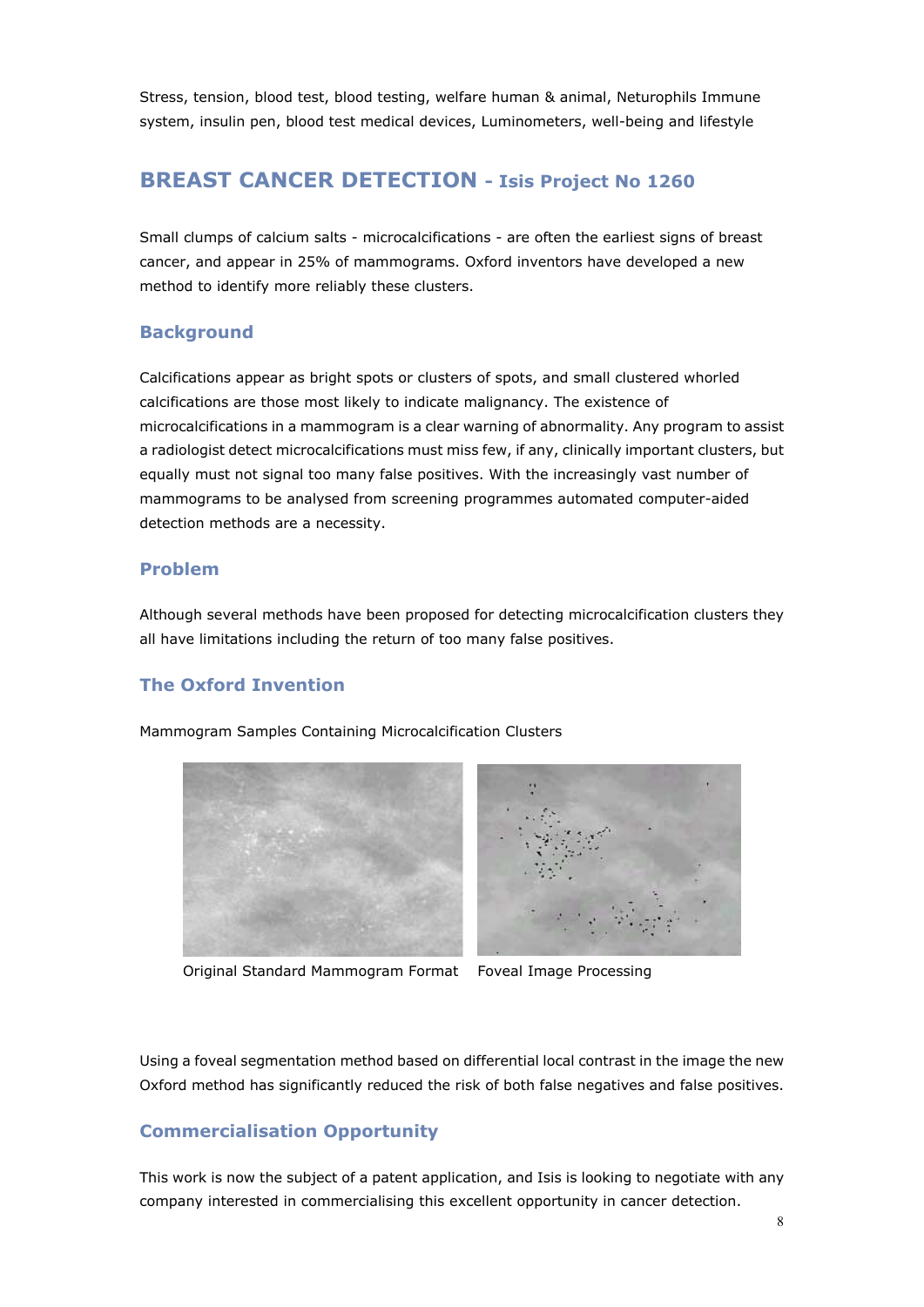Stress, tension, blood test, blood testing, welfare human & animal, Neturophils Immune system, insulin pen, blood test medical devices, Luminometers, well-being and lifestyle

### **BREAST CANCER DETECTION - Isis Project No 1260**

Small clumps of calcium salts - microcalcifications - are often the earliest signs of breast cancer, and appear in 25% of mammograms. Oxford inventors have developed a new method to identify more reliably these clusters.

### **Background**

Calcifications appear as bright spots or clusters of spots, and small clustered whorled calcifications are those most likely to indicate malignancy. The existence of microcalcifications in a mammogram is a clear warning of abnormality. Any program to assist a radiologist detect microcalcifications must miss few, if any, clinically important clusters, but equally must not signal too many false positives. With the increasingly vast number of mammograms to be analysed from screening programmes automated computer-aided detection methods are a necessity.

### **Problem**

Although several methods have been proposed for detecting microcalcification clusters they all have limitations including the return of too many false positives.

### **The Oxford Invention**

Mammogram Samples Containing Microcalcification Clusters



Original Standard Mammogram Format Foveal Image Processing



Using a foveal segmentation method based on differential local contrast in the image the new Oxford method has significantly reduced the risk of both false negatives and false positives.

### **Commercialisation Opportunity**

This work is now the subject of a patent application, and Isis is looking to negotiate with any company interested in commercialising this excellent opportunity in cancer detection.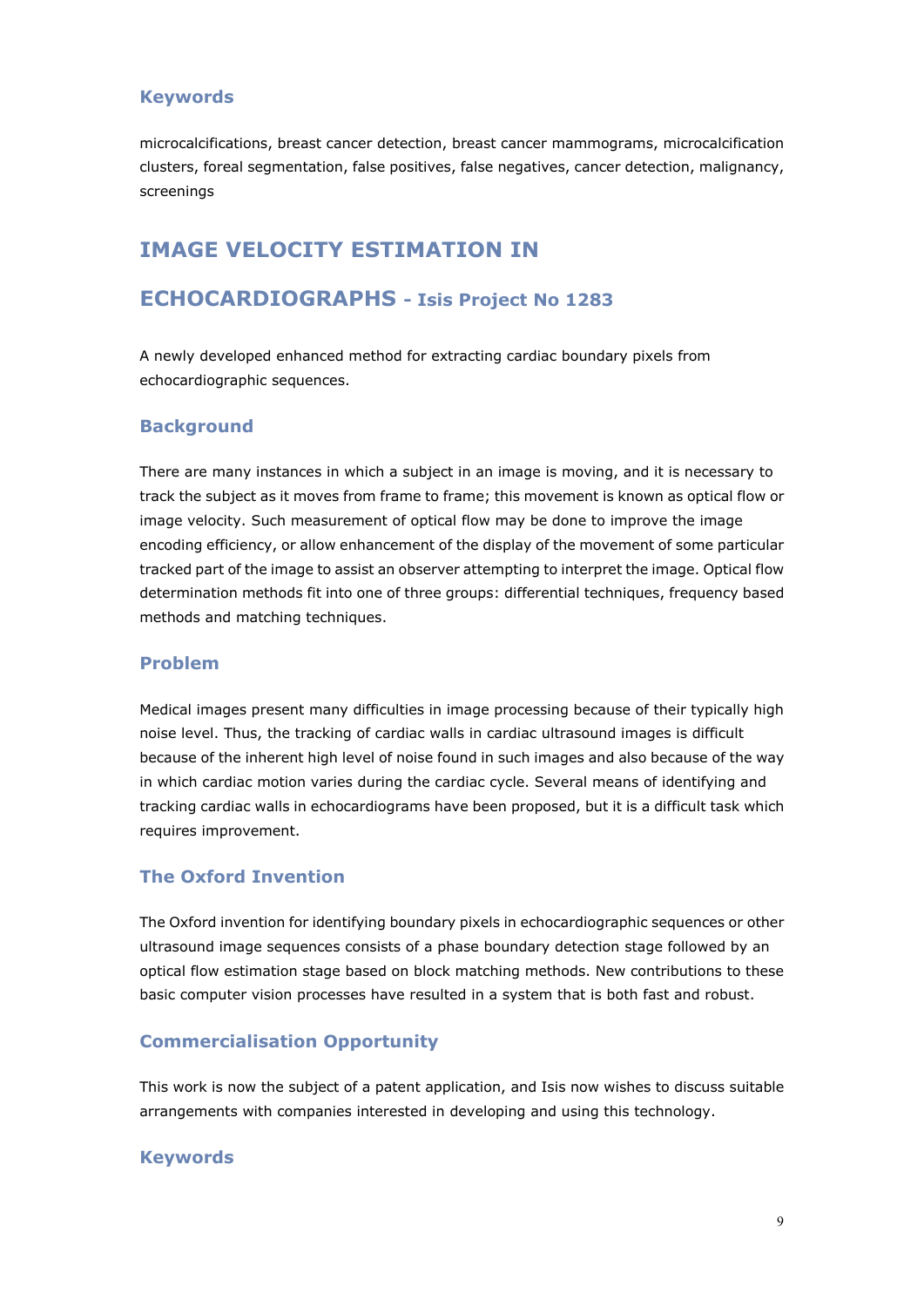### **Keywords**

microcalcifications, breast cancer detection, breast cancer mammograms, microcalcification clusters, foreal segmentation, false positives, false negatives, cancer detection, malignancy, screenings

### **IMAGE VELOCITY ESTIMATION IN**

### **ECHOCARDIOGRAPHS - Isis Project No 1283**

A newly developed enhanced method for extracting cardiac boundary pixels from echocardiographic sequences.

#### **Background**

There are many instances in which a subject in an image is moving, and it is necessary to track the subject as it moves from frame to frame; this movement is known as optical flow or image velocity. Such measurement of optical flow may be done to improve the image encoding efficiency, or allow enhancement of the display of the movement of some particular tracked part of the image to assist an observer attempting to interpret the image. Optical flow determination methods fit into one of three groups: differential techniques, frequency based methods and matching techniques.

#### **Problem**

Medical images present many difficulties in image processing because of their typically high noise level. Thus, the tracking of cardiac walls in cardiac ultrasound images is difficult because of the inherent high level of noise found in such images and also because of the way in which cardiac motion varies during the cardiac cycle. Several means of identifying and tracking cardiac walls in echocardiograms have been proposed, but it is a difficult task which requires improvement.

#### **The Oxford Invention**

The Oxford invention for identifying boundary pixels in echocardiographic sequences or other ultrasound image sequences consists of a phase boundary detection stage followed by an optical flow estimation stage based on block matching methods. New contributions to these basic computer vision processes have resulted in a system that is both fast and robust.

#### **Commercialisation Opportunity**

This work is now the subject of a patent application, and Isis now wishes to discuss suitable arrangements with companies interested in developing and using this technology.

#### **Keywords**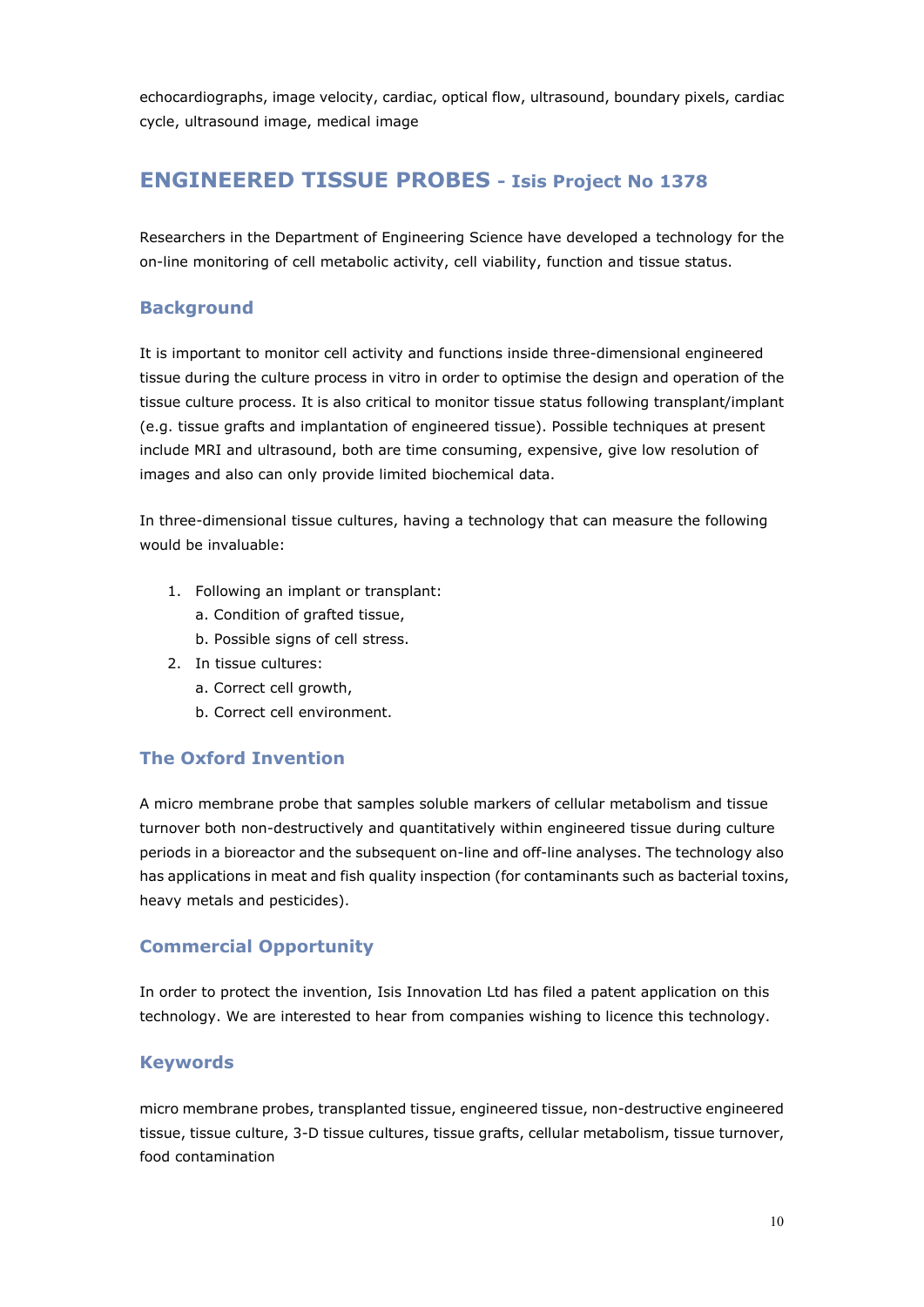echocardiographs, image velocity, cardiac, optical flow, ultrasound, boundary pixels, cardiac cycle, ultrasound image, medical image

### **ENGINEERED TISSUE PROBES - Isis Project No 1378**

Researchers in the Department of Engineering Science have developed a technology for the on-line monitoring of cell metabolic activity, cell viability, function and tissue status.

### **Background**

It is important to monitor cell activity and functions inside three-dimensional engineered tissue during the culture process in vitro in order to optimise the design and operation of the tissue culture process. It is also critical to monitor tissue status following transplant/implant (e.g. tissue grafts and implantation of engineered tissue). Possible techniques at present include MRI and ultrasound, both are time consuming, expensive, give low resolution of images and also can only provide limited biochemical data.

In three-dimensional tissue cultures, having a technology that can measure the following would be invaluable:

- 1. Following an implant or transplant:
	- a. Condition of grafted tissue,
	- b. Possible signs of cell stress.
- 2. In tissue cultures:
	- a. Correct cell growth,
	- b. Correct cell environment.

### **The Oxford Invention**

A micro membrane probe that samples soluble markers of cellular metabolism and tissue turnover both non-destructively and quantitatively within engineered tissue during culture periods in a bioreactor and the subsequent on-line and off-line analyses. The technology also has applications in meat and fish quality inspection (for contaminants such as bacterial toxins, heavy metals and pesticides).

### **Commercial Opportunity**

In order to protect the invention, Isis Innovation Ltd has filed a patent application on this technology. We are interested to hear from companies wishing to licence this technology.

### **Keywords**

micro membrane probes, transplanted tissue, engineered tissue, non-destructive engineered tissue, tissue culture, 3-D tissue cultures, tissue grafts, cellular metabolism, tissue turnover, food contamination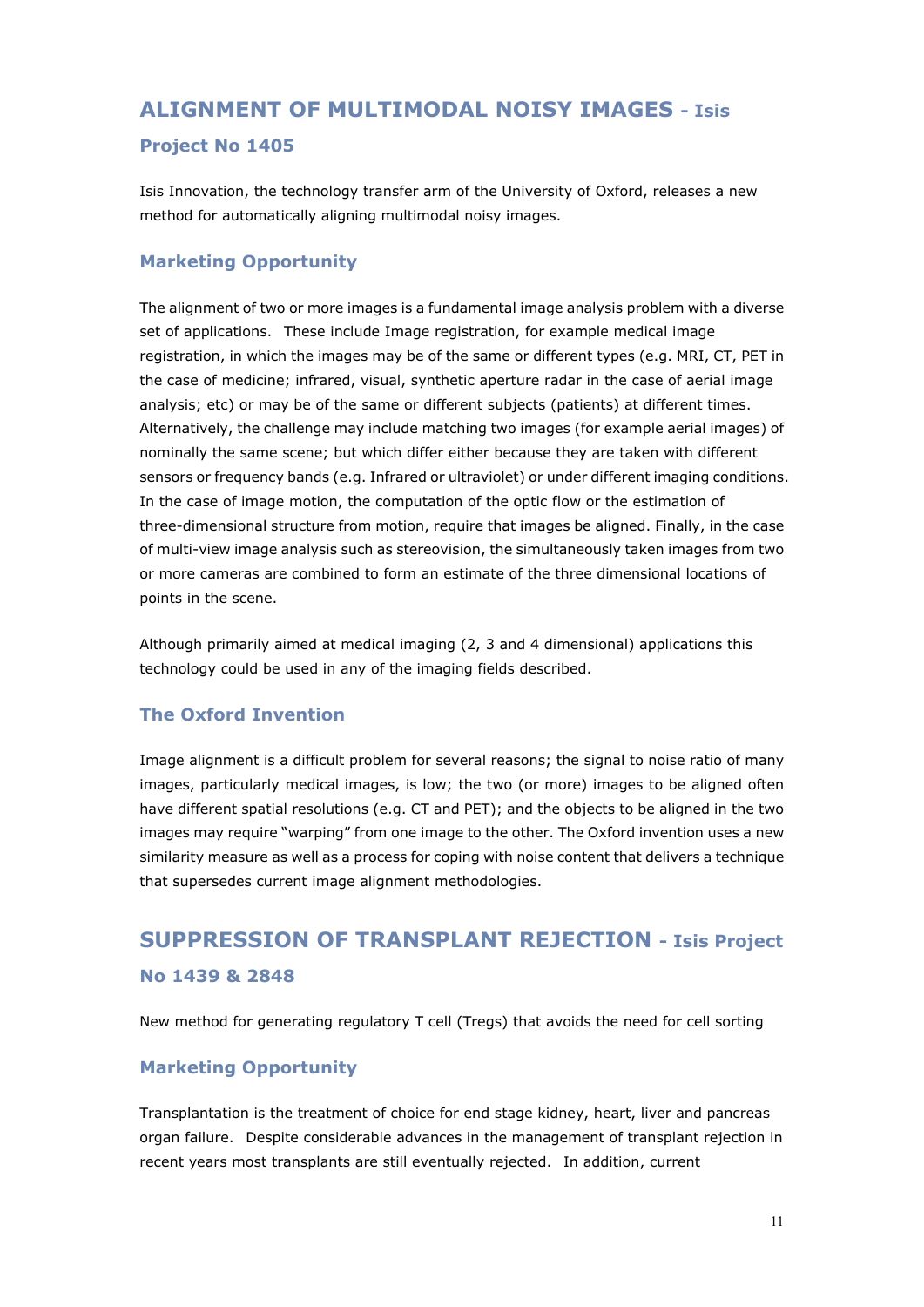### **ALIGNMENT OF MULTIMODAL NOISY IMAGES - Isis**

### **Project No 1405**

Isis Innovation, the technology transfer arm of the University of Oxford, releases a new method for automatically aligning multimodal noisy images.

### **Marketing Opportunity**

The alignment of two or more images is a fundamental image analysis problem with a diverse set of applications. These include Image registration, for example medical image registration, in which the images may be of the same or different types (e.g. MRI, CT, PET in the case of medicine; infrared, visual, synthetic aperture radar in the case of aerial image analysis; etc) or may be of the same or different subjects (patients) at different times. Alternatively, the challenge may include matching two images (for example aerial images) of nominally the same scene; but which differ either because they are taken with different sensors or frequency bands (e.g. Infrared or ultraviolet) or under different imaging conditions. In the case of image motion, the computation of the optic flow or the estimation of three-dimensional structure from motion, require that images be aligned. Finally, in the case of multi-view image analysis such as stereovision, the simultaneously taken images from two or more cameras are combined to form an estimate of the three dimensional locations of points in the scene.

Although primarily aimed at medical imaging (2, 3 and 4 dimensional) applications this technology could be used in any of the imaging fields described.

### **The Oxford Invention**

Image alignment is a difficult problem for several reasons; the signal to noise ratio of many images, particularly medical images, is low; the two (or more) images to be aligned often have different spatial resolutions (e.g. CT and PET); and the objects to be aligned in the two images may require "warping" from one image to the other. The Oxford invention uses a new similarity measure as well as a process for coping with noise content that delivers a technique that supersedes current image alignment methodologies.

# **SUPPRESSION OF TRANSPLANT REJECTION - Isis Project No 1439 & 2848**

New method for generating regulatory T cell (Tregs) that avoids the need for cell sorting

### **Marketing Opportunity**

Transplantation is the treatment of choice for end stage kidney, heart, liver and pancreas organ failure. Despite considerable advances in the management of transplant rejection in recent years most transplants are still eventually rejected. In addition, current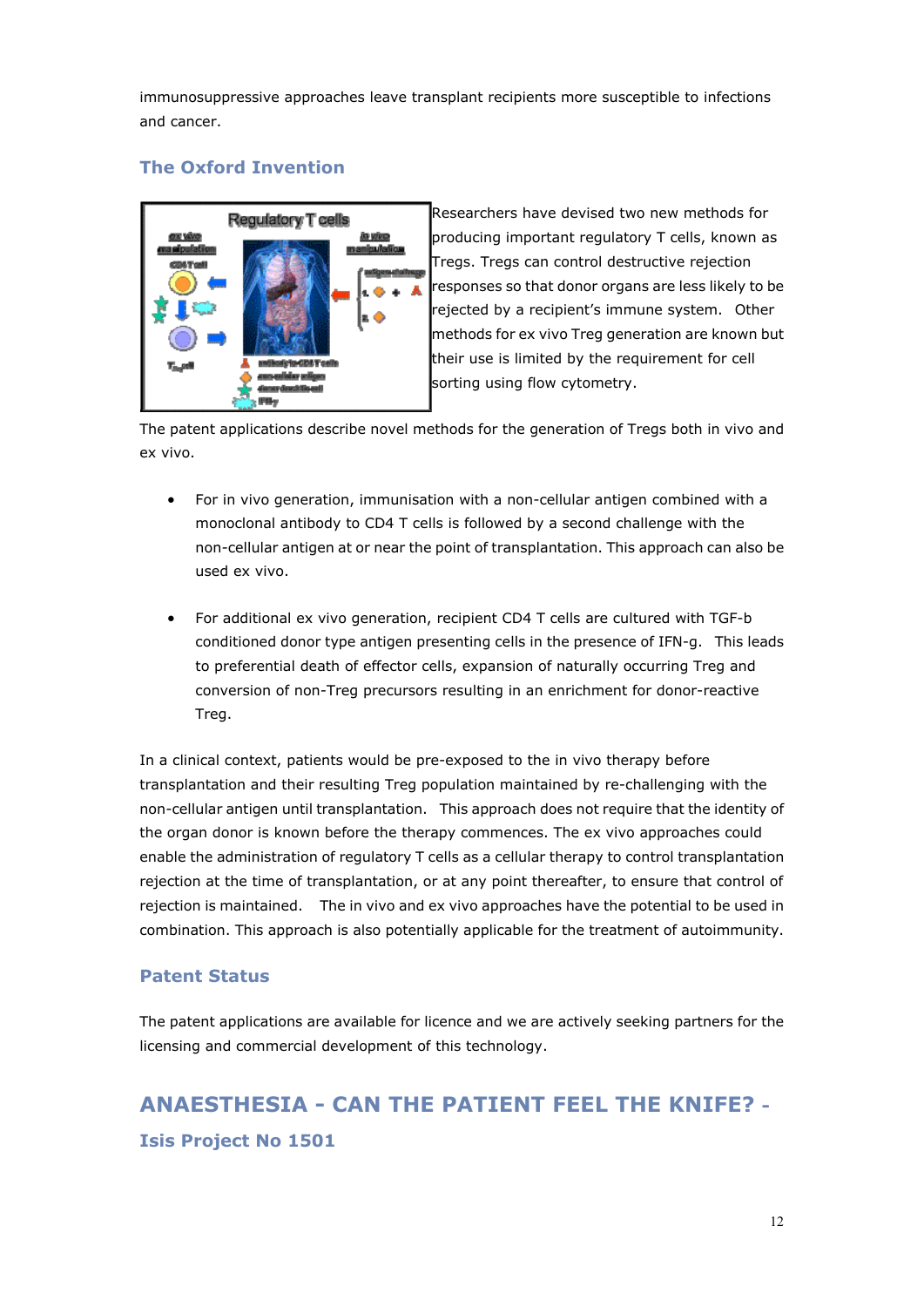immunosuppressive approaches leave transplant recipients more susceptible to infections and cancer.

### **The Oxford Invention**



Researchers have devised two new methods for producing important regulatory T cells, known as Tregs. Tregs can control destructive rejection responses so that donor organs are less likely to be rejected by a recipient's immune system. Other methods for ex vivo Treg generation are known but their use is limited by the requirement for cell sorting using flow cytometry.

The patent applications describe novel methods for the generation of Tregs both in vivo and ex vivo.

- For in vivo generation, immunisation with a non-cellular antigen combined with a monoclonal antibody to CD4 T cells is followed by a second challenge with the non-cellular antigen at or near the point of transplantation. This approach can also be used ex vivo.
- For additional ex vivo generation, recipient CD4 T cells are cultured with TGF-b conditioned donor type antigen presenting cells in the presence of IFN-g. This leads to preferential death of effector cells, expansion of naturally occurring Treg and conversion of non-Treg precursors resulting in an enrichment for donor-reactive Treg.

In a clinical context, patients would be pre-exposed to the in vivo therapy before transplantation and their resulting Treg population maintained by re-challenging with the non-cellular antigen until transplantation. This approach does not require that the identity of the organ donor is known before the therapy commences. The ex vivo approaches could enable the administration of regulatory T cells as a cellular therapy to control transplantation rejection at the time of transplantation, or at any point thereafter, to ensure that control of rejection is maintained. The in vivo and ex vivo approaches have the potential to be used in combination. This approach is also potentially applicable for the treatment of autoimmunity.

### **Patent Status**

The patent applications are available for licence and we are actively seeking partners for the licensing and commercial development of this technology.

# **ANAESTHESIA - CAN THE PATIENT FEEL THE KNIFE? - Isis Project No 1501**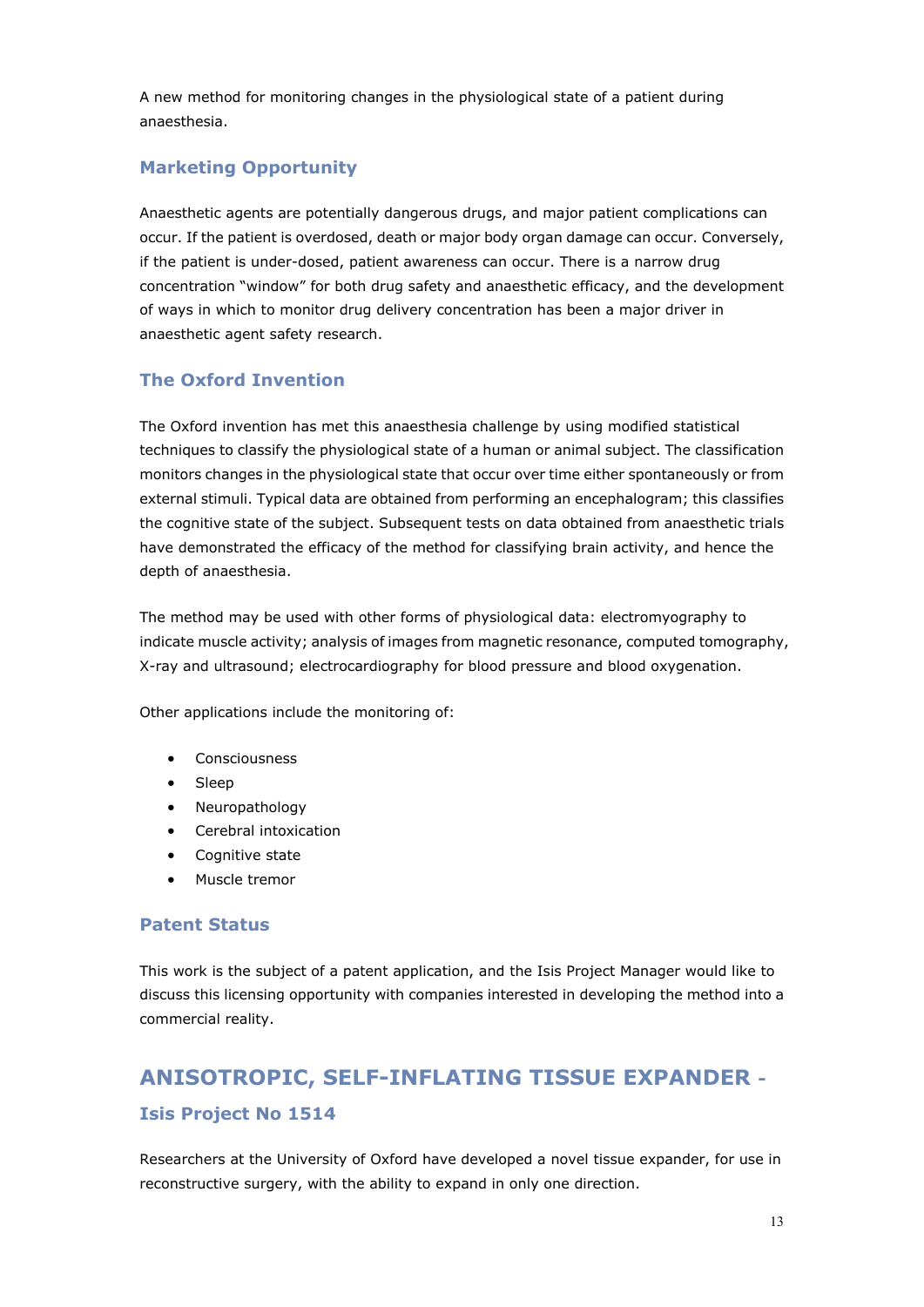A new method for monitoring changes in the physiological state of a patient during anaesthesia.

### **Marketing Opportunity**

Anaesthetic agents are potentially dangerous drugs, and major patient complications can occur. If the patient is overdosed, death or major body organ damage can occur. Conversely, if the patient is under-dosed, patient awareness can occur. There is a narrow drug concentration "window" for both drug safety and anaesthetic efficacy, and the development of ways in which to monitor drug delivery concentration has been a major driver in anaesthetic agent safety research.

### **The Oxford Invention**

The Oxford invention has met this anaesthesia challenge by using modified statistical techniques to classify the physiological state of a human or animal subject. The classification monitors changes in the physiological state that occur over time either spontaneously or from external stimuli. Typical data are obtained from performing an encephalogram; this classifies the cognitive state of the subject. Subsequent tests on data obtained from anaesthetic trials have demonstrated the efficacy of the method for classifying brain activity, and hence the depth of anaesthesia.

The method may be used with other forms of physiological data: electromyography to indicate muscle activity; analysis of images from magnetic resonance, computed tomography, X-ray and ultrasound; electrocardiography for blood pressure and blood oxygenation.

Other applications include the monitoring of:

- Consciousness
- Sleep
- Neuropathology
- Cerebral intoxication
- Cognitive state
- Muscle tremor

#### **Patent Status**

This work is the subject of a patent application, and the Isis Project Manager would like to discuss this licensing opportunity with companies interested in developing the method into a commercial reality.

# **ANISOTROPIC, SELF-INFLATING TISSUE EXPANDER - Isis Project No 1514**

Researchers at the University of Oxford have developed a novel tissue expander, for use in reconstructive surgery, with the ability to expand in only one direction.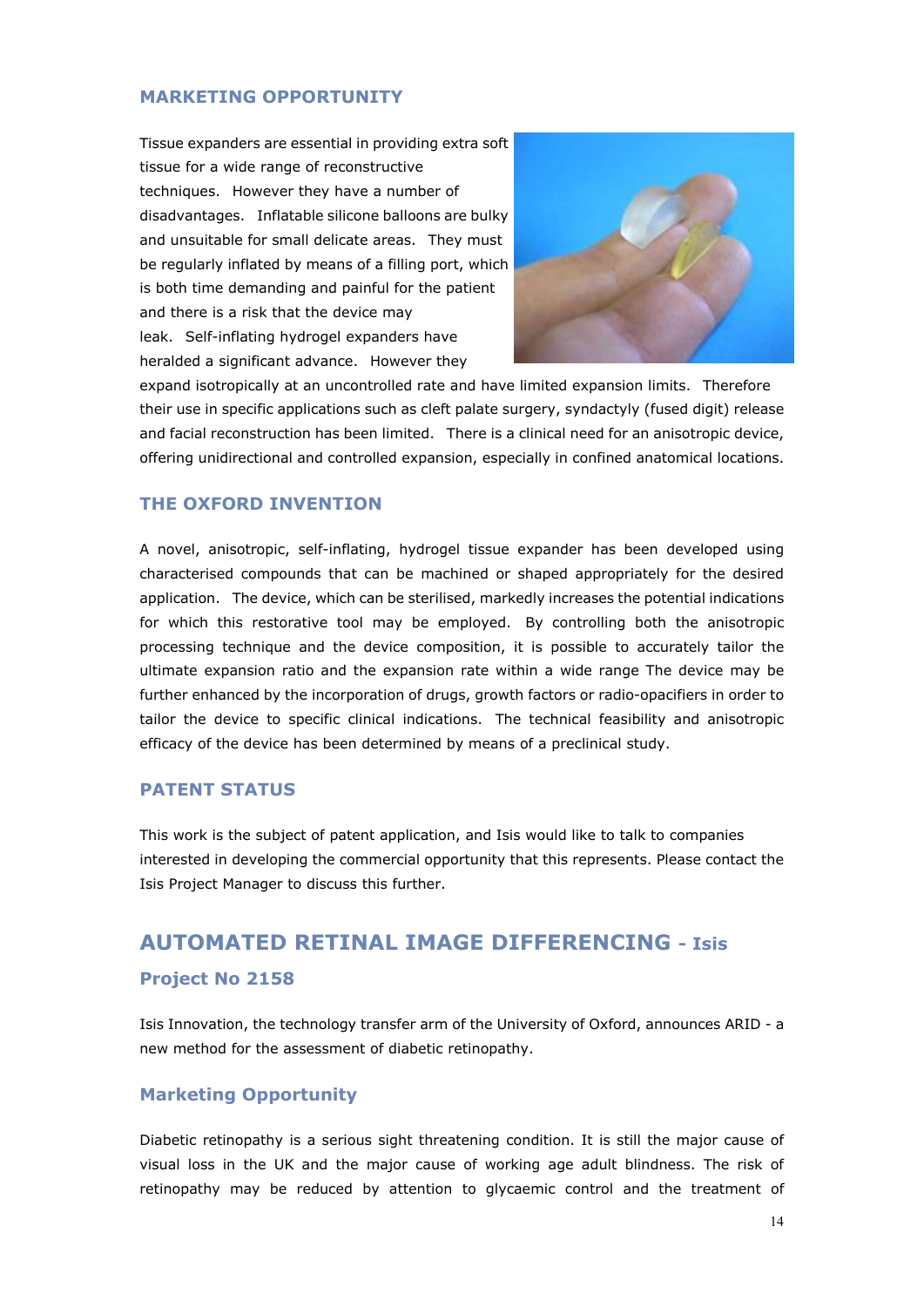#### **MARKETING OPPORTUNITY**

Tissue expanders are essential in providing extra soft tissue for a wide range of reconstructive techniques. However they have a number of disadvantages. Inflatable silicone balloons are bulky and unsuitable for small delicate areas. They must be regularly inflated by means of a filling port, which is both time demanding and painful for the patient and there is a risk that the device may leak. Self-inflating hydrogel expanders have heralded a significant advance. However they



expand isotropically at an uncontrolled rate and have limited expansion limits. Therefore their use in specific applications such as cleft palate surgery, syndactyly (fused digit) release and facial reconstruction has been limited. There is a clinical need for an anisotropic device, offering unidirectional and controlled expansion, especially in confined anatomical locations.

### **THE OXFORD INVENTION**

A novel, anisotropic, self-inflating, hydrogel tissue expander has been developed using characterised compounds that can be machined or shaped appropriately for the desired application. The device, which can be sterilised, markedly increases the potential indications for which this restorative tool may be employed. By controlling both the anisotropic processing technique and the device composition, it is possible to accurately tailor the ultimate expansion ratio and the expansion rate within a wide range The device may be further enhanced by the incorporation of drugs, growth factors or radio-opacifiers in order to tailor the device to specific clinical indications. The technical feasibility and anisotropic efficacy of the device has been determined by means of a preclinical study.

### **PATENT STATUS**

This work is the subject of patent application, and Isis would like to talk to companies interested in developing the commercial opportunity that this represents. Please contact the Isis Project Manager to discuss this further.

## **AUTOMATED RETINAL IMAGE DIFFERENCING - Isis**

### **Project No 2158**

Isis Innovation, the technology transfer arm of the University of Oxford, announces ARID - a new method for the assessment of diabetic retinopathy.

#### **Marketing Opportunity**

Diabetic retinopathy is a serious sight threatening condition. It is still the major cause of visual loss in the UK and the major cause of working age adult blindness. The risk of retinopathy may be reduced by attention to glycaemic control and the treatment of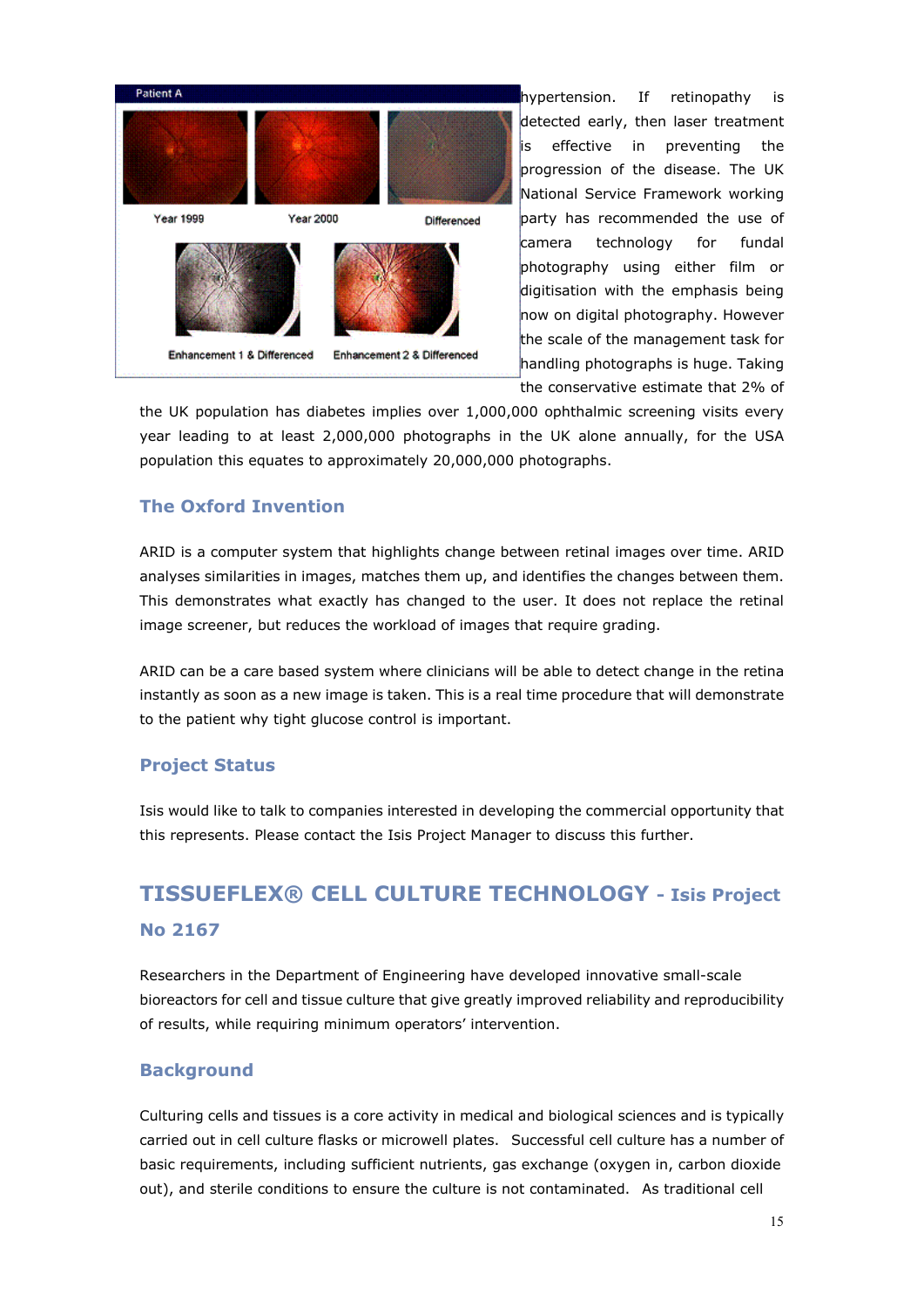

hypertension. If retinopathy is detected early, then laser treatment is effective in preventing the progression of the disease. The UK National Service Framework working party has recommended the use of camera technology for fundal photography using either film or digitisation with the emphasis being now on digital photography. However the scale of the management task for handling photographs is huge. Taking the conservative estimate that 2% of

the UK population has diabetes implies over 1,000,000 ophthalmic screening visits every year leading to at least 2,000,000 photographs in the UK alone annually, for the USA population this equates to approximately 20,000,000 photographs.

### **The Oxford Invention**

ARID is a computer system that highlights change between retinal images over time. ARID analyses similarities in images, matches them up, and identifies the changes between them. This demonstrates what exactly has changed to the user. It does not replace the retinal image screener, but reduces the workload of images that require grading.

ARID can be a care based system where clinicians will be able to detect change in the retina instantly as soon as a new image is taken. This is a real time procedure that will demonstrate to the patient why tight glucose control is important.

### **Project Status**

Isis would like to talk to companies interested in developing the commercial opportunity that this represents. Please contact the Isis Project Manager to discuss this further.

# **TISSUEFLEX® CELL CULTURE TECHNOLOGY - Isis Project No 2167**

Researchers in the Department of Engineering have developed innovative small-scale bioreactors for cell and tissue culture that give greatly improved reliability and reproducibility of results, while requiring minimum operators' intervention.

#### **Background**

Culturing cells and tissues is a core activity in medical and biological sciences and is typically carried out in cell culture flasks or microwell plates. Successful cell culture has a number of basic requirements, including sufficient nutrients, gas exchange (oxygen in, carbon dioxide out), and sterile conditions to ensure the culture is not contaminated. As traditional cell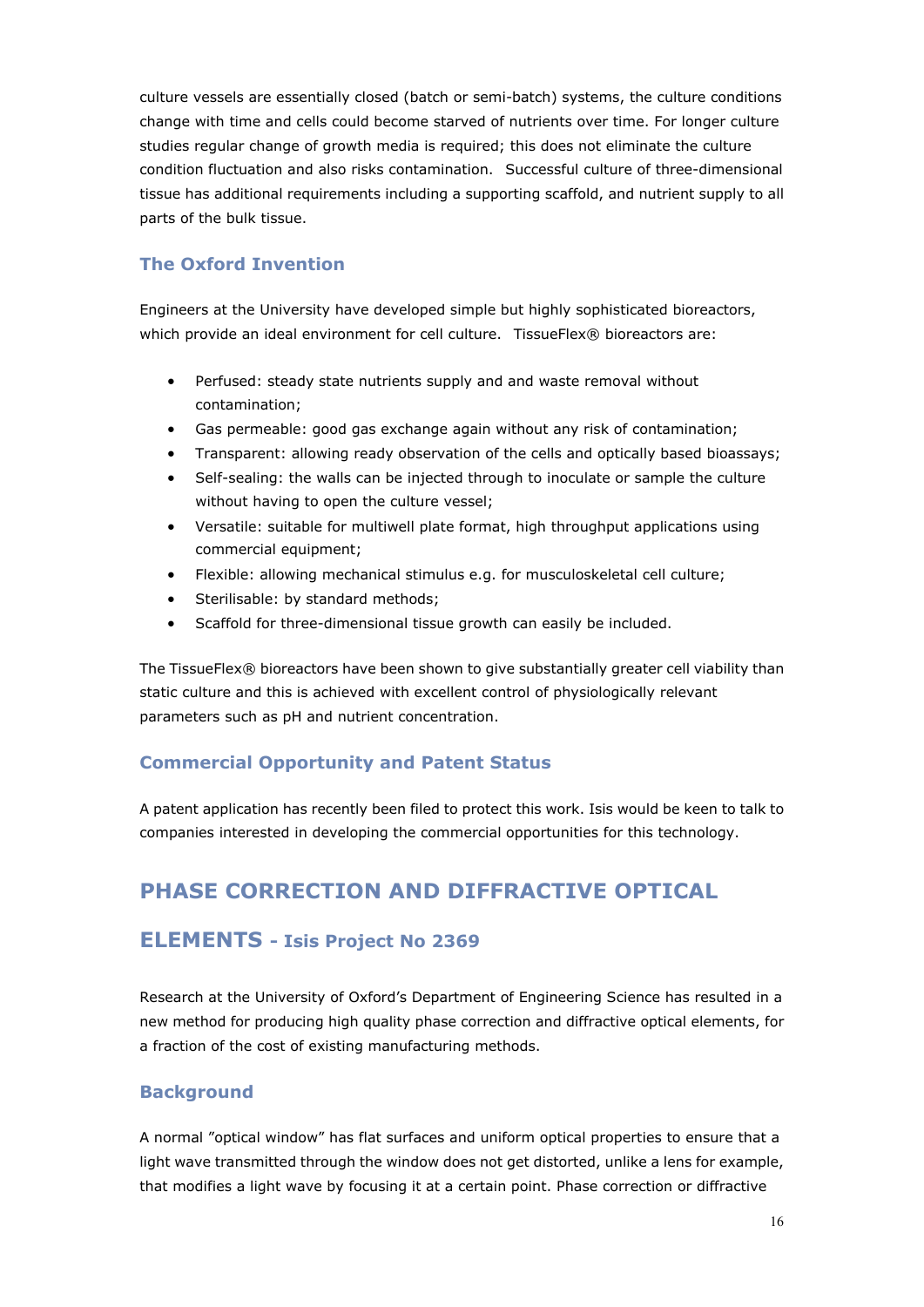culture vessels are essentially closed (batch or semi-batch) systems, the culture conditions change with time and cells could become starved of nutrients over time. For longer culture studies regular change of growth media is required; this does not eliminate the culture condition fluctuation and also risks contamination. Successful culture of three-dimensional tissue has additional requirements including a supporting scaffold, and nutrient supply to all parts of the bulk tissue.

### **The Oxford Invention**

Engineers at the University have developed simple but highly sophisticated bioreactors, which provide an ideal environment for cell culture. TissueFlex® bioreactors are:

- Perfused: steady state nutrients supply and and waste removal without contamination;
- Gas permeable: good gas exchange again without any risk of contamination;
- Transparent: allowing ready observation of the cells and optically based bioassays;
- Self-sealing: the walls can be injected through to inoculate or sample the culture without having to open the culture vessel;
- Versatile: suitable for multiwell plate format, high throughput applications using commercial equipment;
- Flexible: allowing mechanical stimulus e.g. for musculoskeletal cell culture;
- Sterilisable: by standard methods;
- Scaffold for three-dimensional tissue growth can easily be included.

The TissueFlex® bioreactors have been shown to give substantially greater cell viability than static culture and this is achieved with excellent control of physiologically relevant parameters such as pH and nutrient concentration.

### **Commercial Opportunity and Patent Status**

A patent application has recently been filed to protect this work. Isis would be keen to talk to companies interested in developing the commercial opportunities for this technology.

## **PHASE CORRECTION AND DIFFRACTIVE OPTICAL**

### **ELEMENTS - Isis Project No 2369**

Research at the University of Oxford's Department of Engineering Science has resulted in a new method for producing high quality phase correction and diffractive optical elements, for a fraction of the cost of existing manufacturing methods.

### **Background**

A normal "optical window" has flat surfaces and uniform optical properties to ensure that a light wave transmitted through the window does not get distorted, unlike a lens for example, that modifies a light wave by focusing it at a certain point. Phase correction or diffractive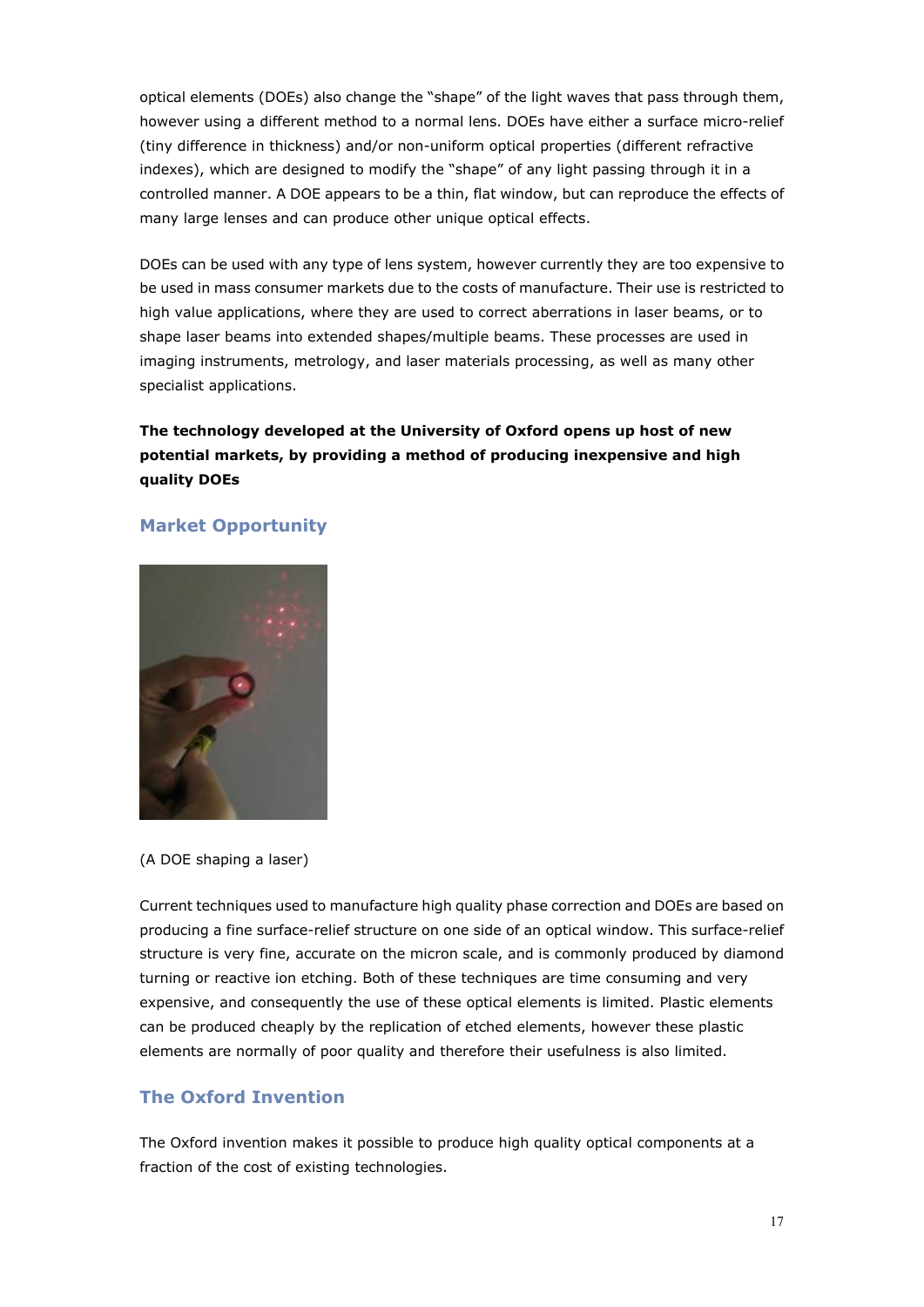optical elements (DOEs) also change the "shape" of the light waves that pass through them, however using a different method to a normal lens. DOEs have either a surface micro-relief (tiny difference in thickness) and/or non-uniform optical properties (different refractive indexes), which are designed to modify the "shape" of any light passing through it in a controlled manner. A DOE appears to be a thin, flat window, but can reproduce the effects of many large lenses and can produce other unique optical effects.

DOEs can be used with any type of lens system, however currently they are too expensive to be used in mass consumer markets due to the costs of manufacture. Their use is restricted to high value applications, where they are used to correct aberrations in laser beams, or to shape laser beams into extended shapes/multiple beams. These processes are used in imaging instruments, metrology, and laser materials processing, as well as many other specialist applications.

**The technology developed at the University of Oxford opens up host of new potential markets, by providing a method of producing inexpensive and high quality DOEs**

### **Market Opportunity**



(A DOE shaping a laser)

Current techniques used to manufacture high quality phase correction and DOEs are based on producing a fine surface-relief structure on one side of an optical window. This surface-relief structure is very fine, accurate on the micron scale, and is commonly produced by diamond turning or reactive ion etching. Both of these techniques are time consuming and very expensive, and consequently the use of these optical elements is limited. Plastic elements can be produced cheaply by the replication of etched elements, however these plastic elements are normally of poor quality and therefore their usefulness is also limited.

### **The Oxford Invention**

The Oxford invention makes it possible to produce high quality optical components at a fraction of the cost of existing technologies.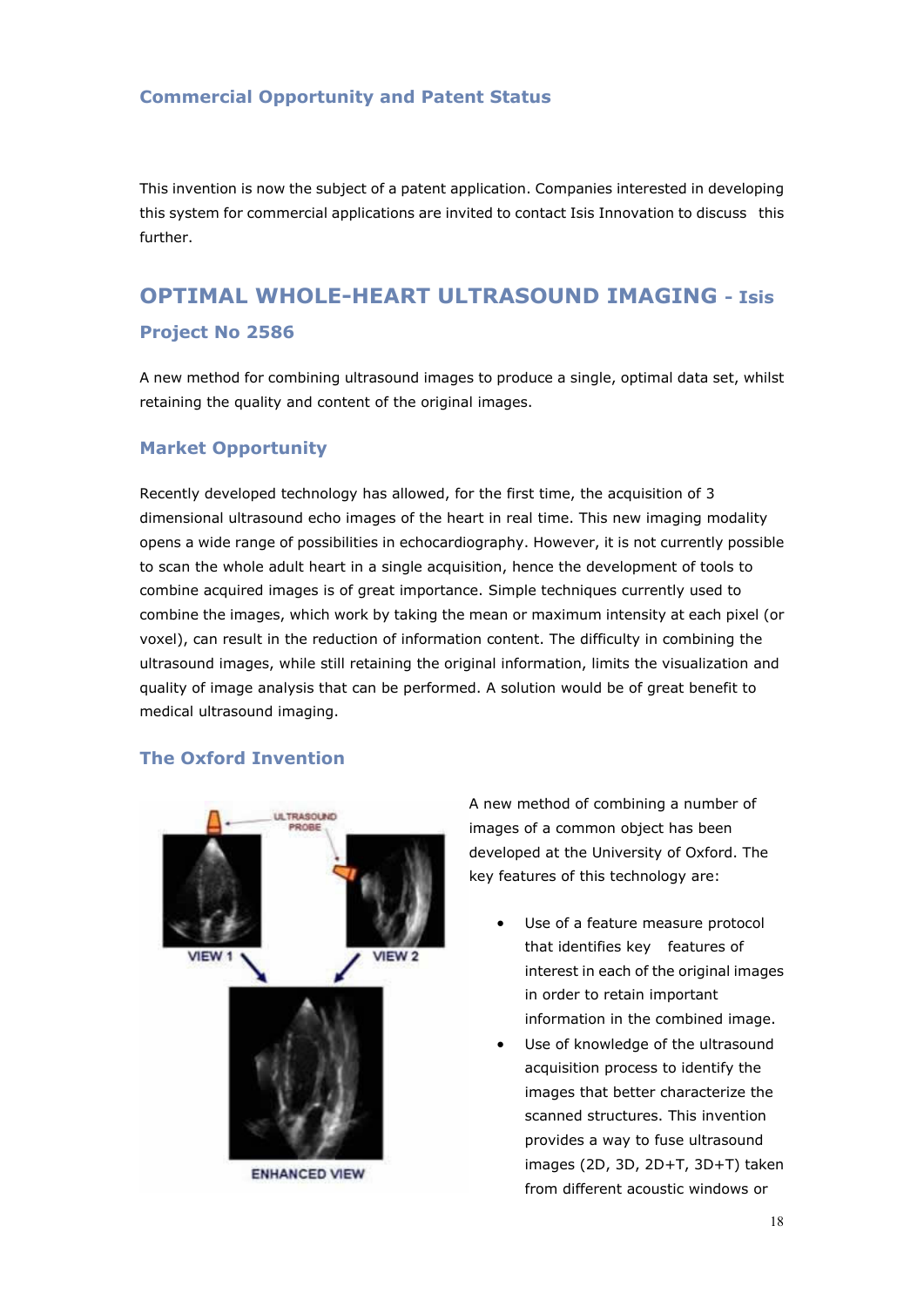#### **Commercial Opportunity and Patent Status**

This invention is now the subject of a patent application. Companies interested in developing this system for commercial applications are invited to contact Isis Innovation to discuss this further.

# **OPTIMAL WHOLE-HEART ULTRASOUND IMAGING - Isis Project No 2586**

A new method for combining ultrasound images to produce a single, optimal data set, whilst retaining the quality and content of the original images.

#### **Market Opportunity**

Recently developed technology has allowed, for the first time, the acquisition of 3 dimensional ultrasound echo images of the heart in real time. This new imaging modality opens a wide range of possibilities in echocardiography. However, it is not currently possible to scan the whole adult heart in a single acquisition, hence the development of tools to combine acquired images is of great importance. Simple techniques currently used to combine the images, which work by taking the mean or maximum intensity at each pixel (or voxel), can result in the reduction of information content. The difficulty in combining the ultrasound images, while still retaining the original information, limits the visualization and quality of image analysis that can be performed. A solution would be of great benefit to medical ultrasound imaging.

#### **The Oxford Invention**



A new method of combining a number of images of a common object has been developed at the University of Oxford. The key features of this technology are:

- Use of a feature measure protocol that identifies key features of interest in each of the original images in order to retain important information in the combined image.
- Use of knowledge of the ultrasound acquisition process to identify the images that better characterize the scanned structures. This invention provides a way to fuse ultrasound images (2D, 3D, 2D+T, 3D+T) taken from different acoustic windows or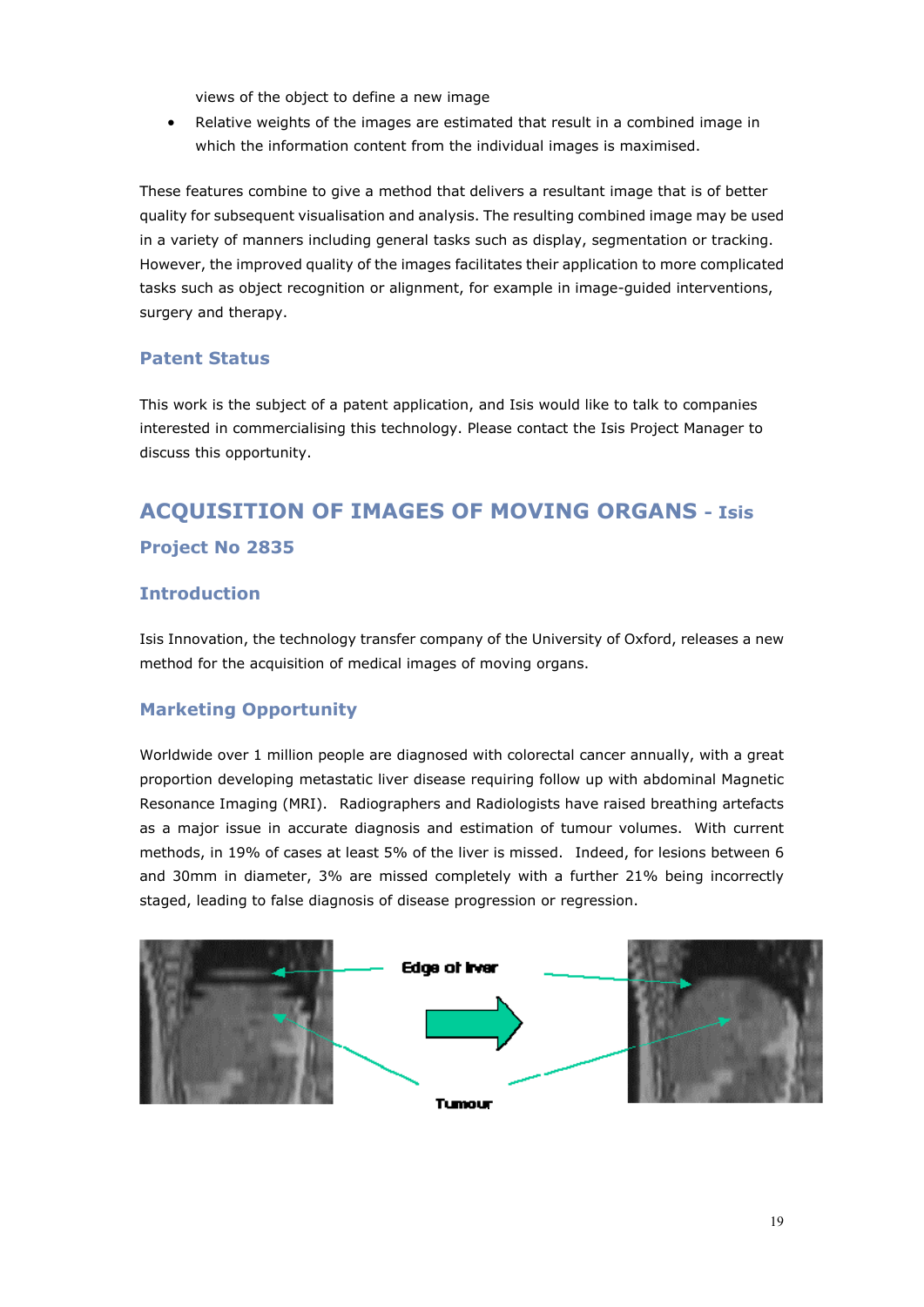views of the object to define a new image

• Relative weights of the images are estimated that result in a combined image in which the information content from the individual images is maximised.

These features combine to give a method that delivers a resultant image that is of better quality for subsequent visualisation and analysis. The resulting combined image may be used in a variety of manners including general tasks such as display, segmentation or tracking. However, the improved quality of the images facilitates their application to more complicated tasks such as object recognition or alignment, for example in image-guided interventions, surgery and therapy.

#### **Patent Status**

This work is the subject of a patent application, and Isis would like to talk to companies interested in commercialising this technology. Please contact the Isis Project Manager to discuss this opportunity.

# **ACQUISITION OF IMAGES OF MOVING ORGANS - Isis Project No 2835**

#### **Introduction**

Isis Innovation, the technology transfer company of the University of Oxford, releases a new method for the acquisition of medical images of moving organs.

#### **Marketing Opportunity**

Worldwide over 1 million people are diagnosed with colorectal cancer annually, with a great proportion developing metastatic liver disease requiring follow up with abdominal Magnetic Resonance Imaging (MRI). Radiographers and Radiologists have raised breathing artefacts as a major issue in accurate diagnosis and estimation of tumour volumes. With current methods, in 19% of cases at least 5% of the liver is missed. Indeed, for lesions between 6 and 30mm in diameter, 3% are missed completely with a further 21% being incorrectly staged, leading to false diagnosis of disease progression or regression.

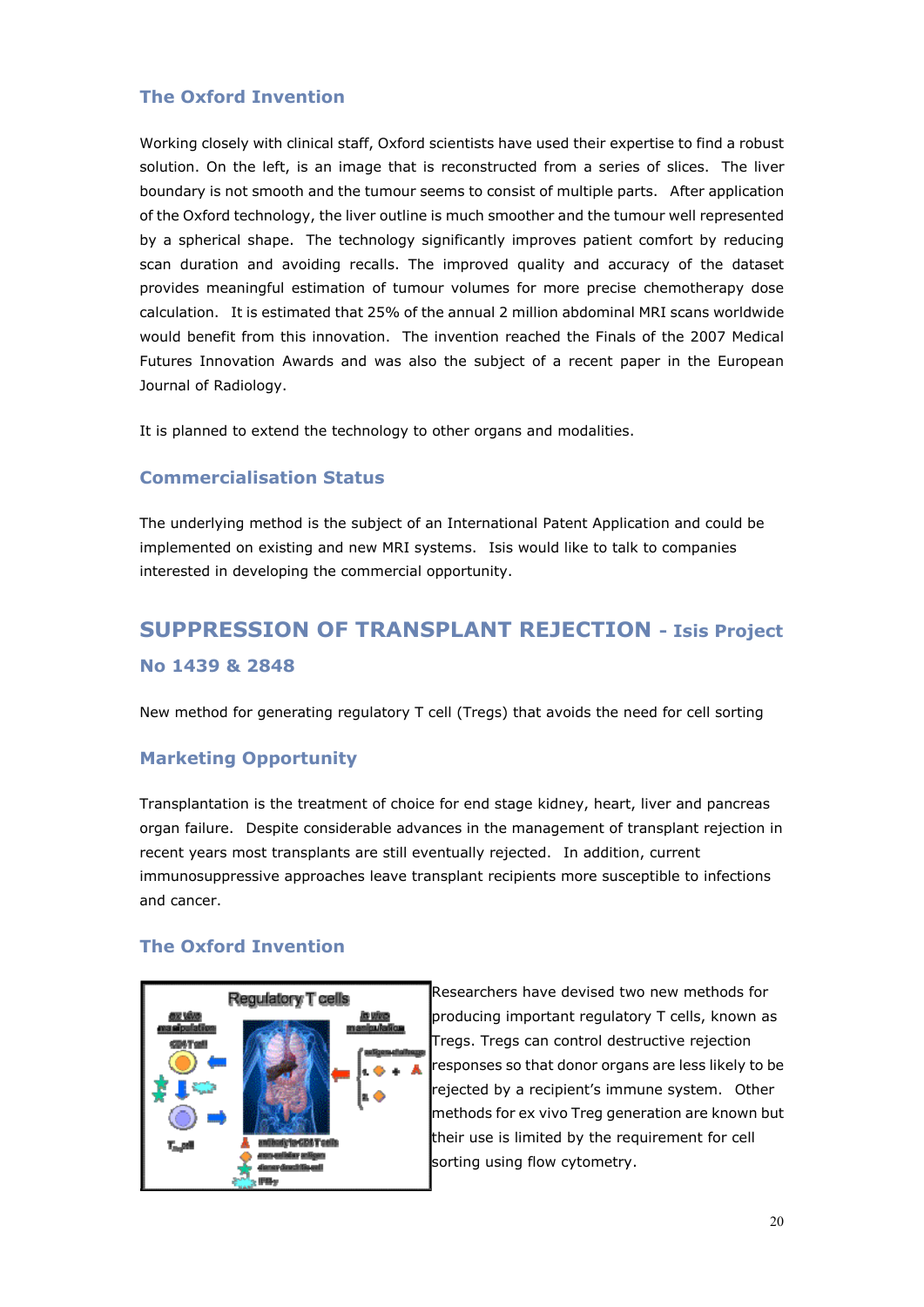### **The Oxford Invention**

Working closely with clinical staff, Oxford scientists have used their expertise to find a robust solution. On the left, is an image that is reconstructed from a series of slices. The liver boundary is not smooth and the tumour seems to consist of multiple parts. After application of the Oxford technology, the liver outline is much smoother and the tumour well represented by a spherical shape. The technology significantly improves patient comfort by reducing scan duration and avoiding recalls. The improved quality and accuracy of the dataset provides meaningful estimation of tumour volumes for more precise chemotherapy dose calculation. It is estimated that 25% of the annual 2 million abdominal MRI scans worldwide would benefit from this innovation. The invention reached the Finals of the 2007 Medical Futures Innovation Awards and was also the subject of a recent paper in the European Journal of Radiology.

It is planned to extend the technology to other organs and modalities.

### **Commercialisation Status**

The underlying method is the subject of an International Patent Application and could be implemented on existing and new MRI systems. Isis would like to talk to companies interested in developing the commercial opportunity.

# **SUPPRESSION OF TRANSPLANT REJECTION - Isis Project No 1439 & 2848**

New method for generating regulatory T cell (Tregs) that avoids the need for cell sorting

### **Marketing Opportunity**

Transplantation is the treatment of choice for end stage kidney, heart, liver and pancreas organ failure. Despite considerable advances in the management of transplant rejection in recent years most transplants are still eventually rejected. In addition, current immunosuppressive approaches leave transplant recipients more susceptible to infections and cancer.

### **The Oxford Invention**



Researchers have devised two new methods for producing important regulatory T cells, known as Tregs. Tregs can control destructive rejection responses so that donor organs are less likely to be rejected by a recipient's immune system. Other methods for ex vivo Treg generation are known but their use is limited by the requirement for cell sorting using flow cytometry.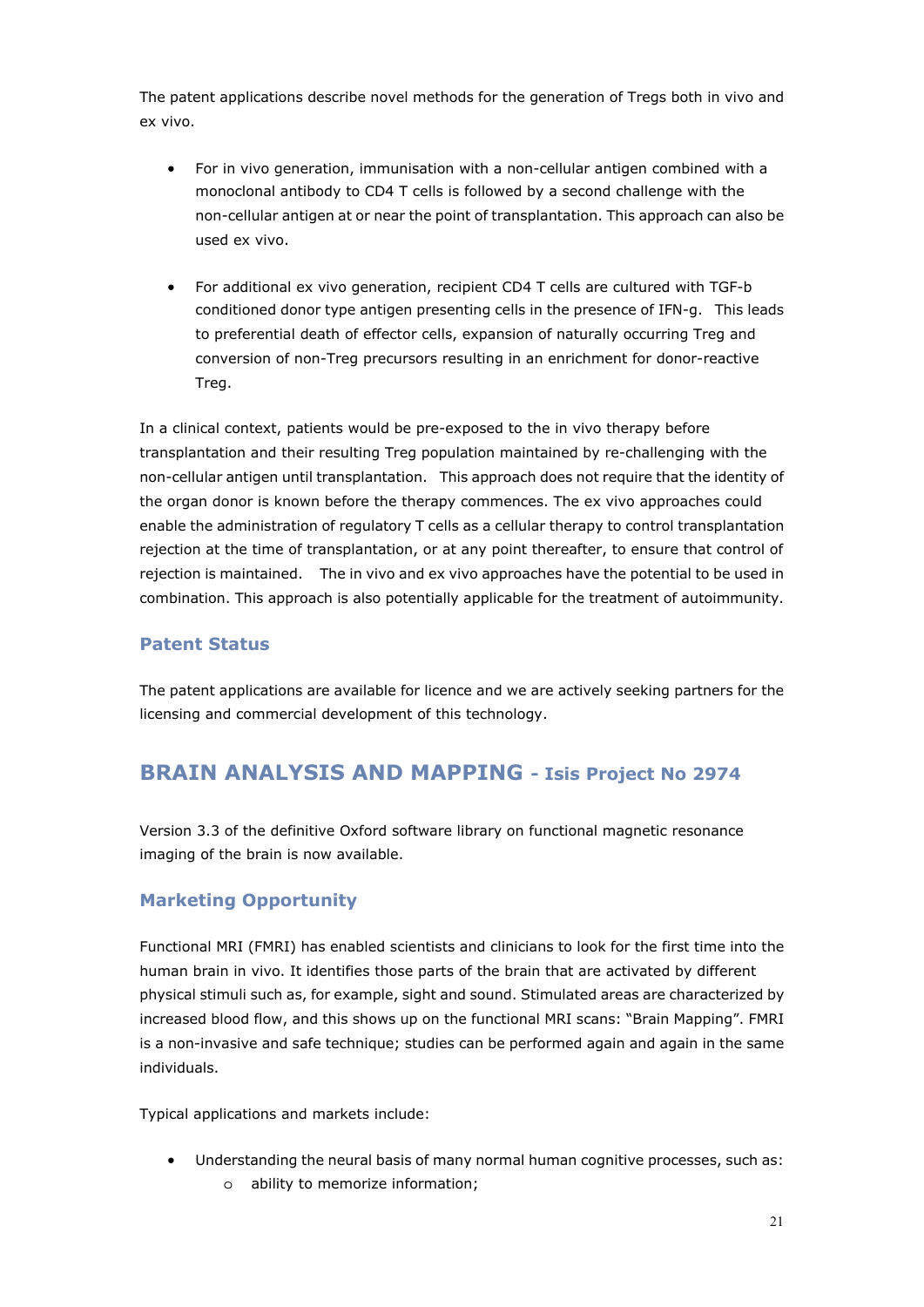The patent applications describe novel methods for the generation of Tregs both in vivo and ex vivo.

- For in vivo generation, immunisation with a non-cellular antigen combined with a monoclonal antibody to CD4 T cells is followed by a second challenge with the non-cellular antigen at or near the point of transplantation. This approach can also be used ex vivo.
- For additional ex vivo generation, recipient CD4 T cells are cultured with TGF-b conditioned donor type antigen presenting cells in the presence of IFN-g. This leads to preferential death of effector cells, expansion of naturally occurring Treg and conversion of non-Treg precursors resulting in an enrichment for donor-reactive Treg.

In a clinical context, patients would be pre-exposed to the in vivo therapy before transplantation and their resulting Treg population maintained by re-challenging with the non-cellular antigen until transplantation. This approach does not require that the identity of the organ donor is known before the therapy commences. The ex vivo approaches could enable the administration of regulatory T cells as a cellular therapy to control transplantation rejection at the time of transplantation, or at any point thereafter, to ensure that control of rejection is maintained. The in vivo and ex vivo approaches have the potential to be used in combination. This approach is also potentially applicable for the treatment of autoimmunity.

### **Patent Status**

The patent applications are available for licence and we are actively seeking partners for the licensing and commercial development of this technology.

### **BRAIN ANALYSIS AND MAPPING - Isis Project No 2974**

Version 3.3 of the definitive Oxford software library on functional magnetic resonance imaging of the brain is now available.

### **Marketing Opportunity**

Functional MRI (FMRI) has enabled scientists and clinicians to look for the first time into the human brain in vivo. It identifies those parts of the brain that are activated by different physical stimuli such as, for example, sight and sound. Stimulated areas are characterized by increased blood flow, and this shows up on the functional MRI scans: "Brain Mapping". FMRI is a non-invasive and safe technique; studies can be performed again and again in the same individuals.

Typical applications and markets include:

- Understanding the neural basis of many normal human cognitive processes, such as:
	- o ability to memorize information;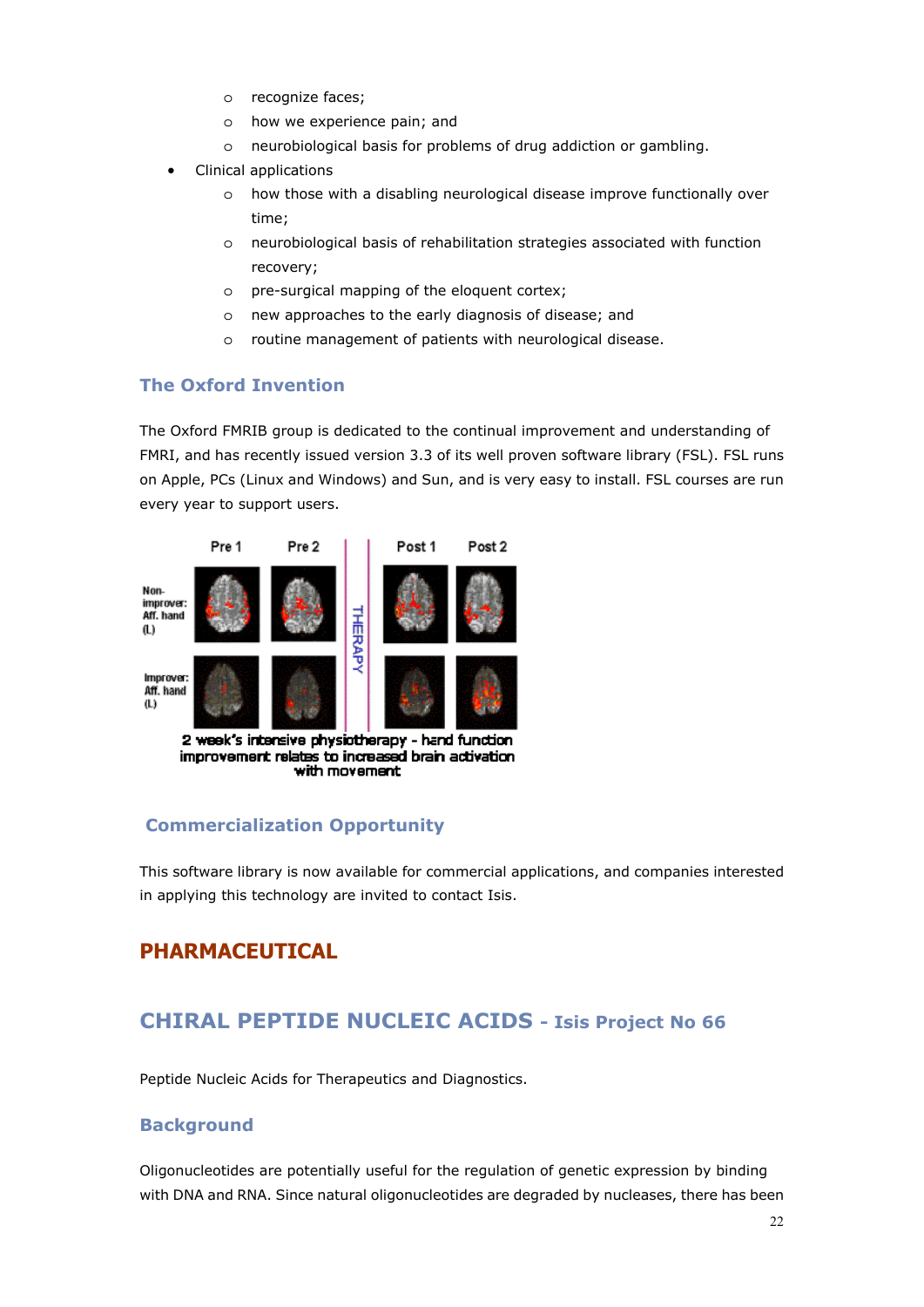- o recognize faces;
- o how we experience pain; and
- o neurobiological basis for problems of drug addiction or gambling.
- Clinical applications
	- o how those with a disabling neurological disease improve functionally over time;
	- o neurobiological basis of rehabilitation strategies associated with function recovery;
	- o pre-surgical mapping of the eloquent cortex;
	- o new approaches to the early diagnosis of disease; and
	- o routine management of patients with neurological disease.

#### **The Oxford Invention**

The Oxford FMRIB group is dedicated to the continual improvement and understanding of FMRI, and has recently issued version 3.3 of its well proven software library (FSL). FSL runs on Apple, PCs (Linux and Windows) and Sun, and is very easy to install. FSL courses are run every year to support users.



#### with movement

### **Commercialization Opportunity**

This software library is now available for commercial applications, and companies interested in applying this technology are invited to contact Isis.

### **PHARMACEUTICAL**

### **CHIRAL PEPTIDE NUCLEIC ACIDS - Isis Project No 66**

Peptide Nucleic Acids for Therapeutics and Diagnostics.

#### **Background**

Oligonucleotides are potentially useful for the regulation of genetic expression by binding with DNA and RNA. Since natural oligonucleotides are degraded by nucleases, there has been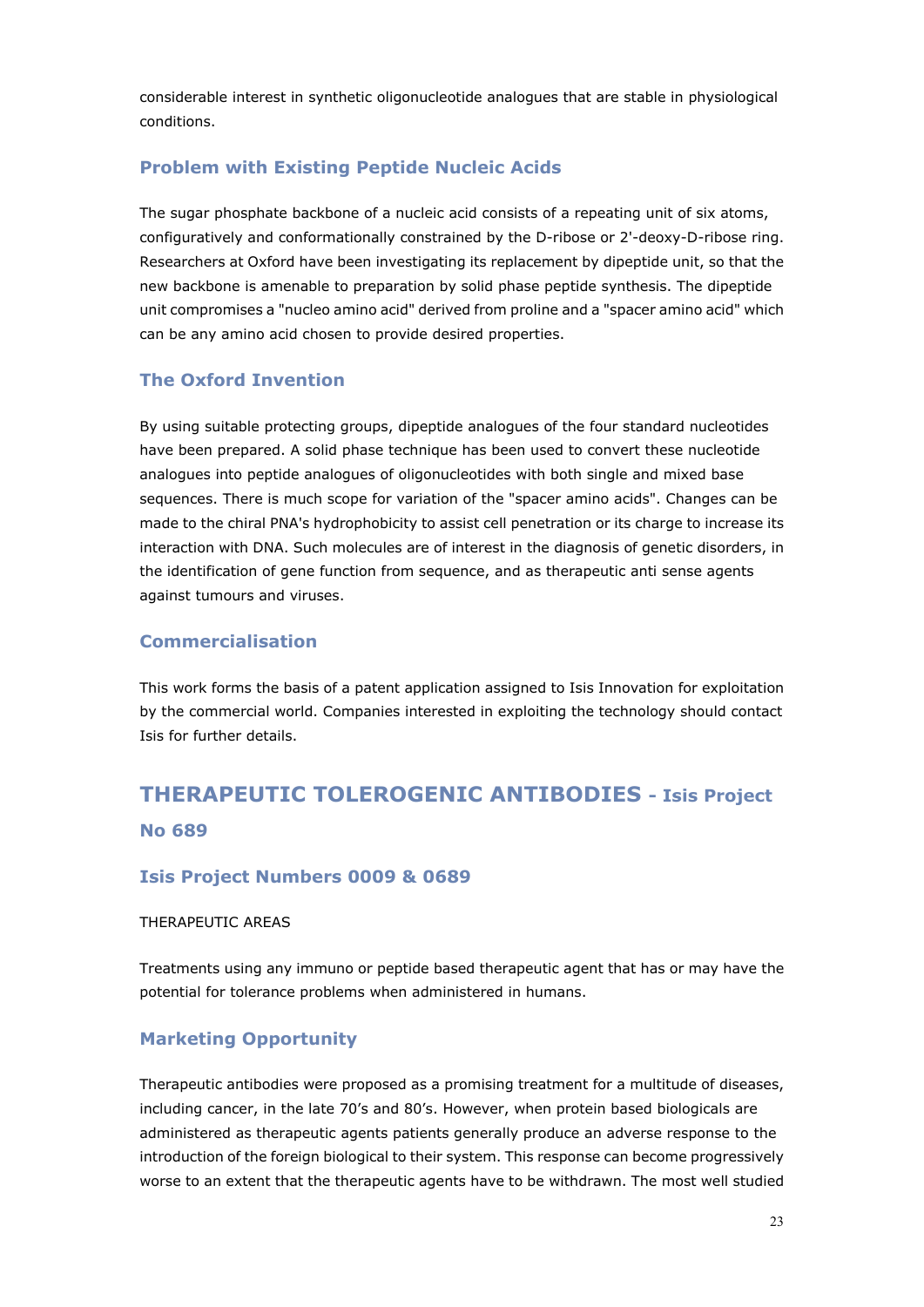considerable interest in synthetic oligonucleotide analogues that are stable in physiological conditions.

### **Problem with Existing Peptide Nucleic Acids**

The sugar phosphate backbone of a nucleic acid consists of a repeating unit of six atoms, configuratively and conformationally constrained by the D-ribose or 2'-deoxy-D-ribose ring. Researchers at Oxford have been investigating its replacement by dipeptide unit, so that the new backbone is amenable to preparation by solid phase peptide synthesis. The dipeptide unit compromises a "nucleo amino acid" derived from proline and a "spacer amino acid" which can be any amino acid chosen to provide desired properties.

### **The Oxford Invention**

By using suitable protecting groups, dipeptide analogues of the four standard nucleotides have been prepared. A solid phase technique has been used to convert these nucleotide analogues into peptide analogues of oligonucleotides with both single and mixed base sequences. There is much scope for variation of the "spacer amino acids". Changes can be made to the chiral PNA's hydrophobicity to assist cell penetration or its charge to increase its interaction with DNA. Such molecules are of interest in the diagnosis of genetic disorders, in the identification of gene function from sequence, and as therapeutic anti sense agents against tumours and viruses.

### **Commercialisation**

This work forms the basis of a patent application assigned to Isis Innovation for exploitation by the commercial world. Companies interested in exploiting the technology should contact Isis for further details.

# **THERAPEUTIC TOLEROGENIC ANTIBODIES - Isis Project No 689**

### **Isis Project Numbers 0009 & 0689**

#### THERAPEUTIC AREAS

Treatments using any immuno or peptide based therapeutic agent that has or may have the potential for tolerance problems when administered in humans.

### **Marketing Opportunity**

Therapeutic antibodies were proposed as a promising treatment for a multitude of diseases, including cancer, in the late 70's and 80's. However, when protein based biologicals are administered as therapeutic agents patients generally produce an adverse response to the introduction of the foreign biological to their system. This response can become progressively worse to an extent that the therapeutic agents have to be withdrawn. The most well studied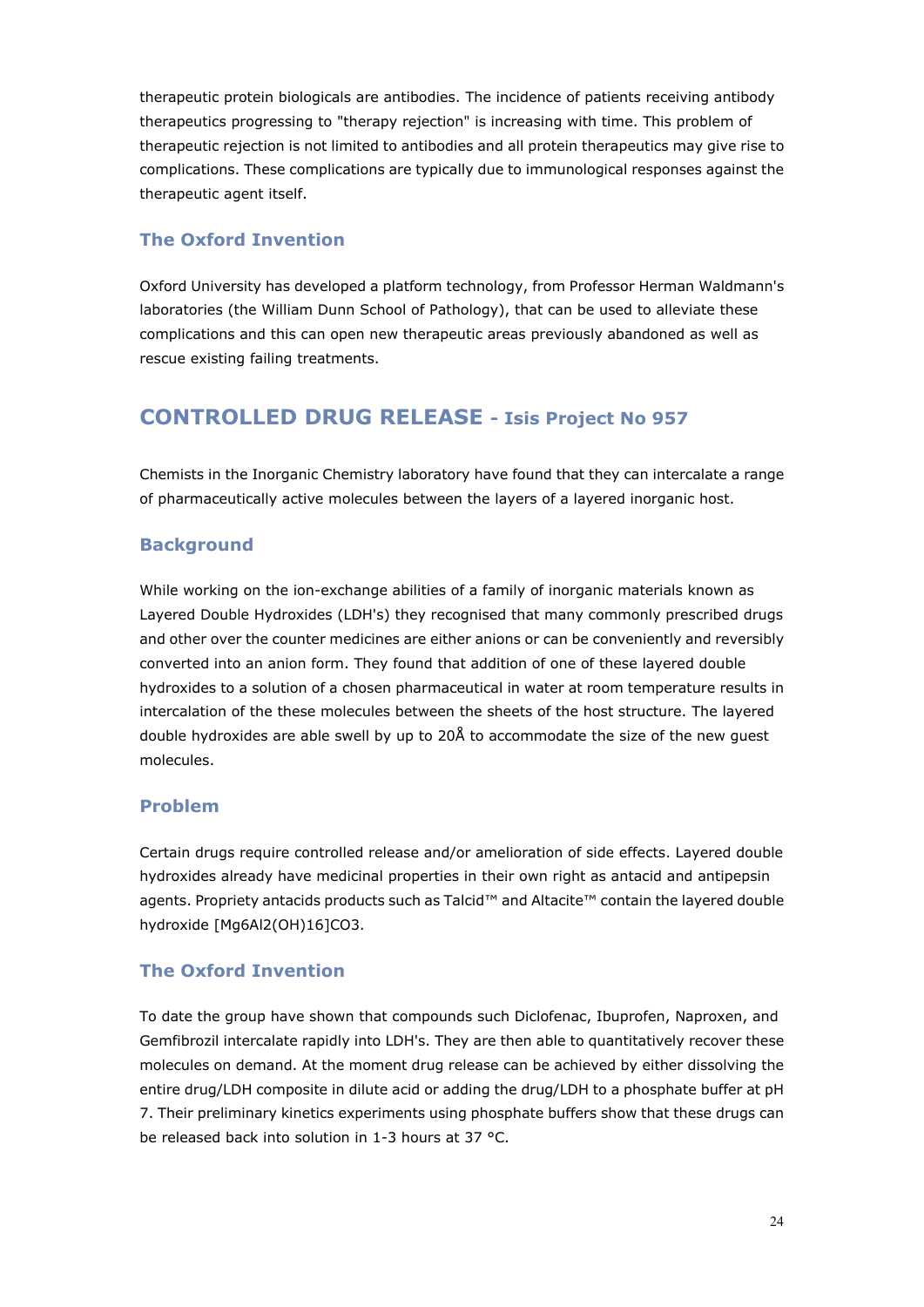therapeutic protein biologicals are antibodies. The incidence of patients receiving antibody therapeutics progressing to "therapy rejection" is increasing with time. This problem of therapeutic rejection is not limited to antibodies and all protein therapeutics may give rise to complications. These complications are typically due to immunological responses against the therapeutic agent itself.

### **The Oxford Invention**

Oxford University has developed a platform technology, from Professor Herman Waldmann's laboratories (the William Dunn School of Pathology), that can be used to alleviate these complications and this can open new therapeutic areas previously abandoned as well as rescue existing failing treatments.

### **CONTROLLED DRUG RELEASE - Isis Project No 957**

Chemists in the Inorganic Chemistry laboratory have found that they can intercalate a range of pharmaceutically active molecules between the layers of a layered inorganic host.

### **Background**

While working on the ion-exchange abilities of a family of inorganic materials known as Layered Double Hydroxides (LDH's) they recognised that many commonly prescribed drugs and other over the counter medicines are either anions or can be conveniently and reversibly converted into an anion form. They found that addition of one of these layered double hydroxides to a solution of a chosen pharmaceutical in water at room temperature results in intercalation of the these molecules between the sheets of the host structure. The layered double hydroxides are able swell by up to 20Å to accommodate the size of the new guest molecules.

### **Problem**

Certain drugs require controlled release and/or amelioration of side effects. Layered double hydroxides already have medicinal properties in their own right as antacid and antipepsin agents. Propriety antacids products such as Talcid™ and Altacite™ contain the layered double hydroxide [Mg6Al2(OH)16]CO3.

### **The Oxford Invention**

To date the group have shown that compounds such Diclofenac, Ibuprofen, Naproxen, and Gemfibrozil intercalate rapidly into LDH's. They are then able to quantitatively recover these molecules on demand. At the moment drug release can be achieved by either dissolving the entire drug/LDH composite in dilute acid or adding the drug/LDH to a phosphate buffer at pH 7. Their preliminary kinetics experiments using phosphate buffers show that these drugs can be released back into solution in 1-3 hours at 37 °C.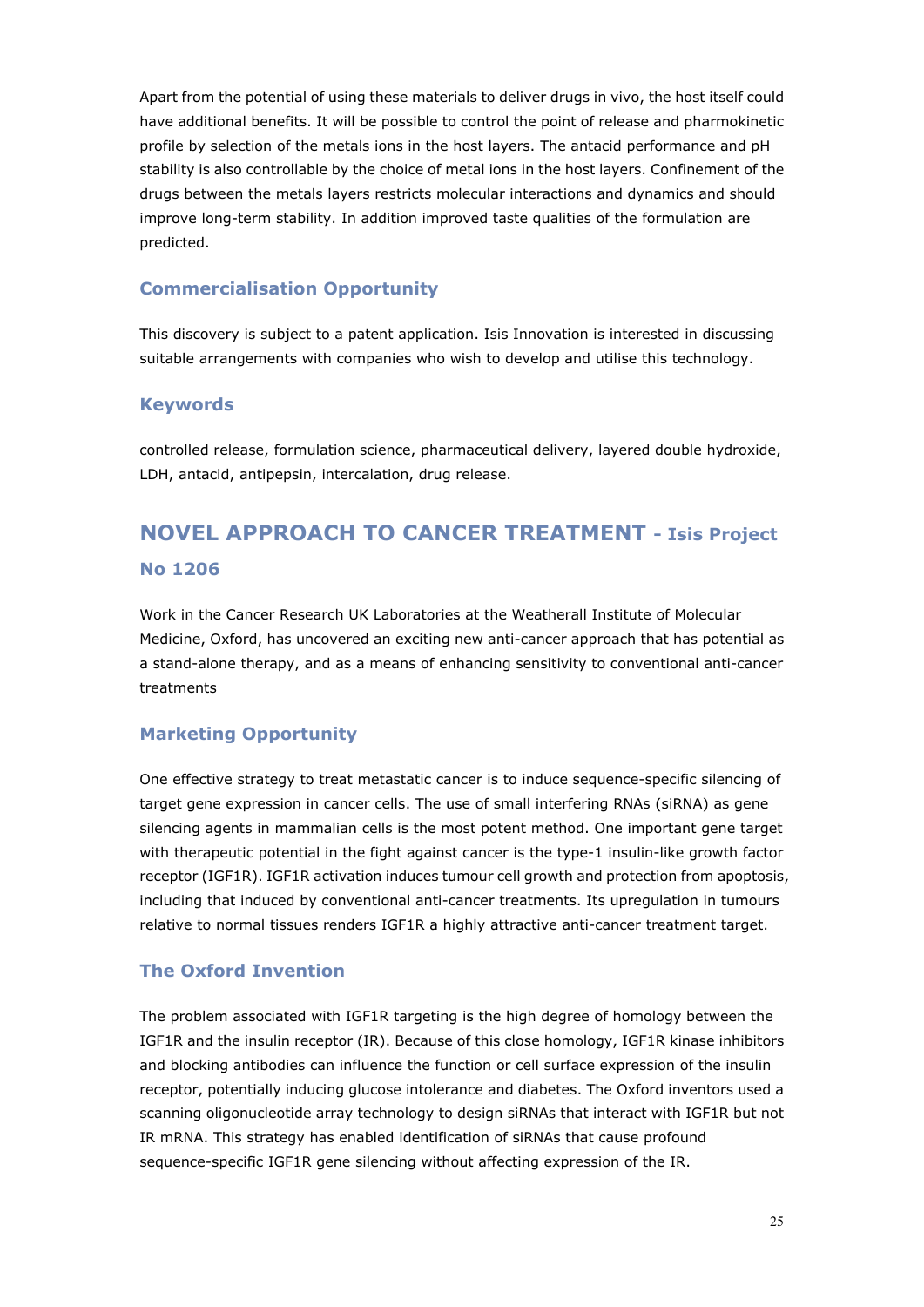Apart from the potential of using these materials to deliver drugs in vivo, the host itself could have additional benefits. It will be possible to control the point of release and pharmokinetic profile by selection of the metals ions in the host layers. The antacid performance and pH stability is also controllable by the choice of metal ions in the host layers. Confinement of the drugs between the metals layers restricts molecular interactions and dynamics and should improve long-term stability. In addition improved taste qualities of the formulation are predicted.

### **Commercialisation Opportunity**

This discovery is subject to a patent application. Isis Innovation is interested in discussing suitable arrangements with companies who wish to develop and utilise this technology.

#### **Keywords**

controlled release, formulation science, pharmaceutical delivery, layered double hydroxide, LDH, antacid, antipepsin, intercalation, drug release.

# **NOVEL APPROACH TO CANCER TREATMENT - Isis Project No 1206**

Work in the Cancer Research UK Laboratories at the Weatherall Institute of Molecular Medicine, Oxford, has uncovered an exciting new anti-cancer approach that has potential as a stand-alone therapy, and as a means of enhancing sensitivity to conventional anti-cancer treatments

#### **Marketing Opportunity**

One effective strategy to treat metastatic cancer is to induce sequence-specific silencing of target gene expression in cancer cells. The use of small interfering RNAs (siRNA) as gene silencing agents in mammalian cells is the most potent method. One important gene target with therapeutic potential in the fight against cancer is the type-1 insulin-like growth factor receptor (IGF1R). IGF1R activation induces tumour cell growth and protection from apoptosis, including that induced by conventional anti-cancer treatments. Its upregulation in tumours relative to normal tissues renders IGF1R a highly attractive anti-cancer treatment target.

#### **The Oxford Invention**

The problem associated with IGF1R targeting is the high degree of homology between the IGF1R and the insulin receptor (IR). Because of this close homology, IGF1R kinase inhibitors and blocking antibodies can influence the function or cell surface expression of the insulin receptor, potentially inducing glucose intolerance and diabetes. The Oxford inventors used a scanning oligonucleotide array technology to design siRNAs that interact with IGF1R but not IR mRNA. This strategy has enabled identification of siRNAs that cause profound sequence-specific IGF1R gene silencing without affecting expression of the IR.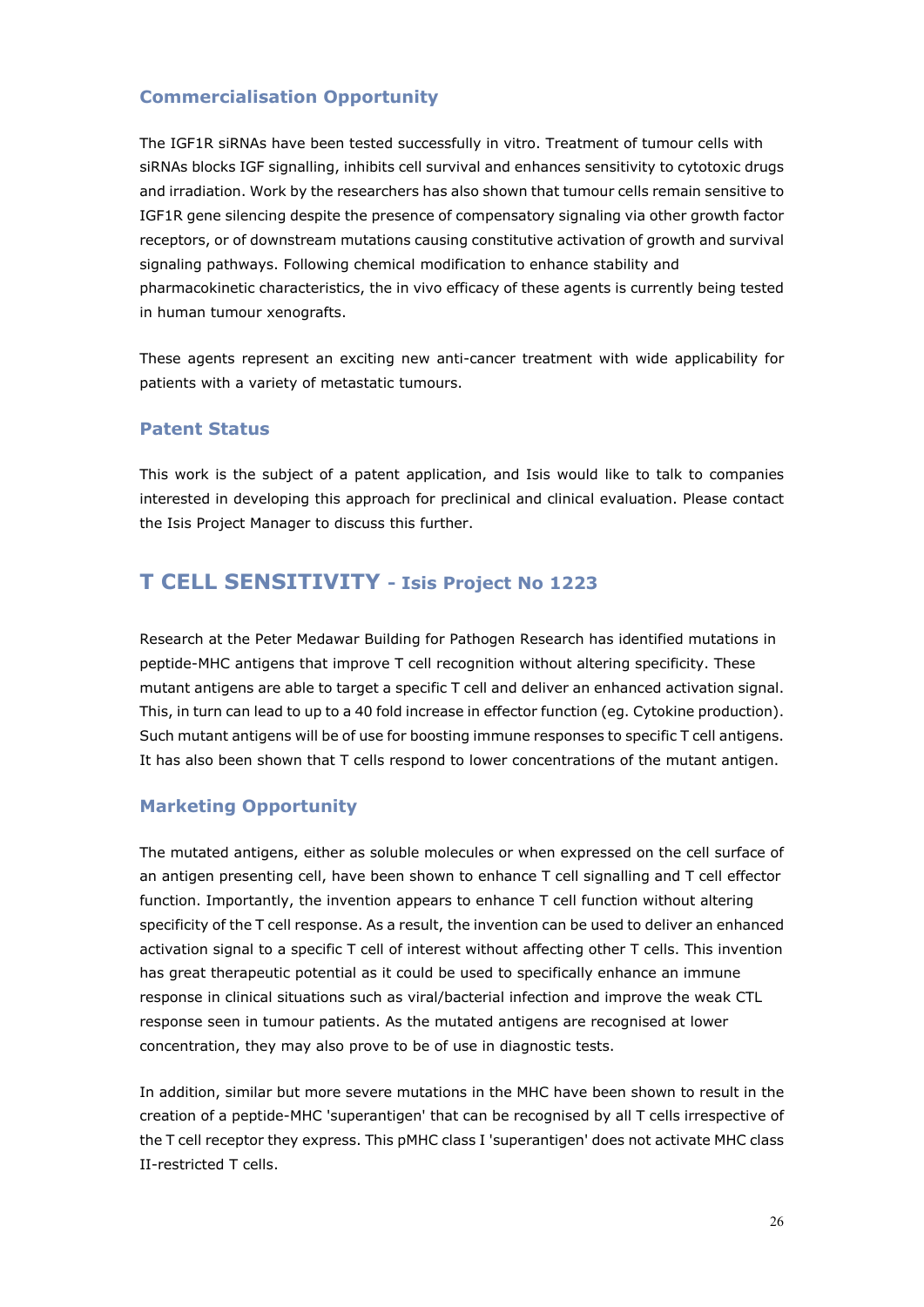### **Commercialisation Opportunity**

The IGF1R siRNAs have been tested successfully in vitro. Treatment of tumour cells with siRNAs blocks IGF signalling, inhibits cell survival and enhances sensitivity to cytotoxic drugs and irradiation. Work by the researchers has also shown that tumour cells remain sensitive to IGF1R gene silencing despite the presence of compensatory signaling via other growth factor receptors, or of downstream mutations causing constitutive activation of growth and survival signaling pathways. Following chemical modification to enhance stability and pharmacokinetic characteristics, the in vivo efficacy of these agents is currently being tested in human tumour xenografts.

These agents represent an exciting new anti-cancer treatment with wide applicability for patients with a variety of metastatic tumours.

### **Patent Status**

This work is the subject of a patent application, and Isis would like to talk to companies interested in developing this approach for preclinical and clinical evaluation. Please contact the Isis Project Manager to discuss this further.

### **T CELL SENSITIVITY - Isis Project No 1223**

Research at the Peter Medawar Building for Pathogen Research has identified mutations in peptide-MHC antigens that improve T cell recognition without altering specificity. These mutant antigens are able to target a specific T cell and deliver an enhanced activation signal. This, in turn can lead to up to a 40 fold increase in effector function (eg. Cytokine production). Such mutant antigens will be of use for boosting immune responses to specific T cell antigens. It has also been shown that T cells respond to lower concentrations of the mutant antigen.

### **Marketing Opportunity**

The mutated antigens, either as soluble molecules or when expressed on the cell surface of an antigen presenting cell, have been shown to enhance T cell signalling and T cell effector function. Importantly, the invention appears to enhance T cell function without altering specificity of the T cell response. As a result, the invention can be used to deliver an enhanced activation signal to a specific T cell of interest without affecting other T cells. This invention has great therapeutic potential as it could be used to specifically enhance an immune response in clinical situations such as viral/bacterial infection and improve the weak CTL response seen in tumour patients. As the mutated antigens are recognised at lower concentration, they may also prove to be of use in diagnostic tests.

In addition, similar but more severe mutations in the MHC have been shown to result in the creation of a peptide-MHC 'superantigen' that can be recognised by all T cells irrespective of the T cell receptor they express. This pMHC class I 'superantigen' does not activate MHC class II-restricted T cells.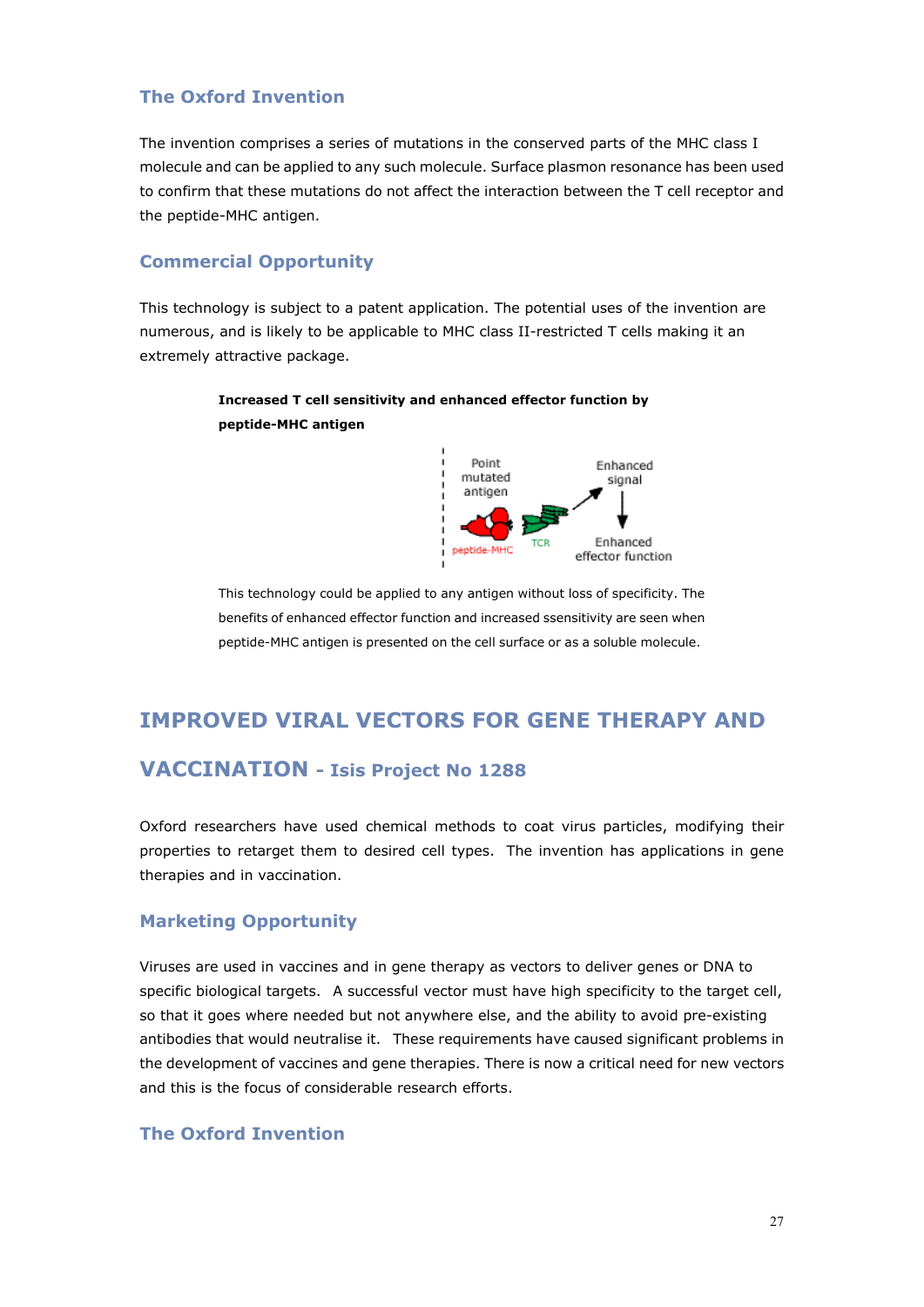### **The Oxford Invention**

The invention comprises a series of mutations in the conserved parts of the MHC class I molecule and can be applied to any such molecule. Surface plasmon resonance has been used to confirm that these mutations do not affect the interaction between the T cell receptor and the peptide-MHC antigen.

#### **Commercial Opportunity**

This technology is subject to a patent application. The potential uses of the invention are numerous, and is likely to be applicable to MHC class II-restricted T cells making it an extremely attractive package.

### **Increased T cell sensitivity and enhanced effector function by peptide-MHC antigen**



This technology could be applied to any antigen without loss of specificity. The benefits of enhanced effector function and increased ssensitivity are seen when peptide-MHC antigen is presented on the cell surface or as a soluble molecule.

# **IMPROVED VIRAL VECTORS FOR GENE THERAPY AND**

### **VACCINATION - Isis Project No 1288**

Oxford researchers have used chemical methods to coat virus particles, modifying their properties to retarget them to desired cell types. The invention has applications in gene therapies and in vaccination.

### **Marketing Opportunity**

Viruses are used in vaccines and in gene therapy as vectors to deliver genes or DNA to specific biological targets. A successful vector must have high specificity to the target cell, so that it goes where needed but not anywhere else, and the ability to avoid pre-existing antibodies that would neutralise it. These requirements have caused significant problems in the development of vaccines and gene therapies. There is now a critical need for new vectors and this is the focus of considerable research efforts.

### **The Oxford Invention**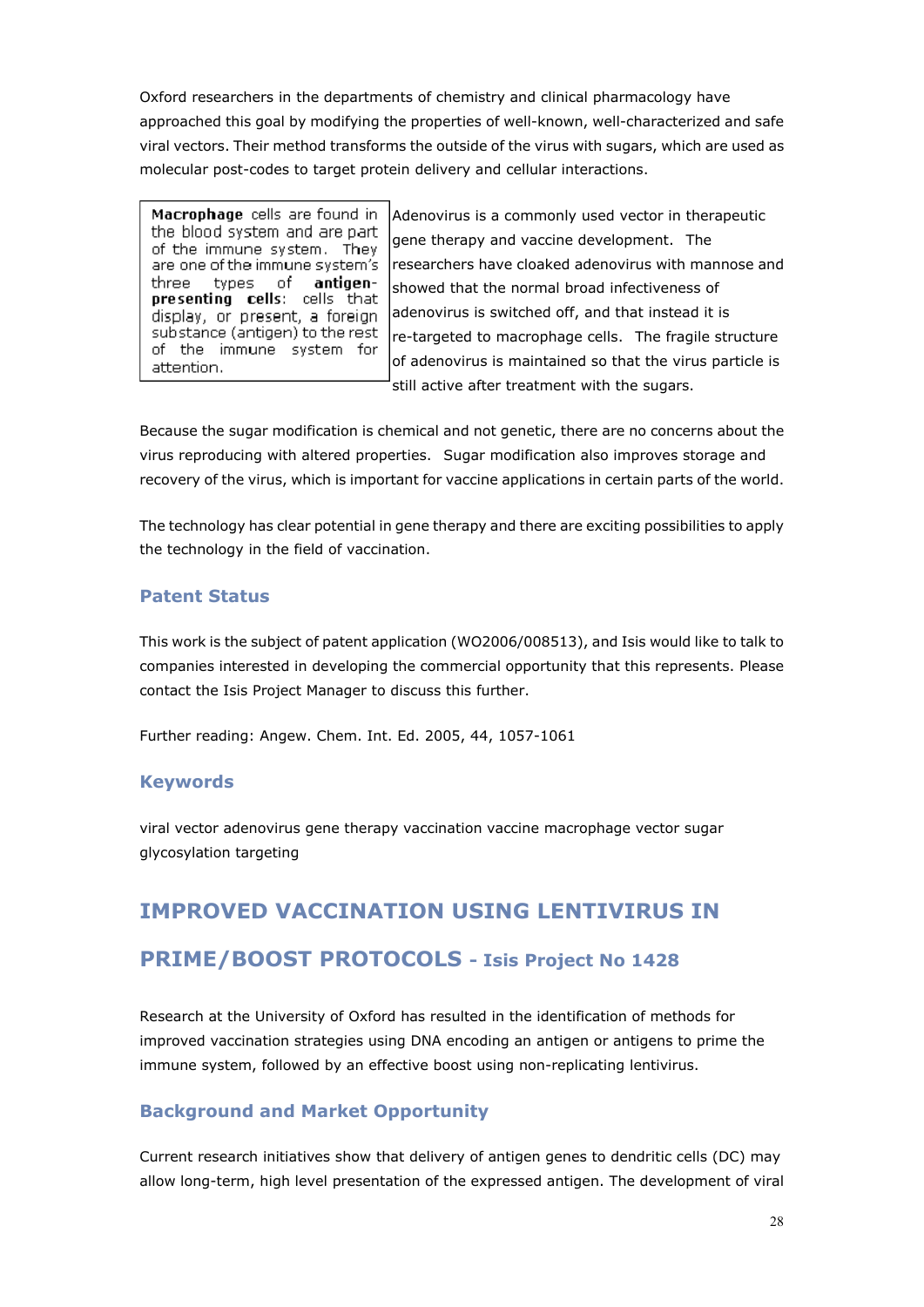Oxford researchers in the departments of chemistry and clinical pharmacology have approached this goal by modifying the properties of well-known, well-characterized and safe viral vectors. Their method transforms the outside of the virus with sugars, which are used as molecular post-codes to target protein delivery and cellular interactions.

Macrophage cells are found in the blood system and are part of the immune system. They are one of the immune system's of antigenthree types presenting cells: cells that display, or present, a foreign substance (antigen) to the rest of the immune system for attention.

Adenovirus is a commonly used vector in therapeutic gene therapy and vaccine development. The researchers have cloaked adenovirus with mannose and showed that the normal broad infectiveness of adenovirus is switched off, and that instead it is re-targeted to macrophage cells. The fragile structure of adenovirus is maintained so that the virus particle is still active after treatment with the sugars.

Because the sugar modification is chemical and not genetic, there are no concerns about the virus reproducing with altered properties. Sugar modification also improves storage and recovery of the virus, which is important for vaccine applications in certain parts of the world.

The technology has clear potential in gene therapy and there are exciting possibilities to apply the technology in the field of vaccination.

### **Patent Status**

This work is the subject of patent application (WO2006/008513), and Isis would like to talk to companies interested in developing the commercial opportunity that this represents. Please contact the Isis Project Manager to discuss this further.

Further reading: Angew. Chem. Int. Ed. 2005, 44, 1057-1061

### **Keywords**

viral vector adenovirus gene therapy vaccination vaccine macrophage vector sugar glycosylation targeting

# **IMPROVED VACCINATION USING LENTIVIRUS IN**

### **PRIME/BOOST PROTOCOLS - Isis Project No 1428**

Research at the University of Oxford has resulted in the identification of methods for improved vaccination strategies using DNA encoding an antigen or antigens to prime the immune system, followed by an effective boost using non-replicating lentivirus.

### **Background and Market Opportunity**

Current research initiatives show that delivery of antigen genes to dendritic cells (DC) may allow long-term, high level presentation of the expressed antigen. The development of viral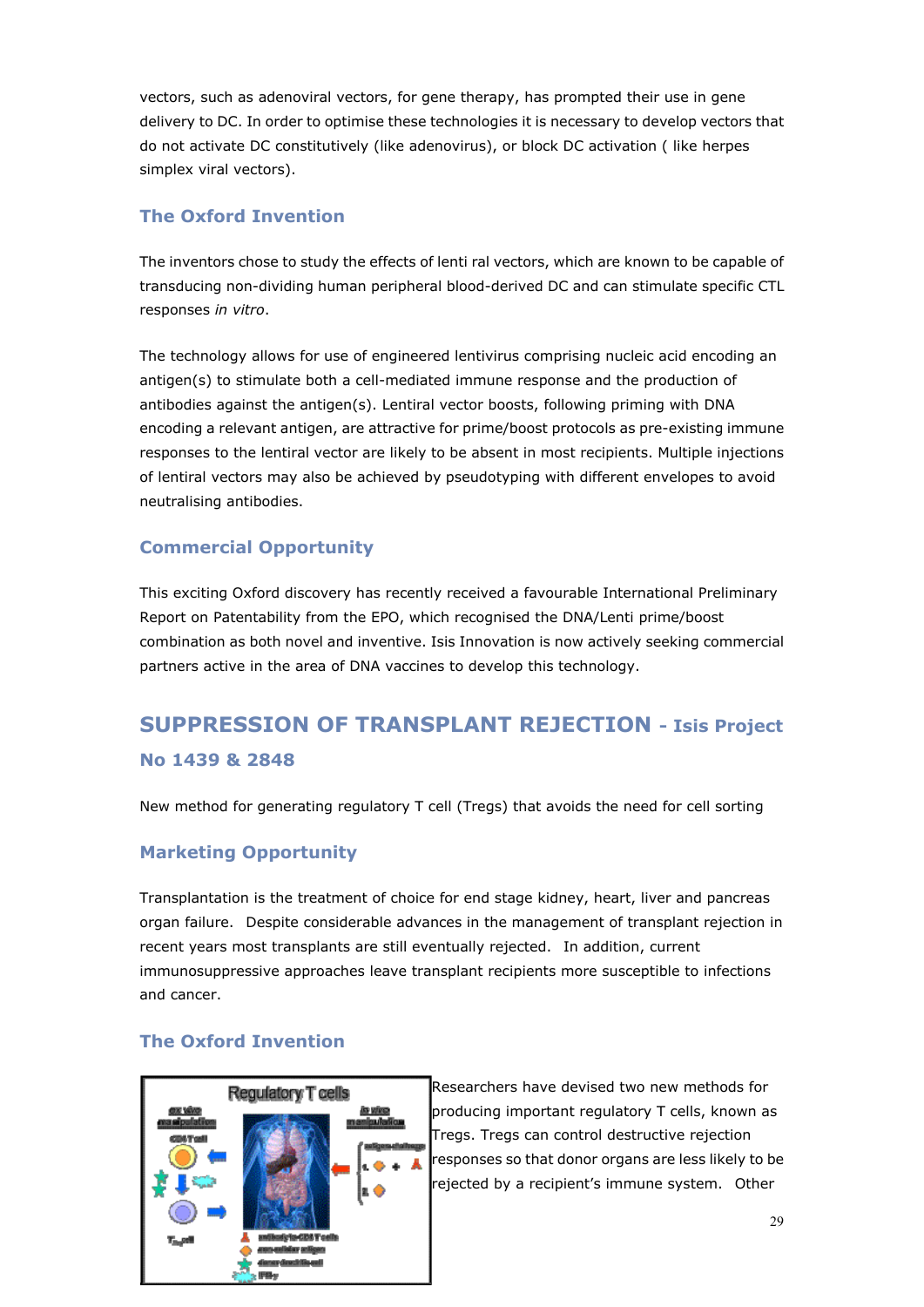vectors, such as adenoviral vectors, for gene therapy, has prompted their use in gene delivery to DC. In order to optimise these technologies it is necessary to develop vectors that do not activate DC constitutively (like adenovirus), or block DC activation ( like herpes simplex viral vectors).

### **The Oxford Invention**

The inventors chose to study the effects of lenti ral vectors, which are known to be capable of transducing non-dividing human peripheral blood-derived DC and can stimulate specific CTL responses *in vitro*.

The technology allows for use of engineered lentivirus comprising nucleic acid encoding an antigen(s) to stimulate both a cell-mediated immune response and the production of antibodies against the antigen(s). Lentiral vector boosts, following priming with DNA encoding a relevant antigen, are attractive for prime/boost protocols as pre-existing immune responses to the lentiral vector are likely to be absent in most recipients. Multiple injections of lentiral vectors may also be achieved by pseudotyping with different envelopes to avoid neutralising antibodies.

### **Commercial Opportunity**

This exciting Oxford discovery has recently received a favourable International Preliminary Report on Patentability from the EPO, which recognised the DNA/Lenti prime/boost combination as both novel and inventive. Isis Innovation is now actively seeking commercial partners active in the area of DNA vaccines to develop this technology.

# **SUPPRESSION OF TRANSPLANT REJECTION - Isis Project No 1439 & 2848**

New method for generating regulatory T cell (Tregs) that avoids the need for cell sorting

### **Marketing Opportunity**

Transplantation is the treatment of choice for end stage kidney, heart, liver and pancreas organ failure. Despite considerable advances in the management of transplant rejection in recent years most transplants are still eventually rejected. In addition, current immunosuppressive approaches leave transplant recipients more susceptible to infections and cancer.

### **The Oxford Invention**



Researchers have devised two new methods for producing important regulatory T cells, known as Tregs. Tregs can control destructive rejection responses so that donor organs are less likely to be rejected by a recipient's immune system. Other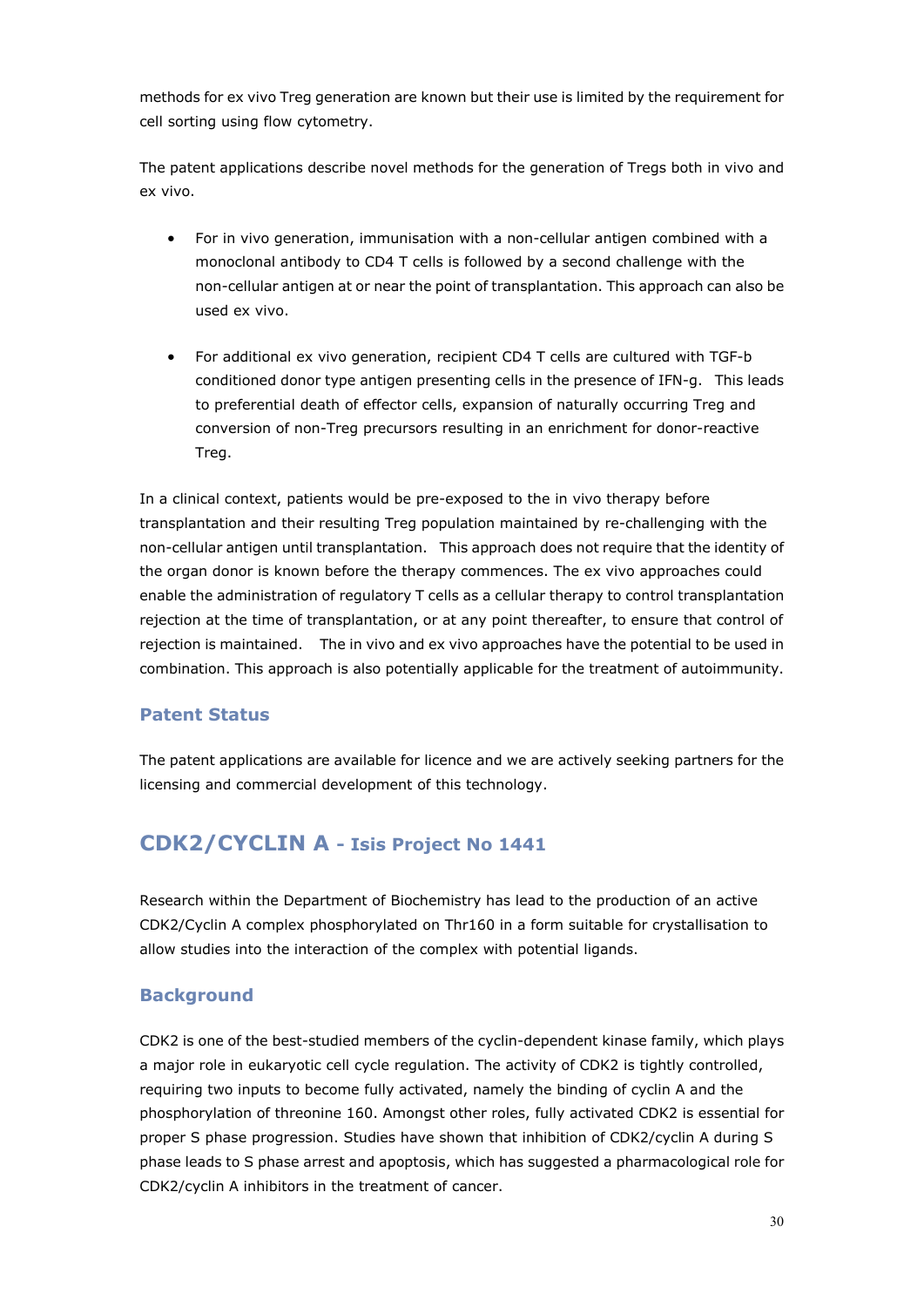methods for ex vivo Treg generation are known but their use is limited by the requirement for cell sorting using flow cytometry.

The patent applications describe novel methods for the generation of Tregs both in vivo and ex vivo.

- For in vivo generation, immunisation with a non-cellular antigen combined with a monoclonal antibody to CD4 T cells is followed by a second challenge with the non-cellular antigen at or near the point of transplantation. This approach can also be used ex vivo.
- For additional ex vivo generation, recipient CD4 T cells are cultured with TGF-b conditioned donor type antigen presenting cells in the presence of IFN-g. This leads to preferential death of effector cells, expansion of naturally occurring Treg and conversion of non-Treg precursors resulting in an enrichment for donor-reactive Treg.

In a clinical context, patients would be pre-exposed to the in vivo therapy before transplantation and their resulting Treg population maintained by re-challenging with the non-cellular antigen until transplantation. This approach does not require that the identity of the organ donor is known before the therapy commences. The ex vivo approaches could enable the administration of regulatory T cells as a cellular therapy to control transplantation rejection at the time of transplantation, or at any point thereafter, to ensure that control of rejection is maintained. The in vivo and ex vivo approaches have the potential to be used in combination. This approach is also potentially applicable for the treatment of autoimmunity.

### **Patent Status**

The patent applications are available for licence and we are actively seeking partners for the licensing and commercial development of this technology.

### **CDK2/CYCLIN A - Isis Project No 1441**

Research within the Department of Biochemistry has lead to the production of an active CDK2/Cyclin A complex phosphorylated on Thr160 in a form suitable for crystallisation to allow studies into the interaction of the complex with potential ligands.

### **Background**

CDK2 is one of the best-studied members of the cyclin-dependent kinase family, which plays a major role in eukaryotic cell cycle regulation. The activity of CDK2 is tightly controlled, requiring two inputs to become fully activated, namely the binding of cyclin A and the phosphorylation of threonine 160. Amongst other roles, fully activated CDK2 is essential for proper S phase progression. Studies have shown that inhibition of CDK2/cyclin A during S phase leads to S phase arrest and apoptosis, which has suggested a pharmacological role for CDK2/cyclin A inhibitors in the treatment of cancer.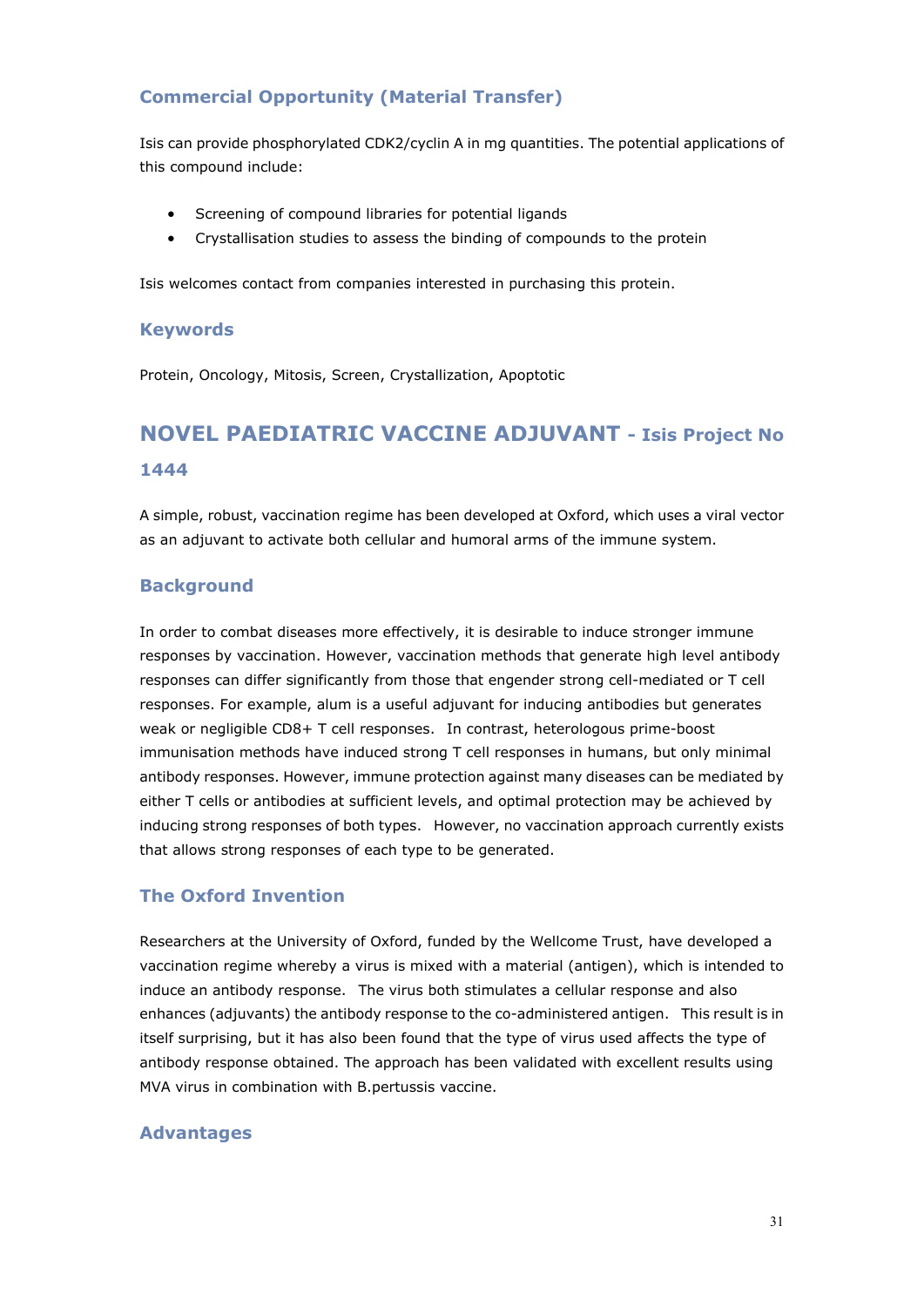### **Commercial Opportunity (Material Transfer)**

Isis can provide phosphorylated CDK2/cyclin A in mg quantities. The potential applications of this compound include:

- Screening of compound libraries for potential ligands
- Crystallisation studies to assess the binding of compounds to the protein

Isis welcomes contact from companies interested in purchasing this protein.

#### **Keywords**

Protein, Oncology, Mitosis, Screen, Crystallization, Apoptotic

# **NOVEL PAEDIATRIC VACCINE ADJUVANT - Isis Project No 1444**

A simple, robust, vaccination regime has been developed at Oxford, which uses a viral vector as an adjuvant to activate both cellular and humoral arms of the immune system.

### **Background**

In order to combat diseases more effectively, it is desirable to induce stronger immune responses by vaccination. However, vaccination methods that generate high level antibody responses can differ significantly from those that engender strong cell-mediated or T cell responses. For example, alum is a useful adjuvant for inducing antibodies but generates weak or negligible CD8+ T cell responses. In contrast, heterologous prime-boost immunisation methods have induced strong T cell responses in humans, but only minimal antibody responses. However, immune protection against many diseases can be mediated by either T cells or antibodies at sufficient levels, and optimal protection may be achieved by inducing strong responses of both types. However, no vaccination approach currently exists that allows strong responses of each type to be generated.

### **The Oxford Invention**

Researchers at the University of Oxford, funded by the Wellcome Trust, have developed a vaccination regime whereby a virus is mixed with a material (antigen), which is intended to induce an antibody response. The virus both stimulates a cellular response and also enhances (adjuvants) the antibody response to the co-administered antigen. This result is in itself surprising, but it has also been found that the type of virus used affects the type of antibody response obtained. The approach has been validated with excellent results using MVA virus in combination with B.pertussis vaccine.

### **Advantages**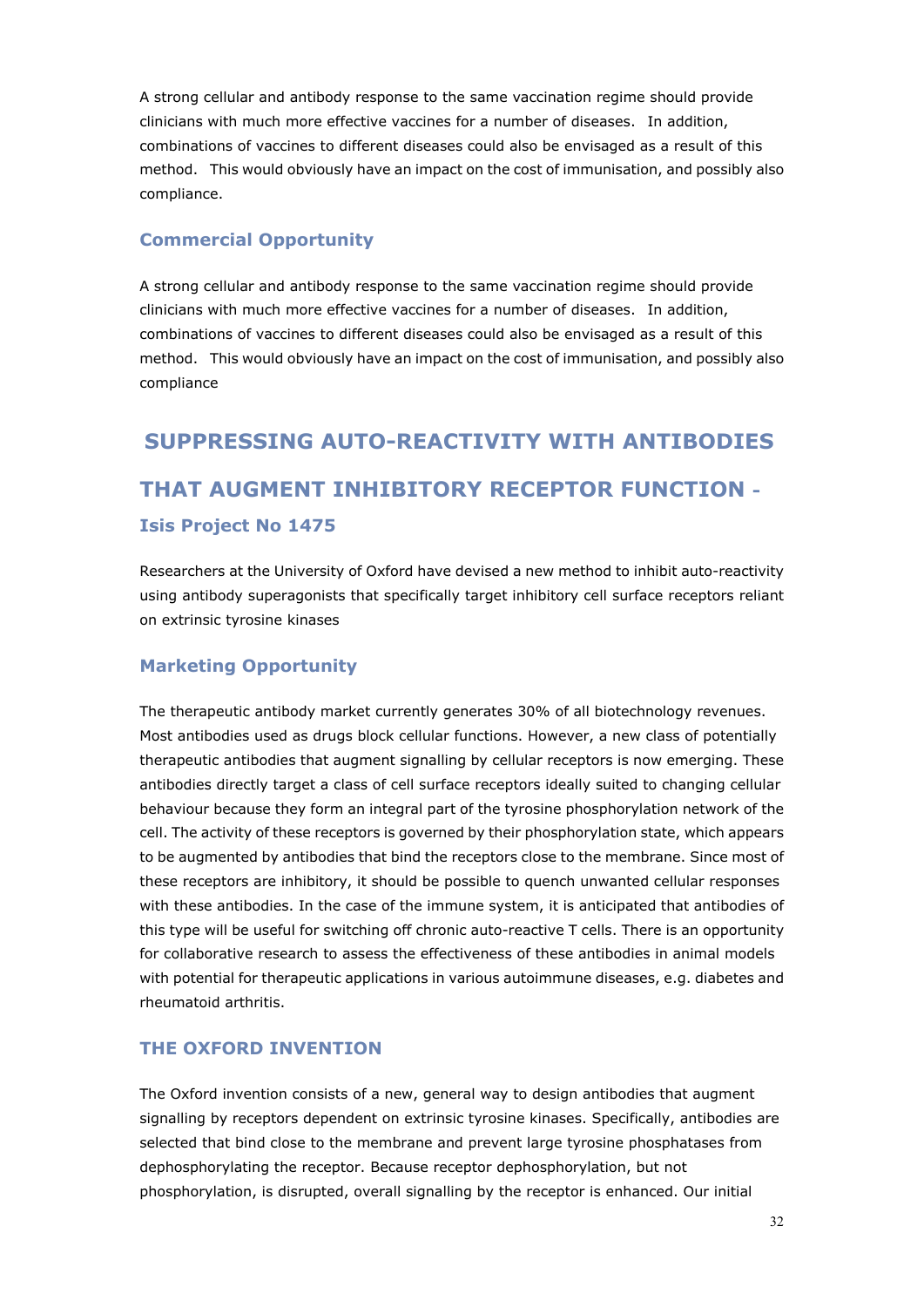A strong cellular and antibody response to the same vaccination regime should provide clinicians with much more effective vaccines for a number of diseases. In addition, combinations of vaccines to different diseases could also be envisaged as a result of this method. This would obviously have an impact on the cost of immunisation, and possibly also compliance.

### **Commercial Opportunity**

A strong cellular and antibody response to the same vaccination regime should provide clinicians with much more effective vaccines for a number of diseases. In addition, combinations of vaccines to different diseases could also be envisaged as a result of this method. This would obviously have an impact on the cost of immunisation, and possibly also compliance

# **SUPPRESSING AUTO-REACTIVITY WITH ANTIBODIES THAT AUGMENT INHIBITORY RECEPTOR FUNCTION - Isis Project No 1475**

Researchers at the University of Oxford have devised a new method to inhibit auto-reactivity using antibody superagonists that specifically target inhibitory cell surface receptors reliant on extrinsic tyrosine kinases

### **Marketing Opportunity**

The therapeutic antibody market currently generates 30% of all biotechnology revenues. Most antibodies used as drugs block cellular functions. However, a new class of potentially therapeutic antibodies that augment signalling by cellular receptors is now emerging. These antibodies directly target a class of cell surface receptors ideally suited to changing cellular behaviour because they form an integral part of the tyrosine phosphorylation network of the cell. The activity of these receptors is governed by their phosphorylation state, which appears to be augmented by antibodies that bind the receptors close to the membrane. Since most of these receptors are inhibitory, it should be possible to quench unwanted cellular responses with these antibodies. In the case of the immune system, it is anticipated that antibodies of this type will be useful for switching off chronic auto-reactive T cells. There is an opportunity for collaborative research to assess the effectiveness of these antibodies in animal models with potential for therapeutic applications in various autoimmune diseases, e.g. diabetes and rheumatoid arthritis.

### **THE OXFORD INVENTION**

The Oxford invention consists of a new, general way to design antibodies that augment signalling by receptors dependent on extrinsic tyrosine kinases. Specifically, antibodies are selected that bind close to the membrane and prevent large tyrosine phosphatases from dephosphorylating the receptor. Because receptor dephosphorylation, but not phosphorylation, is disrupted, overall signalling by the receptor is enhanced. Our initial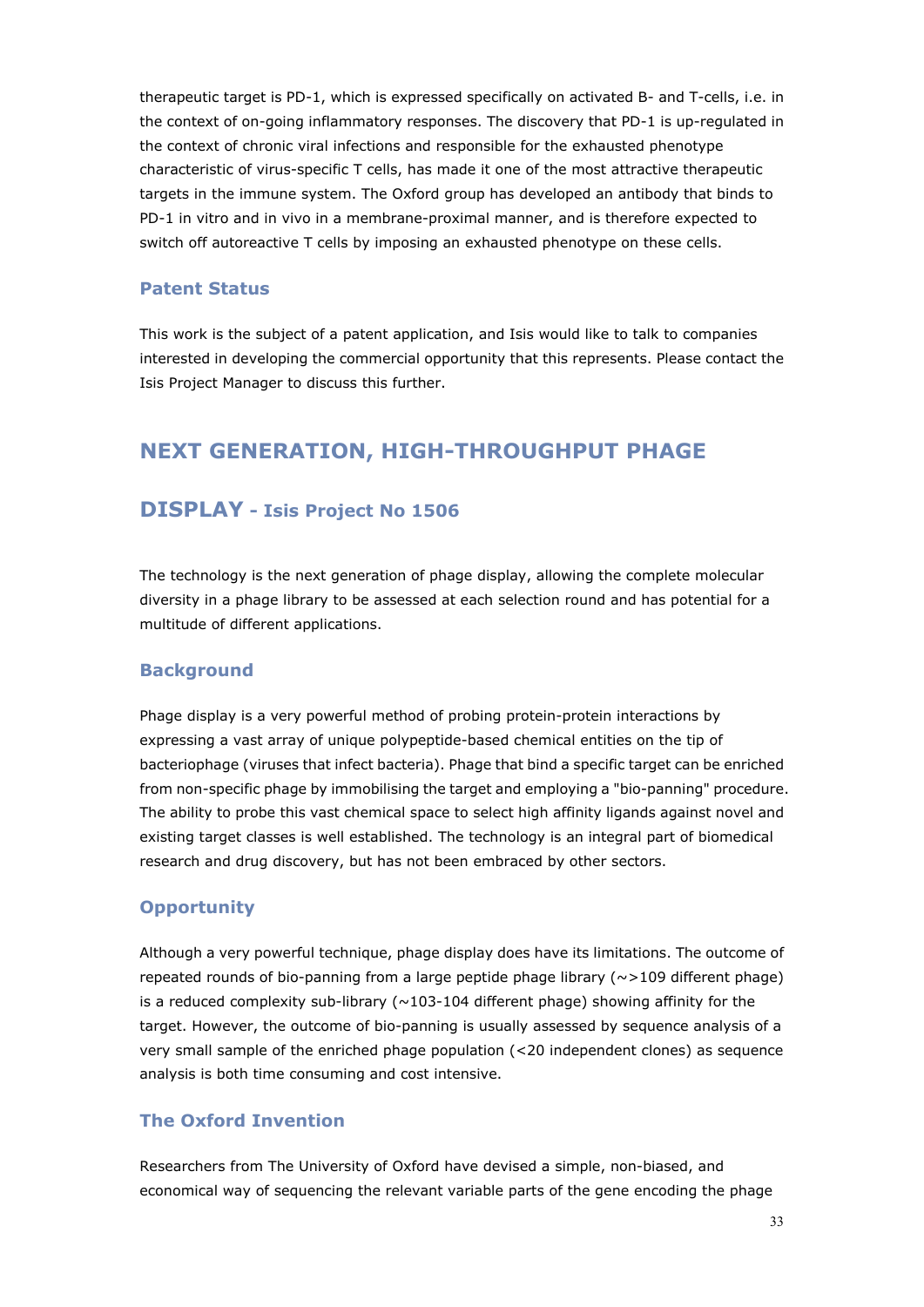therapeutic target is PD-1, which is expressed specifically on activated B- and T-cells, i.e. in the context of on-going inflammatory responses. The discovery that PD-1 is up-regulated in the context of chronic viral infections and responsible for the exhausted phenotype characteristic of virus-specific T cells, has made it one of the most attractive therapeutic targets in the immune system. The Oxford group has developed an antibody that binds to PD-1 in vitro and in vivo in a membrane-proximal manner, and is therefore expected to switch off autoreactive T cells by imposing an exhausted phenotype on these cells.

#### **Patent Status**

This work is the subject of a patent application, and Isis would like to talk to companies interested in developing the commercial opportunity that this represents. Please contact the Isis Project Manager to discuss this further.

### **NEXT GENERATION, HIGH-THROUGHPUT PHAGE**

### **DISPLAY - Isis Project No 1506**

The technology is the next generation of phage display, allowing the complete molecular diversity in a phage library to be assessed at each selection round and has potential for a multitude of different applications.

#### **Background**

Phage display is a very powerful method of probing protein-protein interactions by expressing a vast array of unique polypeptide-based chemical entities on the tip of bacteriophage (viruses that infect bacteria). Phage that bind a specific target can be enriched from non-specific phage by immobilising the target and employing a "bio-panning" procedure. The ability to probe this vast chemical space to select high affinity ligands against novel and existing target classes is well established. The technology is an integral part of biomedical research and drug discovery, but has not been embraced by other sectors.

#### **Opportunity**

Although a very powerful technique, phage display does have its limitations. The outcome of repeated rounds of bio-panning from a large peptide phage library ( $\sim$ >109 different phage) is a reduced complexity sub-library  $(\sim 103 - 104$  different phage) showing affinity for the target. However, the outcome of bio-panning is usually assessed by sequence analysis of a very small sample of the enriched phage population (<20 independent clones) as sequence analysis is both time consuming and cost intensive.

### **The Oxford Invention**

Researchers from The University of Oxford have devised a simple, non-biased, and economical way of sequencing the relevant variable parts of the gene encoding the phage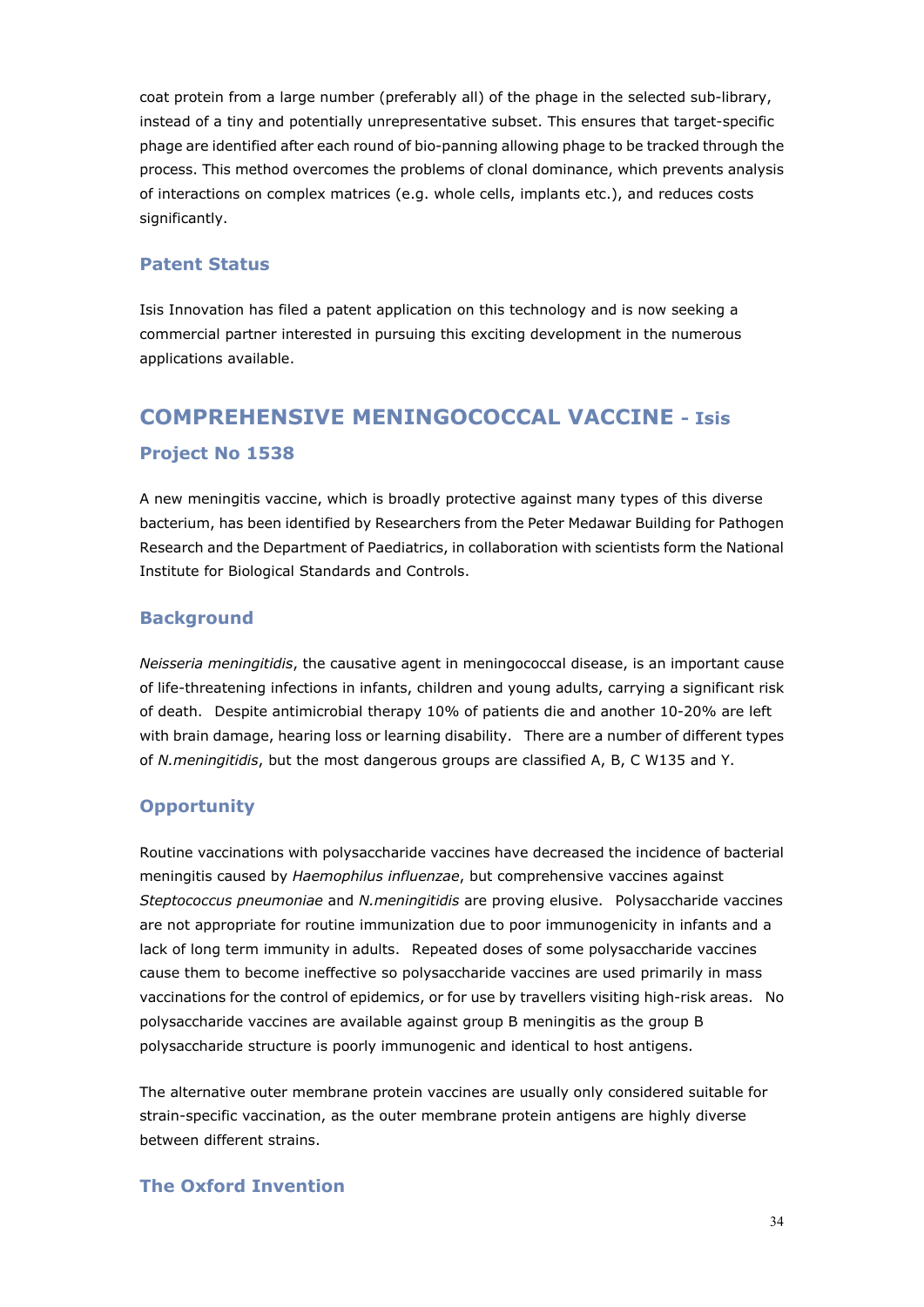coat protein from a large number (preferably all) of the phage in the selected sub-library, instead of a tiny and potentially unrepresentative subset. This ensures that target-specific phage are identified after each round of bio-panning allowing phage to be tracked through the process. This method overcomes the problems of clonal dominance, which prevents analysis of interactions on complex matrices (e.g. whole cells, implants etc.), and reduces costs significantly.

### **Patent Status**

Isis Innovation has filed a patent application on this technology and is now seeking a commercial partner interested in pursuing this exciting development in the numerous applications available.

# **COMPREHENSIVE MENINGOCOCCAL VACCINE - Isis Project No 1538**

A new meningitis vaccine, which is broadly protective against many types of this diverse bacterium, has been identified by Researchers from the Peter Medawar Building for Pathogen Research and the Department of Paediatrics, in collaboration with scientists form the National Institute for Biological Standards and Controls.

### **Background**

*Neisseria meningitidis*, the causative agent in meningococcal disease, is an important cause of life-threatening infections in infants, children and young adults, carrying a significant risk of death. Despite antimicrobial therapy 10% of patients die and another 10-20% are left with brain damage, hearing loss or learning disability. There are a number of different types of *N.meningitidis*, but the most dangerous groups are classified A, B, C W135 and Y.

### **Opportunity**

Routine vaccinations with polysaccharide vaccines have decreased the incidence of bacterial meningitis caused by *Haemophilus influenzae*, but comprehensive vaccines against *Steptococcus pneumoniae* and *N.meningitidis* are proving elusive. Polysaccharide vaccines are not appropriate for routine immunization due to poor immunogenicity in infants and a lack of long term immunity in adults. Repeated doses of some polysaccharide vaccines cause them to become ineffective so polysaccharide vaccines are used primarily in mass vaccinations for the control of epidemics, or for use by travellers visiting high-risk areas. No polysaccharide vaccines are available against group B meningitis as the group B polysaccharide structure is poorly immunogenic and identical to host antigens.

The alternative outer membrane protein vaccines are usually only considered suitable for strain-specific vaccination, as the outer membrane protein antigens are highly diverse between different strains.

### **The Oxford Invention**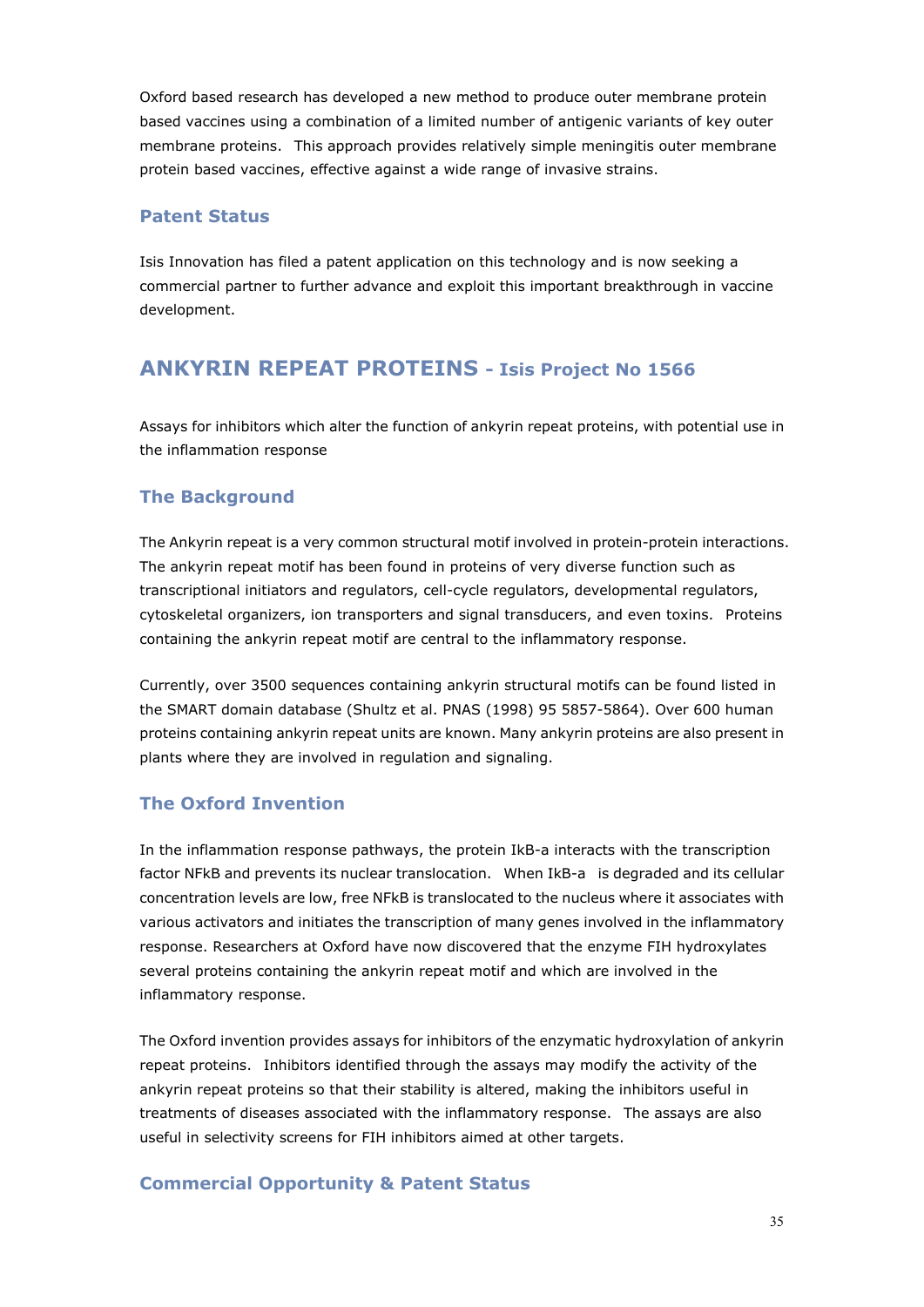Oxford based research has developed a new method to produce outer membrane protein based vaccines using a combination of a limited number of antigenic variants of key outer membrane proteins. This approach provides relatively simple meningitis outer membrane protein based vaccines, effective against a wide range of invasive strains.

#### **Patent Status**

Isis Innovation has filed a patent application on this technology and is now seeking a commercial partner to further advance and exploit this important breakthrough in vaccine development.

### **ANKYRIN REPEAT PROTEINS - Isis Project No 1566**

Assays for inhibitors which alter the function of ankyrin repeat proteins, with potential use in the inflammation response

### **The Background**

The Ankyrin repeat is a very common structural motif involved in protein-protein interactions. The ankyrin repeat motif has been found in proteins of very diverse function such as transcriptional initiators and regulators, cell-cycle regulators, developmental regulators, cytoskeletal organizers, ion transporters and signal transducers, and even toxins. Proteins containing the ankyrin repeat motif are central to the inflammatory response.

Currently, over 3500 sequences containing ankyrin structural motifs can be found listed in the SMART domain database (Shultz et al. PNAS (1998) 95 5857-5864). Over 600 human proteins containing ankyrin repeat units are known. Many ankyrin proteins are also present in plants where they are involved in regulation and signaling.

### **The Oxford Invention**

In the inflammation response pathways, the protein IkB-a interacts with the transcription factor NFkB and prevents its nuclear translocation. When IkB-a is degraded and its cellular concentration levels are low, free NFkB is translocated to the nucleus where it associates with various activators and initiates the transcription of many genes involved in the inflammatory response. Researchers at Oxford have now discovered that the enzyme FIH hydroxylates several proteins containing the ankyrin repeat motif and which are involved in the inflammatory response.

The Oxford invention provides assays for inhibitors of the enzymatic hydroxylation of ankyrin repeat proteins. Inhibitors identified through the assays may modify the activity of the ankyrin repeat proteins so that their stability is altered, making the inhibitors useful in treatments of diseases associated with the inflammatory response. The assays are also useful in selectivity screens for FIH inhibitors aimed at other targets.

### **Commercial Opportunity & Patent Status**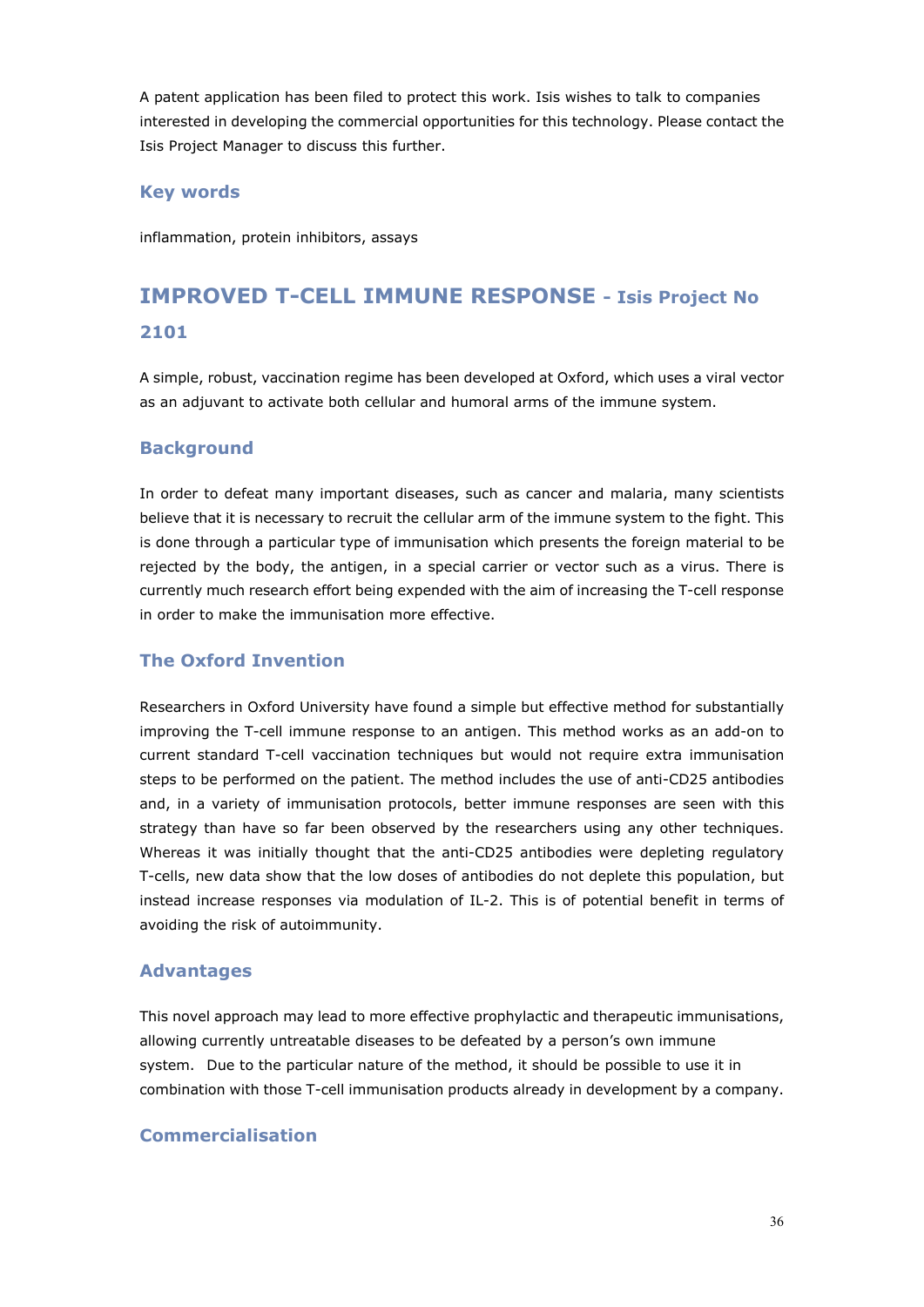A patent application has been filed to protect this work. Isis wishes to talk to companies interested in developing the commercial opportunities for this technology. Please contact the Isis Project Manager to discuss this further.

#### **Key words**

inflammation, protein inhibitors, assays

## **IMPROVED T-CELL IMMUNE RESPONSE - Isis Project No 2101**

A simple, robust, vaccination regime has been developed at Oxford, which uses a viral vector as an adjuvant to activate both cellular and humoral arms of the immune system.

#### **Background**

In order to defeat many important diseases, such as cancer and malaria, many scientists believe that it is necessary to recruit the cellular arm of the immune system to the fight. This is done through a particular type of immunisation which presents the foreign material to be rejected by the body, the antigen, in a special carrier or vector such as a virus. There is currently much research effort being expended with the aim of increasing the T-cell response in order to make the immunisation more effective.

#### **The Oxford Invention**

Researchers in Oxford University have found a simple but effective method for substantially improving the T-cell immune response to an antigen. This method works as an add-on to current standard T-cell vaccination techniques but would not require extra immunisation steps to be performed on the patient. The method includes the use of anti-CD25 antibodies and, in a variety of immunisation protocols, better immune responses are seen with this strategy than have so far been observed by the researchers using any other techniques. Whereas it was initially thought that the anti-CD25 antibodies were depleting regulatory T-cells, new data show that the low doses of antibodies do not deplete this population, but instead increase responses via modulation of IL-2. This is of potential benefit in terms of avoiding the risk of autoimmunity.

#### **Advantages**

This novel approach may lead to more effective prophylactic and therapeutic immunisations, allowing currently untreatable diseases to be defeated by a person's own immune system. Due to the particular nature of the method, it should be possible to use it in combination with those T-cell immunisation products already in development by a company.

#### **Commercialisation**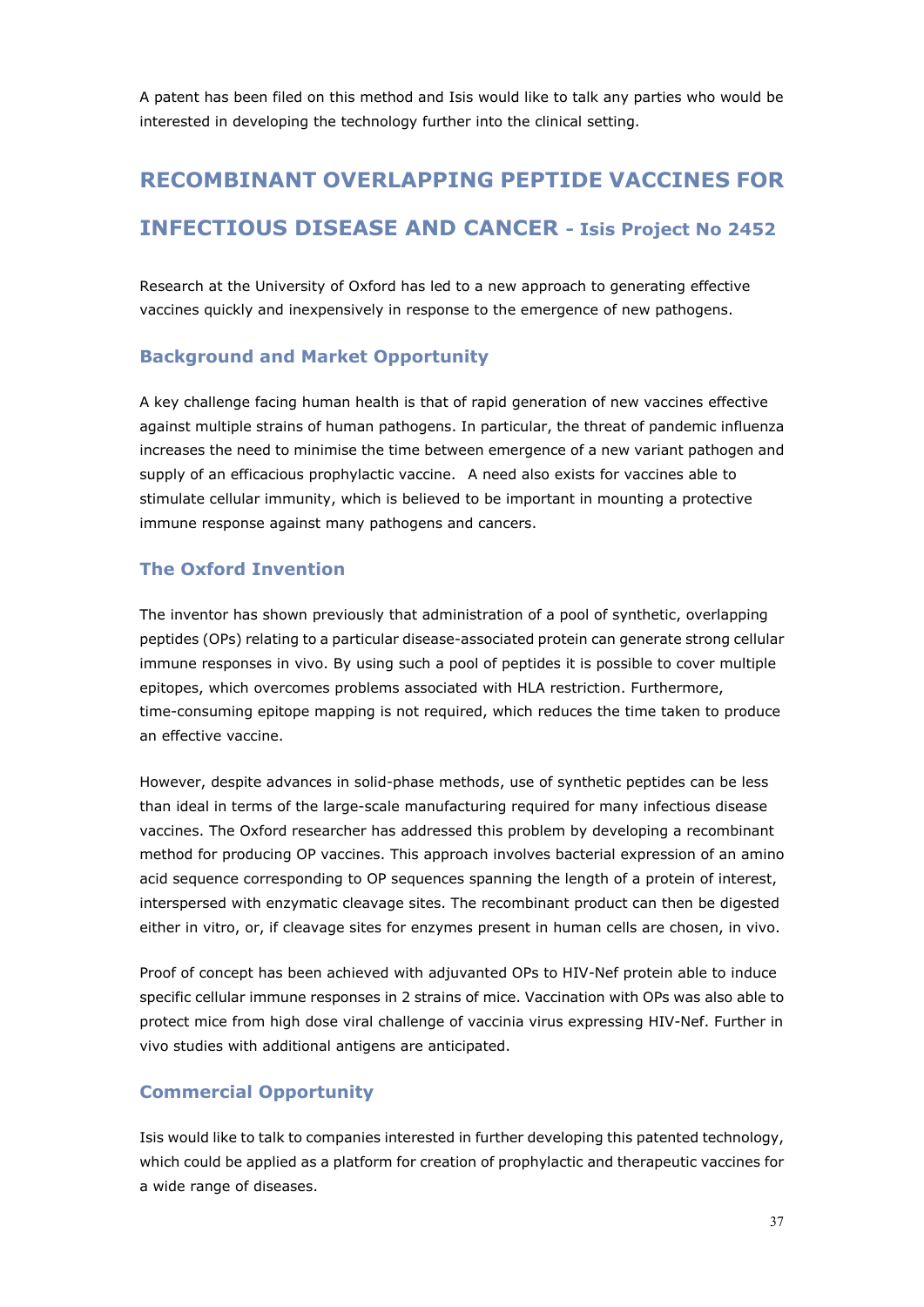A patent has been filed on this method and Isis would like to talk any parties who would be interested in developing the technology further into the clinical setting.

# **RECOMBINANT OVERLAPPING PEPTIDE VACCINES FOR INFECTIOUS DISEASE AND CANCER - Isis Project No 2452**

Research at the University of Oxford has led to a new approach to generating effective vaccines quickly and inexpensively in response to the emergence of new pathogens.

#### **Background and Market Opportunity**

A key challenge facing human health is that of rapid generation of new vaccines effective against multiple strains of human pathogens. In particular, the threat of pandemic influenza increases the need to minimise the time between emergence of a new variant pathogen and supply of an efficacious prophylactic vaccine. A need also exists for vaccines able to stimulate cellular immunity, which is believed to be important in mounting a protective immune response against many pathogens and cancers.

#### **The Oxford Invention**

The inventor has shown previously that administration of a pool of synthetic, overlapping peptides (OPs) relating to a particular disease-associated protein can generate strong cellular immune responses in vivo. By using such a pool of peptides it is possible to cover multiple epitopes, which overcomes problems associated with HLA restriction. Furthermore, time-consuming epitope mapping is not required, which reduces the time taken to produce an effective vaccine.

However, despite advances in solid-phase methods, use of synthetic peptides can be less than ideal in terms of the large-scale manufacturing required for many infectious disease vaccines. The Oxford researcher has addressed this problem by developing a recombinant method for producing OP vaccines. This approach involves bacterial expression of an amino acid sequence corresponding to OP sequences spanning the length of a protein of interest, interspersed with enzymatic cleavage sites. The recombinant product can then be digested either in vitro, or, if cleavage sites for enzymes present in human cells are chosen, in vivo.

Proof of concept has been achieved with adjuvanted OPs to HIV-Nef protein able to induce specific cellular immune responses in 2 strains of mice. Vaccination with OPs was also able to protect mice from high dose viral challenge of vaccinia virus expressing HIV-Nef. Further in vivo studies with additional antigens are anticipated.

#### **Commercial Opportunity**

Isis would like to talk to companies interested in further developing this patented technology, which could be applied as a platform for creation of prophylactic and therapeutic vaccines for a wide range of diseases.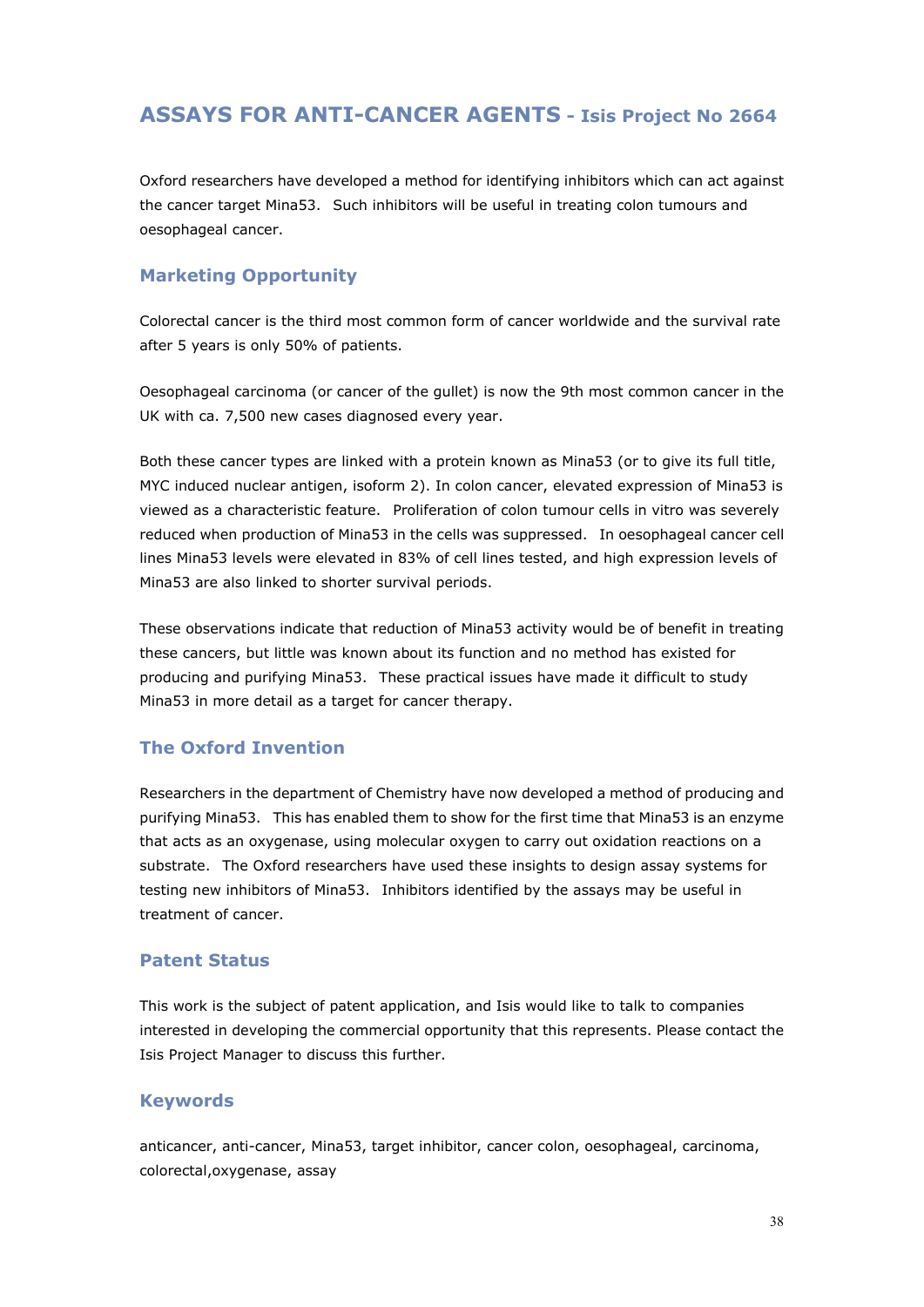## **ASSAYS FOR ANTI-CANCER AGENTS - Isis Project No 2664**

Oxford researchers have developed a method for identifying inhibitors which can act against the cancer target Mina53. Such inhibitors will be useful in treating colon tumours and oesophageal cancer.

#### **Marketing Opportunity**

Colorectal cancer is the third most common form of cancer worldwide and the survival rate after 5 years is only 50% of patients.

Oesophageal carcinoma (or cancer of the gullet) is now the 9th most common cancer in the UK with ca. 7,500 new cases diagnosed every year.

Both these cancer types are linked with a protein known as Mina53 (or to give its full title, MYC induced nuclear antigen, isoform 2). In colon cancer, elevated expression of Mina53 is viewed as a characteristic feature. Proliferation of colon tumour cells in vitro was severely reduced when production of Mina53 in the cells was suppressed. In oesophageal cancer cell lines Mina53 levels were elevated in 83% of cell lines tested, and high expression levels of Mina53 are also linked to shorter survival periods.

These observations indicate that reduction of Mina53 activity would be of benefit in treating these cancers, but little was known about its function and no method has existed for producing and purifying Mina53. These practical issues have made it difficult to study Mina53 in more detail as a target for cancer therapy.

#### **The Oxford Invention**

Researchers in the department of Chemistry have now developed a method of producing and purifying Mina53. This has enabled them to show for the first time that Mina53 is an enzyme that acts as an oxygenase, using molecular oxygen to carry out oxidation reactions on a substrate. The Oxford researchers have used these insights to design assay systems for testing new inhibitors of Mina53. Inhibitors identified by the assays may be useful in treatment of cancer.

#### **Patent Status**

This work is the subject of patent application, and Isis would like to talk to companies interested in developing the commercial opportunity that this represents. Please contact the Isis Project Manager to discuss this further.

#### **Keywords**

anticancer, anti-cancer, Mina53, target inhibitor, cancer colon, oesophageal, carcinoma, colorectal,oxygenase, assay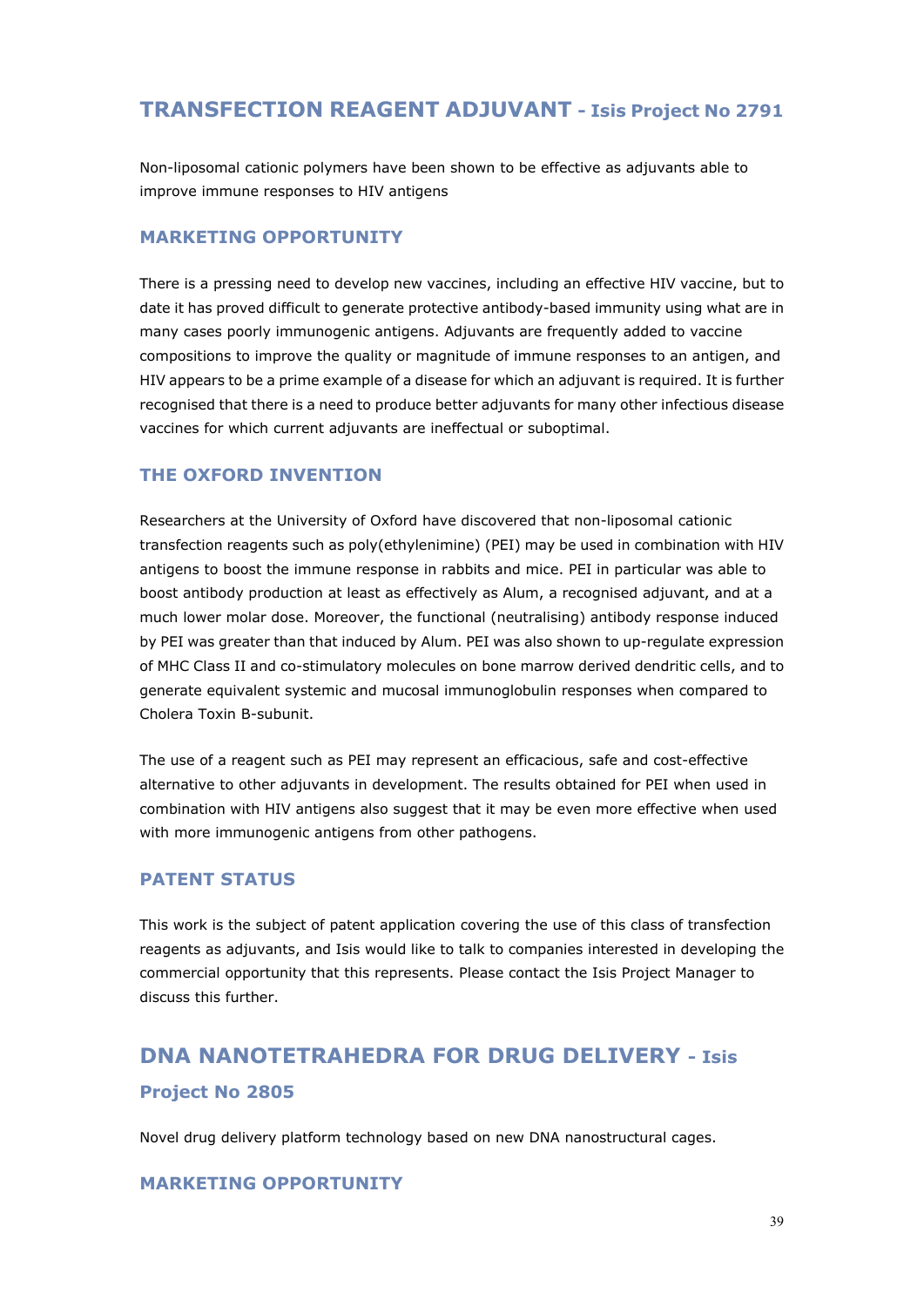## **TRANSFECTION REAGENT ADJUVANT - Isis Project No 2791**

Non-liposomal cationic polymers have been shown to be effective as adjuvants able to improve immune responses to HIV antigens

#### **MARKETING OPPORTUNITY**

There is a pressing need to develop new vaccines, including an effective HIV vaccine, but to date it has proved difficult to generate protective antibody-based immunity using what are in many cases poorly immunogenic antigens. Adjuvants are frequently added to vaccine compositions to improve the quality or magnitude of immune responses to an antigen, and HIV appears to be a prime example of a disease for which an adjuvant is required. It is further recognised that there is a need to produce better adjuvants for many other infectious disease vaccines for which current adjuvants are ineffectual or suboptimal.

#### **THE OXFORD INVENTION**

Researchers at the University of Oxford have discovered that non-liposomal cationic transfection reagents such as poly(ethylenimine) (PEI) may be used in combination with HIV antigens to boost the immune response in rabbits and mice. PEI in particular was able to boost antibody production at least as effectively as Alum, a recognised adjuvant, and at a much lower molar dose. Moreover, the functional (neutralising) antibody response induced by PEI was greater than that induced by Alum. PEI was also shown to up-regulate expression of MHC Class II and co-stimulatory molecules on bone marrow derived dendritic cells, and to generate equivalent systemic and mucosal immunoglobulin responses when compared to Cholera Toxin B-subunit.

The use of a reagent such as PEI may represent an efficacious, safe and cost-effective alternative to other adjuvants in development. The results obtained for PEI when used in combination with HIV antigens also suggest that it may be even more effective when used with more immunogenic antigens from other pathogens.

#### **PATENT STATUS**

This work is the subject of patent application covering the use of this class of transfection reagents as adjuvants, and Isis would like to talk to companies interested in developing the commercial opportunity that this represents. Please contact the Isis Project Manager to discuss this further.

## **DNA NANOTETRAHEDRA FOR DRUG DELIVERY - Isis Project No 2805**

Novel drug delivery platform technology based on new DNA nanostructural cages.

#### **MARKETING OPPORTUNITY**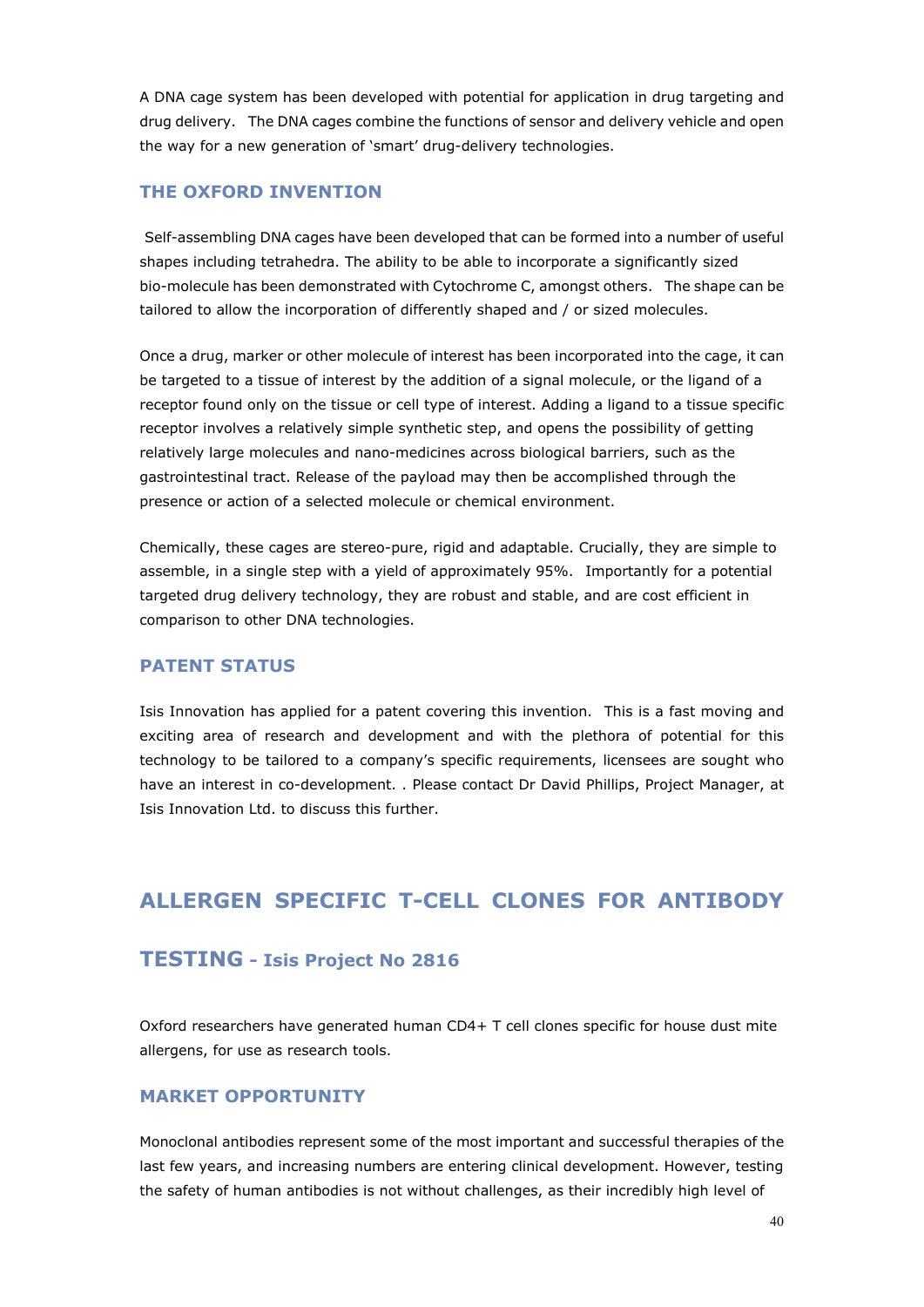A DNA cage system has been developed with potential for application in drug targeting and drug delivery. The DNA cages combine the functions of sensor and delivery vehicle and open the way for a new generation of 'smart' drug-delivery technologies.

#### **THE OXFORD INVENTION**

 Self-assembling DNA cages have been developed that can be formed into a number of useful shapes including tetrahedra. The ability to be able to incorporate a significantly sized bio-molecule has been demonstrated with Cytochrome C, amongst others. The shape can be tailored to allow the incorporation of differently shaped and / or sized molecules.

Once a drug, marker or other molecule of interest has been incorporated into the cage, it can be targeted to a tissue of interest by the addition of a signal molecule, or the ligand of a receptor found only on the tissue or cell type of interest. Adding a ligand to a tissue specific receptor involves a relatively simple synthetic step, and opens the possibility of getting relatively large molecules and nano-medicines across biological barriers, such as the gastrointestinal tract. Release of the payload may then be accomplished through the presence or action of a selected molecule or chemical environment.

Chemically, these cages are stereo-pure, rigid and adaptable. Crucially, they are simple to assemble, in a single step with a yield of approximately 95%. Importantly for a potential targeted drug delivery technology, they are robust and stable, and are cost efficient in comparison to other DNA technologies.

#### **PATENT STATUS**

Isis Innovation has applied for a patent covering this invention. This is a fast moving and exciting area of research and development and with the plethora of potential for this technology to be tailored to a company's specific requirements, licensees are sought who have an interest in co-development. . Please contact Dr David Phillips, Project Manager, at Isis Innovation Ltd. to discuss this further.

## **ALLERGEN SPECIFIC T-CELL CLONES FOR ANTIBODY**

#### **TESTING - Isis Project No 2816**

Oxford researchers have generated human CD4+ T cell clones specific for house dust mite allergens, for use as research tools.

#### **MARKET OPPORTUNITY**

Monoclonal antibodies represent some of the most important and successful therapies of the last few years, and increasing numbers are entering clinical development. However, testing the safety of human antibodies is not without challenges, as their incredibly high level of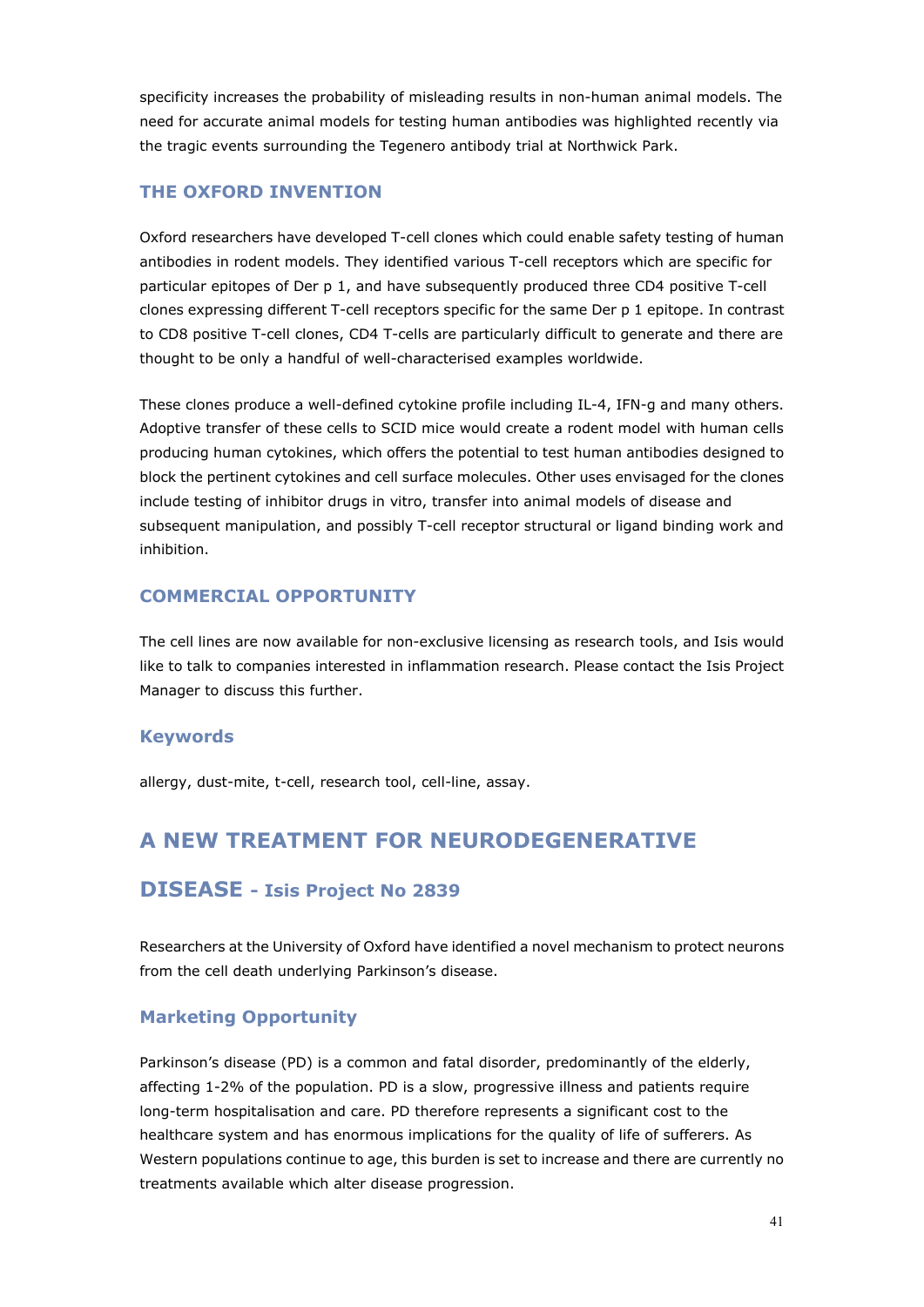specificity increases the probability of misleading results in non-human animal models. The need for accurate animal models for testing human antibodies was highlighted recently via the tragic events surrounding the Tegenero antibody trial at Northwick Park.

#### **THE OXFORD INVENTION**

Oxford researchers have developed T-cell clones which could enable safety testing of human antibodies in rodent models. They identified various T-cell receptors which are specific for particular epitopes of Der p 1, and have subsequently produced three CD4 positive T-cell clones expressing different T-cell receptors specific for the same Der p 1 epitope. In contrast to CD8 positive T-cell clones, CD4 T-cells are particularly difficult to generate and there are thought to be only a handful of well-characterised examples worldwide.

These clones produce a well-defined cytokine profile including IL-4, IFN-g and many others. Adoptive transfer of these cells to SCID mice would create a rodent model with human cells producing human cytokines, which offers the potential to test human antibodies designed to block the pertinent cytokines and cell surface molecules. Other uses envisaged for the clones include testing of inhibitor drugs in vitro, transfer into animal models of disease and subsequent manipulation, and possibly T-cell receptor structural or ligand binding work and inhibition.

#### **COMMERCIAL OPPORTUNITY**

The cell lines are now available for non-exclusive licensing as research tools, and Isis would like to talk to companies interested in inflammation research. Please contact the Isis Project Manager to discuss this further.

#### **Keywords**

allergy, dust-mite, t-cell, research tool, cell-line, assay.

## **A NEW TREATMENT FOR NEURODEGENERATIVE**

#### **DISEASE - Isis Project No 2839**

Researchers at the University of Oxford have identified a novel mechanism to protect neurons from the cell death underlying Parkinson's disease.

#### **Marketing Opportunity**

Parkinson's disease (PD) is a common and fatal disorder, predominantly of the elderly, affecting 1-2% of the population. PD is a slow, progressive illness and patients require long-term hospitalisation and care. PD therefore represents a significant cost to the healthcare system and has enormous implications for the quality of life of sufferers. As Western populations continue to age, this burden is set to increase and there are currently no treatments available which alter disease progression.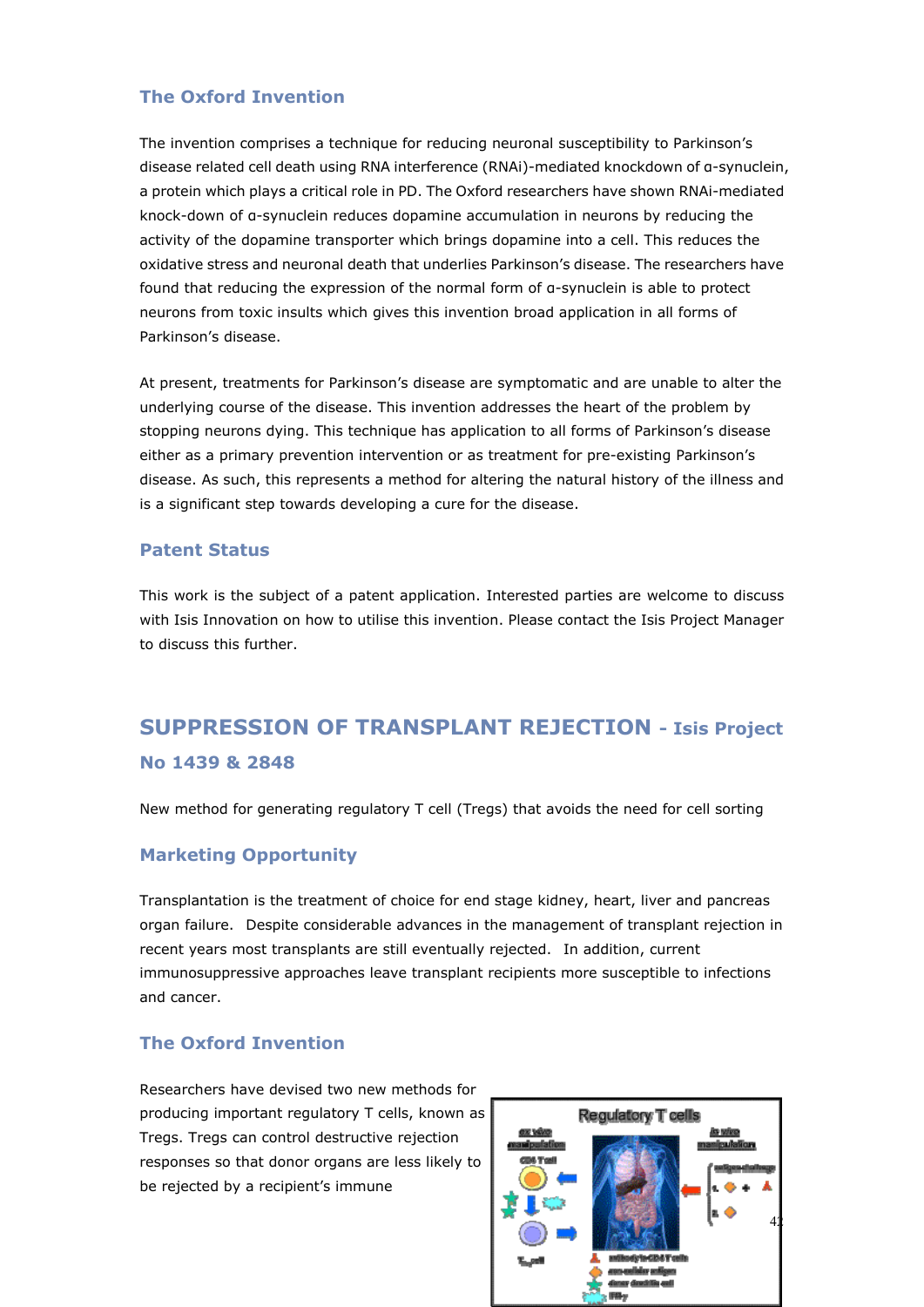#### **The Oxford Invention**

The invention comprises a technique for reducing neuronal susceptibility to Parkinson's disease related cell death using RNA interference (RNAi)-mediated knockdown of α-synuclein, a protein which plays a critical role in PD. The Oxford researchers have shown RNAi-mediated knock-down of α-synuclein reduces dopamine accumulation in neurons by reducing the activity of the dopamine transporter which brings dopamine into a cell. This reduces the oxidative stress and neuronal death that underlies Parkinson's disease. The researchers have found that reducing the expression of the normal form of α-synuclein is able to protect neurons from toxic insults which gives this invention broad application in all forms of Parkinson's disease.

At present, treatments for Parkinson's disease are symptomatic and are unable to alter the underlying course of the disease. This invention addresses the heart of the problem by stopping neurons dying. This technique has application to all forms of Parkinson's disease either as a primary prevention intervention or as treatment for pre-existing Parkinson's disease. As such, this represents a method for altering the natural history of the illness and is a significant step towards developing a cure for the disease.

#### **Patent Status**

This work is the subject of a patent application. Interested parties are welcome to discuss with Isis Innovation on how to utilise this invention. Please contact the Isis Project Manager to discuss this further.

## **SUPPRESSION OF TRANSPLANT REJECTION - Isis Project No 1439 & 2848**

New method for generating regulatory T cell (Tregs) that avoids the need for cell sorting

#### **Marketing Opportunity**

Transplantation is the treatment of choice for end stage kidney, heart, liver and pancreas organ failure. Despite considerable advances in the management of transplant rejection in recent years most transplants are still eventually rejected. In addition, current immunosuppressive approaches leave transplant recipients more susceptible to infections and cancer.

#### **The Oxford Invention**

Researchers have devised two new methods for producing important regulatory T cells, known as Tregs. Tregs can control destructive rejection responses so that donor organs are less likely to be rejected by a recipient's immune

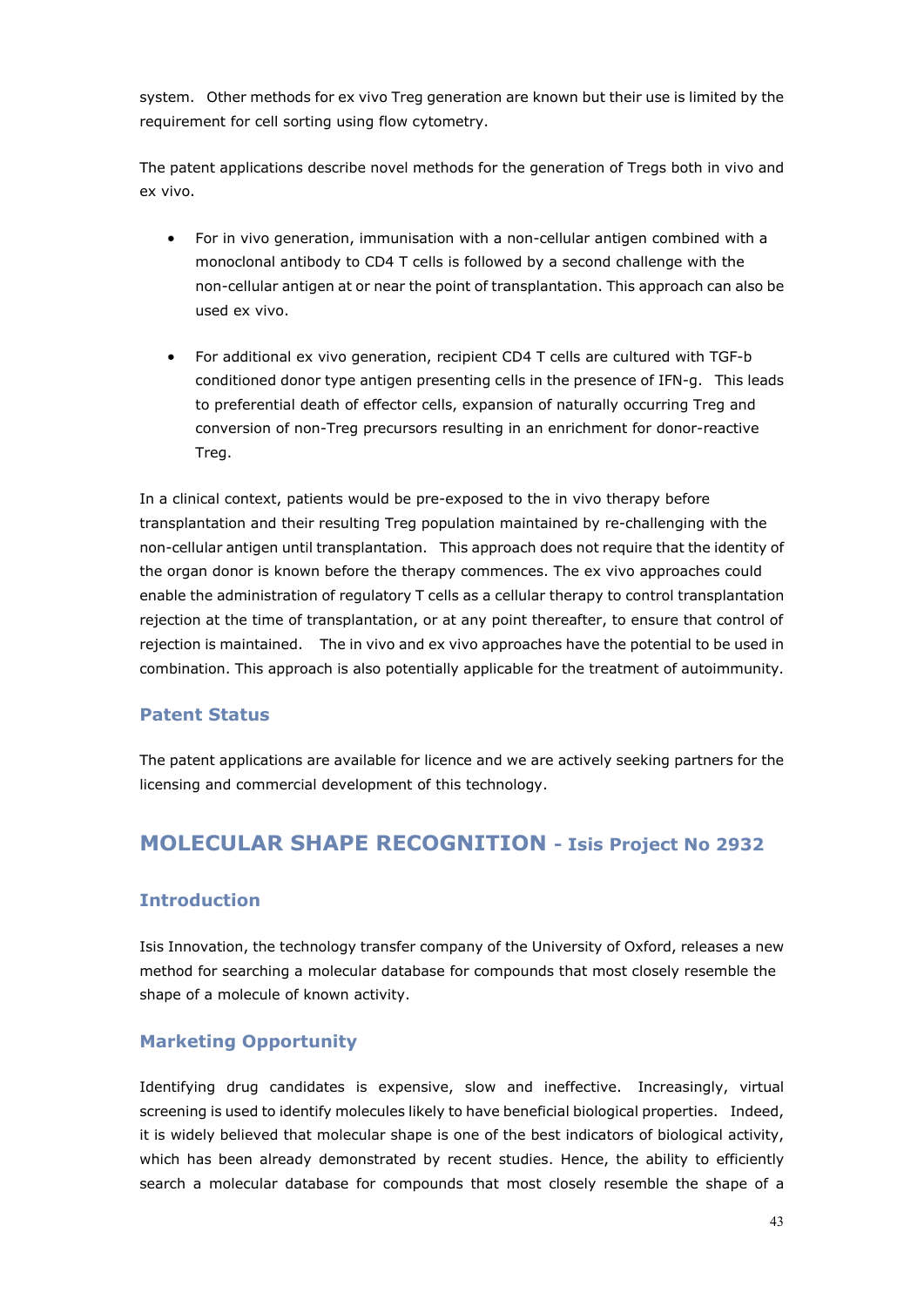system. Other methods for ex vivo Treg generation are known but their use is limited by the requirement for cell sorting using flow cytometry.

The patent applications describe novel methods for the generation of Tregs both in vivo and ex vivo.

- For in vivo generation, immunisation with a non-cellular antigen combined with a monoclonal antibody to CD4 T cells is followed by a second challenge with the non-cellular antigen at or near the point of transplantation. This approach can also be used ex vivo.
- For additional ex vivo generation, recipient CD4 T cells are cultured with TGF-b conditioned donor type antigen presenting cells in the presence of IFN-g. This leads to preferential death of effector cells, expansion of naturally occurring Treg and conversion of non-Treg precursors resulting in an enrichment for donor-reactive Treg.

In a clinical context, patients would be pre-exposed to the in vivo therapy before transplantation and their resulting Treg population maintained by re-challenging with the non-cellular antigen until transplantation. This approach does not require that the identity of the organ donor is known before the therapy commences. The ex vivo approaches could enable the administration of regulatory T cells as a cellular therapy to control transplantation rejection at the time of transplantation, or at any point thereafter, to ensure that control of rejection is maintained. The in vivo and ex vivo approaches have the potential to be used in combination. This approach is also potentially applicable for the treatment of autoimmunity.

#### **Patent Status**

The patent applications are available for licence and we are actively seeking partners for the licensing and commercial development of this technology.

### **MOLECULAR SHAPE RECOGNITION - Isis Project No 2932**

#### **Introduction**

Isis Innovation, the technology transfer company of the University of Oxford, releases a new method for searching a molecular database for compounds that most closely resemble the shape of a molecule of known activity.

#### **Marketing Opportunity**

Identifying drug candidates is expensive, slow and ineffective. Increasingly, virtual screening is used to identify molecules likely to have beneficial biological properties. Indeed, it is widely believed that molecular shape is one of the best indicators of biological activity, which has been already demonstrated by recent studies. Hence, the ability to efficiently search a molecular database for compounds that most closely resemble the shape of a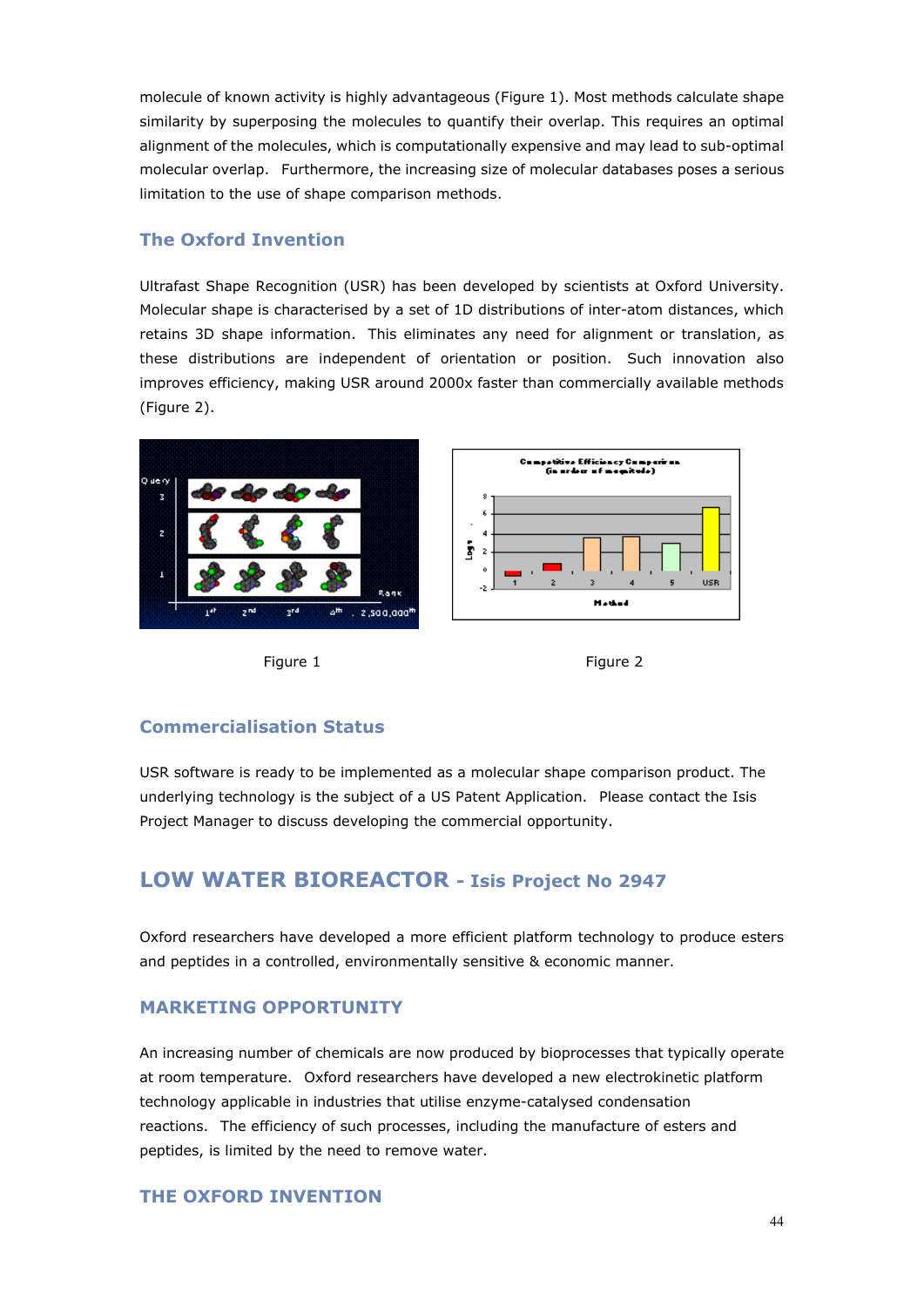molecule of known activity is highly advantageous (Figure 1). Most methods calculate shape similarity by superposing the molecules to quantify their overlap. This requires an optimal alignment of the molecules, which is computationally expensive and may lead to sub-optimal molecular overlap. Furthermore, the increasing size of molecular databases poses a serious limitation to the use of shape comparison methods.

#### **The Oxford Invention**

Ultrafast Shape Recognition (USR) has been developed by scientists at Oxford University. Molecular shape is characterised by a set of 1D distributions of inter-atom distances, which retains 3D shape information. This eliminates any need for alignment or translation, as these distributions are independent of orientation or position. Such innovation also improves efficiency, making USR around 2000x faster than commercially available methods (Figure 2).







#### **Commercialisation Status**

USR software is ready to be implemented as a molecular shape comparison product. The underlying technology is the subject of a US Patent Application. Please contact the Isis Project Manager to discuss developing the commercial opportunity.

## **LOW WATER BIOREACTOR - Isis Project No 2947**

Oxford researchers have developed a more efficient platform technology to produce esters and peptides in a controlled, environmentally sensitive & economic manner.

#### **MARKETING OPPORTUNITY**

An increasing number of chemicals are now produced by bioprocesses that typically operate at room temperature. Oxford researchers have developed a new electrokinetic platform technology applicable in industries that utilise enzyme-catalysed condensation reactions. The efficiency of such processes, including the manufacture of esters and peptides, is limited by the need to remove water.

#### **THE OXFORD INVENTION**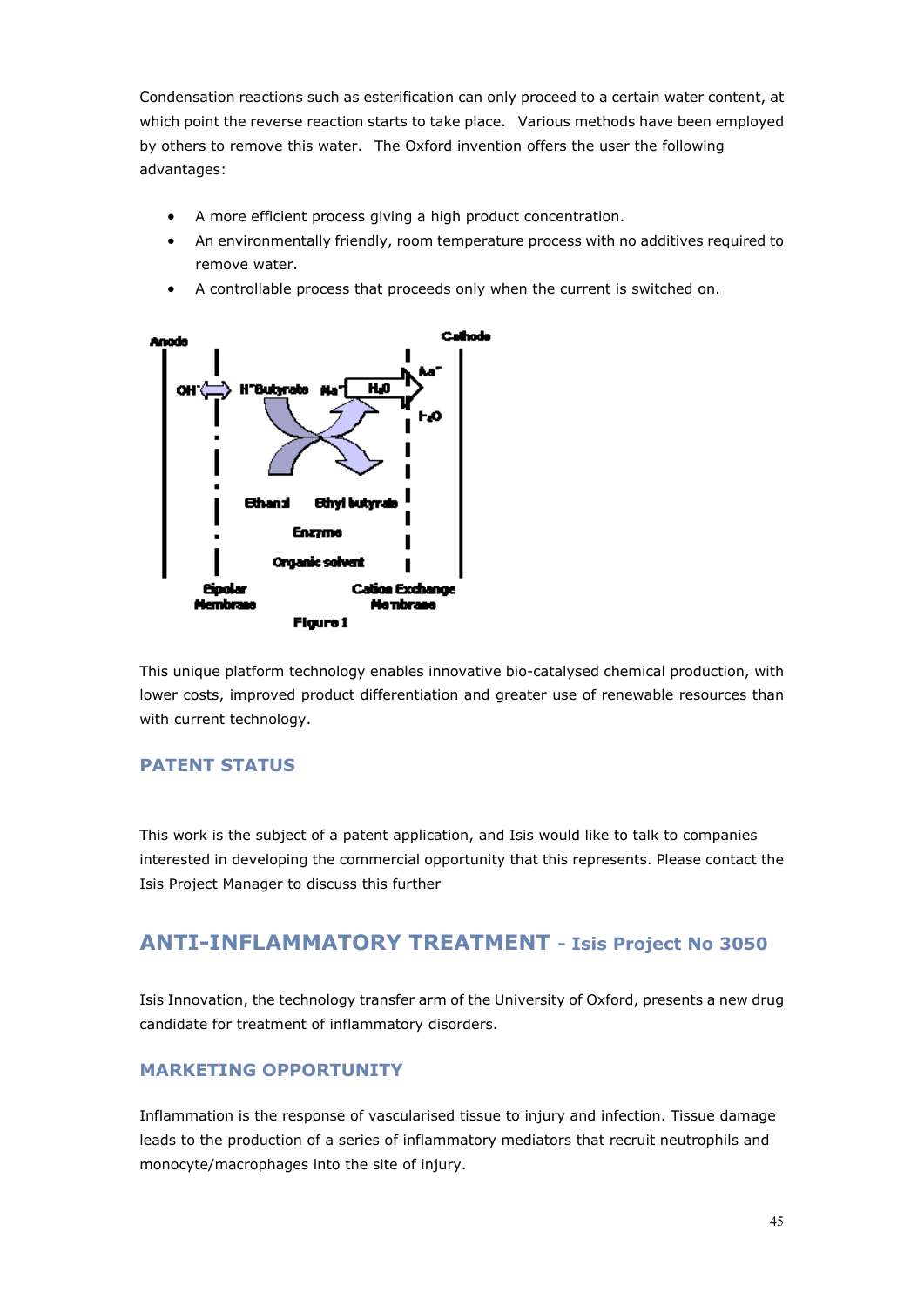Condensation reactions such as esterification can only proceed to a certain water content, at which point the reverse reaction starts to take place. Various methods have been employed by others to remove this water. The Oxford invention offers the user the following advantages:

- A more efficient process giving a high product concentration.
- An environmentally friendly, room temperature process with no additives required to remove water.
- A controllable process that proceeds only when the current is switched on.



This unique platform technology enables innovative bio-catalysed chemical production, with lower costs, improved product differentiation and greater use of renewable resources than with current technology.

#### **PATENT STATUS**

This work is the subject of a patent application, and Isis would like to talk to companies interested in developing the commercial opportunity that this represents. Please contact the Isis Project Manager to discuss this further

## **ANTI-INFLAMMATORY TREATMENT - Isis Project No 3050**

Isis Innovation, the technology transfer arm of the University of Oxford, presents a new drug candidate for treatment of inflammatory disorders.

#### **MARKETING OPPORTUNITY**

Inflammation is the response of vascularised tissue to injury and infection. Tissue damage leads to the production of a series of inflammatory mediators that recruit neutrophils and monocyte/macrophages into the site of injury.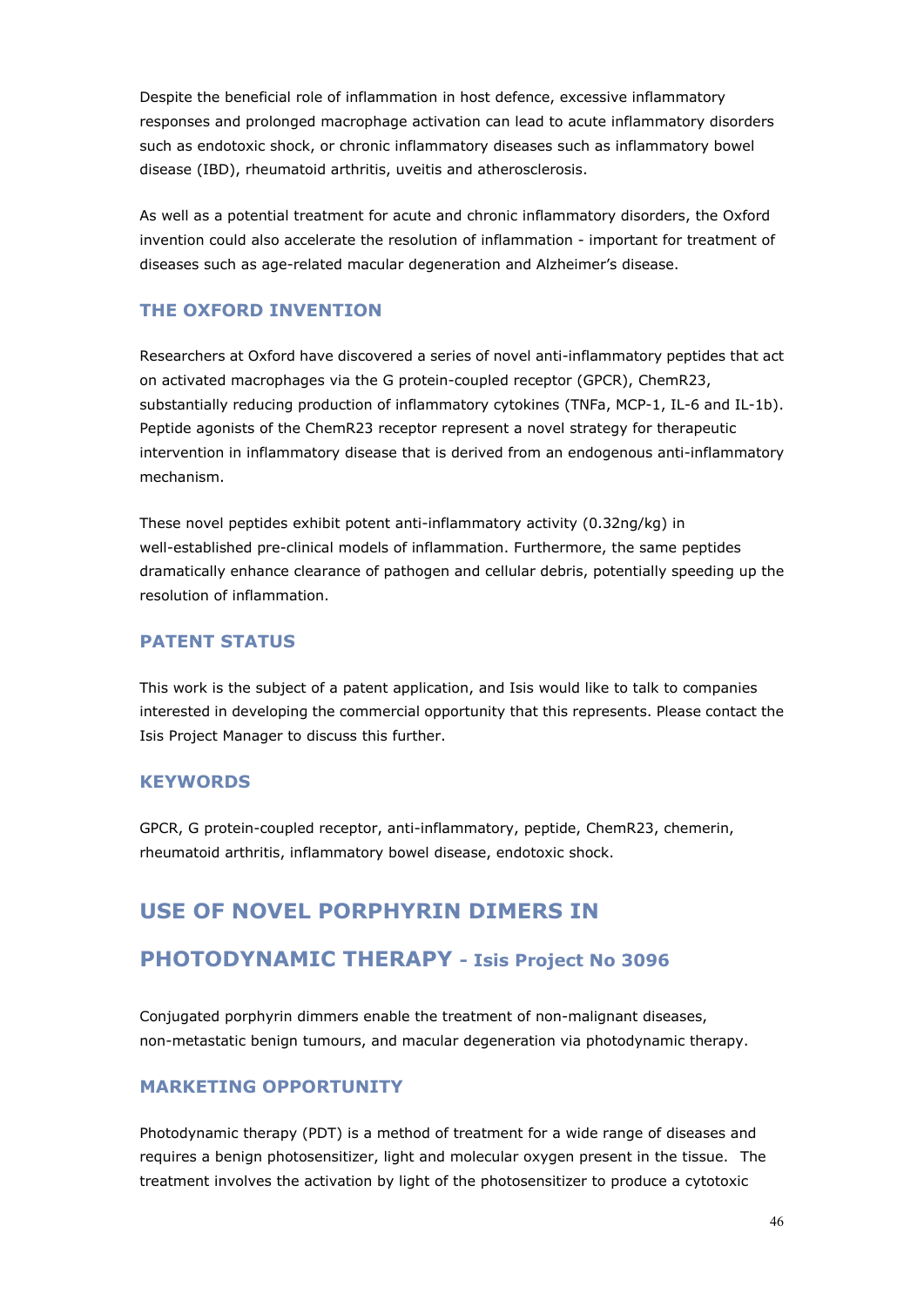Despite the beneficial role of inflammation in host defence, excessive inflammatory responses and prolonged macrophage activation can lead to acute inflammatory disorders such as endotoxic shock, or chronic inflammatory diseases such as inflammatory bowel disease (IBD), rheumatoid arthritis, uveitis and atherosclerosis.

As well as a potential treatment for acute and chronic inflammatory disorders, the Oxford invention could also accelerate the resolution of inflammation - important for treatment of diseases such as age-related macular degeneration and Alzheimer's disease.

#### **THE OXFORD INVENTION**

Researchers at Oxford have discovered a series of novel anti-inflammatory peptides that act on activated macrophages via the G protein-coupled receptor (GPCR), ChemR23, substantially reducing production of inflammatory cytokines (TNFa, MCP-1, IL-6 and IL-1b). Peptide agonists of the ChemR23 receptor represent a novel strategy for therapeutic intervention in inflammatory disease that is derived from an endogenous anti-inflammatory mechanism.

These novel peptides exhibit potent anti-inflammatory activity (0.32ng/kg) in well-established pre-clinical models of inflammation. Furthermore, the same peptides dramatically enhance clearance of pathogen and cellular debris, potentially speeding up the resolution of inflammation.

#### **PATENT STATUS**

This work is the subject of a patent application, and Isis would like to talk to companies interested in developing the commercial opportunity that this represents. Please contact the Isis Project Manager to discuss this further.

#### **KEYWORDS**

GPCR, G protein-coupled receptor, anti-inflammatory, peptide, ChemR23, chemerin, rheumatoid arthritis, inflammatory bowel disease, endotoxic shock.

## **USE OF NOVEL PORPHYRIN DIMERS IN**

### **PHOTODYNAMIC THERAPY - Isis Project No 3096**

Conjugated porphyrin dimmers enable the treatment of non-malignant diseases, non-metastatic benign tumours, and macular degeneration via photodynamic therapy.

#### **MARKETING OPPORTUNITY**

Photodynamic therapy (PDT) is a method of treatment for a wide range of diseases and requires a benign photosensitizer, light and molecular oxygen present in the tissue. The treatment involves the activation by light of the photosensitizer to produce a cytotoxic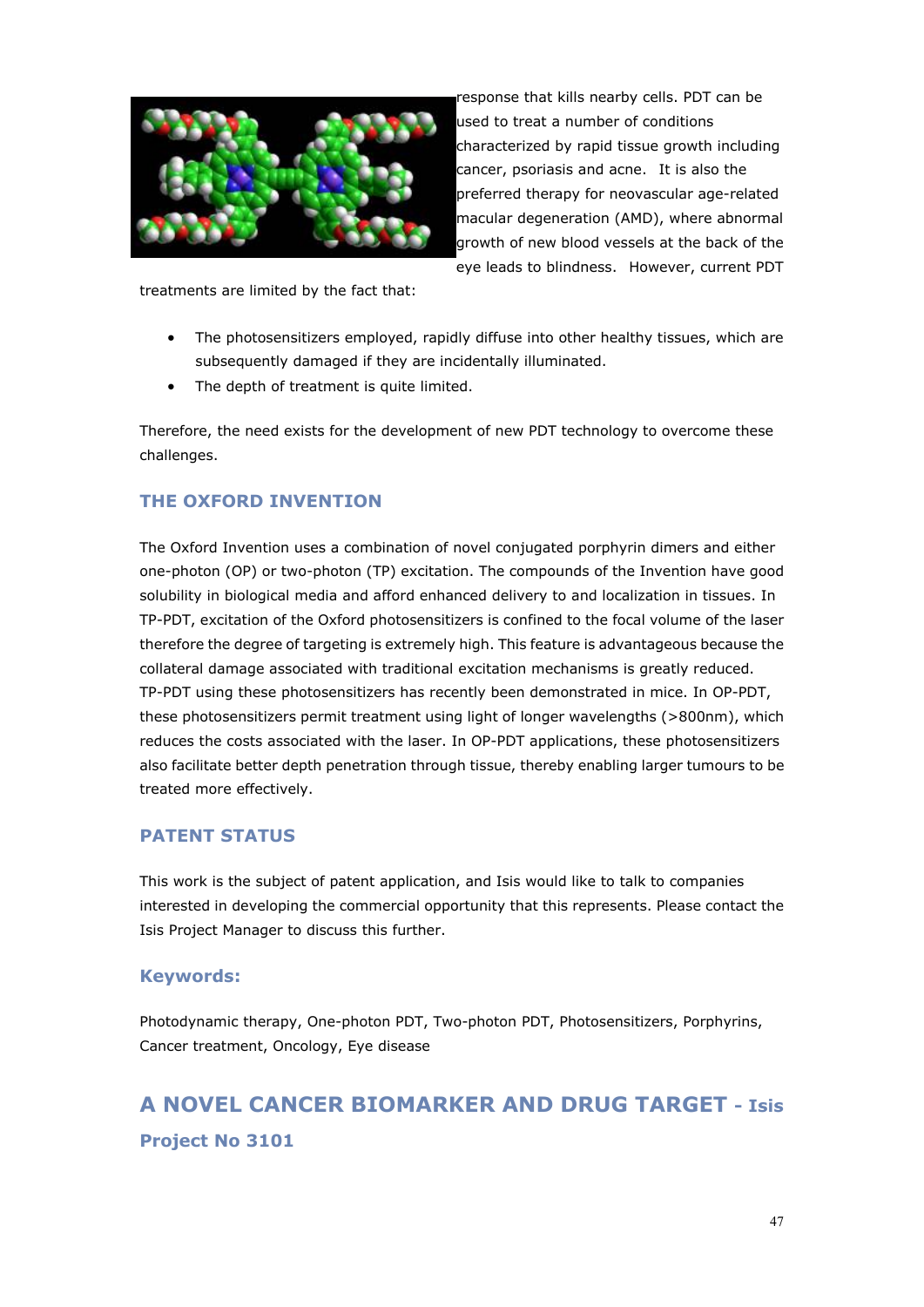

response that kills nearby cells. PDT can be used to treat a number of conditions characterized by rapid tissue growth including cancer, psoriasis and acne. It is also the preferred therapy for neovascular age-related macular degeneration (AMD), where abnormal growth of new blood vessels at the back of the eye leads to blindness. However, current PDT

treatments are limited by the fact that:

- The photosensitizers employed, rapidly diffuse into other healthy tissues, which are subsequently damaged if they are incidentally illuminated.
- The depth of treatment is quite limited.

Therefore, the need exists for the development of new PDT technology to overcome these challenges.

#### **THE OXFORD INVENTION**

The Oxford Invention uses a combination of novel conjugated porphyrin dimers and either one-photon (OP) or two-photon (TP) excitation. The compounds of the Invention have good solubility in biological media and afford enhanced delivery to and localization in tissues. In TP-PDT, excitation of the Oxford photosensitizers is confined to the focal volume of the laser therefore the degree of targeting is extremely high. This feature is advantageous because the collateral damage associated with traditional excitation mechanisms is greatly reduced. TP-PDT using these photosensitizers has recently been demonstrated in mice. In OP-PDT, these photosensitizers permit treatment using light of longer wavelengths (>800nm), which reduces the costs associated with the laser. In OP-PDT applications, these photosensitizers also facilitate better depth penetration through tissue, thereby enabling larger tumours to be treated more effectively.

#### **PATENT STATUS**

This work is the subject of patent application, and Isis would like to talk to companies interested in developing the commercial opportunity that this represents. Please contact the Isis Project Manager to discuss this further.

#### **Keywords:**

Photodynamic therapy, One-photon PDT, Two-photon PDT, Photosensitizers, Porphyrins, Cancer treatment, Oncology, Eye disease

## **A NOVEL CANCER BIOMARKER AND DRUG TARGET - Isis Project No 3101**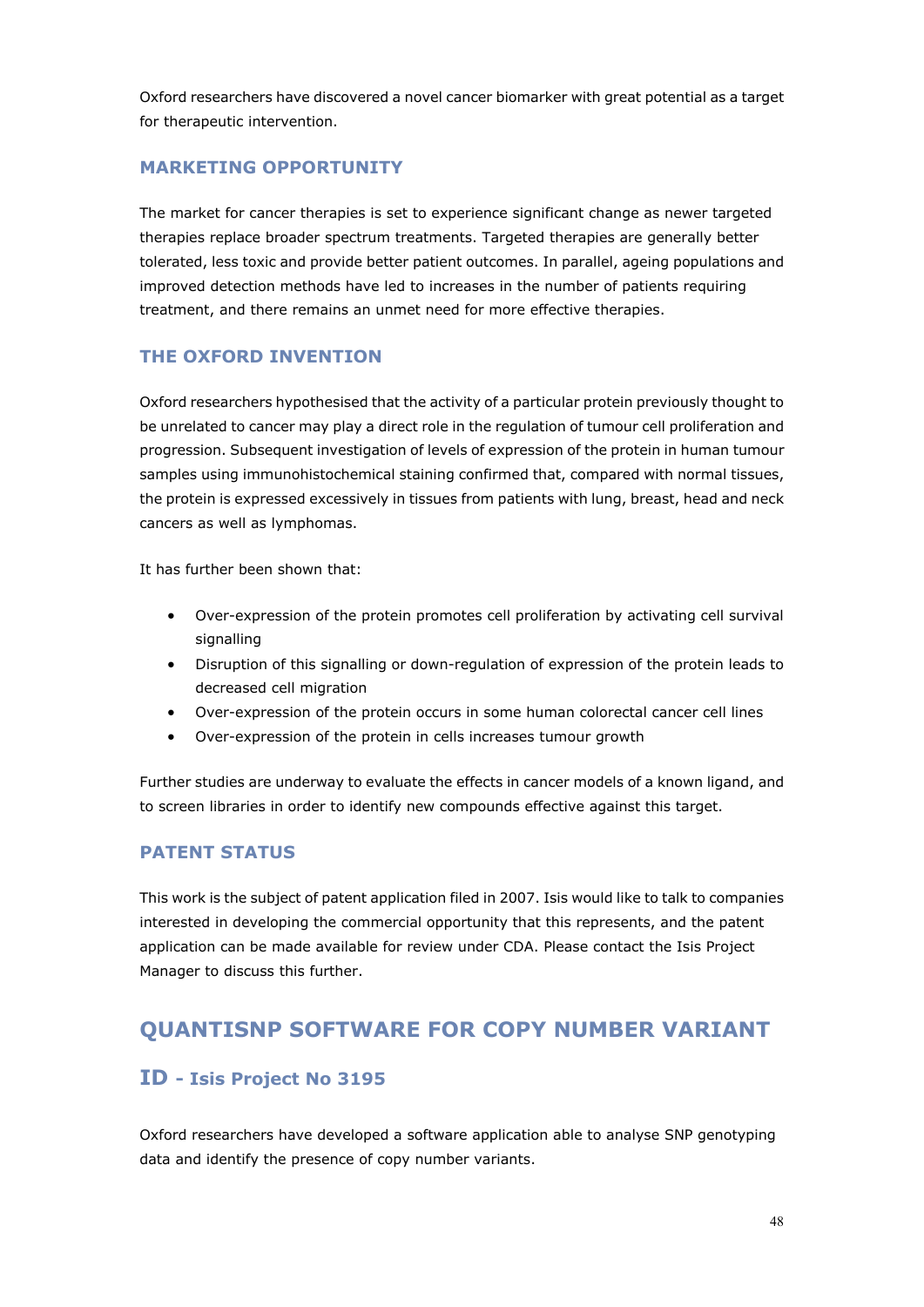Oxford researchers have discovered a novel cancer biomarker with great potential as a target for therapeutic intervention.

#### **MARKETING OPPORTUNITY**

The market for cancer therapies is set to experience significant change as newer targeted therapies replace broader spectrum treatments. Targeted therapies are generally better tolerated, less toxic and provide better patient outcomes. In parallel, ageing populations and improved detection methods have led to increases in the number of patients requiring treatment, and there remains an unmet need for more effective therapies.

#### **THE OXFORD INVENTION**

Oxford researchers hypothesised that the activity of a particular protein previously thought to be unrelated to cancer may play a direct role in the regulation of tumour cell proliferation and progression. Subsequent investigation of levels of expression of the protein in human tumour samples using immunohistochemical staining confirmed that, compared with normal tissues, the protein is expressed excessively in tissues from patients with lung, breast, head and neck cancers as well as lymphomas.

It has further been shown that:

- Over-expression of the protein promotes cell proliferation by activating cell survival signalling
- Disruption of this signalling or down-regulation of expression of the protein leads to decreased cell migration
- Over-expression of the protein occurs in some human colorectal cancer cell lines
- Over-expression of the protein in cells increases tumour growth

Further studies are underway to evaluate the effects in cancer models of a known ligand, and to screen libraries in order to identify new compounds effective against this target.

#### **PATENT STATUS**

This work is the subject of patent application filed in 2007. Isis would like to talk to companies interested in developing the commercial opportunity that this represents, and the patent application can be made available for review under CDA. Please contact the Isis Project Manager to discuss this further.

## **QUANTISNP SOFTWARE FOR COPY NUMBER VARIANT**

### **ID - Isis Project No 3195**

Oxford researchers have developed a software application able to analyse SNP genotyping data and identify the presence of copy number variants.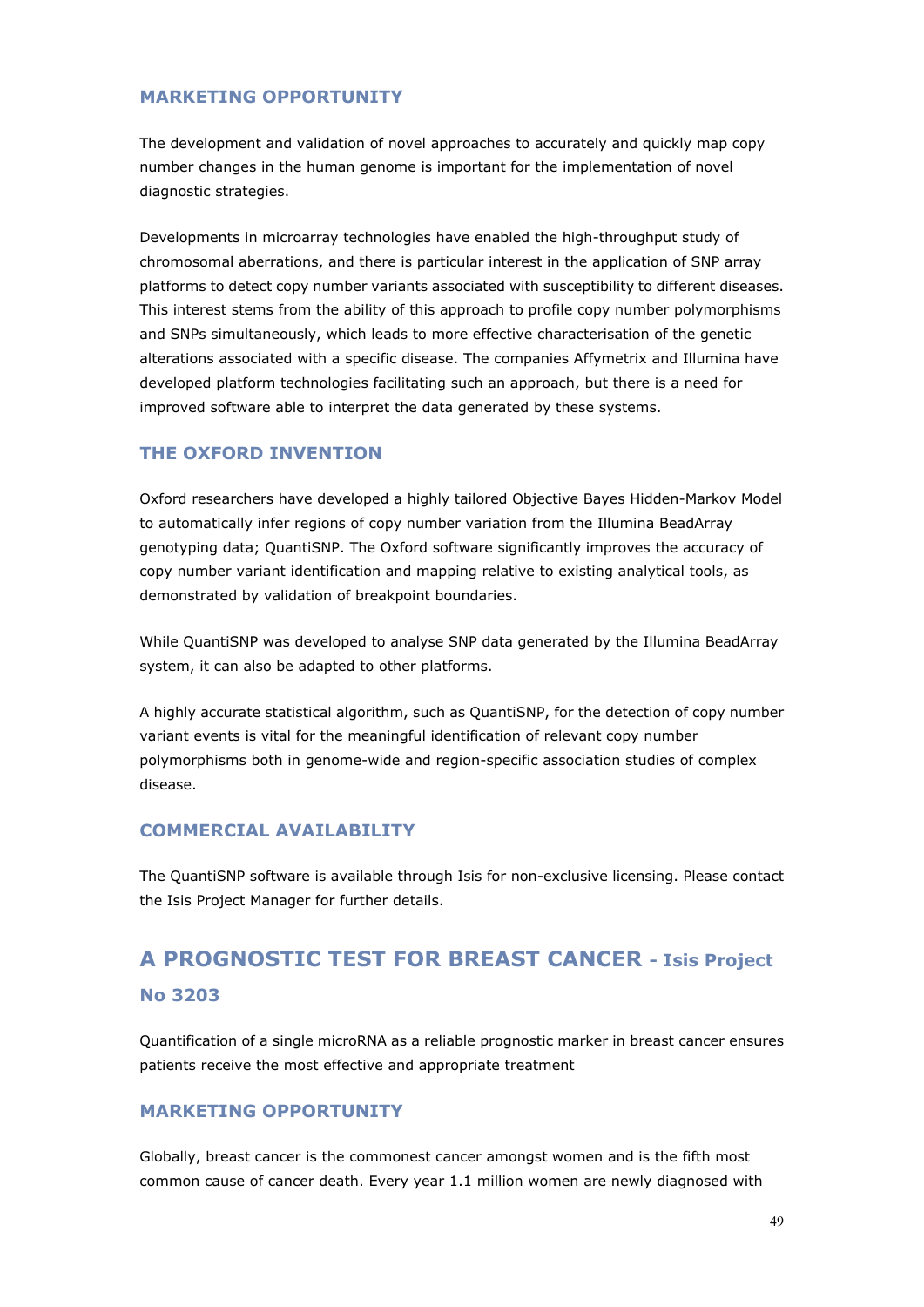#### **MARKETING OPPORTUNITY**

The development and validation of novel approaches to accurately and quickly map copy number changes in the human genome is important for the implementation of novel diagnostic strategies.

Developments in microarray technologies have enabled the high-throughput study of chromosomal aberrations, and there is particular interest in the application of SNP array platforms to detect copy number variants associated with susceptibility to different diseases. This interest stems from the ability of this approach to profile copy number polymorphisms and SNPs simultaneously, which leads to more effective characterisation of the genetic alterations associated with a specific disease. The companies Affymetrix and Illumina have developed platform technologies facilitating such an approach, but there is a need for improved software able to interpret the data generated by these systems.

#### **THE OXFORD INVENTION**

Oxford researchers have developed a highly tailored Objective Bayes Hidden-Markov Model to automatically infer regions of copy number variation from the Illumina BeadArray genotyping data; QuantiSNP. The Oxford software significantly improves the accuracy of copy number variant identification and mapping relative to existing analytical tools, as demonstrated by validation of breakpoint boundaries.

While QuantiSNP was developed to analyse SNP data generated by the Illumina BeadArray system, it can also be adapted to other platforms.

A highly accurate statistical algorithm, such as QuantiSNP, for the detection of copy number variant events is vital for the meaningful identification of relevant copy number polymorphisms both in genome-wide and region-specific association studies of complex disease.

#### **COMMERCIAL AVAILABILITY**

The QuantiSNP software is available through Isis for non-exclusive licensing. Please contact the Isis Project Manager for further details.

## **A PROGNOSTIC TEST FOR BREAST CANCER - Isis Project No 3203**

Quantification of a single microRNA as a reliable prognostic marker in breast cancer ensures patients receive the most effective and appropriate treatment

#### **MARKETING OPPORTUNITY**

Globally, breast cancer is the commonest cancer amongst women and is the fifth most common cause of cancer death. Every year 1.1 million women are newly diagnosed with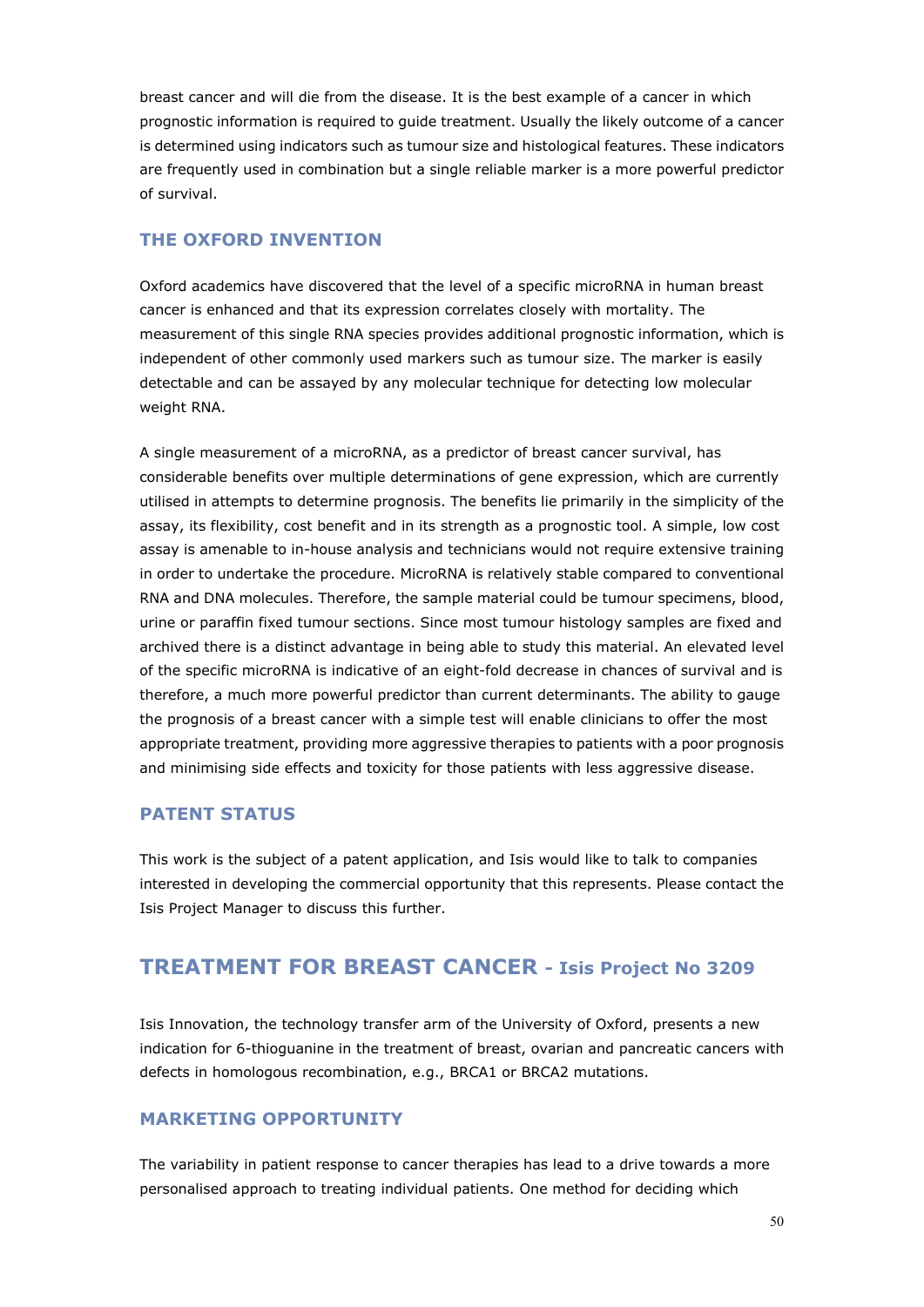breast cancer and will die from the disease. It is the best example of a cancer in which prognostic information is required to guide treatment. Usually the likely outcome of a cancer is determined using indicators such as tumour size and histological features. These indicators are frequently used in combination but a single reliable marker is a more powerful predictor of survival.

#### **THE OXFORD INVENTION**

Oxford academics have discovered that the level of a specific microRNA in human breast cancer is enhanced and that its expression correlates closely with mortality. The measurement of this single RNA species provides additional prognostic information, which is independent of other commonly used markers such as tumour size. The marker is easily detectable and can be assayed by any molecular technique for detecting low molecular weight RNA.

A single measurement of a microRNA, as a predictor of breast cancer survival, has considerable benefits over multiple determinations of gene expression, which are currently utilised in attempts to determine prognosis. The benefits lie primarily in the simplicity of the assay, its flexibility, cost benefit and in its strength as a prognostic tool. A simple, low cost assay is amenable to in-house analysis and technicians would not require extensive training in order to undertake the procedure. MicroRNA is relatively stable compared to conventional RNA and DNA molecules. Therefore, the sample material could be tumour specimens, blood, urine or paraffin fixed tumour sections. Since most tumour histology samples are fixed and archived there is a distinct advantage in being able to study this material. An elevated level of the specific microRNA is indicative of an eight-fold decrease in chances of survival and is therefore, a much more powerful predictor than current determinants. The ability to gauge the prognosis of a breast cancer with a simple test will enable clinicians to offer the most appropriate treatment, providing more aggressive therapies to patients with a poor prognosis and minimising side effects and toxicity for those patients with less aggressive disease.

#### **PATENT STATUS**

This work is the subject of a patent application, and Isis would like to talk to companies interested in developing the commercial opportunity that this represents. Please contact the Isis Project Manager to discuss this further.

### **TREATMENT FOR BREAST CANCER - Isis Project No 3209**

Isis Innovation, the technology transfer arm of the University of Oxford, presents a new indication for 6-thioguanine in the treatment of breast, ovarian and pancreatic cancers with defects in homologous recombination, e.g., BRCA1 or BRCA2 mutations.

#### **MARKETING OPPORTUNITY**

The variability in patient response to cancer therapies has lead to a drive towards a more personalised approach to treating individual patients. One method for deciding which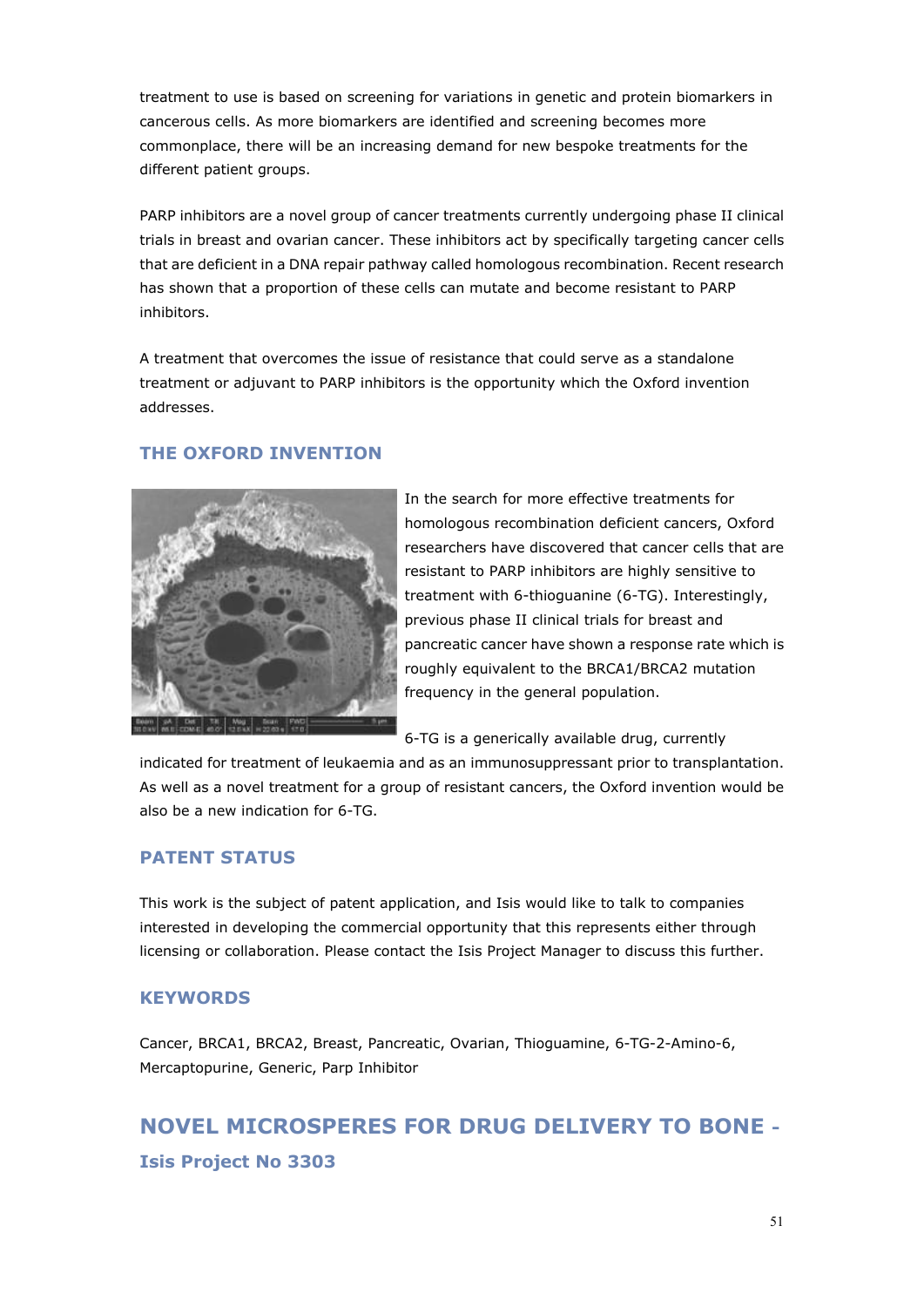treatment to use is based on screening for variations in genetic and protein biomarkers in cancerous cells. As more biomarkers are identified and screening becomes more commonplace, there will be an increasing demand for new bespoke treatments for the different patient groups.

PARP inhibitors are a novel group of cancer treatments currently undergoing phase II clinical trials in breast and ovarian cancer. These inhibitors act by specifically targeting cancer cells that are deficient in a DNA repair pathway called homologous recombination. Recent research has shown that a proportion of these cells can mutate and become resistant to PARP inhibitors.

A treatment that overcomes the issue of resistance that could serve as a standalone treatment or adjuvant to PARP inhibitors is the opportunity which the Oxford invention addresses.



#### **THE OXFORD INVENTION**

In the search for more effective treatments for homologous recombination deficient cancers, Oxford researchers have discovered that cancer cells that are resistant to PARP inhibitors are highly sensitive to treatment with 6-thioguanine (6-TG). Interestingly, previous phase II clinical trials for breast and pancreatic cancer have shown a response rate which is roughly equivalent to the BRCA1/BRCA2 mutation frequency in the general population.

6-TG is a generically available drug, currently

indicated for treatment of leukaemia and as an immunosuppressant prior to transplantation. As well as a novel treatment for a group of resistant cancers, the Oxford invention would be also be a new indication for 6-TG.

#### **PATENT STATUS**

This work is the subject of patent application, and Isis would like to talk to companies interested in developing the commercial opportunity that this represents either through licensing or collaboration. Please contact the Isis Project Manager to discuss this further.

#### **KEYWORDS**

Cancer, BRCA1, BRCA2, Breast, Pancreatic, Ovarian, Thioguamine, 6-TG-2-Amino-6, Mercaptopurine, Generic, Parp Inhibitor

## **NOVEL MICROSPERES FOR DRUG DELIVERY TO BONE - Isis Project No 3303**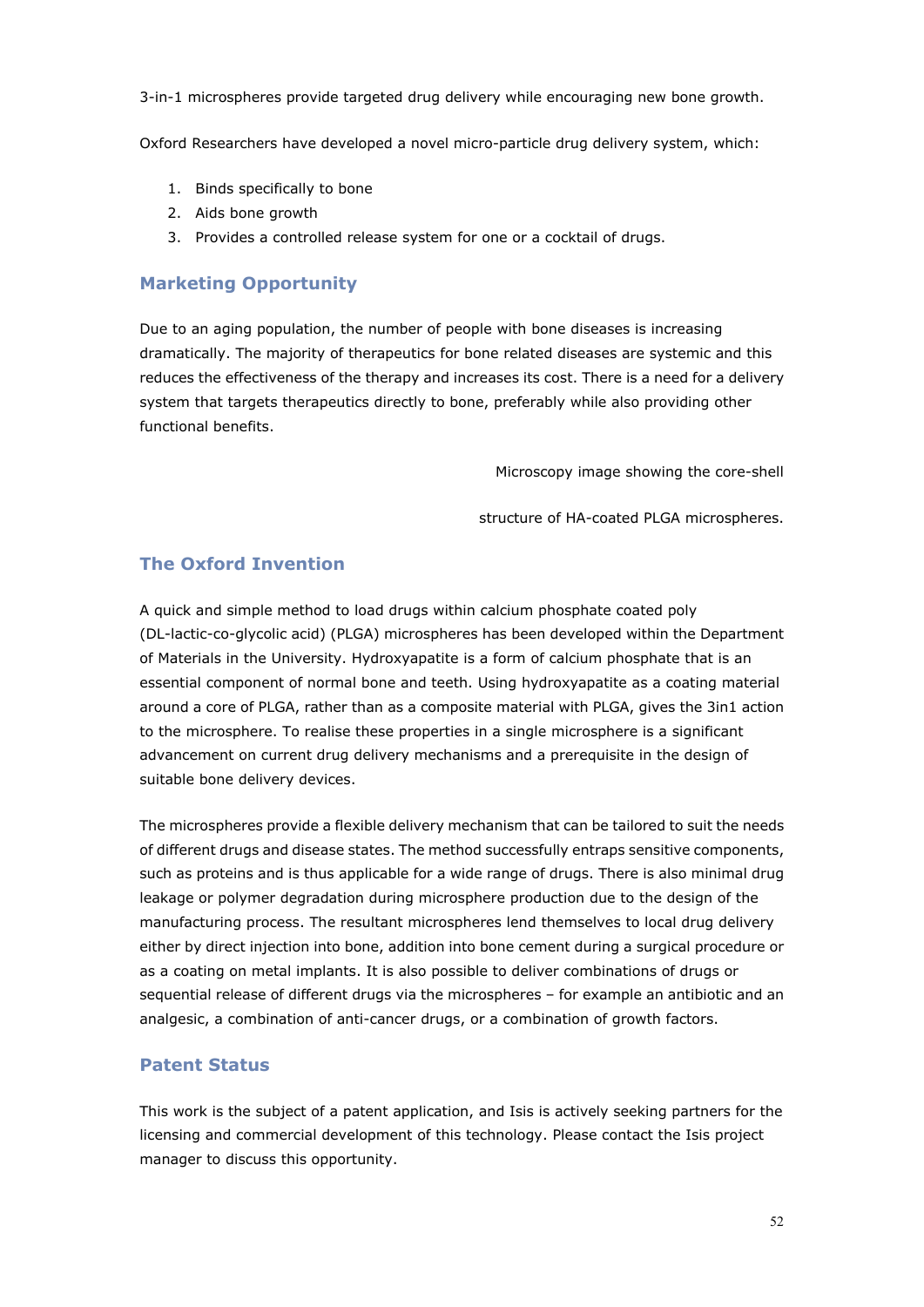3-in-1 microspheres provide targeted drug delivery while encouraging new bone growth.

Oxford Researchers have developed a novel micro-particle drug delivery system, which:

- 1. Binds specifically to bone
- 2. Aids bone growth
- 3. Provides a controlled release system for one or a cocktail of drugs.

#### **Marketing Opportunity**

Due to an aging population, the number of people with bone diseases is increasing dramatically. The majority of therapeutics for bone related diseases are systemic and this reduces the effectiveness of the therapy and increases its cost. There is a need for a delivery system that targets therapeutics directly to bone, preferably while also providing other functional benefits.

Microscopy image showing the core-shell

structure of HA-coated PLGA microspheres.

#### **The Oxford Invention**

A quick and simple method to load drugs within calcium phosphate coated poly (DL-lactic-co-glycolic acid) (PLGA) microspheres has been developed within the Department of Materials in the University. Hydroxyapatite is a form of calcium phosphate that is an essential component of normal bone and teeth. Using hydroxyapatite as a coating material around a core of PLGA, rather than as a composite material with PLGA, gives the 3in1 action to the microsphere. To realise these properties in a single microsphere is a significant advancement on current drug delivery mechanisms and a prerequisite in the design of suitable bone delivery devices.

The microspheres provide a flexible delivery mechanism that can be tailored to suit the needs of different drugs and disease states. The method successfully entraps sensitive components, such as proteins and is thus applicable for a wide range of drugs. There is also minimal drug leakage or polymer degradation during microsphere production due to the design of the manufacturing process. The resultant microspheres lend themselves to local drug delivery either by direct injection into bone, addition into bone cement during a surgical procedure or as a coating on metal implants. It is also possible to deliver combinations of drugs or sequential release of different drugs via the microspheres – for example an antibiotic and an analgesic, a combination of anti-cancer drugs, or a combination of growth factors.

#### **Patent Status**

This work is the subject of a patent application, and Isis is actively seeking partners for the licensing and commercial development of this technology. Please contact the Isis project manager to discuss this opportunity.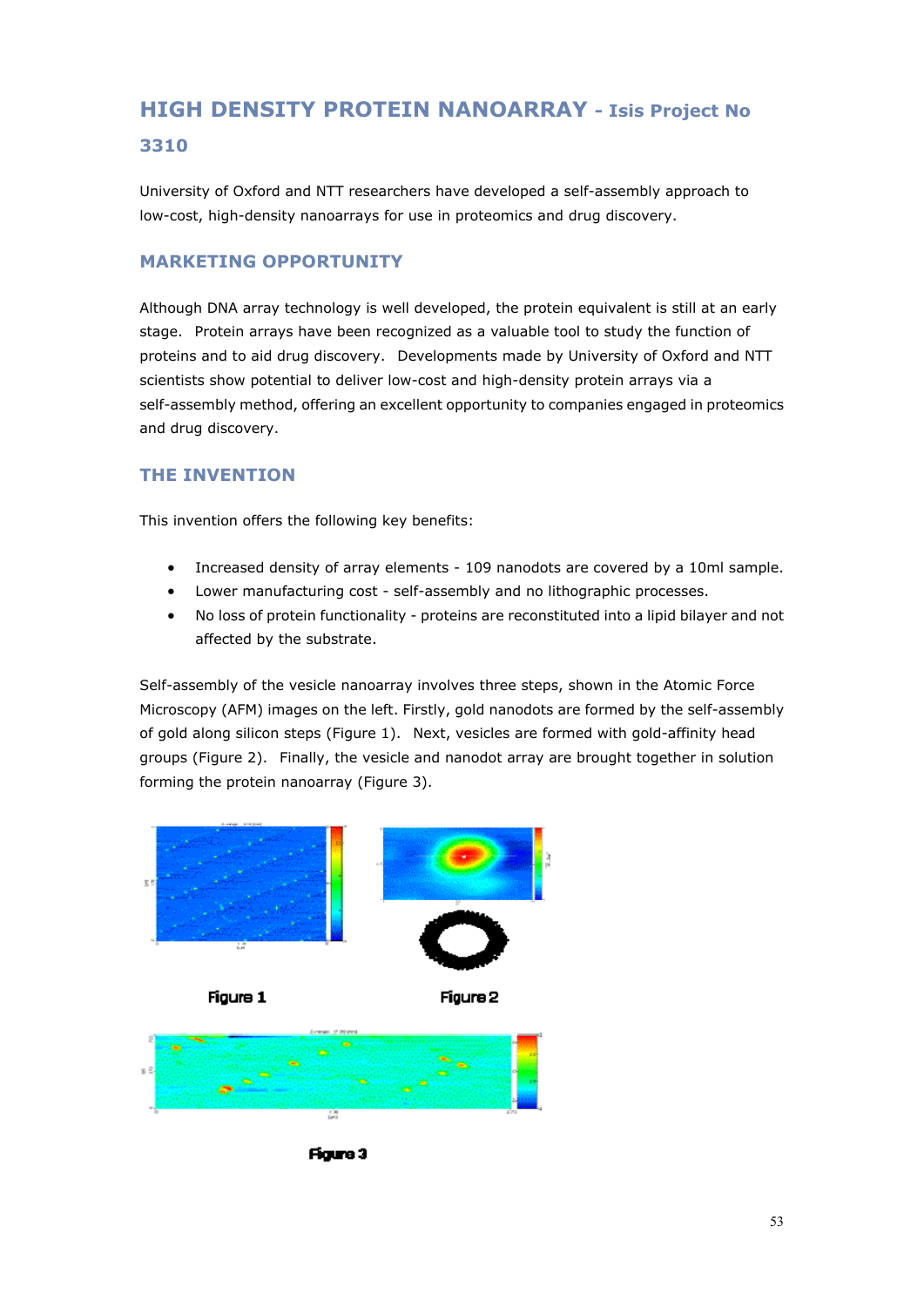## **HIGH DENSITY PROTEIN NANOARRAY - Isis Project No 3310**

University of Oxford and NTT researchers have developed a self-assembly approach to low-cost, high-density nanoarrays for use in proteomics and drug discovery.

#### **MARKETING OPPORTUNITY**

Although DNA array technology is well developed, the protein equivalent is still at an early stage. Protein arrays have been recognized as a valuable tool to study the function of proteins and to aid drug discovery. Developments made by University of Oxford and NTT scientists show potential to deliver low-cost and high-density protein arrays via a self-assembly method, offering an excellent opportunity to companies engaged in proteomics and drug discovery.

#### **THE INVENTION**

This invention offers the following key benefits:

- Increased density of array elements 109 nanodots are covered by a 10ml sample.
- Lower manufacturing cost self-assembly and no lithographic processes.
- No loss of protein functionality proteins are reconstituted into a lipid bilayer and not affected by the substrate.

Self-assembly of the vesicle nanoarray involves three steps, shown in the Atomic Force Microscopy (AFM) images on the left. Firstly, gold nanodots are formed by the self-assembly of gold along silicon steps (Figure 1). Next, vesicles are formed with gold-affinity head groups (Figure 2). Finally, the vesicle and nanodot array are brought together in solution forming the protein nanoarray (Figure 3).



Figure 3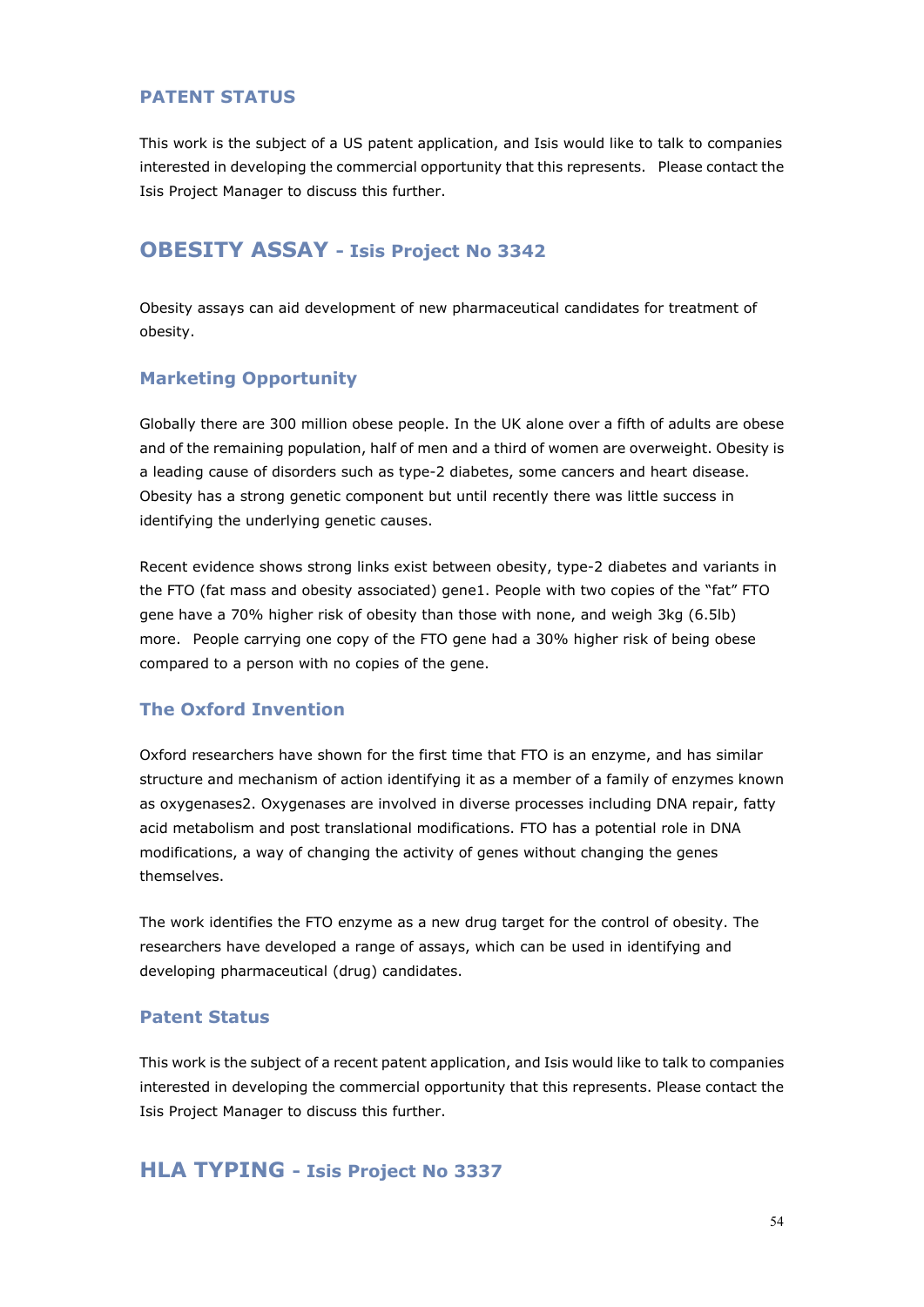#### **PATENT STATUS**

This work is the subject of a US patent application, and Isis would like to talk to companies interested in developing the commercial opportunity that this represents. Please contact the Isis Project Manager to discuss this further.

### **OBESITY ASSAY - Isis Project No 3342**

Obesity assays can aid development of new pharmaceutical candidates for treatment of obesity.

#### **Marketing Opportunity**

Globally there are 300 million obese people. In the UK alone over a fifth of adults are obese and of the remaining population, half of men and a third of women are overweight. Obesity is a leading cause of disorders such as type-2 diabetes, some cancers and heart disease. Obesity has a strong genetic component but until recently there was little success in identifying the underlying genetic causes.

Recent evidence shows strong links exist between obesity, type-2 diabetes and variants in the FTO (fat mass and obesity associated) gene1. People with two copies of the "fat" FTO gene have a 70% higher risk of obesity than those with none, and weigh 3kg (6.5lb) more. People carrying one copy of the FTO gene had a 30% higher risk of being obese compared to a person with no copies of the gene.

#### **The Oxford Invention**

Oxford researchers have shown for the first time that FTO is an enzyme, and has similar structure and mechanism of action identifying it as a member of a family of enzymes known as oxygenases2. Oxygenases are involved in diverse processes including DNA repair, fatty acid metabolism and post translational modifications. FTO has a potential role in DNA modifications, a way of changing the activity of genes without changing the genes themselves.

The work identifies the FTO enzyme as a new drug target for the control of obesity. The researchers have developed a range of assays, which can be used in identifying and developing pharmaceutical (drug) candidates.

#### **Patent Status**

This work is the subject of a recent patent application, and Isis would like to talk to companies interested in developing the commercial opportunity that this represents. Please contact the Isis Project Manager to discuss this further.

#### **HLA TYPING - Isis Project No 3337**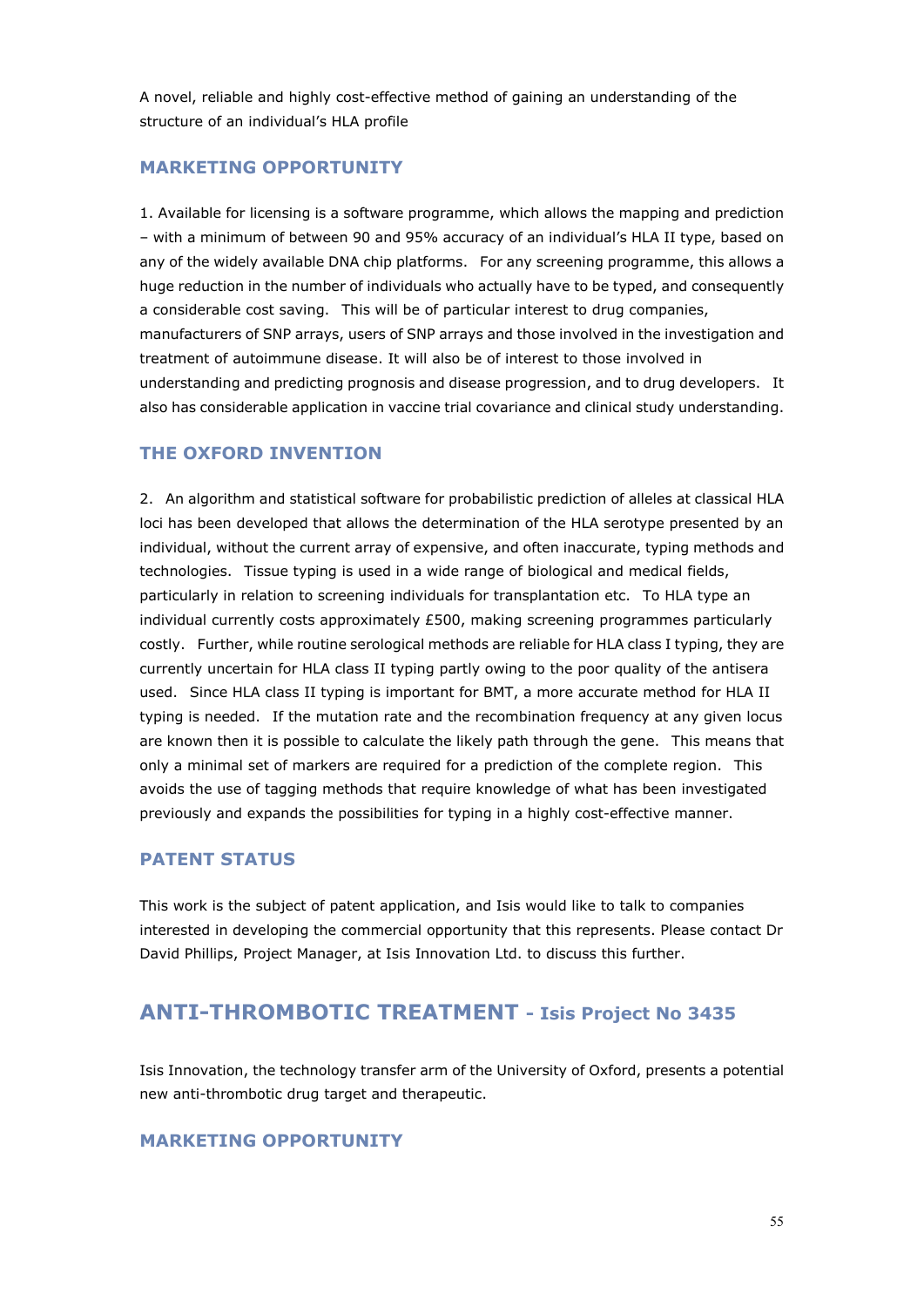A novel, reliable and highly cost-effective method of gaining an understanding of the structure of an individual's HLA profile

#### **MARKETING OPPORTUNITY**

1. Available for licensing is a software programme, which allows the mapping and prediction – with a minimum of between 90 and 95% accuracy of an individual's HLA II type, based on any of the widely available DNA chip platforms. For any screening programme, this allows a huge reduction in the number of individuals who actually have to be typed, and consequently a considerable cost saving. This will be of particular interest to drug companies, manufacturers of SNP arrays, users of SNP arrays and those involved in the investigation and treatment of autoimmune disease. It will also be of interest to those involved in understanding and predicting prognosis and disease progression, and to drug developers. It also has considerable application in vaccine trial covariance and clinical study understanding.

#### **THE OXFORD INVENTION**

2. An algorithm and statistical software for probabilistic prediction of alleles at classical HLA loci has been developed that allows the determination of the HLA serotype presented by an individual, without the current array of expensive, and often inaccurate, typing methods and technologies. Tissue typing is used in a wide range of biological and medical fields, particularly in relation to screening individuals for transplantation etc. To HLA type an individual currently costs approximately £500, making screening programmes particularly costly. Further, while routine serological methods are reliable for HLA class I typing, they are currently uncertain for HLA class II typing partly owing to the poor quality of the antisera used. Since HLA class II typing is important for BMT, a more accurate method for HLA II typing is needed. If the mutation rate and the recombination frequency at any given locus are known then it is possible to calculate the likely path through the gene. This means that only a minimal set of markers are required for a prediction of the complete region. This avoids the use of tagging methods that require knowledge of what has been investigated previously and expands the possibilities for typing in a highly cost-effective manner.

#### **PATENT STATUS**

This work is the subject of patent application, and Isis would like to talk to companies interested in developing the commercial opportunity that this represents. Please contact Dr David Phillips, Project Manager, at Isis Innovation Ltd. to discuss this further.

## **ANTI-THROMBOTIC TREATMENT - Isis Project No 3435**

Isis Innovation, the technology transfer arm of the University of Oxford, presents a potential new anti-thrombotic drug target and therapeutic.

#### **MARKETING OPPORTUNITY**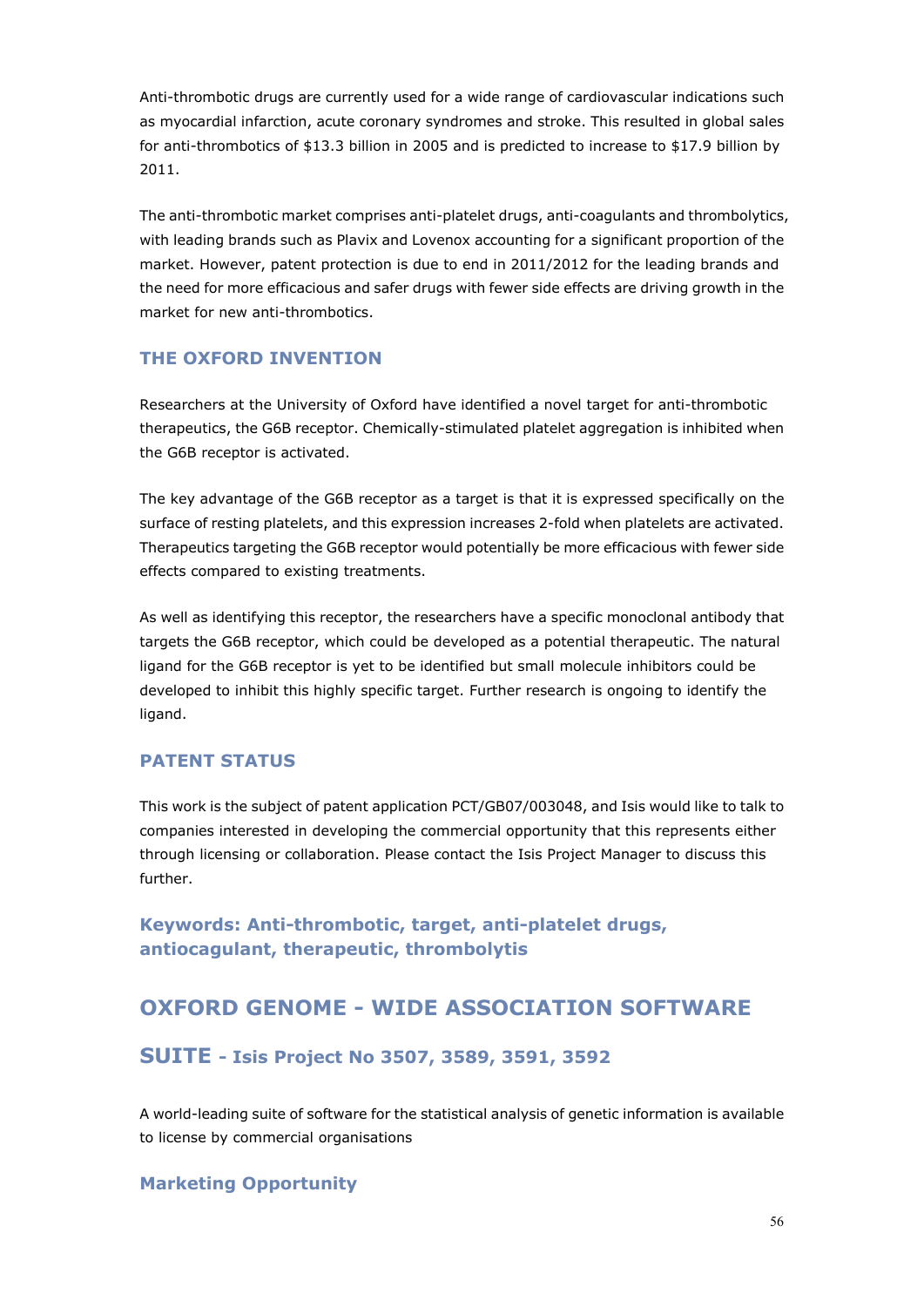Anti-thrombotic drugs are currently used for a wide range of cardiovascular indications such as myocardial infarction, acute coronary syndromes and stroke. This resulted in global sales for anti-thrombotics of \$13.3 billion in 2005 and is predicted to increase to \$17.9 billion by 2011.

The anti-thrombotic market comprises anti-platelet drugs, anti-coagulants and thrombolytics, with leading brands such as Plavix and Lovenox accounting for a significant proportion of the market. However, patent protection is due to end in 2011/2012 for the leading brands and the need for more efficacious and safer drugs with fewer side effects are driving growth in the market for new anti-thrombotics.

#### **THE OXFORD INVENTION**

Researchers at the University of Oxford have identified a novel target for anti-thrombotic therapeutics, the G6B receptor. Chemically-stimulated platelet aggregation is inhibited when the G6B receptor is activated.

The key advantage of the G6B receptor as a target is that it is expressed specifically on the surface of resting platelets, and this expression increases 2-fold when platelets are activated. Therapeutics targeting the G6B receptor would potentially be more efficacious with fewer side effects compared to existing treatments.

As well as identifying this receptor, the researchers have a specific monoclonal antibody that targets the G6B receptor, which could be developed as a potential therapeutic. The natural ligand for the G6B receptor is yet to be identified but small molecule inhibitors could be developed to inhibit this highly specific target. Further research is ongoing to identify the ligand.

#### **PATENT STATUS**

This work is the subject of patent application PCT/GB07/003048, and Isis would like to talk to companies interested in developing the commercial opportunity that this represents either through licensing or collaboration. Please contact the Isis Project Manager to discuss this further.

**Keywords: Anti-thrombotic, target, anti-platelet drugs, antiocagulant, therapeutic, thrombolytis** 

## **OXFORD GENOME - WIDE ASSOCIATION SOFTWARE**

#### **SUITE - Isis Project No 3507, 3589, 3591, 3592**

A world-leading suite of software for the statistical analysis of genetic information is available to license by commercial organisations

#### **Marketing Opportunity**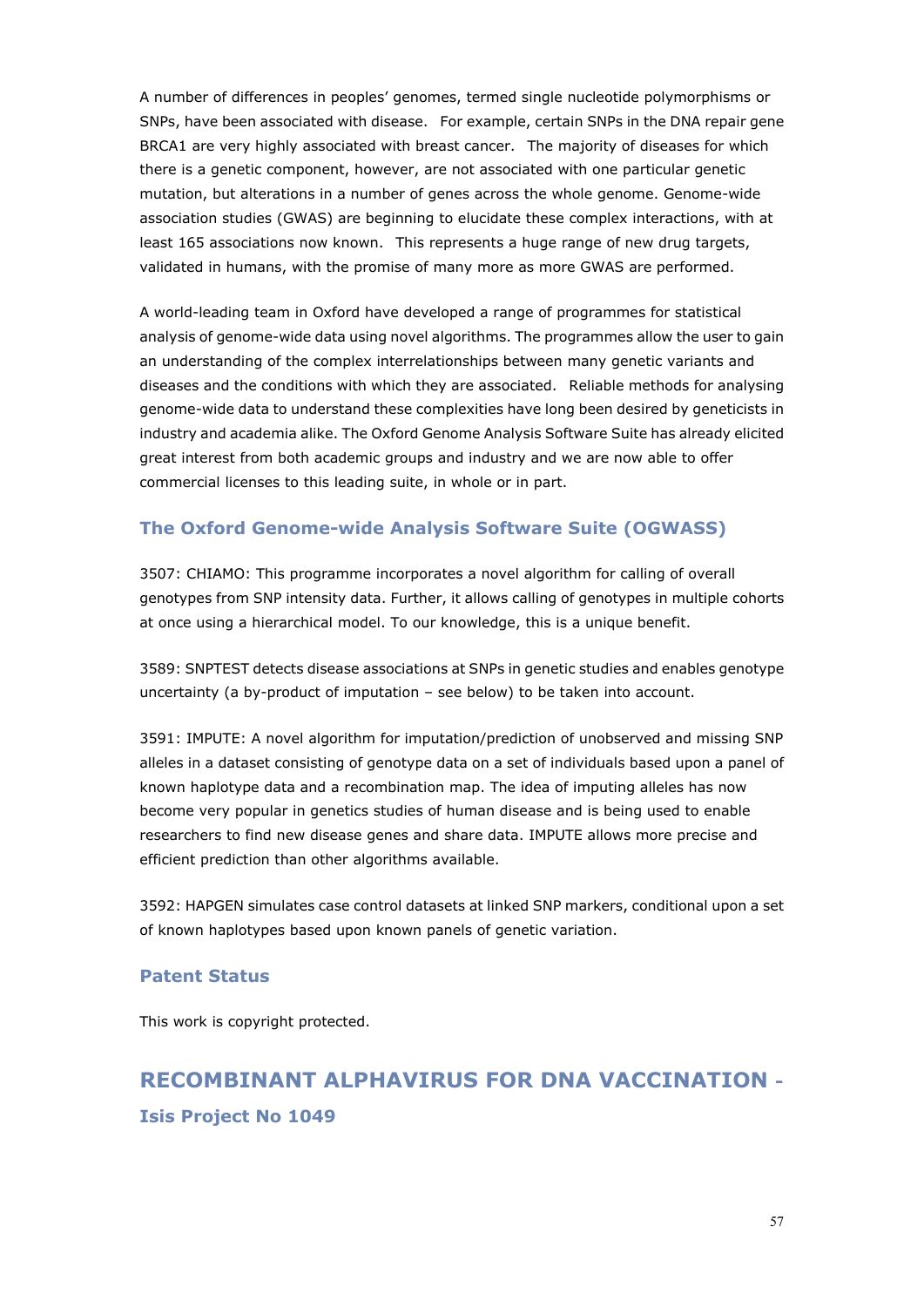A number of differences in peoples' genomes, termed single nucleotide polymorphisms or SNPs, have been associated with disease. For example, certain SNPs in the DNA repair gene BRCA1 are very highly associated with breast cancer. The majority of diseases for which there is a genetic component, however, are not associated with one particular genetic mutation, but alterations in a number of genes across the whole genome. Genome-wide association studies (GWAS) are beginning to elucidate these complex interactions, with at least 165 associations now known. This represents a huge range of new drug targets, validated in humans, with the promise of many more as more GWAS are performed.

A world-leading team in Oxford have developed a range of programmes for statistical analysis of genome-wide data using novel algorithms. The programmes allow the user to gain an understanding of the complex interrelationships between many genetic variants and diseases and the conditions with which they are associated. Reliable methods for analysing genome-wide data to understand these complexities have long been desired by geneticists in industry and academia alike. The Oxford Genome Analysis Software Suite has already elicited great interest from both academic groups and industry and we are now able to offer commercial licenses to this leading suite, in whole or in part.

#### **The Oxford Genome-wide Analysis Software Suite (OGWASS)**

3507: CHIAMO: This programme incorporates a novel algorithm for calling of overall genotypes from SNP intensity data. Further, it allows calling of genotypes in multiple cohorts at once using a hierarchical model. To our knowledge, this is a unique benefit.

3589: SNPTEST detects disease associations at SNPs in genetic studies and enables genotype uncertainty (a by-product of imputation – see below) to be taken into account.

3591: IMPUTE: A novel algorithm for imputation/prediction of unobserved and missing SNP alleles in a dataset consisting of genotype data on a set of individuals based upon a panel of known haplotype data and a recombination map. The idea of imputing alleles has now become very popular in genetics studies of human disease and is being used to enable researchers to find new disease genes and share data. IMPUTE allows more precise and efficient prediction than other algorithms available.

3592: HAPGEN simulates case control datasets at linked SNP markers, conditional upon a set of known haplotypes based upon known panels of genetic variation.

#### **Patent Status**

This work is copyright protected.

## **RECOMBINANT ALPHAVIRUS FOR DNA VACCINATION - Isis Project No 1049**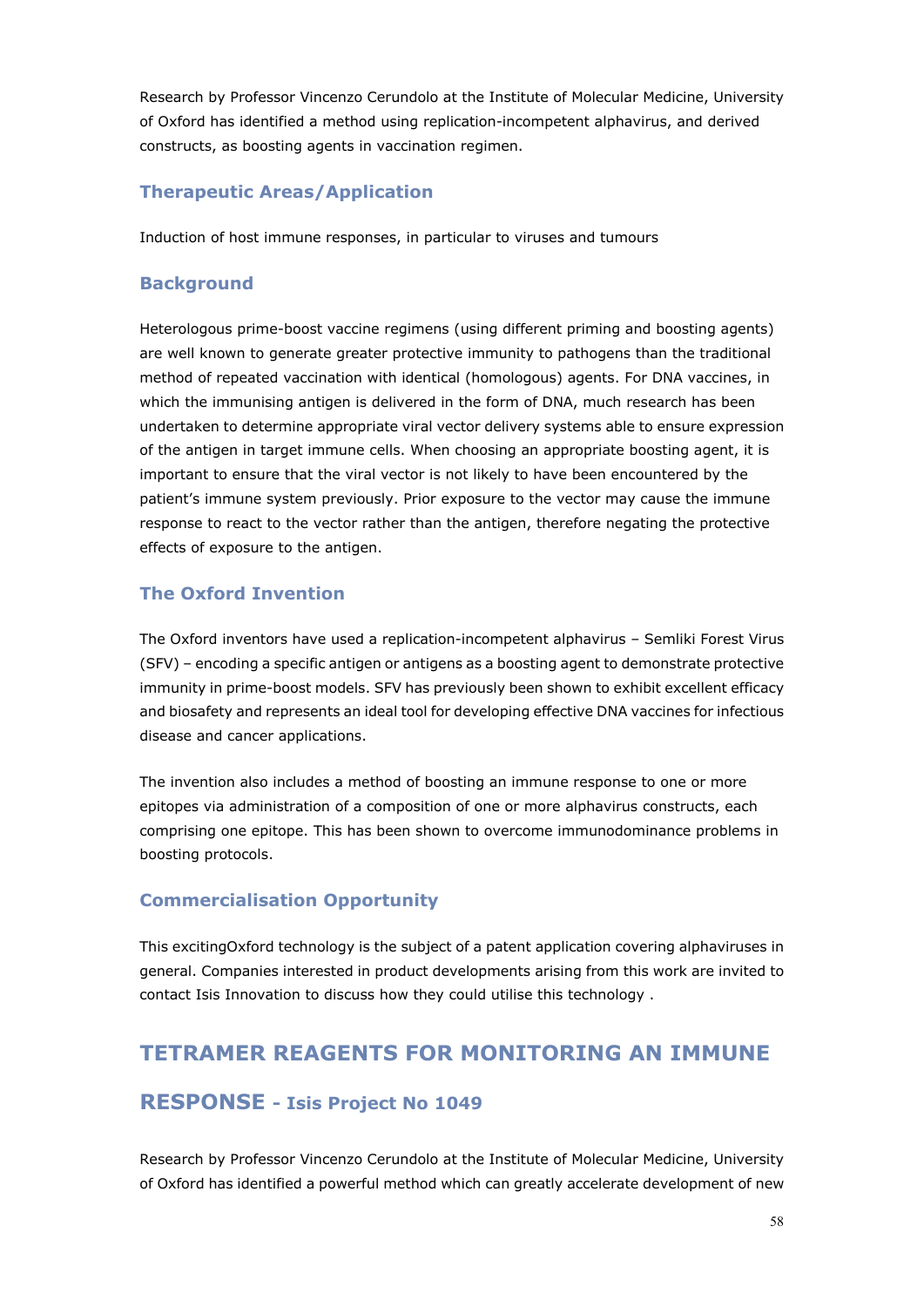Research by Professor Vincenzo Cerundolo at the Institute of Molecular Medicine, University of Oxford has identified a method using replication-incompetent alphavirus, and derived constructs, as boosting agents in vaccination regimen.

#### **Therapeutic Areas/Application**

Induction of host immune responses, in particular to viruses and tumours

#### **Background**

Heterologous prime-boost vaccine regimens (using different priming and boosting agents) are well known to generate greater protective immunity to pathogens than the traditional method of repeated vaccination with identical (homologous) agents. For DNA vaccines, in which the immunising antigen is delivered in the form of DNA, much research has been undertaken to determine appropriate viral vector delivery systems able to ensure expression of the antigen in target immune cells. When choosing an appropriate boosting agent, it is important to ensure that the viral vector is not likely to have been encountered by the patient's immune system previously. Prior exposure to the vector may cause the immune response to react to the vector rather than the antigen, therefore negating the protective effects of exposure to the antigen.

#### **The Oxford Invention**

The Oxford inventors have used a replication-incompetent alphavirus – Semliki Forest Virus (SFV) – encoding a specific antigen or antigens as a boosting agent to demonstrate protective immunity in prime-boost models. SFV has previously been shown to exhibit excellent efficacy and biosafety and represents an ideal tool for developing effective DNA vaccines for infectious disease and cancer applications.

The invention also includes a method of boosting an immune response to one or more epitopes via administration of a composition of one or more alphavirus constructs, each comprising one epitope. This has been shown to overcome immunodominance problems in boosting protocols.

#### **Commercialisation Opportunity**

This excitingOxford technology is the subject of a patent application covering alphaviruses in general. Companies interested in product developments arising from this work are invited to contact Isis Innovation to discuss how they could utilise this technology .

## **TETRAMER REAGENTS FOR MONITORING AN IMMUNE**

#### **RESPONSE - Isis Project No 1049**

Research by Professor Vincenzo Cerundolo at the Institute of Molecular Medicine, University of Oxford has identified a powerful method which can greatly accelerate development of new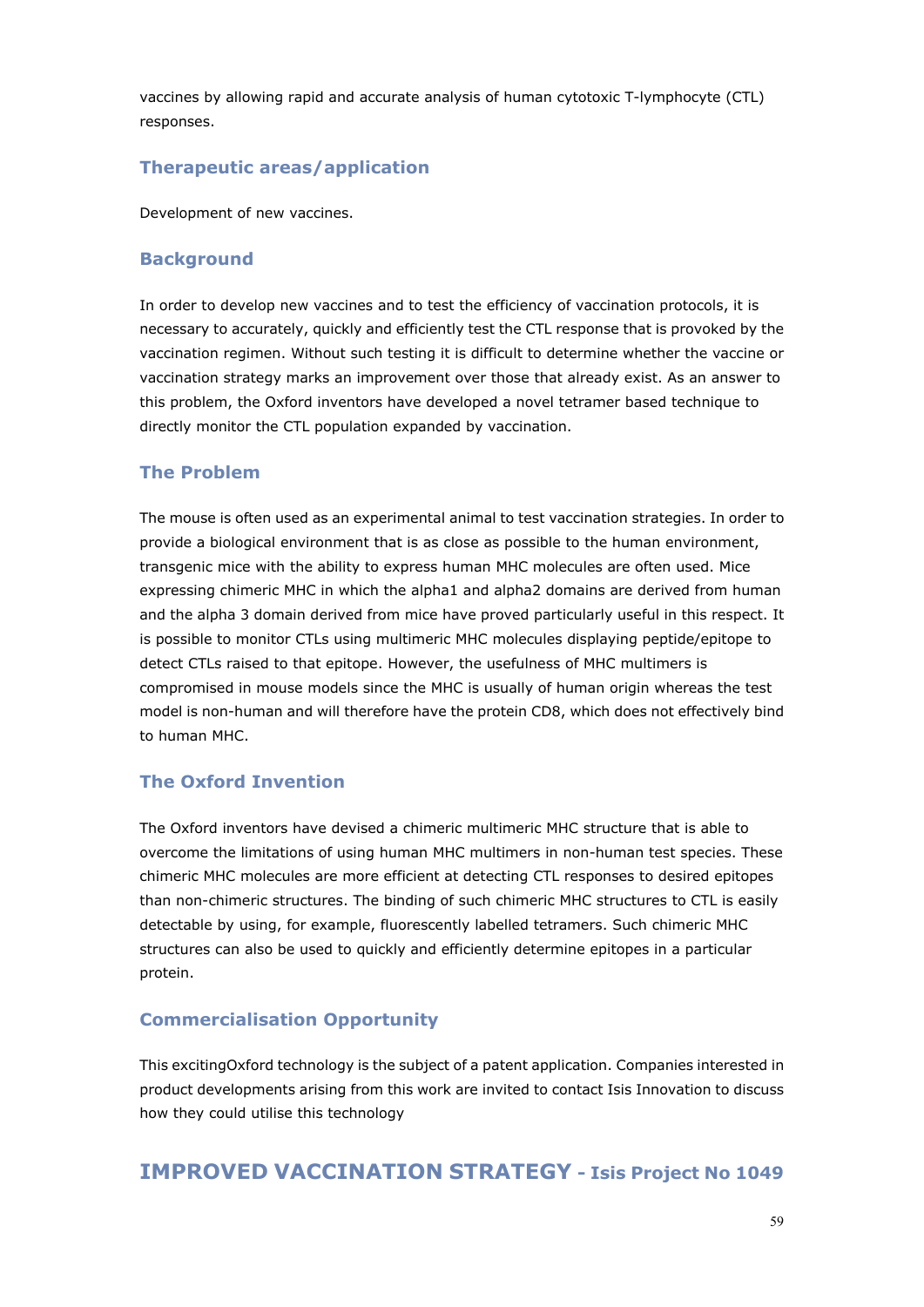vaccines by allowing rapid and accurate analysis of human cytotoxic T-lymphocyte (CTL) responses.

#### **Therapeutic areas/application**

Development of new vaccines.

#### **Background**

In order to develop new vaccines and to test the efficiency of vaccination protocols, it is necessary to accurately, quickly and efficiently test the CTL response that is provoked by the vaccination regimen. Without such testing it is difficult to determine whether the vaccine or vaccination strategy marks an improvement over those that already exist. As an answer to this problem, the Oxford inventors have developed a novel tetramer based technique to directly monitor the CTL population expanded by vaccination.

#### **The Problem**

The mouse is often used as an experimental animal to test vaccination strategies. In order to provide a biological environment that is as close as possible to the human environment, transgenic mice with the ability to express human MHC molecules are often used. Mice expressing chimeric MHC in which the alpha1 and alpha2 domains are derived from human and the alpha 3 domain derived from mice have proved particularly useful in this respect. It is possible to monitor CTLs using multimeric MHC molecules displaying peptide/epitope to detect CTLs raised to that epitope. However, the usefulness of MHC multimers is compromised in mouse models since the MHC is usually of human origin whereas the test model is non-human and will therefore have the protein CD8, which does not effectively bind to human MHC.

#### **The Oxford Invention**

The Oxford inventors have devised a chimeric multimeric MHC structure that is able to overcome the limitations of using human MHC multimers in non-human test species. These chimeric MHC molecules are more efficient at detecting CTL responses to desired epitopes than non-chimeric structures. The binding of such chimeric MHC structures to CTL is easily detectable by using, for example, fluorescently labelled tetramers. Such chimeric MHC structures can also be used to quickly and efficiently determine epitopes in a particular protein.

#### **Commercialisation Opportunity**

This excitingOxford technology is the subject of a patent application. Companies interested in product developments arising from this work are invited to contact Isis Innovation to discuss how they could utilise this technology

#### **IMPROVED VACCINATION STRATEGY - Isis Project No 1049**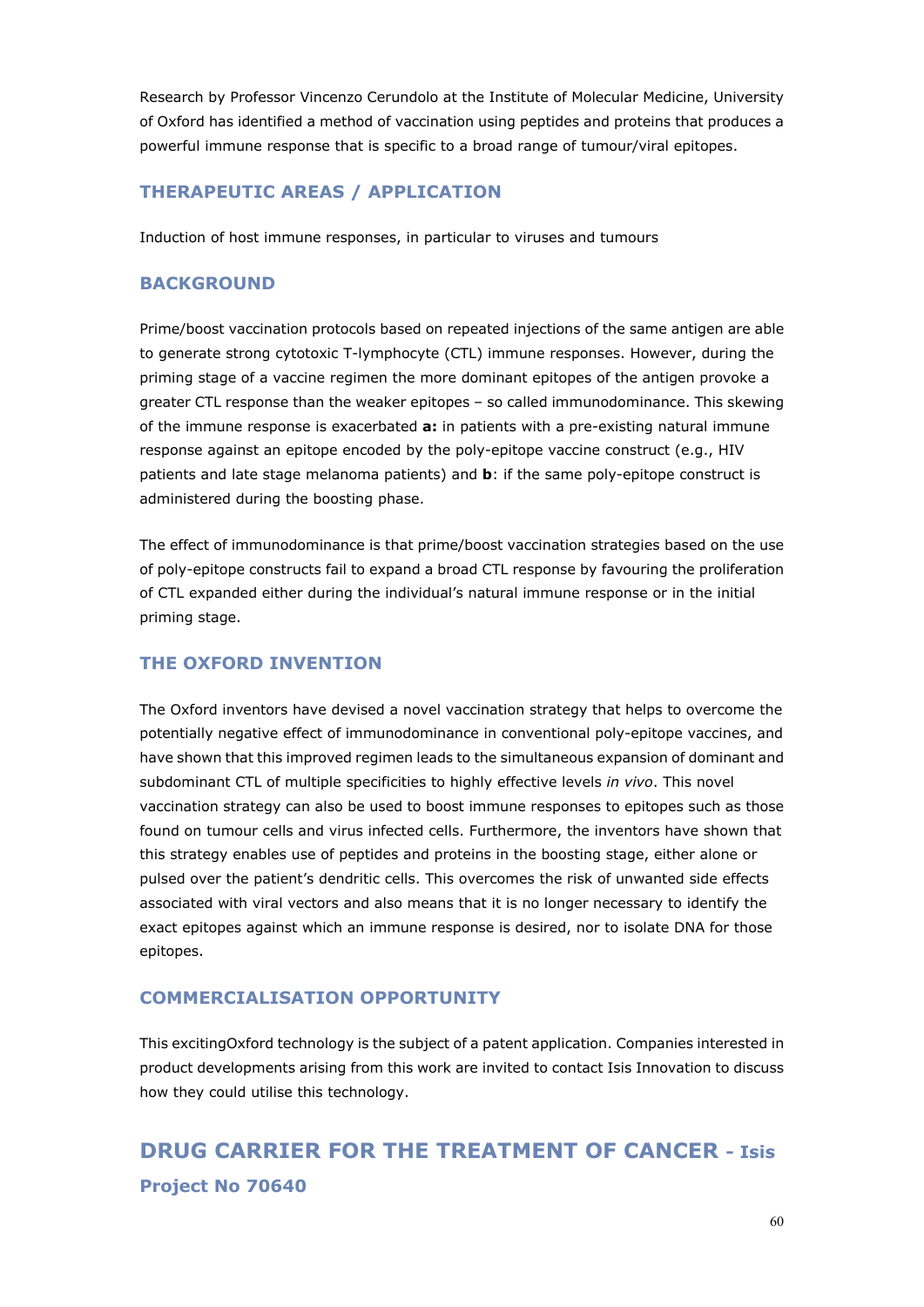Research by Professor Vincenzo Cerundolo at the Institute of Molecular Medicine, University of Oxford has identified a method of vaccination using peptides and proteins that produces a powerful immune response that is specific to a broad range of tumour/viral epitopes.

#### **THERAPEUTIC AREAS / APPLICATION**

Induction of host immune responses, in particular to viruses and tumours

#### **BACKGROUND**

Prime/boost vaccination protocols based on repeated injections of the same antigen are able to generate strong cytotoxic T-lymphocyte (CTL) immune responses. However, during the priming stage of a vaccine regimen the more dominant epitopes of the antigen provoke a greater CTL response than the weaker epitopes – so called immunodominance. This skewing of the immune response is exacerbated **a:** in patients with a pre-existing natural immune response against an epitope encoded by the poly-epitope vaccine construct (e.g., HIV patients and late stage melanoma patients) and **b**: if the same poly-epitope construct is administered during the boosting phase.

The effect of immunodominance is that prime/boost vaccination strategies based on the use of poly-epitope constructs fail to expand a broad CTL response by favouring the proliferation of CTL expanded either during the individual's natural immune response or in the initial priming stage.

#### **THE OXFORD INVENTION**

The Oxford inventors have devised a novel vaccination strategy that helps to overcome the potentially negative effect of immunodominance in conventional poly-epitope vaccines, and have shown that this improved regimen leads to the simultaneous expansion of dominant and subdominant CTL of multiple specificities to highly effective levels *in vivo*. This novel vaccination strategy can also be used to boost immune responses to epitopes such as those found on tumour cells and virus infected cells. Furthermore, the inventors have shown that this strategy enables use of peptides and proteins in the boosting stage, either alone or pulsed over the patient's dendritic cells. This overcomes the risk of unwanted side effects associated with viral vectors and also means that it is no longer necessary to identify the exact epitopes against which an immune response is desired, nor to isolate DNA for those epitopes.

#### **COMMERCIALISATION OPPORTUNITY**

This excitingOxford technology is the subject of a patent application. Companies interested in product developments arising from this work are invited to contact Isis Innovation to discuss how they could utilise this technology.

**DRUG CARRIER FOR THE TREATMENT OF CANCER - Isis Project No 70640**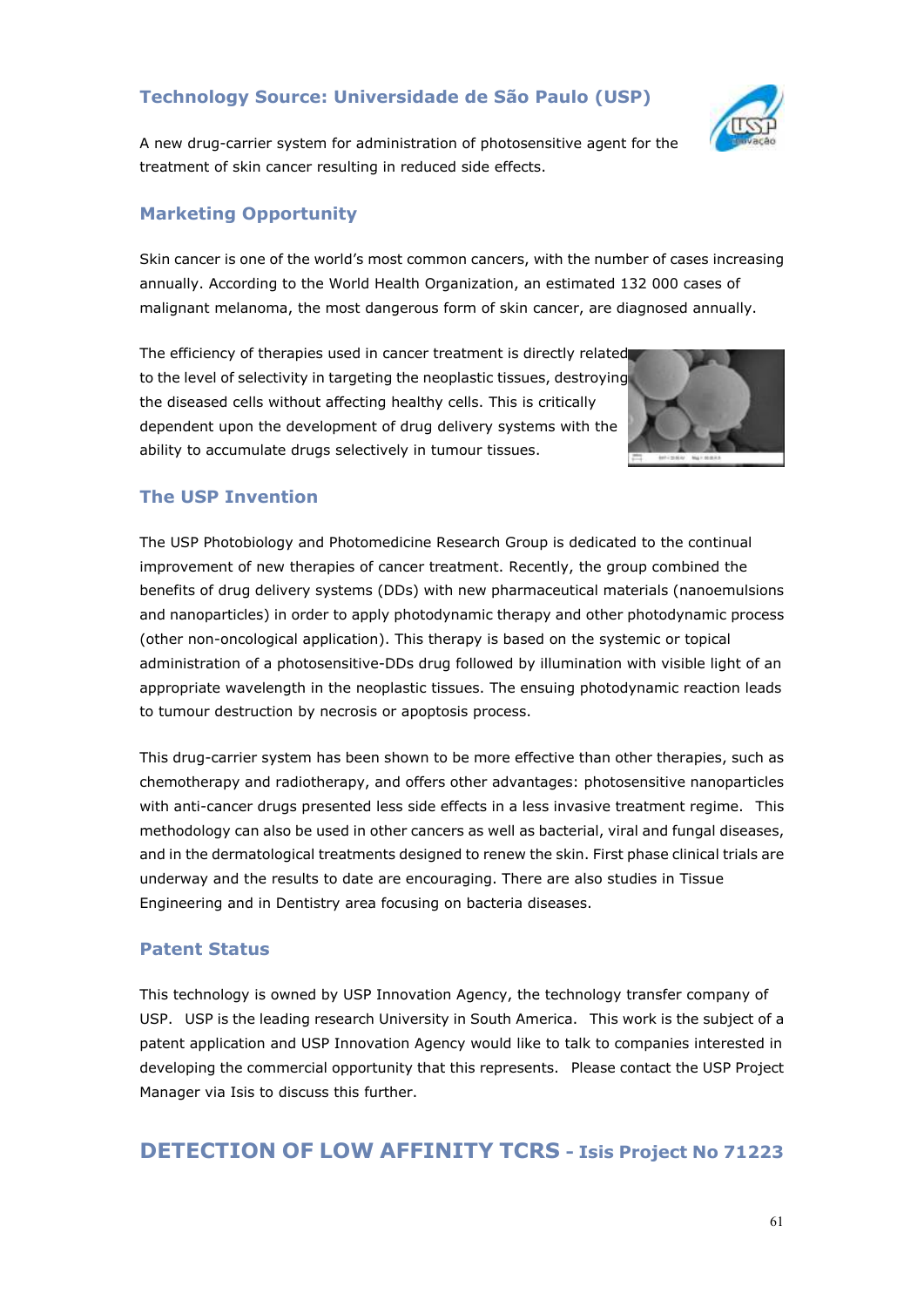### **Technology Source: Universidade de São Paulo (USP)**



A new drug-carrier system for administration of photosensitive agent for the treatment of skin cancer resulting in reduced side effects.

#### **Marketing Opportunity**

Skin cancer is one of the world's most common cancers, with the number of cases increasing annually. According to the World Health Organization, an estimated 132 000 cases of malignant melanoma, the most dangerous form of skin cancer, are diagnosed annually.

The efficiency of therapies used in cancer treatment is directly related to the level of selectivity in targeting the neoplastic tissues, destroying the diseased cells without affecting healthy cells. This is critically dependent upon the development of drug delivery systems with the ability to accumulate drugs selectively in tumour tissues.



#### **The USP Invention**

The USP Photobiology and Photomedicine Research Group is dedicated to the continual improvement of new therapies of cancer treatment. Recently, the group combined the benefits of drug delivery systems (DDs) with new pharmaceutical materials (nanoemulsions and nanoparticles) in order to apply photodynamic therapy and other photodynamic process (other non-oncological application). This therapy is based on the systemic or topical administration of a photosensitive-DDs drug followed by illumination with visible light of an appropriate wavelength in the neoplastic tissues. The ensuing photodynamic reaction leads to tumour destruction by necrosis or apoptosis process.

This drug-carrier system has been shown to be more effective than other therapies, such as chemotherapy and radiotherapy, and offers other advantages: photosensitive nanoparticles with anti-cancer drugs presented less side effects in a less invasive treatment regime. This methodology can also be used in other cancers as well as bacterial, viral and fungal diseases, and in the dermatological treatments designed to renew the skin. First phase clinical trials are underway and the results to date are encouraging. There are also studies in Tissue Engineering and in Dentistry area focusing on bacteria diseases.

#### **Patent Status**

This technology is owned by USP Innovation Agency, the technology transfer company of USP. USP is the leading research University in South America. This work is the subject of a patent application and USP Innovation Agency would like to talk to companies interested in developing the commercial opportunity that this represents. Please contact the USP Project Manager via Isis to discuss this further.

## **DETECTION OF LOW AFFINITY TCRS - Isis Project No 71223**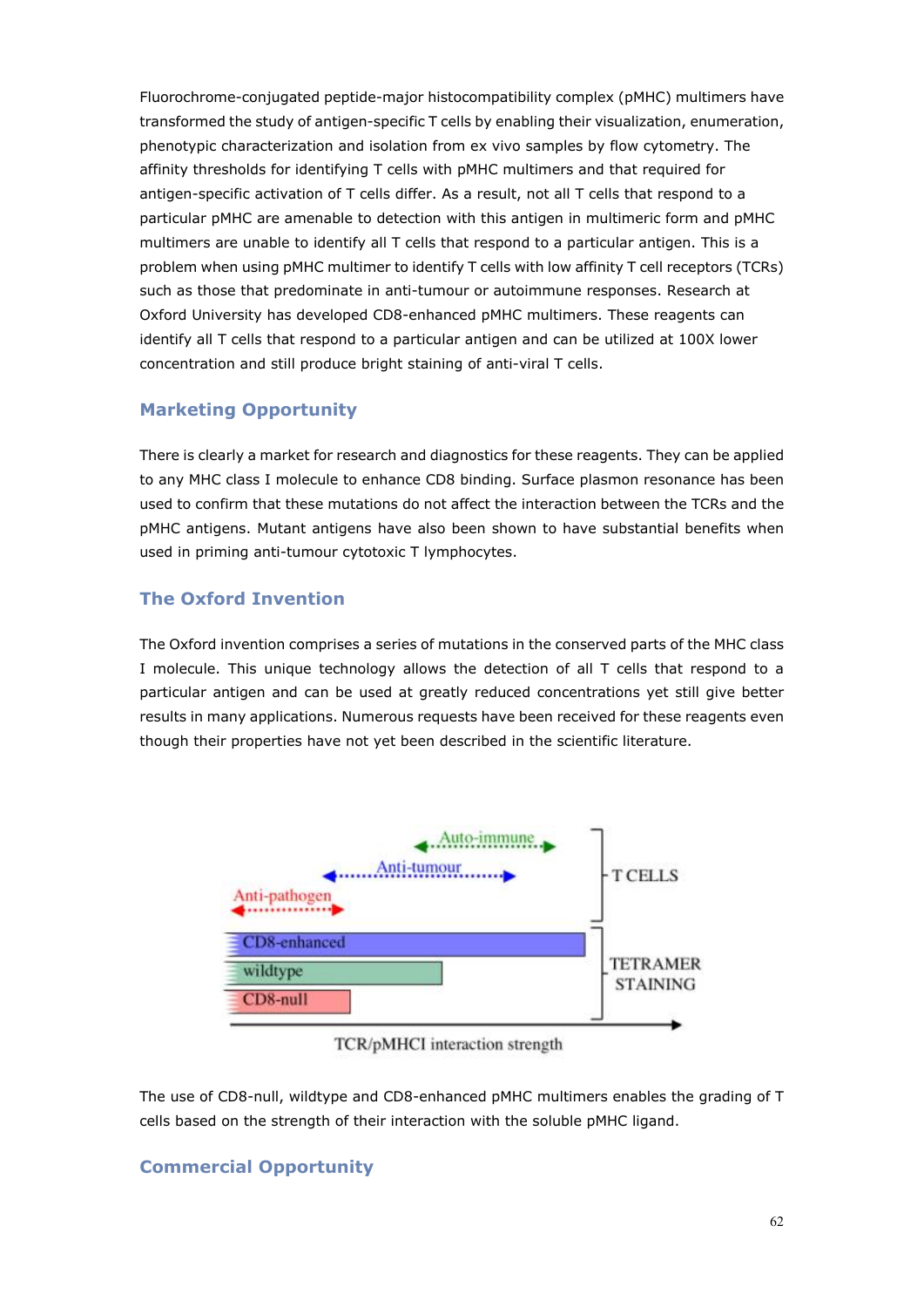Fluorochrome-conjugated peptide-major histocompatibility complex (pMHC) multimers have transformed the study of antigen-specific T cells by enabling their visualization, enumeration, phenotypic characterization and isolation from ex vivo samples by flow cytometry. The affinity thresholds for identifying T cells with pMHC multimers and that required for antigen-specific activation of T cells differ. As a result, not all T cells that respond to a particular pMHC are amenable to detection with this antigen in multimeric form and pMHC multimers are unable to identify all T cells that respond to a particular antigen. This is a problem when using pMHC multimer to identify T cells with low affinity T cell receptors (TCRs) such as those that predominate in anti-tumour or autoimmune responses. Research at Oxford University has developed CD8-enhanced pMHC multimers. These reagents can identify all T cells that respond to a particular antigen and can be utilized at 100X lower concentration and still produce bright staining of anti-viral T cells.

#### **Marketing Opportunity**

There is clearly a market for research and diagnostics for these reagents. They can be applied to any MHC class I molecule to enhance CD8 binding. Surface plasmon resonance has been used to confirm that these mutations do not affect the interaction between the TCRs and the pMHC antigens. Mutant antigens have also been shown to have substantial benefits when used in priming anti-tumour cytotoxic T lymphocytes.

#### **The Oxford Invention**

The Oxford invention comprises a series of mutations in the conserved parts of the MHC class I molecule. This unique technology allows the detection of all T cells that respond to a particular antigen and can be used at greatly reduced concentrations yet still give better results in many applications. Numerous requests have been received for these reagents even though their properties have not yet been described in the scientific literature.



TCR/pMHCI interaction strength

The use of CD8-null, wildtype and CD8-enhanced pMHC multimers enables the grading of T cells based on the strength of their interaction with the soluble pMHC ligand.

#### **Commercial Opportunity**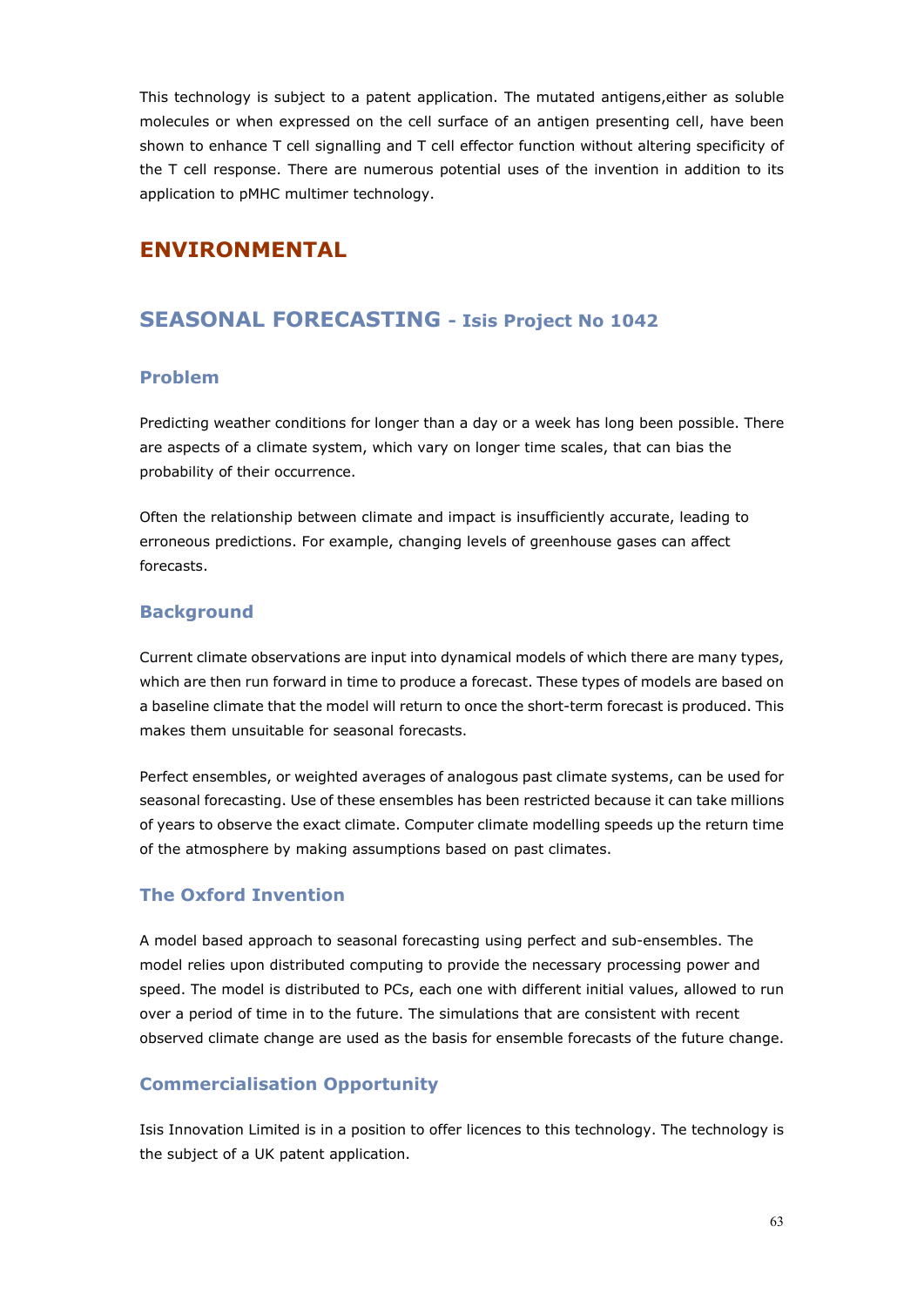This technology is subject to a patent application. The mutated antigens,either as soluble molecules or when expressed on the cell surface of an antigen presenting cell, have been shown to enhance T cell signalling and T cell effector function without altering specificity of the T cell response. There are numerous potential uses of the invention in addition to its application to pMHC multimer technology.

## **ENVIRONMENTAL**

## **SEASONAL FORECASTING - Isis Project No 1042**

#### **Problem**

Predicting weather conditions for longer than a day or a week has long been possible. There are aspects of a climate system, which vary on longer time scales, that can bias the probability of their occurrence.

Often the relationship between climate and impact is insufficiently accurate, leading to erroneous predictions. For example, changing levels of greenhouse gases can affect forecasts.

#### **Background**

Current climate observations are input into dynamical models of which there are many types, which are then run forward in time to produce a forecast. These types of models are based on a baseline climate that the model will return to once the short-term forecast is produced. This makes them unsuitable for seasonal forecasts.

Perfect ensembles, or weighted averages of analogous past climate systems, can be used for seasonal forecasting. Use of these ensembles has been restricted because it can take millions of years to observe the exact climate. Computer climate modelling speeds up the return time of the atmosphere by making assumptions based on past climates.

#### **The Oxford Invention**

A model based approach to seasonal forecasting using perfect and sub-ensembles. The model relies upon distributed computing to provide the necessary processing power and speed. The model is distributed to PCs, each one with different initial values, allowed to run over a period of time in to the future. The simulations that are consistent with recent observed climate change are used as the basis for ensemble forecasts of the future change.

#### **Commercialisation Opportunity**

Isis Innovation Limited is in a position to offer licences to this technology. The technology is the subject of a UK patent application.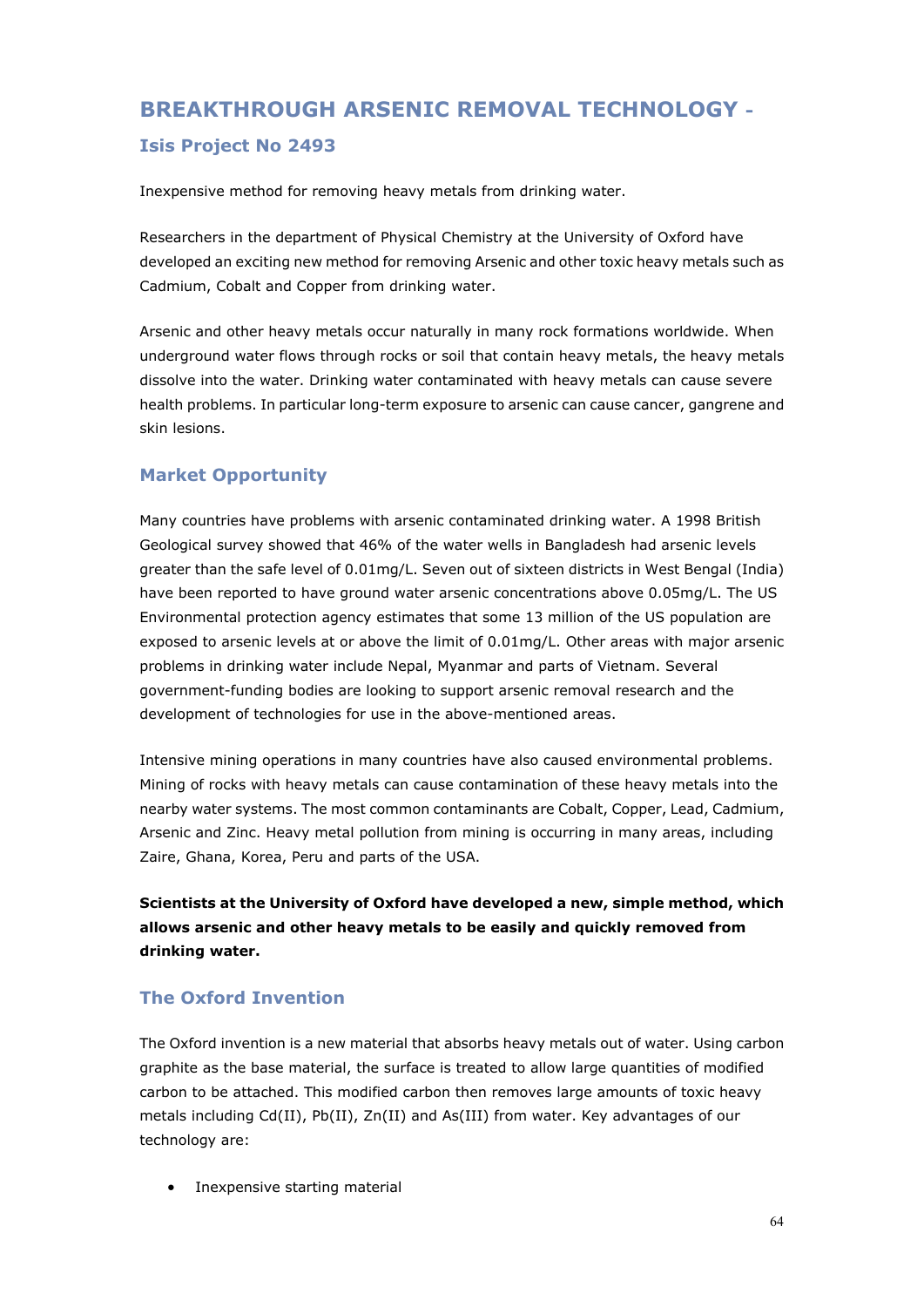# **BREAKTHROUGH ARSENIC REMOVAL TECHNOLOGY -**

#### **Isis Project No 2493**

Inexpensive method for removing heavy metals from drinking water.

Researchers in the department of Physical Chemistry at the University of Oxford have developed an exciting new method for removing Arsenic and other toxic heavy metals such as Cadmium, Cobalt and Copper from drinking water.

Arsenic and other heavy metals occur naturally in many rock formations worldwide. When underground water flows through rocks or soil that contain heavy metals, the heavy metals dissolve into the water. Drinking water contaminated with heavy metals can cause severe health problems. In particular long-term exposure to arsenic can cause cancer, gangrene and skin lesions.

#### **Market Opportunity**

Many countries have problems with arsenic contaminated drinking water. A 1998 British Geological survey showed that 46% of the water wells in Bangladesh had arsenic levels greater than the safe level of 0.01mg/L. Seven out of sixteen districts in West Bengal (India) have been reported to have ground water arsenic concentrations above 0.05mg/L. The US Environmental protection agency estimates that some 13 million of the US population are exposed to arsenic levels at or above the limit of 0.01mg/L. Other areas with major arsenic problems in drinking water include Nepal, Myanmar and parts of Vietnam. Several government-funding bodies are looking to support arsenic removal research and the development of technologies for use in the above-mentioned areas.

Intensive mining operations in many countries have also caused environmental problems. Mining of rocks with heavy metals can cause contamination of these heavy metals into the nearby water systems. The most common contaminants are Cobalt, Copper, Lead, Cadmium, Arsenic and Zinc. Heavy metal pollution from mining is occurring in many areas, including Zaire, Ghana, Korea, Peru and parts of the USA.

**Scientists at the University of Oxford have developed a new, simple method, which allows arsenic and other heavy metals to be easily and quickly removed from drinking water.**

### **The Oxford Invention**

The Oxford invention is a new material that absorbs heavy metals out of water. Using carbon graphite as the base material, the surface is treated to allow large quantities of modified carbon to be attached. This modified carbon then removes large amounts of toxic heavy metals including Cd(II), Pb(II), Zn(II) and As(III) from water. Key advantages of our technology are:

• Inexpensive starting material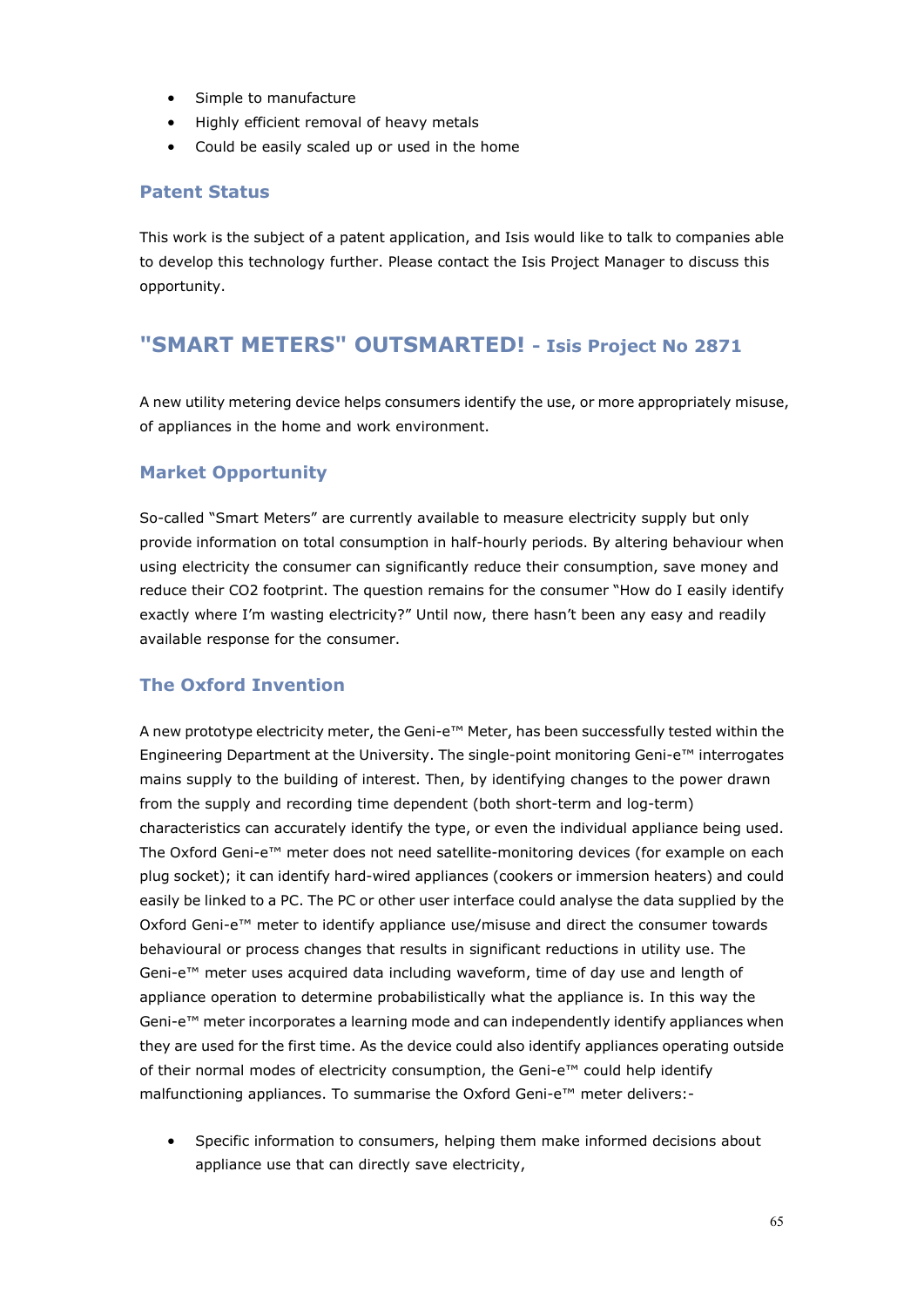- Simple to manufacture
- Highly efficient removal of heavy metals
- Could be easily scaled up or used in the home

#### **Patent Status**

This work is the subject of a patent application, and Isis would like to talk to companies able to develop this technology further. Please contact the Isis Project Manager to discuss this opportunity.

## **"SMART METERS" OUTSMARTED! - Isis Project No 2871**

A new utility metering device helps consumers identify the use, or more appropriately misuse, of appliances in the home and work environment.

#### **Market Opportunity**

So-called "Smart Meters" are currently available to measure electricity supply but only provide information on total consumption in half-hourly periods. By altering behaviour when using electricity the consumer can significantly reduce their consumption, save money and reduce their CO2 footprint. The question remains for the consumer "How do I easily identify exactly where I'm wasting electricity?" Until now, there hasn't been any easy and readily available response for the consumer.

#### **The Oxford Invention**

A new prototype electricity meter, the Geni-e™ Meter, has been successfully tested within the Engineering Department at the University. The single-point monitoring Geni-e™ interrogates mains supply to the building of interest. Then, by identifying changes to the power drawn from the supply and recording time dependent (both short-term and log-term) characteristics can accurately identify the type, or even the individual appliance being used. The Oxford Geni-e™ meter does not need satellite-monitoring devices (for example on each plug socket); it can identify hard-wired appliances (cookers or immersion heaters) and could easily be linked to a PC. The PC or other user interface could analyse the data supplied by the Oxford Geni-e<sup>™</sup> meter to identify appliance use/misuse and direct the consumer towards behavioural or process changes that results in significant reductions in utility use. The Geni-e™ meter uses acquired data including waveform, time of day use and length of appliance operation to determine probabilistically what the appliance is. In this way the Geni-e™ meter incorporates a learning mode and can independently identify appliances when they are used for the first time. As the device could also identify appliances operating outside of their normal modes of electricity consumption, the Geni-e™ could help identify malfunctioning appliances. To summarise the Oxford Geni-e™ meter delivers:-

• Specific information to consumers, helping them make informed decisions about appliance use that can directly save electricity,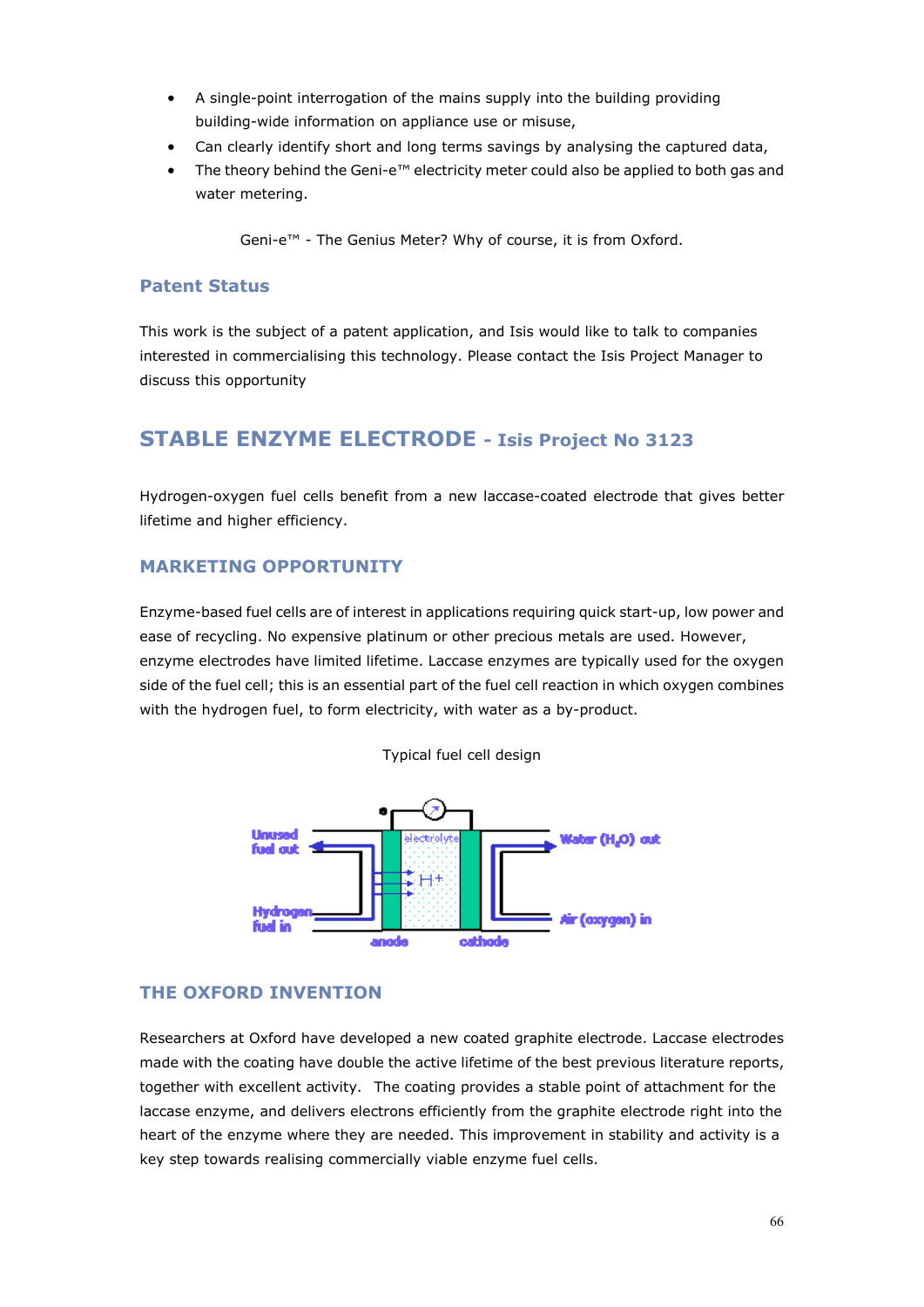- A single-point interrogation of the mains supply into the building providing building-wide information on appliance use or misuse,
- Can clearly identify short and long terms savings by analysing the captured data,
- The theory behind the Geni-e™ electricity meter could also be applied to both gas and water metering.

Geni-e™ - The Genius Meter? Why of course, it is from Oxford.

#### **Patent Status**

This work is the subject of a patent application, and Isis would like to talk to companies interested in commercialising this technology. Please contact the Isis Project Manager to discuss this opportunity

## **STABLE ENZYME ELECTRODE - Isis Project No 3123**

Hydrogen-oxygen fuel cells benefit from a new laccase-coated electrode that gives better lifetime and higher efficiency.

#### **MARKETING OPPORTUNITY**

Enzyme-based fuel cells are of interest in applications requiring quick start-up, low power and ease of recycling. No expensive platinum or other precious metals are used. However, enzyme electrodes have limited lifetime. Laccase enzymes are typically used for the oxygen side of the fuel cell; this is an essential part of the fuel cell reaction in which oxygen combines with the hydrogen fuel, to form electricity, with water as a by-product.





#### **THE OXFORD INVENTION**

Researchers at Oxford have developed a new coated graphite electrode. Laccase electrodes made with the coating have double the active lifetime of the best previous literature reports, together with excellent activity. The coating provides a stable point of attachment for the laccase enzyme, and delivers electrons efficiently from the graphite electrode right into the heart of the enzyme where they are needed. This improvement in stability and activity is a key step towards realising commercially viable enzyme fuel cells.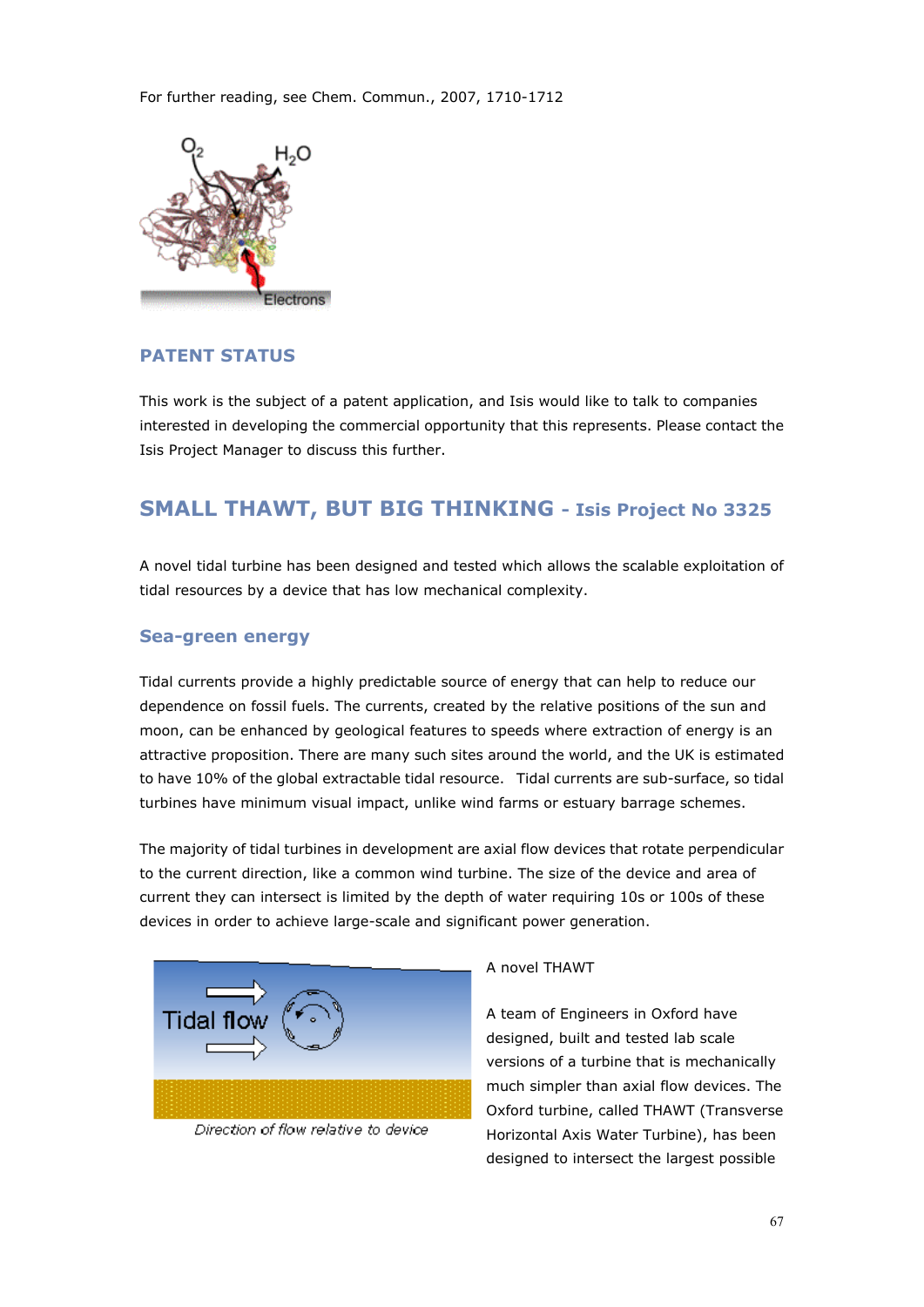

#### **PATENT STATUS**

This work is the subject of a patent application, and Isis would like to talk to companies interested in developing the commercial opportunity that this represents. Please contact the Isis Project Manager to discuss this further.

## **SMALL THAWT, BUT BIG THINKING - Isis Project No 3325**

A novel tidal turbine has been designed and tested which allows the scalable exploitation of tidal resources by a device that has low mechanical complexity.

#### **Sea-green energy**

Tidal currents provide a highly predictable source of energy that can help to reduce our dependence on fossil fuels. The currents, created by the relative positions of the sun and moon, can be enhanced by geological features to speeds where extraction of energy is an attractive proposition. There are many such sites around the world, and the UK is estimated to have 10% of the global extractable tidal resource. Tidal currents are sub-surface, so tidal turbines have minimum visual impact, unlike wind farms or estuary barrage schemes.

The majority of tidal turbines in development are axial flow devices that rotate perpendicular to the current direction, like a common wind turbine. The size of the device and area of current they can intersect is limited by the depth of water requiring 10s or 100s of these devices in order to achieve large-scale and significant power generation.



Direction of flow relative to device

#### A novel THAWT

A team of Engineers in Oxford have designed, built and tested lab scale versions of a turbine that is mechanically much simpler than axial flow devices. The Oxford turbine, called THAWT (Transverse Horizontal Axis Water Turbine), has been designed to intersect the largest possible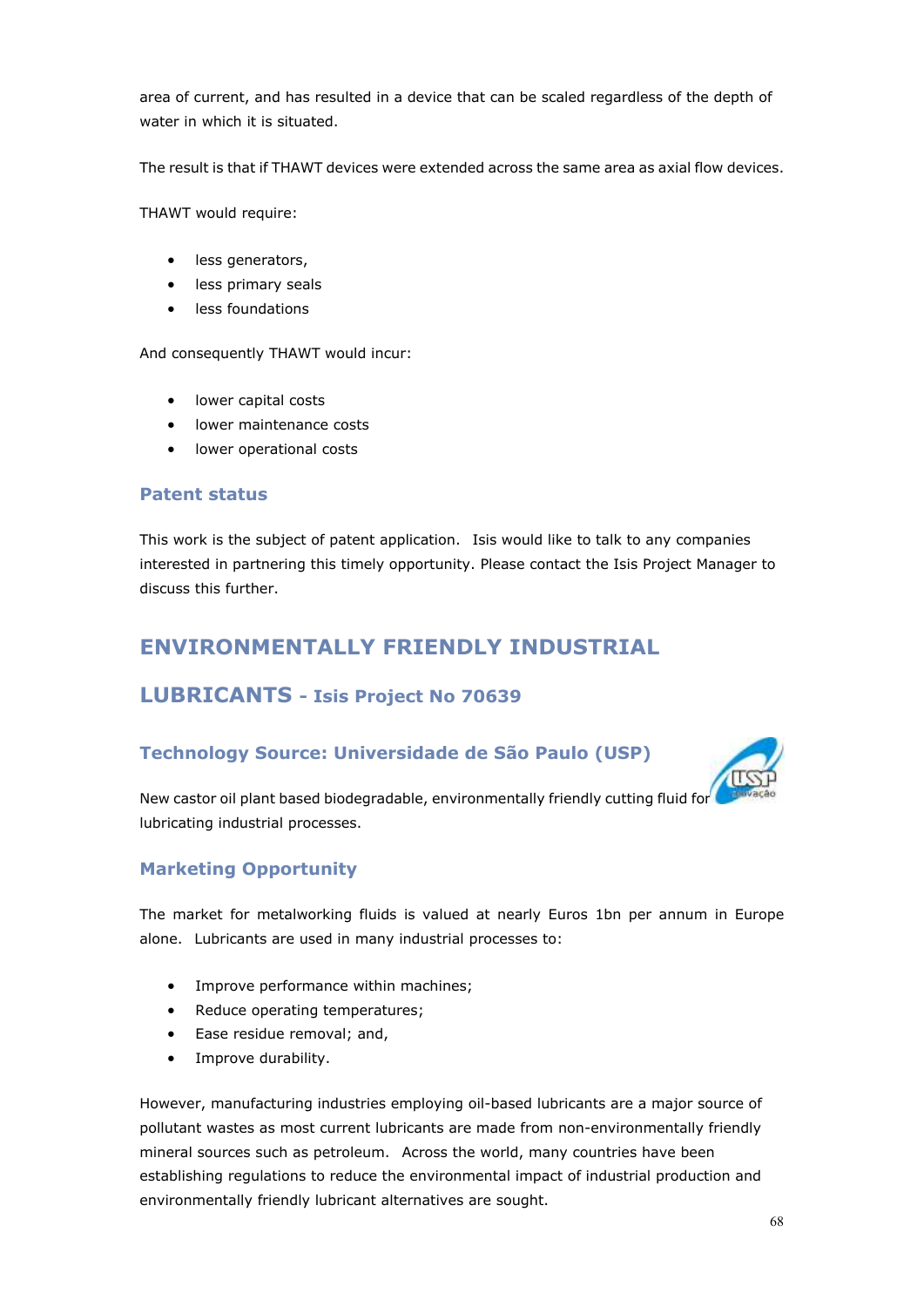area of current, and has resulted in a device that can be scaled regardless of the depth of water in which it is situated.

The result is that if THAWT devices were extended across the same area as axial flow devices.

THAWT would require:

- less generators,
- less primary seals
- less foundations

And consequently THAWT would incur:

- lower capital costs
- lower maintenance costs
- lower operational costs

#### **Patent status**

This work is the subject of patent application. Isis would like to talk to any companies interested in partnering this timely opportunity. Please contact the Isis Project Manager to discuss this further.

## **ENVIRONMENTALLY FRIENDLY INDUSTRIAL**

### **LUBRICANTS - Isis Project No 70639**

#### **Technology Source: Universidade de São Paulo (USP)**



New castor oil plant based biodegradable, environmentally friendly cutting fluid for lubricating industrial processes.

#### **Marketing Opportunity**

The market for metalworking fluids is valued at nearly Euros 1bn per annum in Europe alone. Lubricants are used in many industrial processes to:

- Improve performance within machines;
- Reduce operating temperatures;
- Ease residue removal; and,
- Improve durability.

However, manufacturing industries employing oil-based lubricants are a major source of pollutant wastes as most current lubricants are made from non-environmentally friendly mineral sources such as petroleum. Across the world, many countries have been establishing regulations to reduce the environmental impact of industrial production and environmentally friendly lubricant alternatives are sought.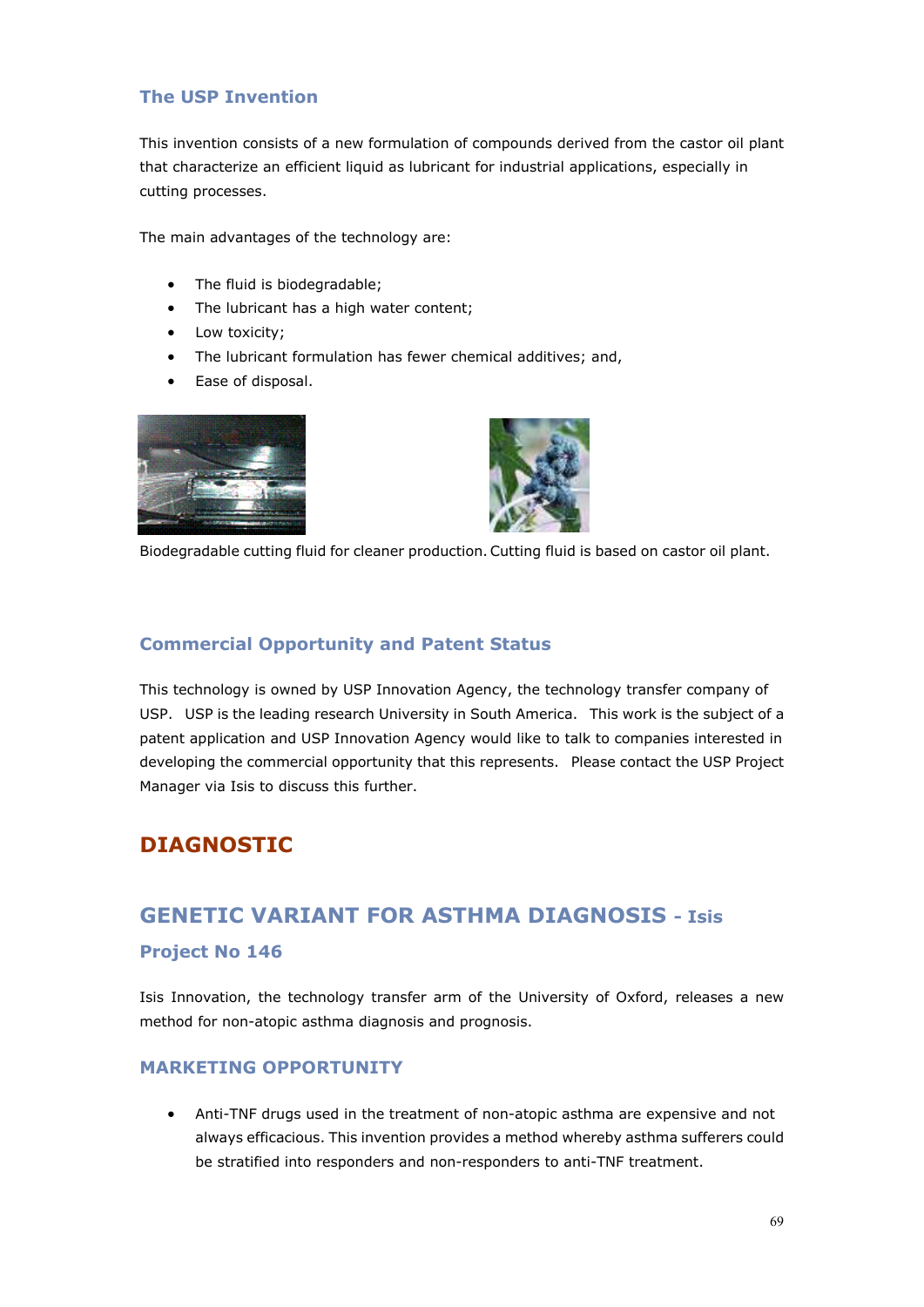#### **The USP Invention**

This invention consists of a new formulation of compounds derived from the castor oil plant that characterize an efficient liquid as lubricant for industrial applications, especially in cutting processes.

The main advantages of the technology are:

- The fluid is biodegradable;
- The lubricant has a high water content;
- Low toxicity;
- The lubricant formulation has fewer chemical additives; and,
- Ease of disposal.





Biodegradable cutting fluid for cleaner production. Cutting fluid is based on castor oil plant.

#### **Commercial Opportunity and Patent Status**

This technology is owned by USP Innovation Agency, the technology transfer company of USP. USP is the leading research University in South America. This work is the subject of a patent application and USP Innovation Agency would like to talk to companies interested in developing the commercial opportunity that this represents. Please contact the USP Project Manager via Isis to discuss this further.

## **DIAGNOSTIC**

## **GENETIC VARIANT FOR ASTHMA DIAGNOSIS - Isis**

#### **Project No 146**

Isis Innovation, the technology transfer arm of the University of Oxford, releases a new method for non-atopic asthma diagnosis and prognosis.

#### **MARKETING OPPORTUNITY**

• Anti-TNF drugs used in the treatment of non-atopic asthma are expensive and not always efficacious. This invention provides a method whereby asthma sufferers could be stratified into responders and non-responders to anti-TNF treatment.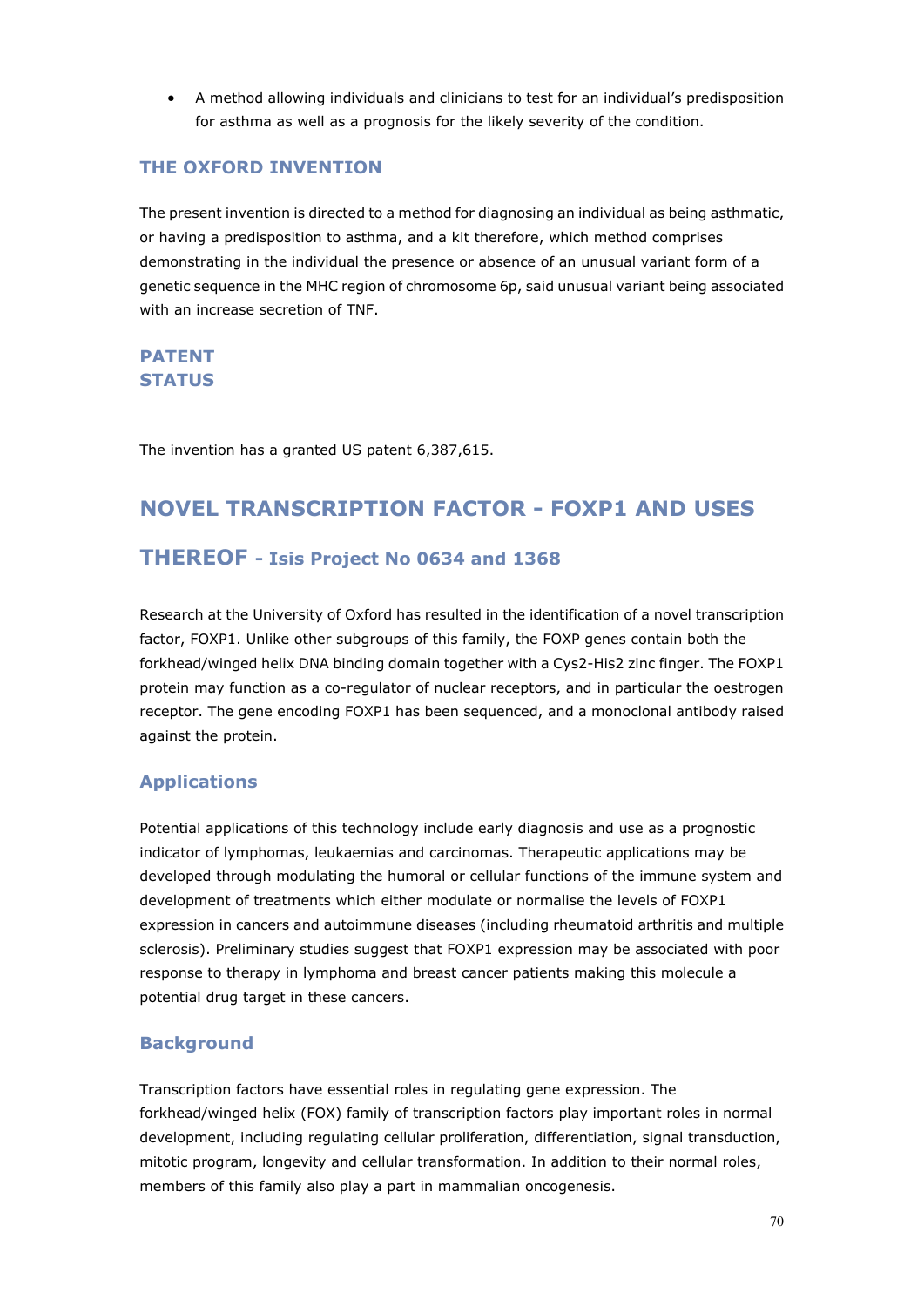• A method allowing individuals and clinicians to test for an individual's predisposition for asthma as well as a prognosis for the likely severity of the condition.

#### **THE OXFORD INVENTION**

The present invention is directed to a method for diagnosing an individual as being asthmatic, or having a predisposition to asthma, and a kit therefore, which method comprises demonstrating in the individual the presence or absence of an unusual variant form of a genetic sequence in the MHC region of chromosome 6p, said unusual variant being associated with an increase secretion of TNF.

#### **PATENT STATUS**

The invention has a granted US patent 6,387,615.

# **NOVEL TRANSCRIPTION FACTOR - FOXP1 AND USES**

#### **THEREOF - Isis Project No 0634 and 1368**

Research at the University of Oxford has resulted in the identification of a novel transcription factor, FOXP1. Unlike other subgroups of this family, the FOXP genes contain both the forkhead/winged helix DNA binding domain together with a Cys2-His2 zinc finger. The FOXP1 protein may function as a co-regulator of nuclear receptors, and in particular the oestrogen receptor. The gene encoding FOXP1 has been sequenced, and a monoclonal antibody raised against the protein.

#### **Applications**

Potential applications of this technology include early diagnosis and use as a prognostic indicator of lymphomas, leukaemias and carcinomas. Therapeutic applications may be developed through modulating the humoral or cellular functions of the immune system and development of treatments which either modulate or normalise the levels of FOXP1 expression in cancers and autoimmune diseases (including rheumatoid arthritis and multiple sclerosis). Preliminary studies suggest that FOXP1 expression may be associated with poor response to therapy in lymphoma and breast cancer patients making this molecule a potential drug target in these cancers.

#### **Background**

Transcription factors have essential roles in regulating gene expression. The forkhead/winged helix (FOX) family of transcription factors play important roles in normal development, including regulating cellular proliferation, differentiation, signal transduction, mitotic program, longevity and cellular transformation. In addition to their normal roles, members of this family also play a part in mammalian oncogenesis.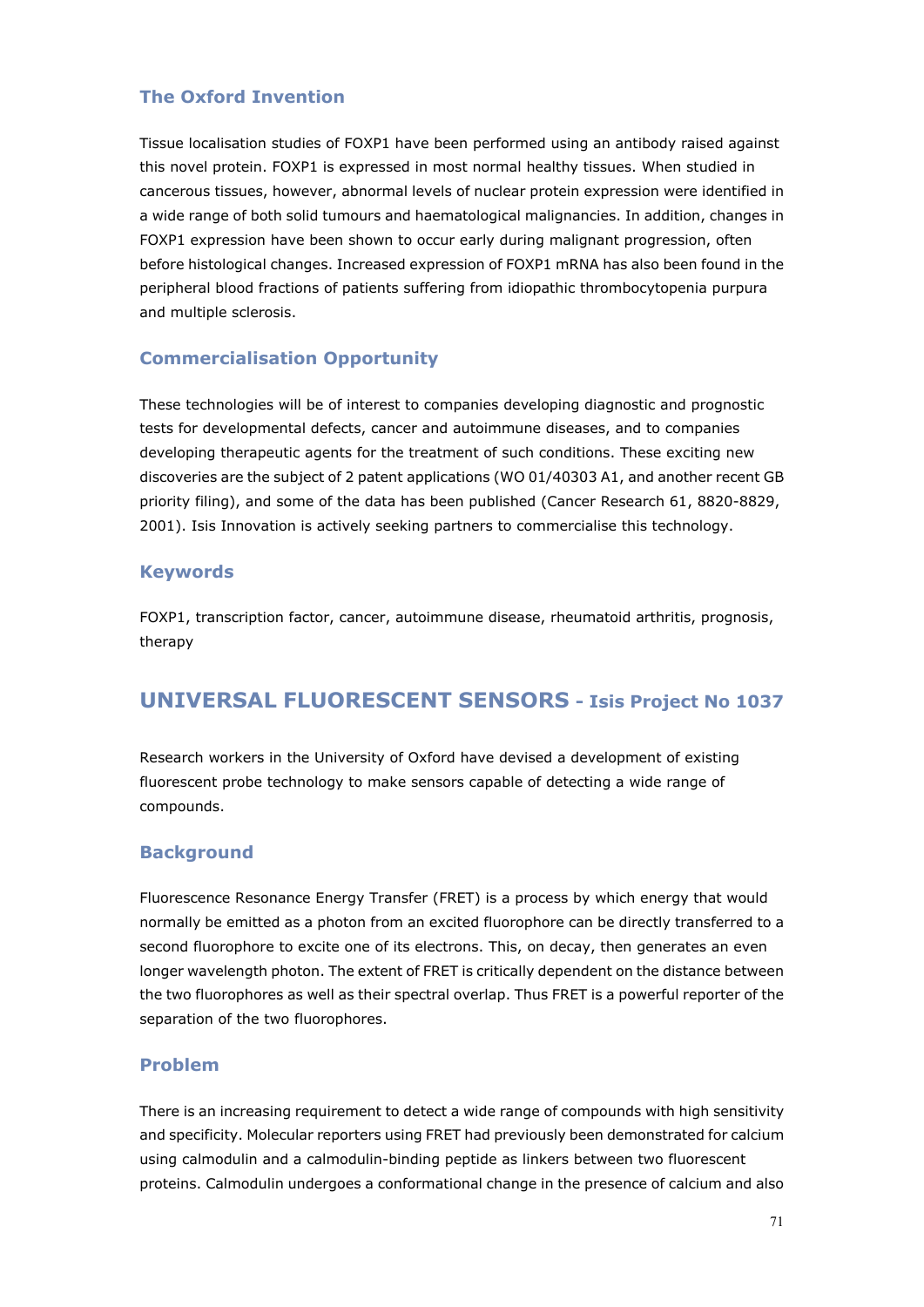#### **The Oxford Invention**

Tissue localisation studies of FOXP1 have been performed using an antibody raised against this novel protein. FOXP1 is expressed in most normal healthy tissues. When studied in cancerous tissues, however, abnormal levels of nuclear protein expression were identified in a wide range of both solid tumours and haematological malignancies. In addition, changes in FOXP1 expression have been shown to occur early during malignant progression, often before histological changes. Increased expression of FOXP1 mRNA has also been found in the peripheral blood fractions of patients suffering from idiopathic thrombocytopenia purpura and multiple sclerosis.

#### **Commercialisation Opportunity**

These technologies will be of interest to companies developing diagnostic and prognostic tests for developmental defects, cancer and autoimmune diseases, and to companies developing therapeutic agents for the treatment of such conditions. These exciting new discoveries are the subject of 2 patent applications (WO 01/40303 A1, and another recent GB priority filing), and some of the data has been published (Cancer Research 61, 8820-8829, 2001). Isis Innovation is actively seeking partners to commercialise this technology.

#### **Keywords**

FOXP1, transcription factor, cancer, autoimmune disease, rheumatoid arthritis, prognosis, therapy

## **UNIVERSAL FLUORESCENT SENSORS - Isis Project No 1037**

Research workers in the University of Oxford have devised a development of existing fluorescent probe technology to make sensors capable of detecting a wide range of compounds.

#### **Background**

Fluorescence Resonance Energy Transfer (FRET) is a process by which energy that would normally be emitted as a photon from an excited fluorophore can be directly transferred to a second fluorophore to excite one of its electrons. This, on decay, then generates an even longer wavelength photon. The extent of FRET is critically dependent on the distance between the two fluorophores as well as their spectral overlap. Thus FRET is a powerful reporter of the separation of the two fluorophores.

#### **Problem**

There is an increasing requirement to detect a wide range of compounds with high sensitivity and specificity. Molecular reporters using FRET had previously been demonstrated for calcium using calmodulin and a calmodulin-binding peptide as linkers between two fluorescent proteins. Calmodulin undergoes a conformational change in the presence of calcium and also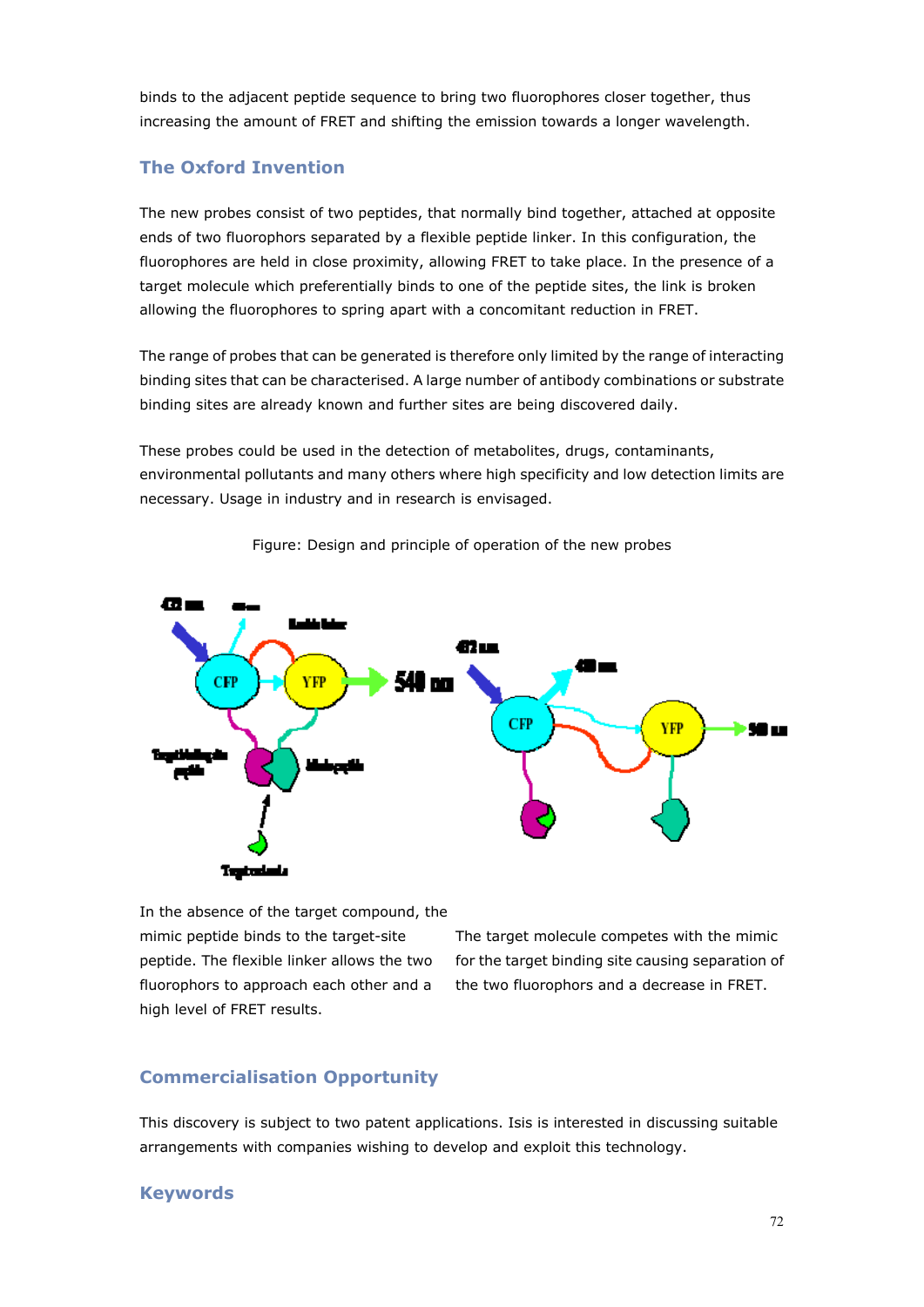binds to the adjacent peptide sequence to bring two fluorophores closer together, thus increasing the amount of FRET and shifting the emission towards a longer wavelength.

#### **The Oxford Invention**

The new probes consist of two peptides, that normally bind together, attached at opposite ends of two fluorophors separated by a flexible peptide linker. In this configuration, the fluorophores are held in close proximity, allowing FRET to take place. In the presence of a target molecule which preferentially binds to one of the peptide sites, the link is broken allowing the fluorophores to spring apart with a concomitant reduction in FRET.

The range of probes that can be generated is therefore only limited by the range of interacting binding sites that can be characterised. A large number of antibody combinations or substrate binding sites are already known and further sites are being discovered daily.

These probes could be used in the detection of metabolites, drugs, contaminants, environmental pollutants and many others where high specificity and low detection limits are necessary. Usage in industry and in research is envisaged.



Figure: Design and principle of operation of the new probes

In the absence of the target compound, the mimic peptide binds to the target-site peptide. The flexible linker allows the two fluorophors to approach each other and a high level of FRET results.

The target molecule competes with the mimic for the target binding site causing separation of the two fluorophors and a decrease in FRET.

#### **Commercialisation Opportunity**

This discovery is subject to two patent applications. Isis is interested in discussing suitable arrangements with companies wishing to develop and exploit this technology.

#### **Keywords**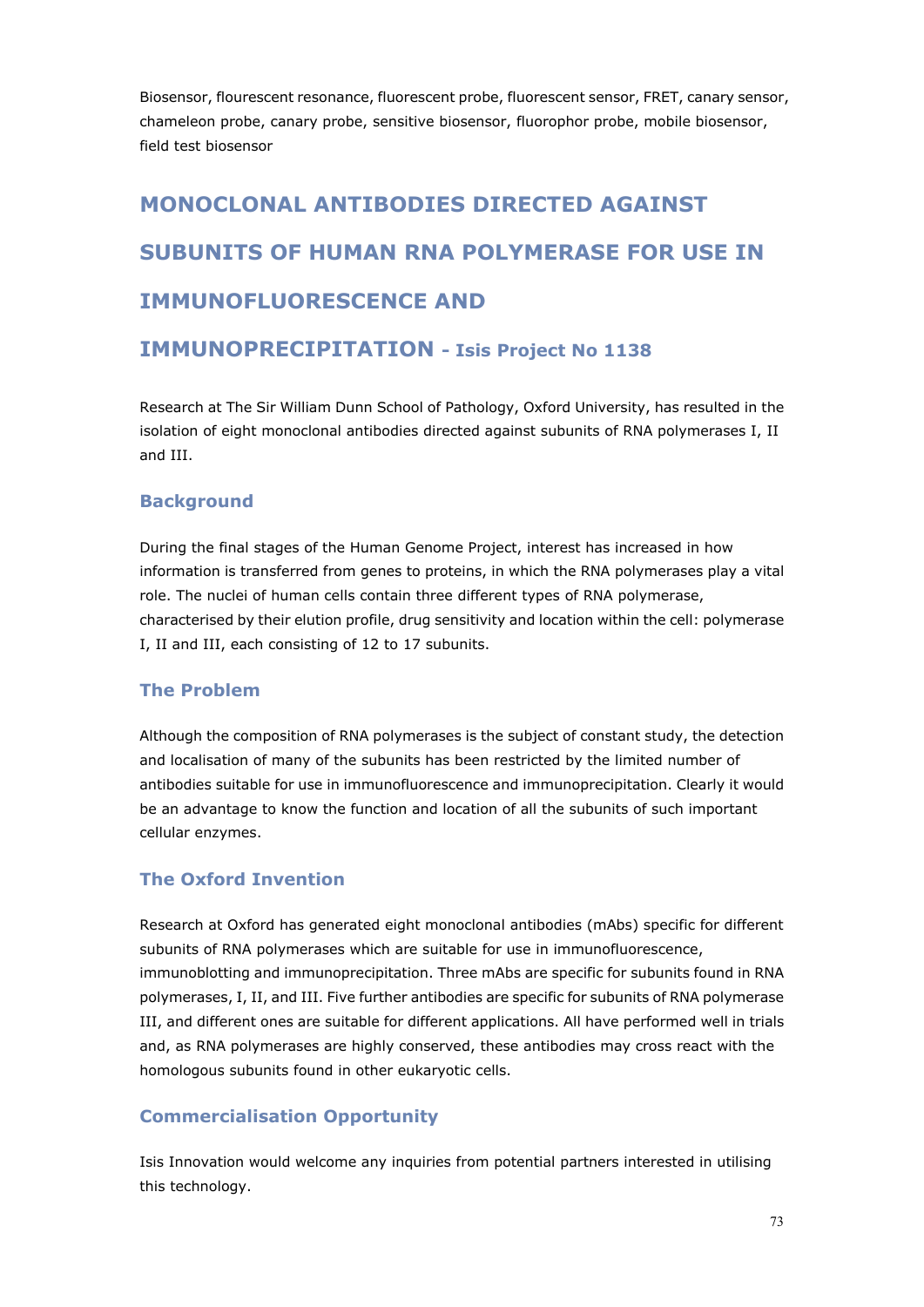Biosensor, flourescent resonance, fluorescent probe, fluorescent sensor, FRET, canary sensor, chameleon probe, canary probe, sensitive biosensor, fluorophor probe, mobile biosensor, field test biosensor

# **MONOCLONAL ANTIBODIES DIRECTED AGAINST SUBUNITS OF HUMAN RNA POLYMERASE FOR USE IN IMMUNOFLUORESCENCE AND**

# **IMMUNOPRECIPITATION - Isis Project No 1138**

Research at The Sir William Dunn School of Pathology, Oxford University, has resulted in the isolation of eight monoclonal antibodies directed against subunits of RNA polymerases I, II and III.

## **Background**

During the final stages of the Human Genome Project, interest has increased in how information is transferred from genes to proteins, in which the RNA polymerases play a vital role. The nuclei of human cells contain three different types of RNA polymerase, characterised by their elution profile, drug sensitivity and location within the cell: polymerase I, II and III, each consisting of 12 to 17 subunits.

#### **The Problem**

Although the composition of RNA polymerases is the subject of constant study, the detection and localisation of many of the subunits has been restricted by the limited number of antibodies suitable for use in immunofluorescence and immunoprecipitation. Clearly it would be an advantage to know the function and location of all the subunits of such important cellular enzymes.

## **The Oxford Invention**

Research at Oxford has generated eight monoclonal antibodies (mAbs) specific for different subunits of RNA polymerases which are suitable for use in immunofluorescence, immunoblotting and immunoprecipitation. Three mAbs are specific for subunits found in RNA polymerases, I, II, and III. Five further antibodies are specific for subunits of RNA polymerase III, and different ones are suitable for different applications. All have performed well in trials and, as RNA polymerases are highly conserved, these antibodies may cross react with the homologous subunits found in other eukaryotic cells.

# **Commercialisation Opportunity**

Isis Innovation would welcome any inquiries from potential partners interested in utilising this technology.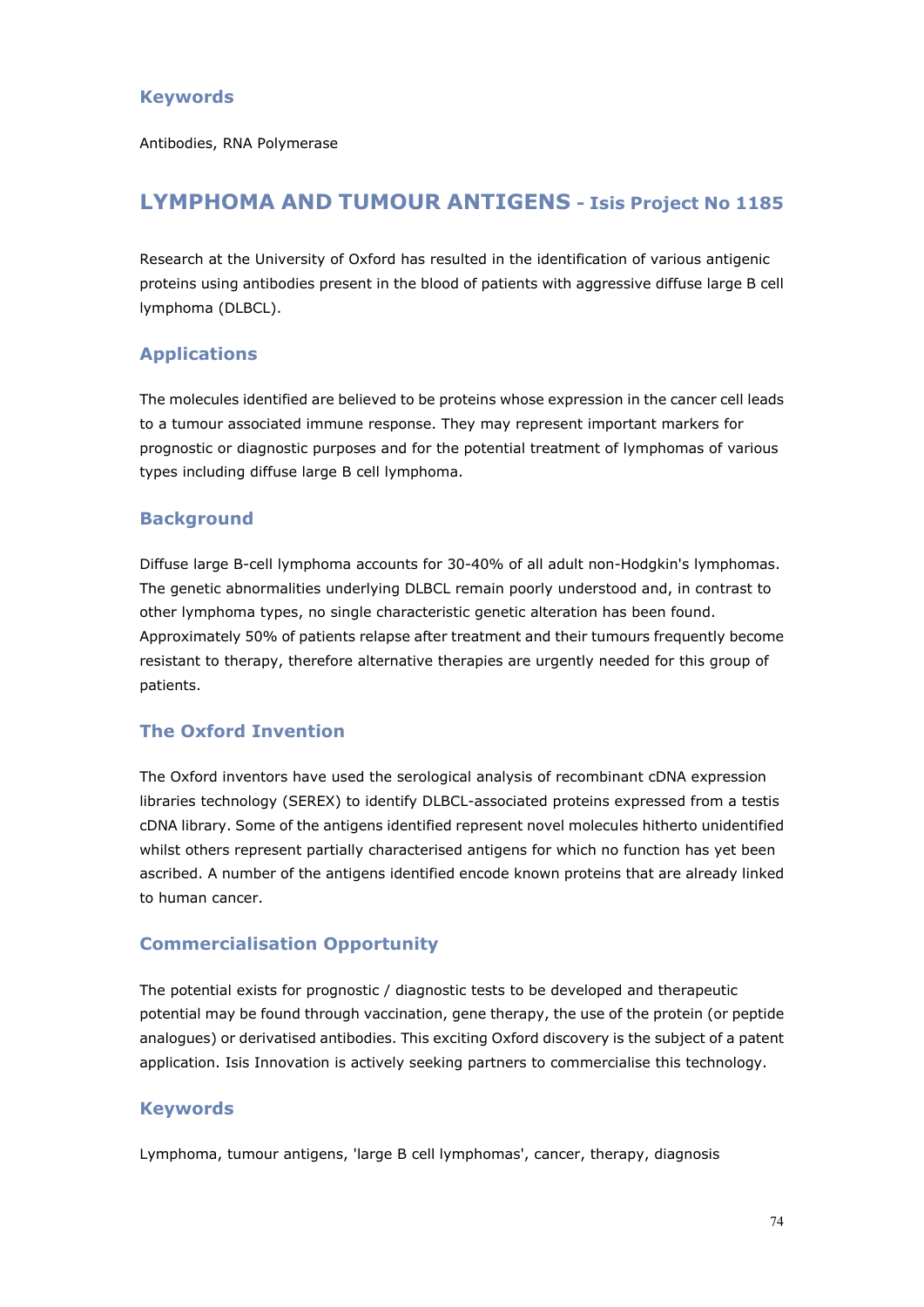## **Keywords**

Antibodies, RNA Polymerase

# **LYMPHOMA AND TUMOUR ANTIGENS - Isis Project No 1185**

Research at the University of Oxford has resulted in the identification of various antigenic proteins using antibodies present in the blood of patients with aggressive diffuse large B cell lymphoma (DLBCL).

## **Applications**

The molecules identified are believed to be proteins whose expression in the cancer cell leads to a tumour associated immune response. They may represent important markers for prognostic or diagnostic purposes and for the potential treatment of lymphomas of various types including diffuse large B cell lymphoma.

#### **Background**

Diffuse large B-cell lymphoma accounts for 30-40% of all adult non-Hodgkin's lymphomas. The genetic abnormalities underlying DLBCL remain poorly understood and, in contrast to other lymphoma types, no single characteristic genetic alteration has been found. Approximately 50% of patients relapse after treatment and their tumours frequently become resistant to therapy, therefore alternative therapies are urgently needed for this group of patients.

# **The Oxford Invention**

The Oxford inventors have used the serological analysis of recombinant cDNA expression libraries technology (SEREX) to identify DLBCL-associated proteins expressed from a testis cDNA library. Some of the antigens identified represent novel molecules hitherto unidentified whilst others represent partially characterised antigens for which no function has yet been ascribed. A number of the antigens identified encode known proteins that are already linked to human cancer.

#### **Commercialisation Opportunity**

The potential exists for prognostic / diagnostic tests to be developed and therapeutic potential may be found through vaccination, gene therapy, the use of the protein (or peptide analogues) or derivatised antibodies. This exciting Oxford discovery is the subject of a patent application. Isis Innovation is actively seeking partners to commercialise this technology.

#### **Keywords**

Lymphoma, tumour antigens, 'large B cell lymphomas', cancer, therapy, diagnosis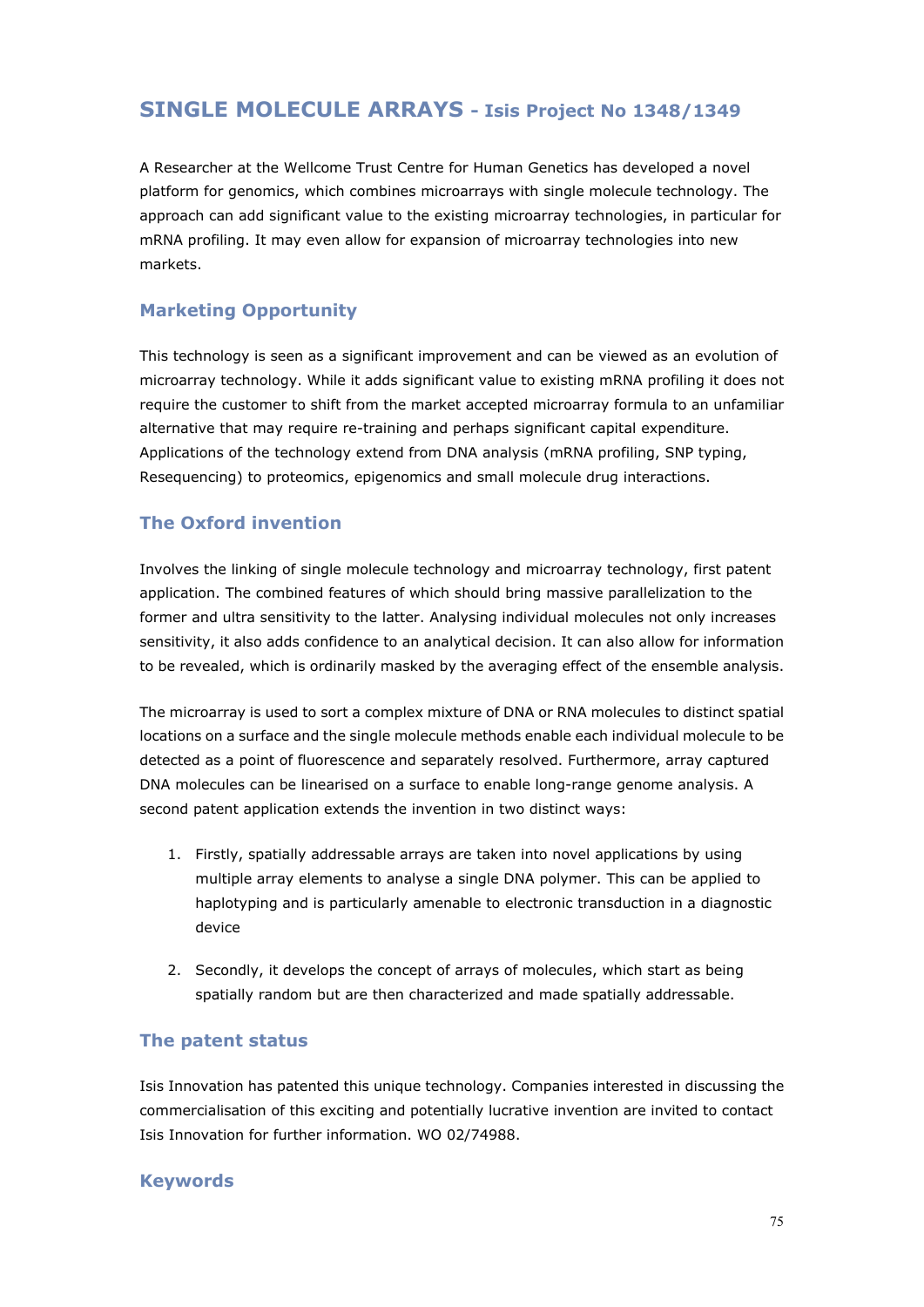# **SINGLE MOLECULE ARRAYS - Isis Project No 1348/1349**

A Researcher at the Wellcome Trust Centre for Human Genetics has developed a novel platform for genomics, which combines microarrays with single molecule technology. The approach can add significant value to the existing microarray technologies, in particular for mRNA profiling. It may even allow for expansion of microarray technologies into new markets.

### **Marketing Opportunity**

This technology is seen as a significant improvement and can be viewed as an evolution of microarray technology. While it adds significant value to existing mRNA profiling it does not require the customer to shift from the market accepted microarray formula to an unfamiliar alternative that may require re-training and perhaps significant capital expenditure. Applications of the technology extend from DNA analysis (mRNA profiling, SNP typing, Resequencing) to proteomics, epigenomics and small molecule drug interactions.

## **The Oxford invention**

Involves the linking of single molecule technology and microarray technology, first patent application. The combined features of which should bring massive parallelization to the former and ultra sensitivity to the latter. Analysing individual molecules not only increases sensitivity, it also adds confidence to an analytical decision. It can also allow for information to be revealed, which is ordinarily masked by the averaging effect of the ensemble analysis.

The microarray is used to sort a complex mixture of DNA or RNA molecules to distinct spatial locations on a surface and the single molecule methods enable each individual molecule to be detected as a point of fluorescence and separately resolved. Furthermore, array captured DNA molecules can be linearised on a surface to enable long-range genome analysis. A second patent application extends the invention in two distinct ways:

- 1. Firstly, spatially addressable arrays are taken into novel applications by using multiple array elements to analyse a single DNA polymer. This can be applied to haplotyping and is particularly amenable to electronic transduction in a diagnostic device
- 2. Secondly, it develops the concept of arrays of molecules, which start as being spatially random but are then characterized and made spatially addressable.

#### **The patent status**

Isis Innovation has patented this unique technology. Companies interested in discussing the commercialisation of this exciting and potentially lucrative invention are invited to contact Isis Innovation for further information. WO 02/74988.

#### **Keywords**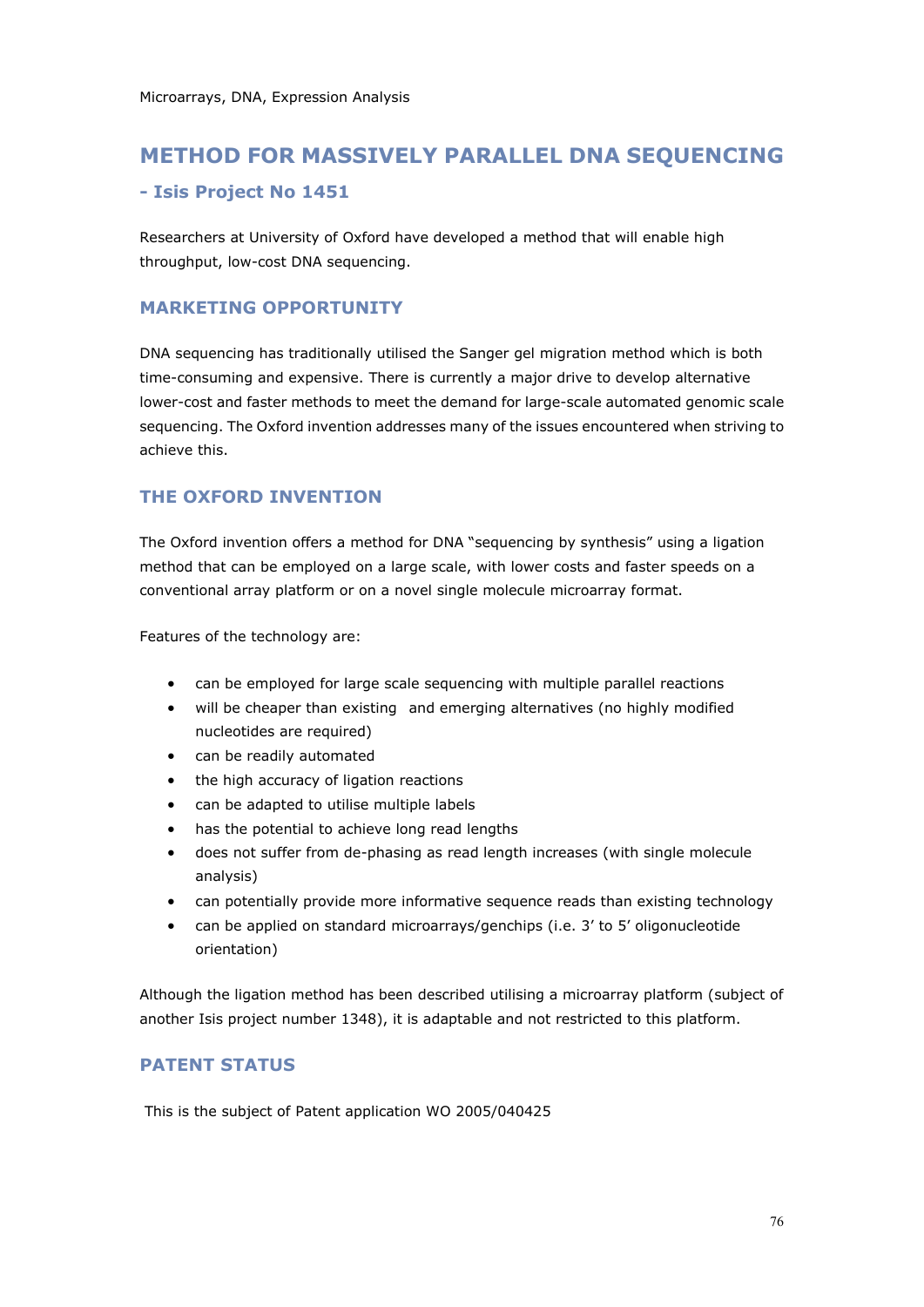# **METHOD FOR MASSIVELY PARALLEL DNA SEQUENCING**

#### **- Isis Project No 1451**

Researchers at University of Oxford have developed a method that will enable high throughput, low-cost DNA sequencing.

#### **MARKETING OPPORTUNITY**

DNA sequencing has traditionally utilised the Sanger gel migration method which is both time-consuming and expensive. There is currently a major drive to develop alternative lower-cost and faster methods to meet the demand for large-scale automated genomic scale sequencing. The Oxford invention addresses many of the issues encountered when striving to achieve this.

#### **THE OXFORD INVENTION**

The Oxford invention offers a method for DNA "sequencing by synthesis" using a ligation method that can be employed on a large scale, with lower costs and faster speeds on a conventional array platform or on a novel single molecule microarray format.

Features of the technology are:

- can be employed for large scale sequencing with multiple parallel reactions
- will be cheaper than existing and emerging alternatives (no highly modified nucleotides are required)
- can be readily automated
- the high accuracy of ligation reactions
- can be adapted to utilise multiple labels
- has the potential to achieve long read lengths
- does not suffer from de-phasing as read length increases (with single molecule analysis)
- can potentially provide more informative sequence reads than existing technology
- can be applied on standard microarrays/genchips (i.e. 3' to 5' oligonucleotide orientation)

Although the ligation method has been described utilising a microarray platform (subject of another Isis project number 1348), it is adaptable and not restricted to this platform.

## **PATENT STATUS**

This is the subject of Patent application WO 2005/040425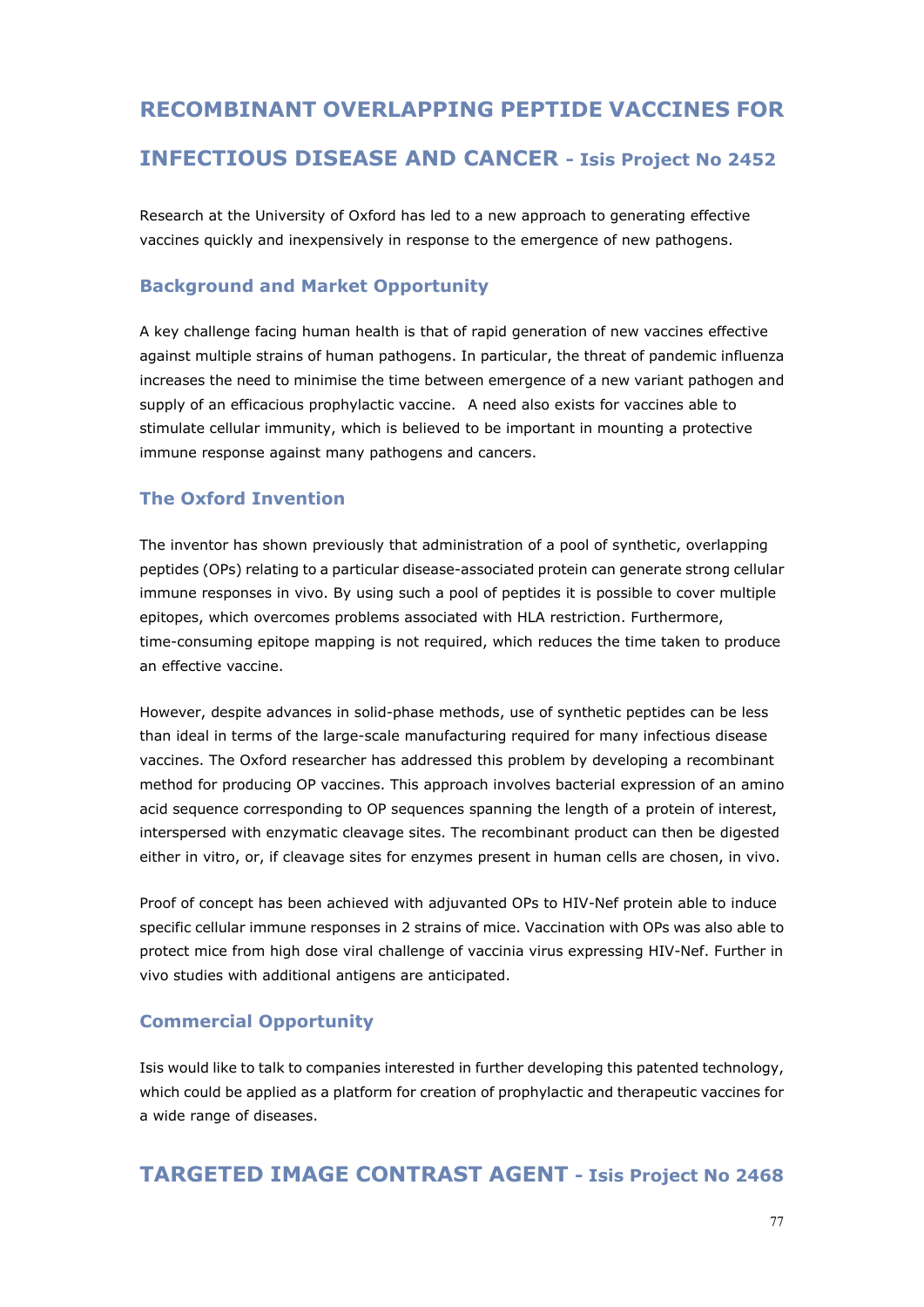# **RECOMBINANT OVERLAPPING PEPTIDE VACCINES FOR INFECTIOUS DISEASE AND CANCER - Isis Project No 2452**

Research at the University of Oxford has led to a new approach to generating effective vaccines quickly and inexpensively in response to the emergence of new pathogens.

# **Background and Market Opportunity**

A key challenge facing human health is that of rapid generation of new vaccines effective against multiple strains of human pathogens. In particular, the threat of pandemic influenza increases the need to minimise the time between emergence of a new variant pathogen and supply of an efficacious prophylactic vaccine. A need also exists for vaccines able to stimulate cellular immunity, which is believed to be important in mounting a protective immune response against many pathogens and cancers.

# **The Oxford Invention**

The inventor has shown previously that administration of a pool of synthetic, overlapping peptides (OPs) relating to a particular disease-associated protein can generate strong cellular immune responses in vivo. By using such a pool of peptides it is possible to cover multiple epitopes, which overcomes problems associated with HLA restriction. Furthermore, time-consuming epitope mapping is not required, which reduces the time taken to produce an effective vaccine.

However, despite advances in solid-phase methods, use of synthetic peptides can be less than ideal in terms of the large-scale manufacturing required for many infectious disease vaccines. The Oxford researcher has addressed this problem by developing a recombinant method for producing OP vaccines. This approach involves bacterial expression of an amino acid sequence corresponding to OP sequences spanning the length of a protein of interest, interspersed with enzymatic cleavage sites. The recombinant product can then be digested either in vitro, or, if cleavage sites for enzymes present in human cells are chosen, in vivo.

Proof of concept has been achieved with adjuvanted OPs to HIV-Nef protein able to induce specific cellular immune responses in 2 strains of mice. Vaccination with OPs was also able to protect mice from high dose viral challenge of vaccinia virus expressing HIV-Nef. Further in vivo studies with additional antigens are anticipated.

# **Commercial Opportunity**

Isis would like to talk to companies interested in further developing this patented technology, which could be applied as a platform for creation of prophylactic and therapeutic vaccines for a wide range of diseases.

# **TARGETED IMAGE CONTRAST AGENT - Isis Project No 2468**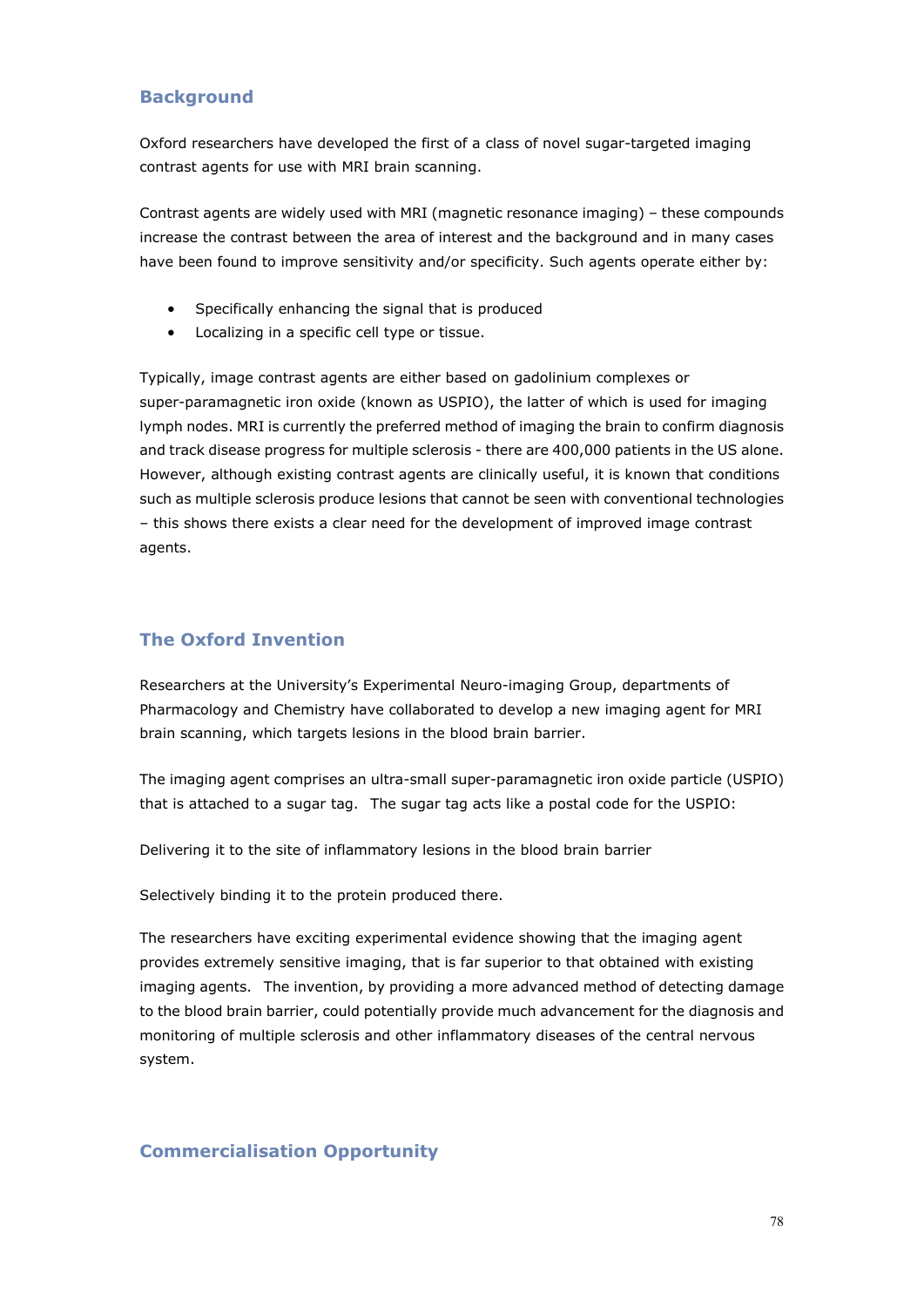## **Background**

Oxford researchers have developed the first of a class of novel sugar-targeted imaging contrast agents for use with MRI brain scanning.

Contrast agents are widely used with MRI (magnetic resonance imaging) – these compounds increase the contrast between the area of interest and the background and in many cases have been found to improve sensitivity and/or specificity. Such agents operate either by:

- Specifically enhancing the signal that is produced
- Localizing in a specific cell type or tissue.

Typically, image contrast agents are either based on gadolinium complexes or super-paramagnetic iron oxide (known as USPIO), the latter of which is used for imaging lymph nodes. MRI is currently the preferred method of imaging the brain to confirm diagnosis and track disease progress for multiple sclerosis - there are 400,000 patients in the US alone. However, although existing contrast agents are clinically useful, it is known that conditions such as multiple sclerosis produce lesions that cannot be seen with conventional technologies – this shows there exists a clear need for the development of improved image contrast agents.

# **The Oxford Invention**

Researchers at the University's Experimental Neuro-imaging Group, departments of Pharmacology and Chemistry have collaborated to develop a new imaging agent for MRI brain scanning, which targets lesions in the blood brain barrier.

The imaging agent comprises an ultra-small super-paramagnetic iron oxide particle (USPIO) that is attached to a sugar tag. The sugar tag acts like a postal code for the USPIO:

Delivering it to the site of inflammatory lesions in the blood brain barrier

Selectively binding it to the protein produced there.

The researchers have exciting experimental evidence showing that the imaging agent provides extremely sensitive imaging, that is far superior to that obtained with existing imaging agents. The invention, by providing a more advanced method of detecting damage to the blood brain barrier, could potentially provide much advancement for the diagnosis and monitoring of multiple sclerosis and other inflammatory diseases of the central nervous system.

#### **Commercialisation Opportunity**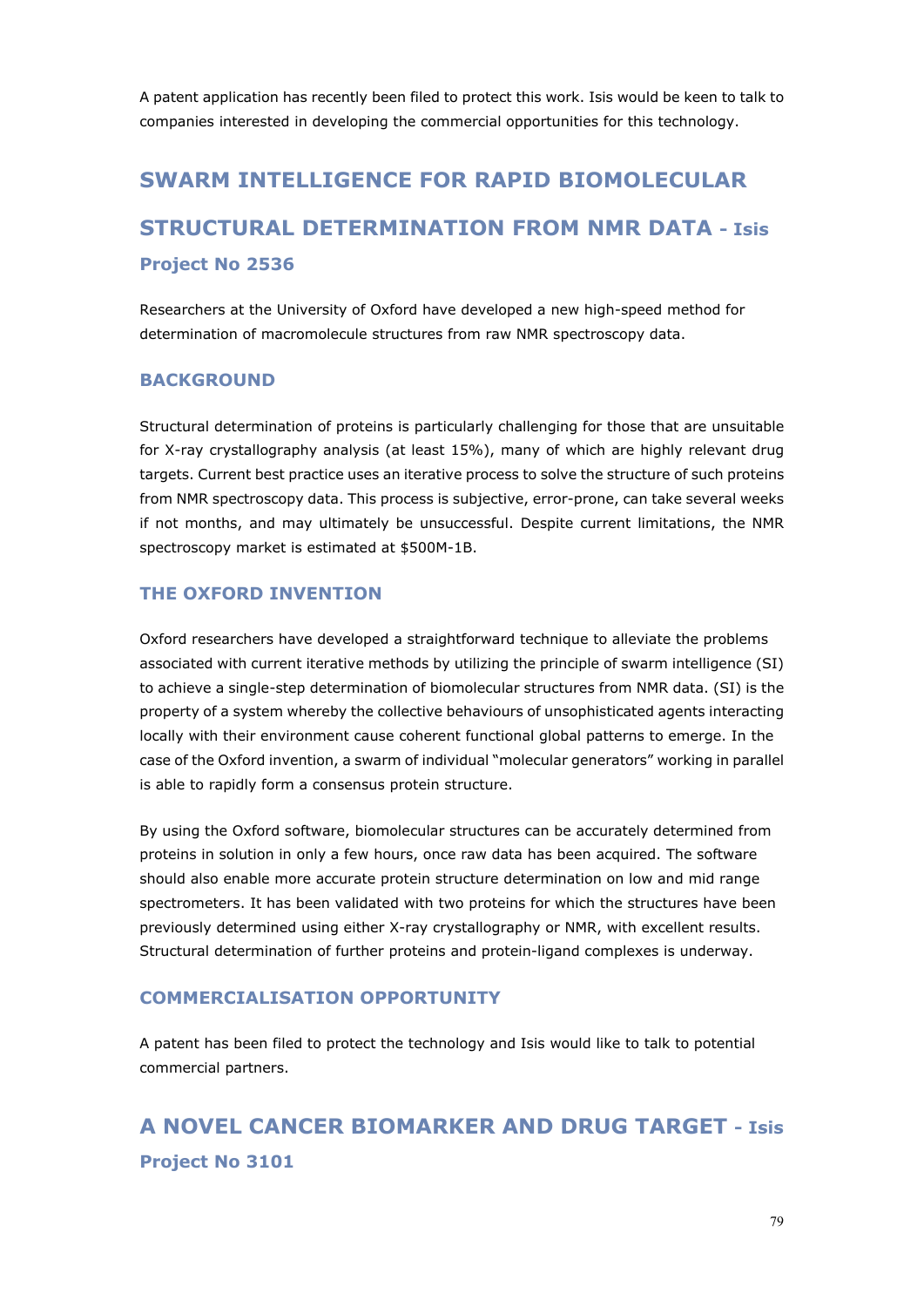A patent application has recently been filed to protect this work. Isis would be keen to talk to companies interested in developing the commercial opportunities for this technology.

# **SWARM INTELLIGENCE FOR RAPID BIOMOLECULAR STRUCTURAL DETERMINATION FROM NMR DATA - Isis Project No 2536**

Researchers at the University of Oxford have developed a new high-speed method for determination of macromolecule structures from raw NMR spectroscopy data.

#### **BACKGROUND**

Structural determination of proteins is particularly challenging for those that are unsuitable for X-ray crystallography analysis (at least 15%), many of which are highly relevant drug targets. Current best practice uses an iterative process to solve the structure of such proteins from NMR spectroscopy data. This process is subjective, error-prone, can take several weeks if not months, and may ultimately be unsuccessful. Despite current limitations, the NMR spectroscopy market is estimated at \$500M-1B.

#### **THE OXFORD INVENTION**

Oxford researchers have developed a straightforward technique to alleviate the problems associated with current iterative methods by utilizing the principle of swarm intelligence (SI) to achieve a single-step determination of biomolecular structures from NMR data. (SI) is the property of a system whereby the collective behaviours of unsophisticated agents interacting locally with their environment cause coherent functional global patterns to emerge. In the case of the Oxford invention, a swarm of individual "molecular generators" working in parallel is able to rapidly form a consensus protein structure.

By using the Oxford software, biomolecular structures can be accurately determined from proteins in solution in only a few hours, once raw data has been acquired. The software should also enable more accurate protein structure determination on low and mid range spectrometers. It has been validated with two proteins for which the structures have been previously determined using either X-ray crystallography or NMR, with excellent results. Structural determination of further proteins and protein-ligand complexes is underway.

#### **COMMERCIALISATION OPPORTUNITY**

A patent has been filed to protect the technology and Isis would like to talk to potential commercial partners.

**A NOVEL CANCER BIOMARKER AND DRUG TARGET - Isis Project No 3101**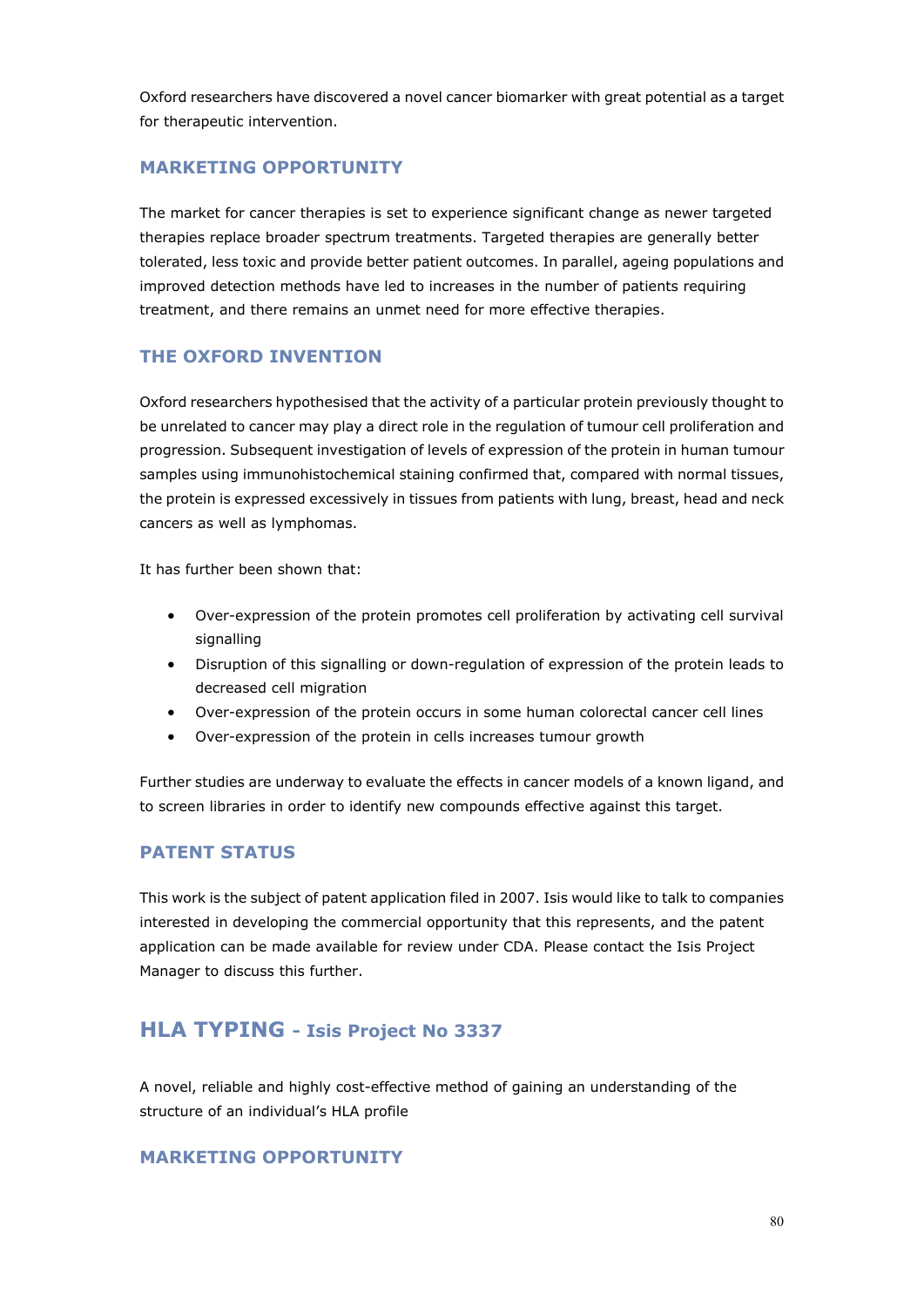Oxford researchers have discovered a novel cancer biomarker with great potential as a target for therapeutic intervention.

## **MARKETING OPPORTUNITY**

The market for cancer therapies is set to experience significant change as newer targeted therapies replace broader spectrum treatments. Targeted therapies are generally better tolerated, less toxic and provide better patient outcomes. In parallel, ageing populations and improved detection methods have led to increases in the number of patients requiring treatment, and there remains an unmet need for more effective therapies.

## **THE OXFORD INVENTION**

Oxford researchers hypothesised that the activity of a particular protein previously thought to be unrelated to cancer may play a direct role in the regulation of tumour cell proliferation and progression. Subsequent investigation of levels of expression of the protein in human tumour samples using immunohistochemical staining confirmed that, compared with normal tissues, the protein is expressed excessively in tissues from patients with lung, breast, head and neck cancers as well as lymphomas.

It has further been shown that:

- Over-expression of the protein promotes cell proliferation by activating cell survival signalling
- Disruption of this signalling or down-regulation of expression of the protein leads to decreased cell migration
- Over-expression of the protein occurs in some human colorectal cancer cell lines
- Over-expression of the protein in cells increases tumour growth

Further studies are underway to evaluate the effects in cancer models of a known ligand, and to screen libraries in order to identify new compounds effective against this target.

#### **PATENT STATUS**

This work is the subject of patent application filed in 2007. Isis would like to talk to companies interested in developing the commercial opportunity that this represents, and the patent application can be made available for review under CDA. Please contact the Isis Project Manager to discuss this further.

# **HLA TYPING - Isis Project No 3337**

A novel, reliable and highly cost-effective method of gaining an understanding of the structure of an individual's HLA profile

# **MARKETING OPPORTUNITY**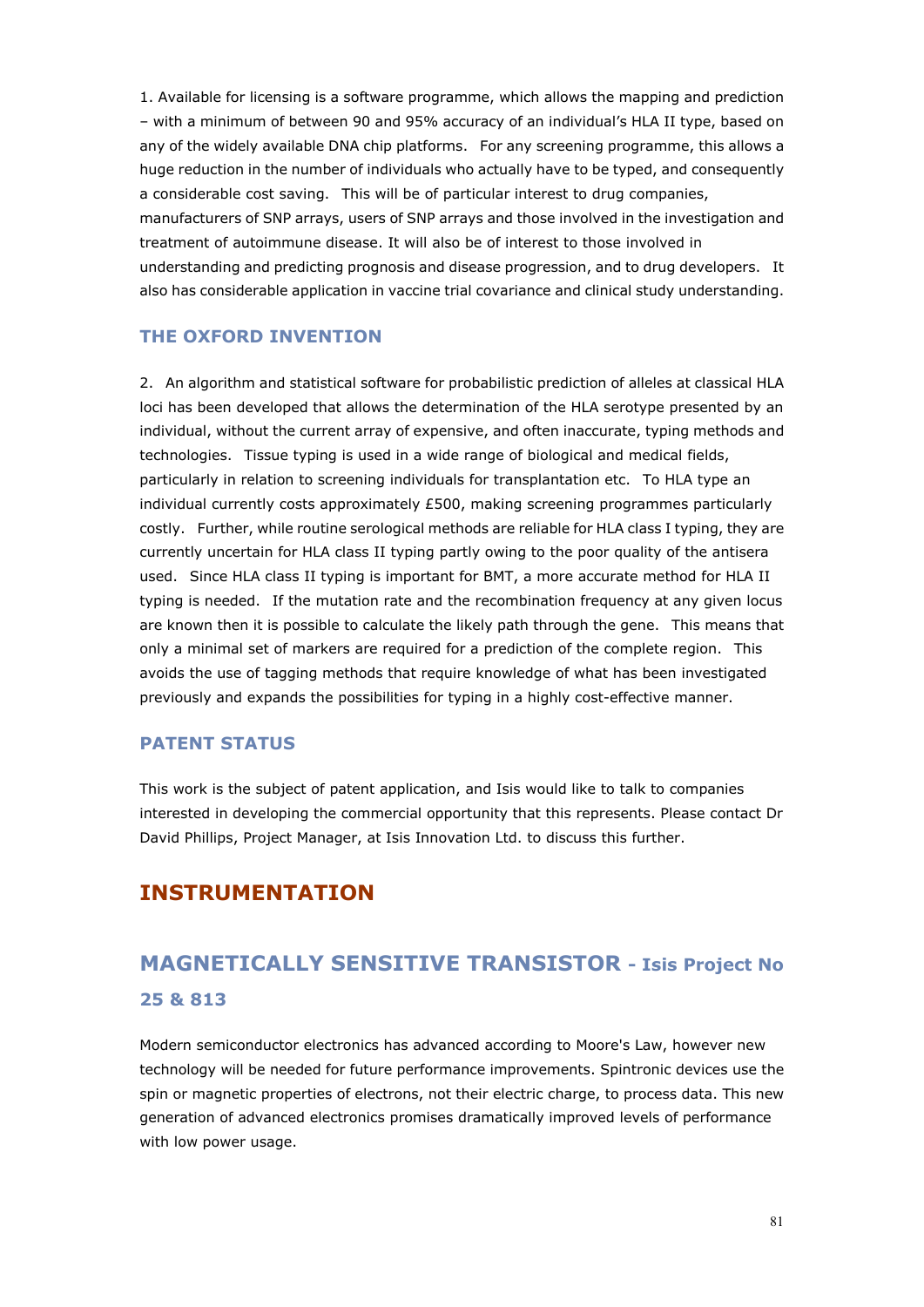1. Available for licensing is a software programme, which allows the mapping and prediction – with a minimum of between 90 and 95% accuracy of an individual's HLA II type, based on any of the widely available DNA chip platforms. For any screening programme, this allows a huge reduction in the number of individuals who actually have to be typed, and consequently a considerable cost saving. This will be of particular interest to drug companies, manufacturers of SNP arrays, users of SNP arrays and those involved in the investigation and treatment of autoimmune disease. It will also be of interest to those involved in understanding and predicting prognosis and disease progression, and to drug developers. It also has considerable application in vaccine trial covariance and clinical study understanding.

## **THE OXFORD INVENTION**

2. An algorithm and statistical software for probabilistic prediction of alleles at classical HLA loci has been developed that allows the determination of the HLA serotype presented by an individual, without the current array of expensive, and often inaccurate, typing methods and technologies. Tissue typing is used in a wide range of biological and medical fields, particularly in relation to screening individuals for transplantation etc. To HLA type an individual currently costs approximately £500, making screening programmes particularly costly. Further, while routine serological methods are reliable for HLA class I typing, they are currently uncertain for HLA class II typing partly owing to the poor quality of the antisera used. Since HLA class II typing is important for BMT, a more accurate method for HLA II typing is needed. If the mutation rate and the recombination frequency at any given locus are known then it is possible to calculate the likely path through the gene. This means that only a minimal set of markers are required for a prediction of the complete region. This avoids the use of tagging methods that require knowledge of what has been investigated previously and expands the possibilities for typing in a highly cost-effective manner.

#### **PATENT STATUS**

This work is the subject of patent application, and Isis would like to talk to companies interested in developing the commercial opportunity that this represents. Please contact Dr David Phillips, Project Manager, at Isis Innovation Ltd. to discuss this further.

# **INSTRUMENTATION**

# **MAGNETICALLY SENSITIVE TRANSISTOR - Isis Project No 25 & 813**

Modern semiconductor electronics has advanced according to Moore's Law, however new technology will be needed for future performance improvements. Spintronic devices use the spin or magnetic properties of electrons, not their electric charge, to process data. This new generation of advanced electronics promises dramatically improved levels of performance with low power usage.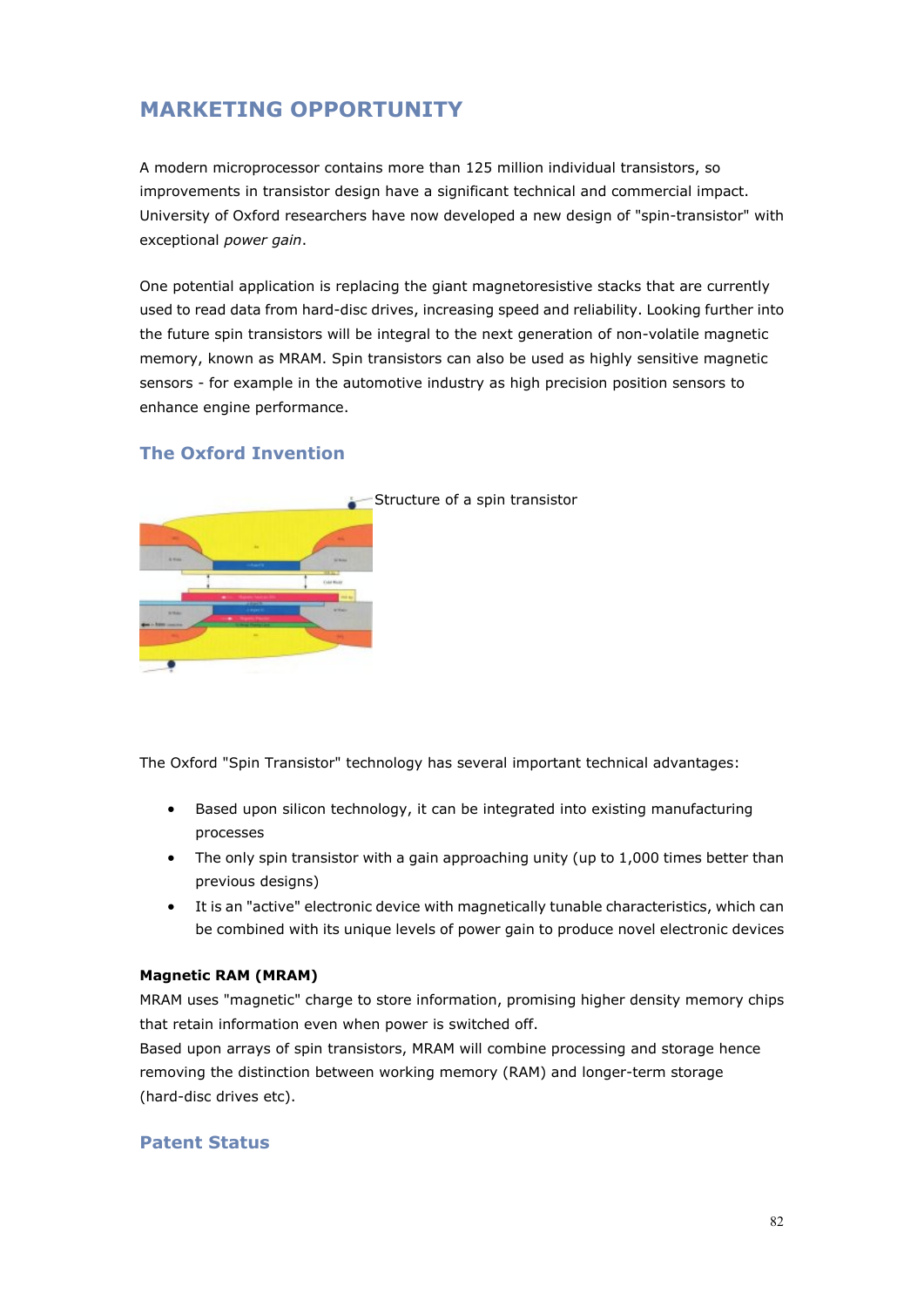# **MARKETING OPPORTUNITY**

A modern microprocessor contains more than 125 million individual transistors, so improvements in transistor design have a significant technical and commercial impact. University of Oxford researchers have now developed a new design of "spin-transistor" with exceptional *power gain*.

One potential application is replacing the giant magnetoresistive stacks that are currently used to read data from hard-disc drives, increasing speed and reliability. Looking further into the future spin transistors will be integral to the next generation of non-volatile magnetic memory, known as MRAM. Spin transistors can also be used as highly sensitive magnetic sensors - for example in the automotive industry as high precision position sensors to enhance engine performance.



#### **The Oxford Invention**

The Oxford "Spin Transistor" technology has several important technical advantages:

- Based upon silicon technology, it can be integrated into existing manufacturing processes
- The only spin transistor with a gain approaching unity (up to 1,000 times better than previous designs)
- It is an "active" electronic device with magnetically tunable characteristics, which can be combined with its unique levels of power gain to produce novel electronic devices

#### **Magnetic RAM (MRAM)**

MRAM uses "magnetic" charge to store information, promising higher density memory chips that retain information even when power is switched off.

Based upon arrays of spin transistors, MRAM will combine processing and storage hence removing the distinction between working memory (RAM) and longer-term storage (hard-disc drives etc).

#### **Patent Status**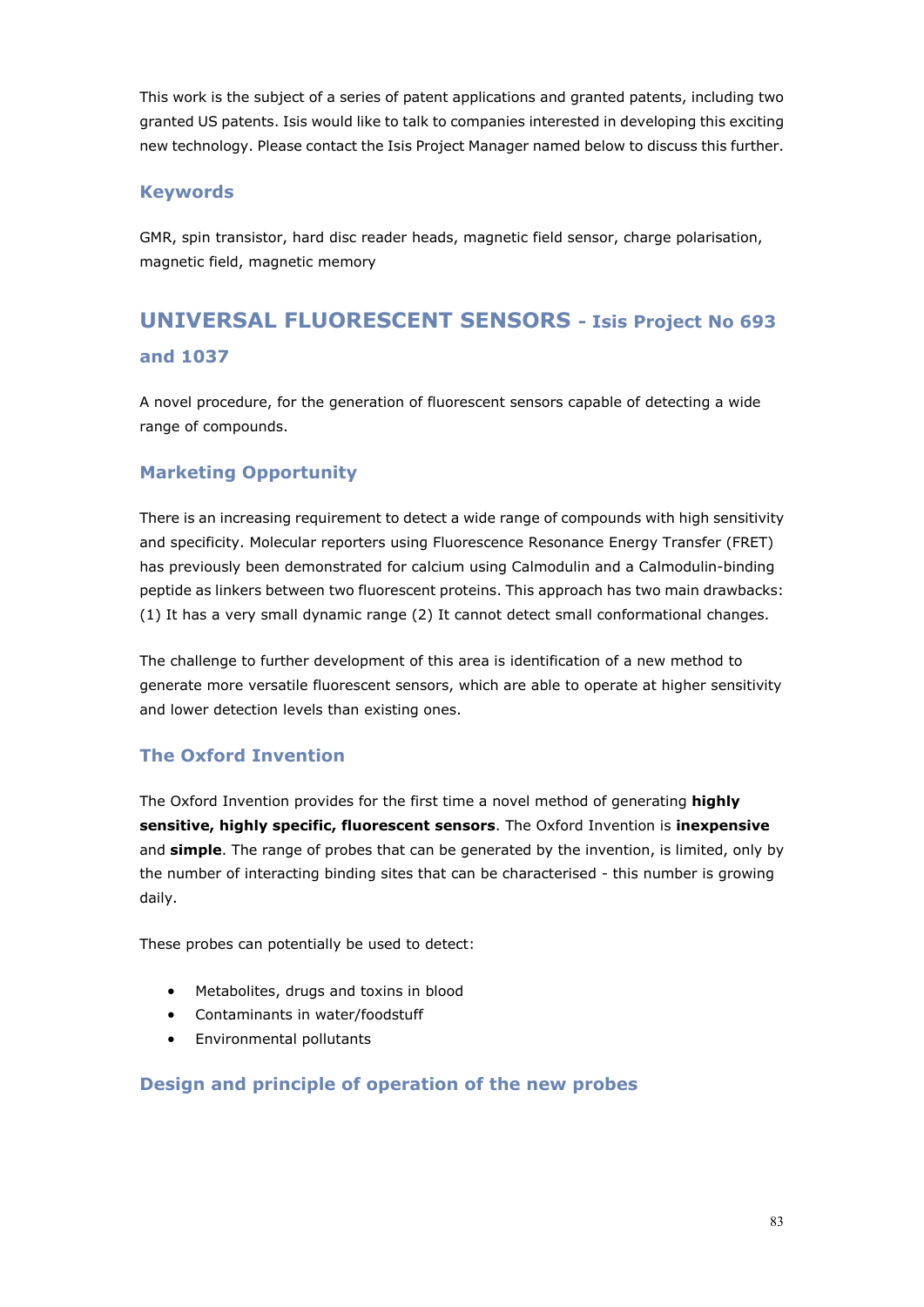This work is the subject of a series of patent applications and granted patents, including two granted US patents. Isis would like to talk to companies interested in developing this exciting new technology. Please contact the Isis Project Manager named below to discuss this further.

### **Keywords**

GMR, spin transistor, hard disc reader heads, magnetic field sensor, charge polarisation, magnetic field, magnetic memory

# **UNIVERSAL FLUORESCENT SENSORS - Isis Project No 693 and 1037**

A novel procedure, for the generation of fluorescent sensors capable of detecting a wide range of compounds.

# **Marketing Opportunity**

There is an increasing requirement to detect a wide range of compounds with high sensitivity and specificity. Molecular reporters using Fluorescence Resonance Energy Transfer (FRET) has previously been demonstrated for calcium using Calmodulin and a Calmodulin-binding peptide as linkers between two fluorescent proteins. This approach has two main drawbacks: (1) It has a very small dynamic range (2) It cannot detect small conformational changes.

The challenge to further development of this area is identification of a new method to generate more versatile fluorescent sensors, which are able to operate at higher sensitivity and lower detection levels than existing ones.

# **The Oxford Invention**

The Oxford Invention provides for the first time a novel method of generating **highly sensitive, highly specific, fluorescent sensors**. The Oxford Invention is **inexpensive** and **simple**. The range of probes that can be generated by the invention, is limited, only by the number of interacting binding sites that can be characterised - this number is growing daily.

These probes can potentially be used to detect:

- Metabolites, drugs and toxins in blood
- Contaminants in water/foodstuff
- Environmental pollutants

#### **Design and principle of operation of the new probes**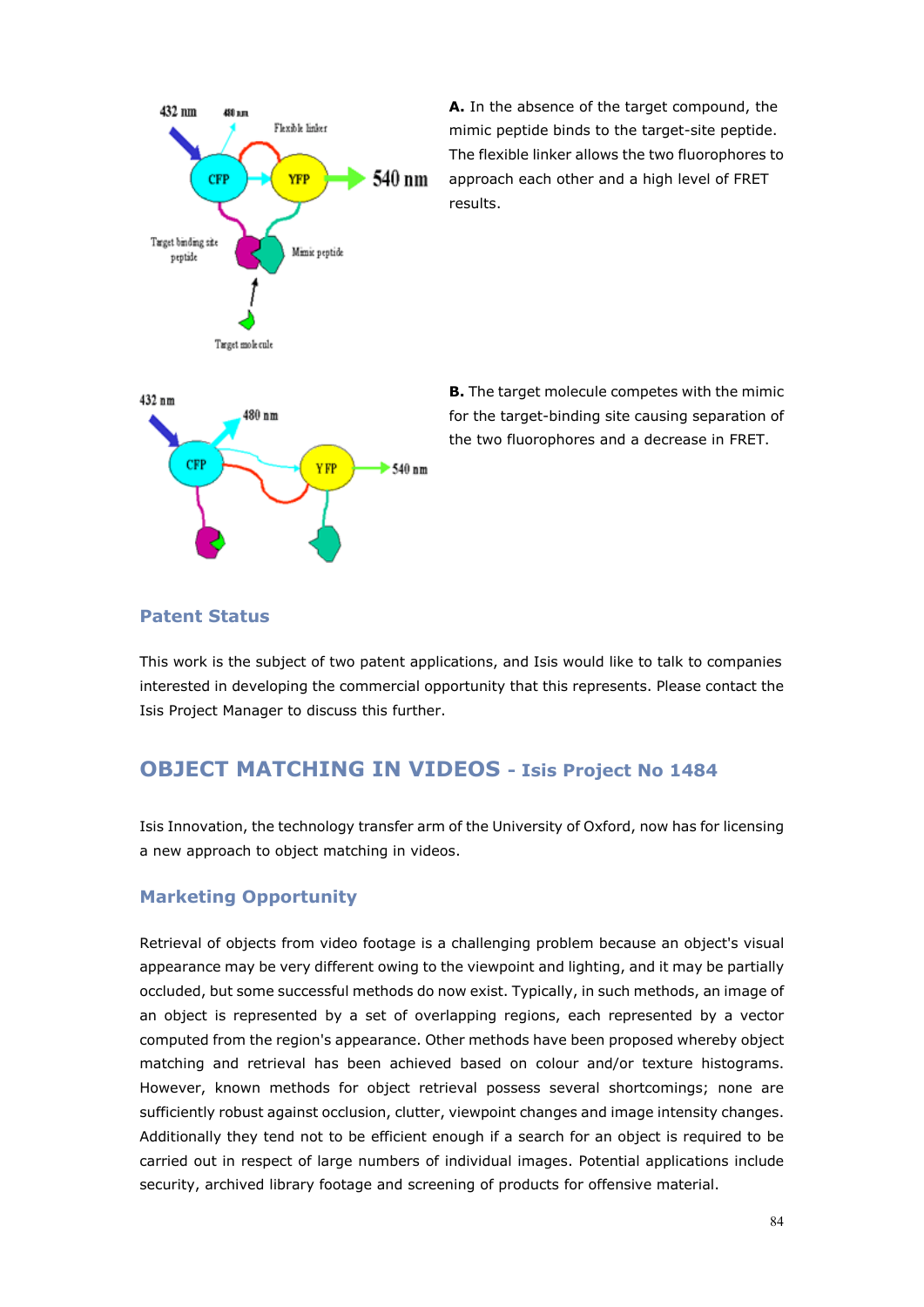

**A.** In the absence of the target compound, the mimic peptide binds to the target-site peptide. The flexible linker allows the two fluorophores to approach each other and a high level of FRET results.



**B.** The target molecule competes with the mimic for the target-binding site causing separation of the two fluorophores and a decrease in FRET.

#### **Patent Status**

This work is the subject of two patent applications, and Isis would like to talk to companies interested in developing the commercial opportunity that this represents. Please contact the Isis Project Manager to discuss this further.

# **OBJECT MATCHING IN VIDEOS - Isis Project No 1484**

Isis Innovation, the technology transfer arm of the University of Oxford, now has for licensing a new approach to object matching in videos.

#### **Marketing Opportunity**

Retrieval of objects from video footage is a challenging problem because an object's visual appearance may be very different owing to the viewpoint and lighting, and it may be partially occluded, but some successful methods do now exist. Typically, in such methods, an image of an object is represented by a set of overlapping regions, each represented by a vector computed from the region's appearance. Other methods have been proposed whereby object matching and retrieval has been achieved based on colour and/or texture histograms. However, known methods for object retrieval possess several shortcomings; none are sufficiently robust against occlusion, clutter, viewpoint changes and image intensity changes. Additionally they tend not to be efficient enough if a search for an object is required to be carried out in respect of large numbers of individual images. Potential applications include security, archived library footage and screening of products for offensive material.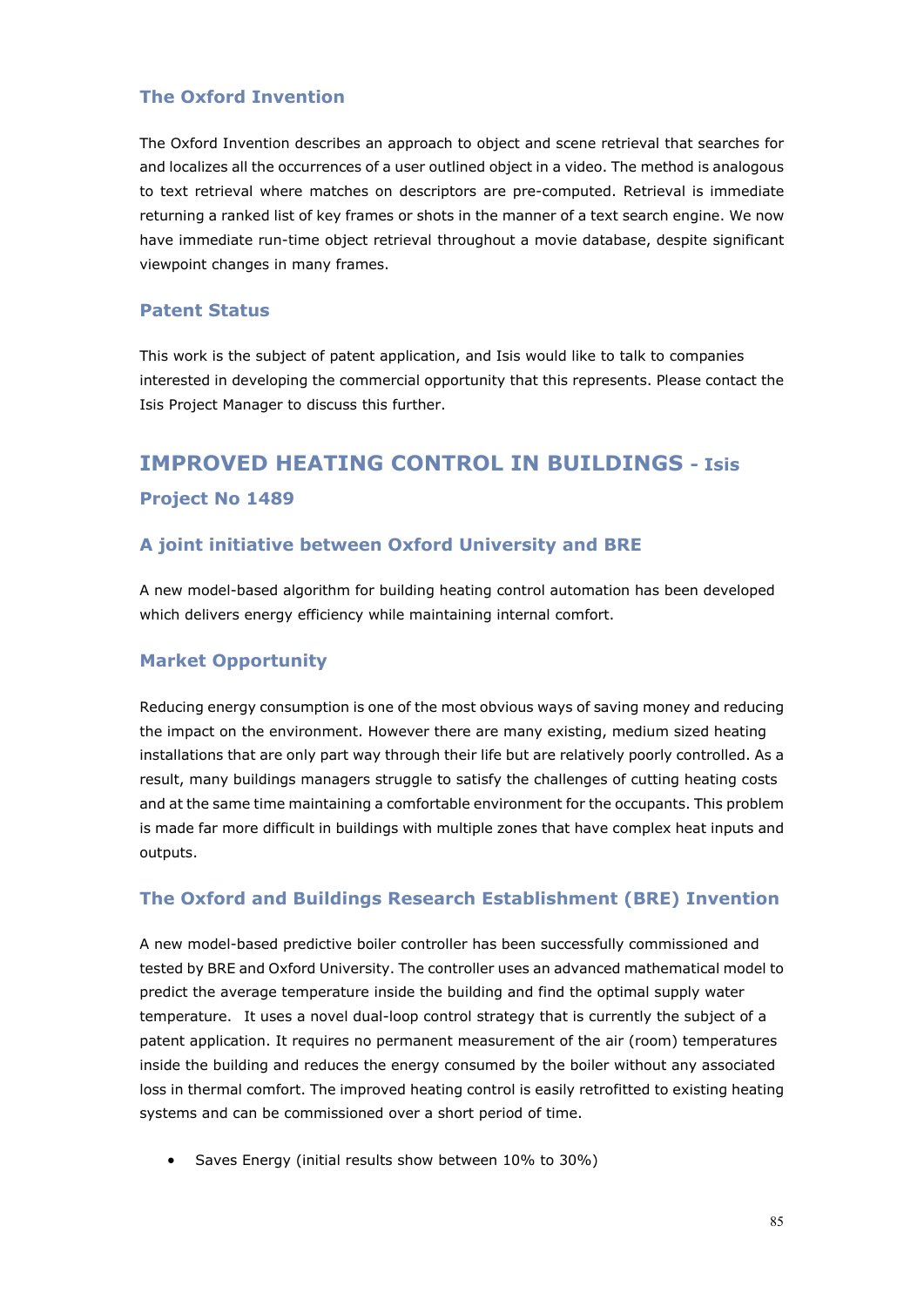## **The Oxford Invention**

The Oxford Invention describes an approach to object and scene retrieval that searches for and localizes all the occurrences of a user outlined object in a video. The method is analogous to text retrieval where matches on descriptors are pre-computed. Retrieval is immediate returning a ranked list of key frames or shots in the manner of a text search engine. We now have immediate run-time object retrieval throughout a movie database, despite significant viewpoint changes in many frames.

#### **Patent Status**

This work is the subject of patent application, and Isis would like to talk to companies interested in developing the commercial opportunity that this represents. Please contact the Isis Project Manager to discuss this further.

# **IMPROVED HEATING CONTROL IN BUILDINGS - Isis Project No 1489**

## **A joint initiative between Oxford University and BRE**

A new model-based algorithm for building heating control automation has been developed which delivers energy efficiency while maintaining internal comfort.

#### **Market Opportunity**

Reducing energy consumption is one of the most obvious ways of saving money and reducing the impact on the environment. However there are many existing, medium sized heating installations that are only part way through their life but are relatively poorly controlled. As a result, many buildings managers struggle to satisfy the challenges of cutting heating costs and at the same time maintaining a comfortable environment for the occupants. This problem is made far more difficult in buildings with multiple zones that have complex heat inputs and outputs.

#### **The Oxford and Buildings Research Establishment (BRE) Invention**

A new model-based predictive boiler controller has been successfully commissioned and tested by BRE and Oxford University. The controller uses an advanced mathematical model to predict the average temperature inside the building and find the optimal supply water temperature. It uses a novel dual-loop control strategy that is currently the subject of a patent application. It requires no permanent measurement of the air (room) temperatures inside the building and reduces the energy consumed by the boiler without any associated loss in thermal comfort. The improved heating control is easily retrofitted to existing heating systems and can be commissioned over a short period of time.

• Saves Energy (initial results show between 10% to 30%)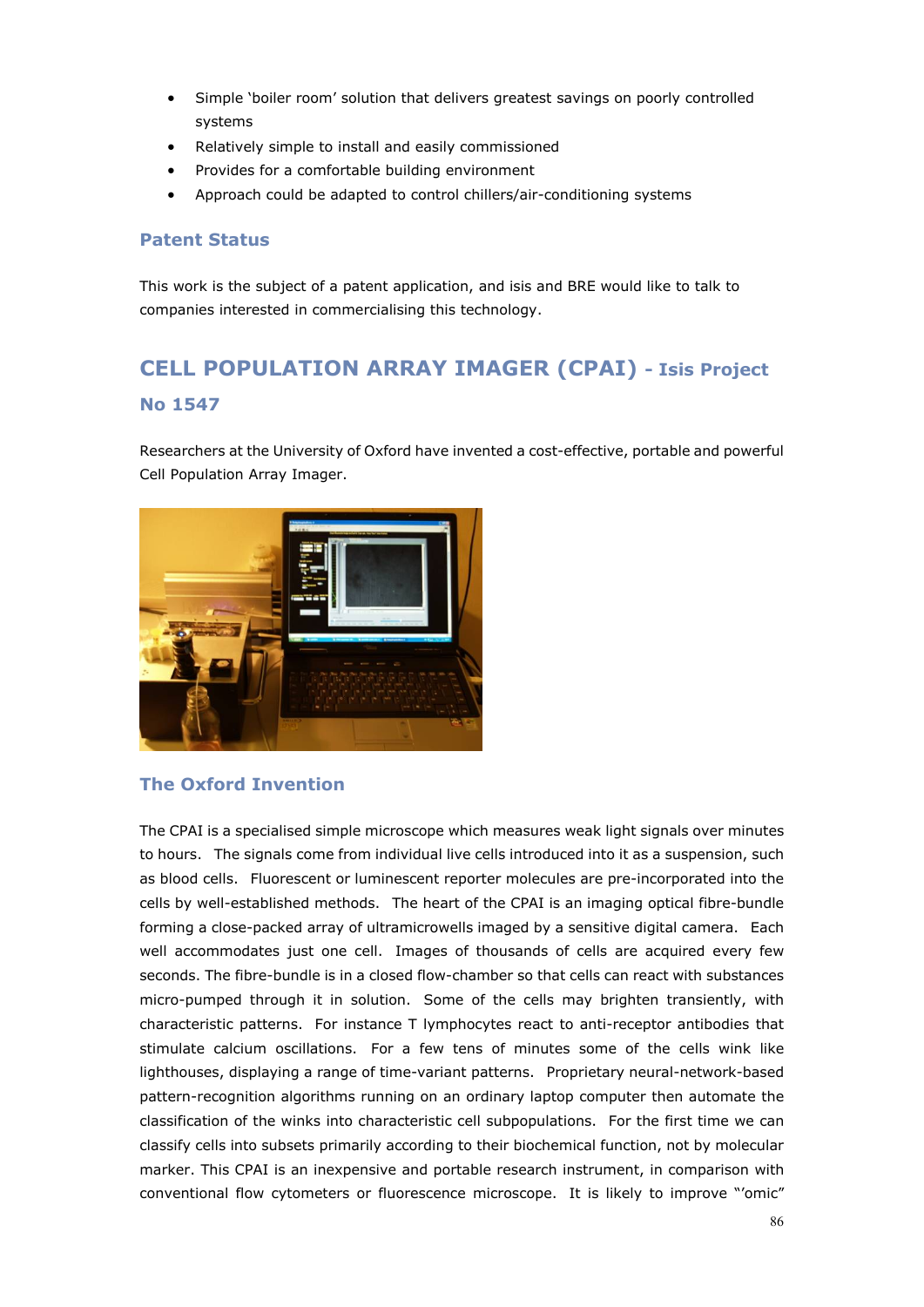- Simple 'boiler room' solution that delivers greatest savings on poorly controlled systems
- Relatively simple to install and easily commissioned
- Provides for a comfortable building environment
- Approach could be adapted to control chillers/air-conditioning systems

#### **Patent Status**

This work is the subject of a patent application, and isis and BRE would like to talk to companies interested in commercialising this technology.

# **CELL POPULATION ARRAY IMAGER (CPAI) - Isis Project No 1547**

Researchers at the University of Oxford have invented a cost-effective, portable and powerful Cell Population Array Imager.



#### **The Oxford Invention**

The CPAI is a specialised simple microscope which measures weak light signals over minutes to hours. The signals come from individual live cells introduced into it as a suspension, such as blood cells. Fluorescent or luminescent reporter molecules are pre-incorporated into the cells by well-established methods. The heart of the CPAI is an imaging optical fibre-bundle forming a close-packed array of ultramicrowells imaged by a sensitive digital camera. Each well accommodates just one cell. Images of thousands of cells are acquired every few seconds. The fibre-bundle is in a closed flow-chamber so that cells can react with substances micro-pumped through it in solution. Some of the cells may brighten transiently, with characteristic patterns. For instance T lymphocytes react to anti-receptor antibodies that stimulate calcium oscillations. For a few tens of minutes some of the cells wink like lighthouses, displaying a range of time-variant patterns. Proprietary neural-network-based pattern-recognition algorithms running on an ordinary laptop computer then automate the classification of the winks into characteristic cell subpopulations. For the first time we can classify cells into subsets primarily according to their biochemical function, not by molecular marker. This CPAI is an inexpensive and portable research instrument, in comparison with conventional flow cytometers or fluorescence microscope. It is likely to improve "'omic"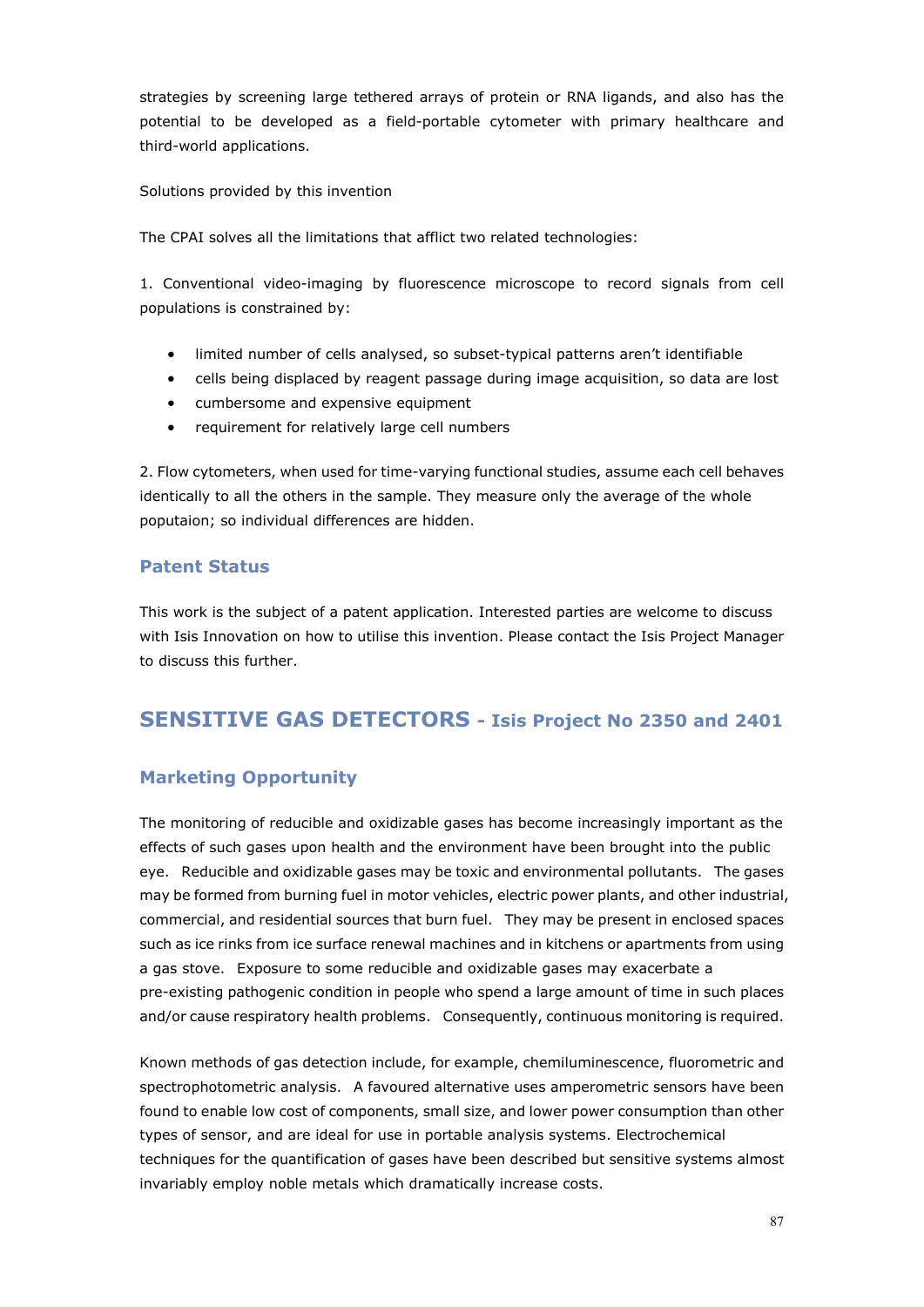strategies by screening large tethered arrays of protein or RNA ligands, and also has the potential to be developed as a field-portable cytometer with primary healthcare and third-world applications.

Solutions provided by this invention

The CPAI solves all the limitations that afflict two related technologies:

1. Conventional video-imaging by fluorescence microscope to record signals from cell populations is constrained by:

- limited number of cells analysed, so subset-typical patterns aren't identifiable
- cells being displaced by reagent passage during image acquisition, so data are lost
- cumbersome and expensive equipment
- requirement for relatively large cell numbers

2. Flow cytometers, when used for time-varying functional studies, assume each cell behaves identically to all the others in the sample. They measure only the average of the whole poputaion; so individual differences are hidden.

#### **Patent Status**

This work is the subject of a patent application. Interested parties are welcome to discuss with Isis Innovation on how to utilise this invention. Please contact the Isis Project Manager to discuss this further.

# **SENSITIVE GAS DETECTORS - Isis Project No 2350 and 2401**

### **Marketing Opportunity**

The monitoring of reducible and oxidizable gases has become increasingly important as the effects of such gases upon health and the environment have been brought into the public eye. Reducible and oxidizable gases may be toxic and environmental pollutants. The gases may be formed from burning fuel in motor vehicles, electric power plants, and other industrial, commercial, and residential sources that burn fuel. They may be present in enclosed spaces such as ice rinks from ice surface renewal machines and in kitchens or apartments from using a gas stove. Exposure to some reducible and oxidizable gases may exacerbate a pre-existing pathogenic condition in people who spend a large amount of time in such places and/or cause respiratory health problems. Consequently, continuous monitoring is required.

Known methods of gas detection include, for example, chemiluminescence, fluorometric and spectrophotometric analysis. A favoured alternative uses amperometric sensors have been found to enable low cost of components, small size, and lower power consumption than other types of sensor, and are ideal for use in portable analysis systems. Electrochemical techniques for the quantification of gases have been described but sensitive systems almost invariably employ noble metals which dramatically increase costs.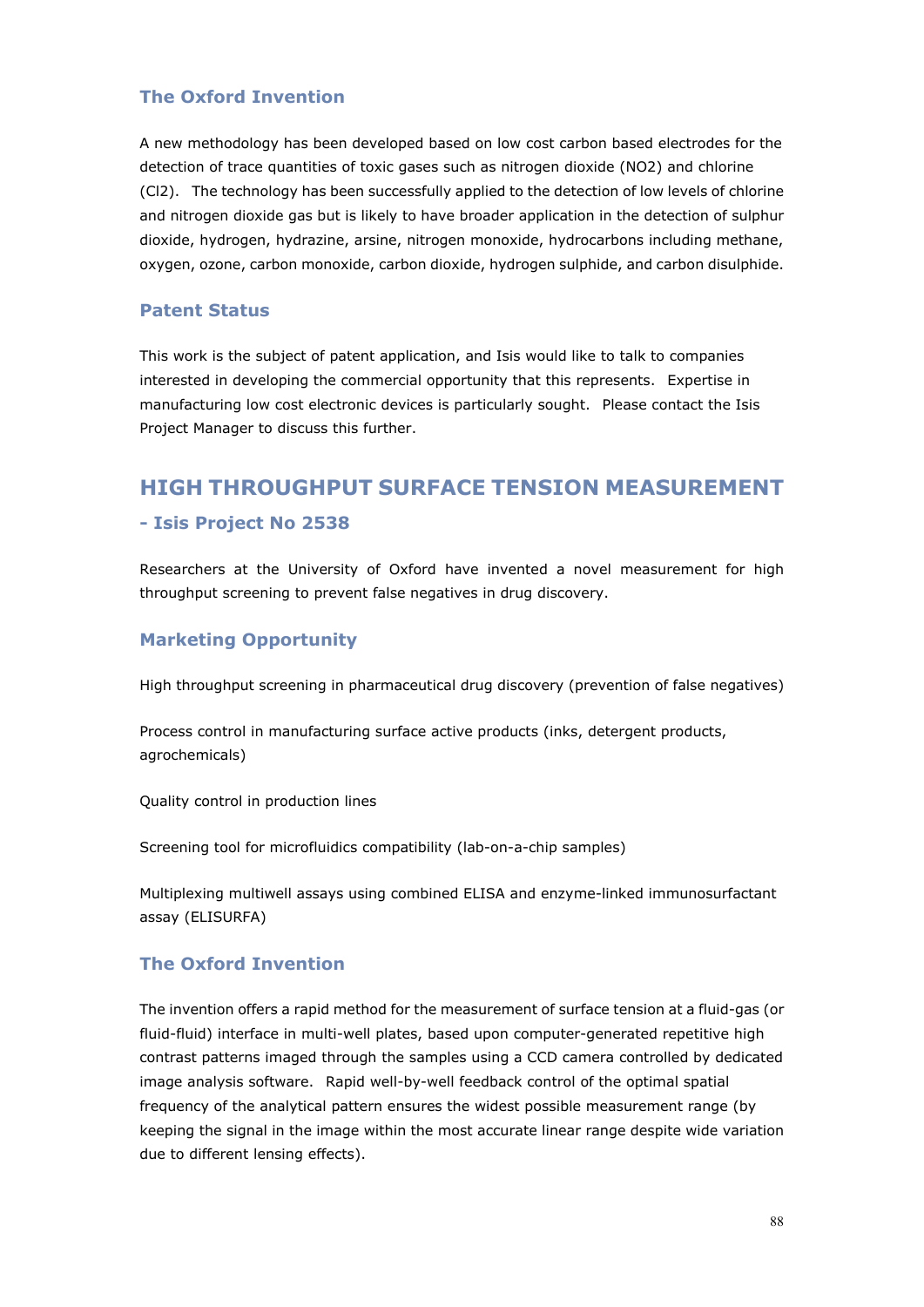### **The Oxford Invention**

A new methodology has been developed based on low cost carbon based electrodes for the detection of trace quantities of toxic gases such as nitrogen dioxide (NO2) and chlorine (Cl2). The technology has been successfully applied to the detection of low levels of chlorine and nitrogen dioxide gas but is likely to have broader application in the detection of sulphur dioxide, hydrogen, hydrazine, arsine, nitrogen monoxide, hydrocarbons including methane, oxygen, ozone, carbon monoxide, carbon dioxide, hydrogen sulphide, and carbon disulphide.

#### **Patent Status**

This work is the subject of patent application, and Isis would like to talk to companies interested in developing the commercial opportunity that this represents. Expertise in manufacturing low cost electronic devices is particularly sought. Please contact the Isis Project Manager to discuss this further.

# **HIGH THROUGHPUT SURFACE TENSION MEASUREMENT**

#### **- Isis Project No 2538**

Researchers at the University of Oxford have invented a novel measurement for high throughput screening to prevent false negatives in drug discovery.

# **Marketing Opportunity**

High throughput screening in pharmaceutical drug discovery (prevention of false negatives)

Process control in manufacturing surface active products (inks, detergent products, agrochemicals)

Quality control in production lines

Screening tool for microfluidics compatibility (lab-on-a-chip samples)

Multiplexing multiwell assays using combined ELISA and enzyme-linked immunosurfactant assay (ELISURFA)

#### **The Oxford Invention**

The invention offers a rapid method for the measurement of surface tension at a fluid-gas (or fluid-fluid) interface in multi-well plates, based upon computer-generated repetitive high contrast patterns imaged through the samples using a CCD camera controlled by dedicated image analysis software. Rapid well-by-well feedback control of the optimal spatial frequency of the analytical pattern ensures the widest possible measurement range (by keeping the signal in the image within the most accurate linear range despite wide variation due to different lensing effects).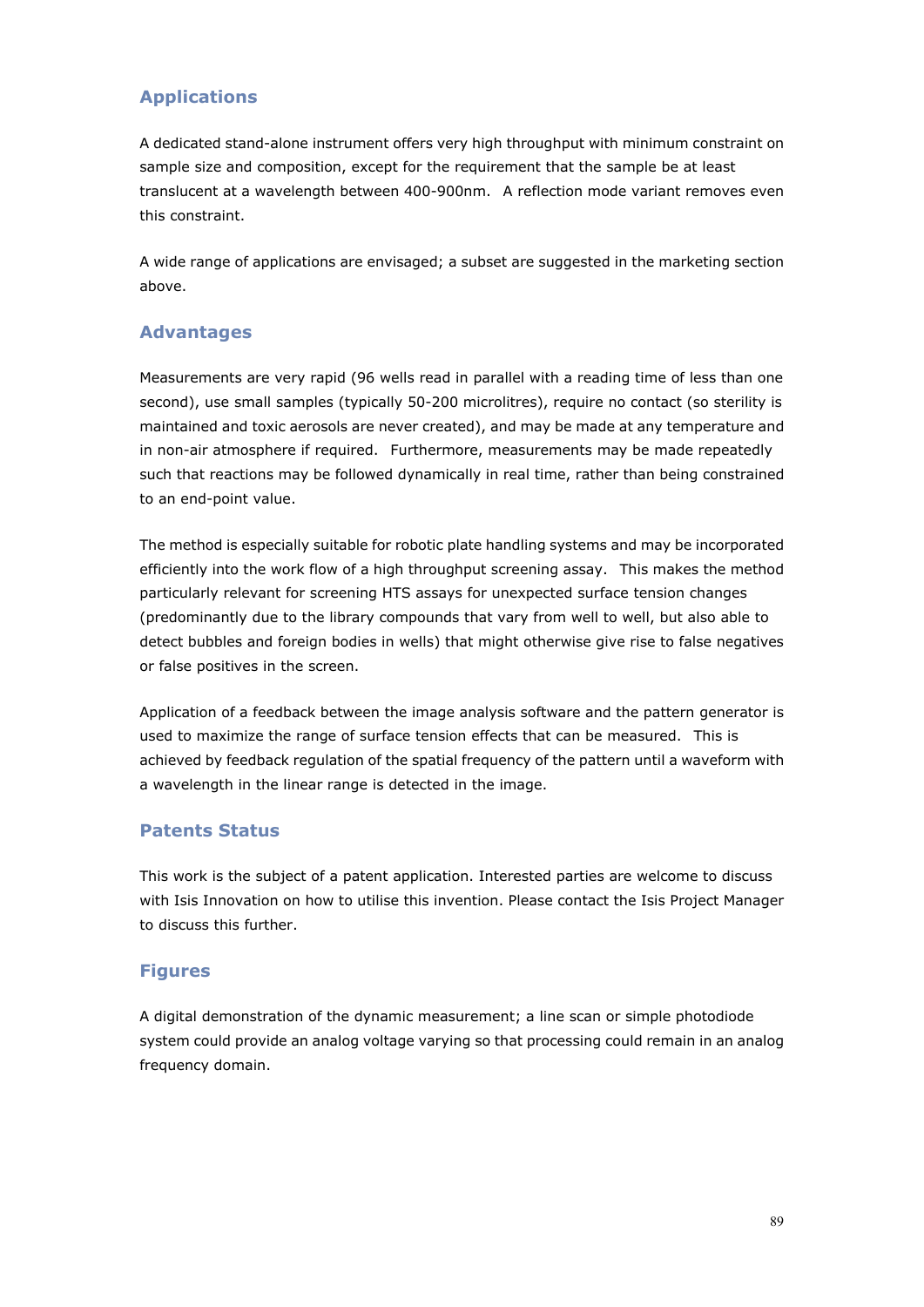# **Applications**

A dedicated stand-alone instrument offers very high throughput with minimum constraint on sample size and composition, except for the requirement that the sample be at least translucent at a wavelength between 400-900nm. A reflection mode variant removes even this constraint.

A wide range of applications are envisaged; a subset are suggested in the marketing section above.

### **Advantages**

Measurements are very rapid (96 wells read in parallel with a reading time of less than one second), use small samples (typically 50-200 microlitres), require no contact (so sterility is maintained and toxic aerosols are never created), and may be made at any temperature and in non-air atmosphere if required. Furthermore, measurements may be made repeatedly such that reactions may be followed dynamically in real time, rather than being constrained to an end-point value.

The method is especially suitable for robotic plate handling systems and may be incorporated efficiently into the work flow of a high throughput screening assay. This makes the method particularly relevant for screening HTS assays for unexpected surface tension changes (predominantly due to the library compounds that vary from well to well, but also able to detect bubbles and foreign bodies in wells) that might otherwise give rise to false negatives or false positives in the screen.

Application of a feedback between the image analysis software and the pattern generator is used to maximize the range of surface tension effects that can be measured. This is achieved by feedback regulation of the spatial frequency of the pattern until a waveform with a wavelength in the linear range is detected in the image.

#### **Patents Status**

This work is the subject of a patent application. Interested parties are welcome to discuss with Isis Innovation on how to utilise this invention. Please contact the Isis Project Manager to discuss this further.

#### **Figures**

A digital demonstration of the dynamic measurement; a line scan or simple photodiode system could provide an analog voltage varying so that processing could remain in an analog frequency domain.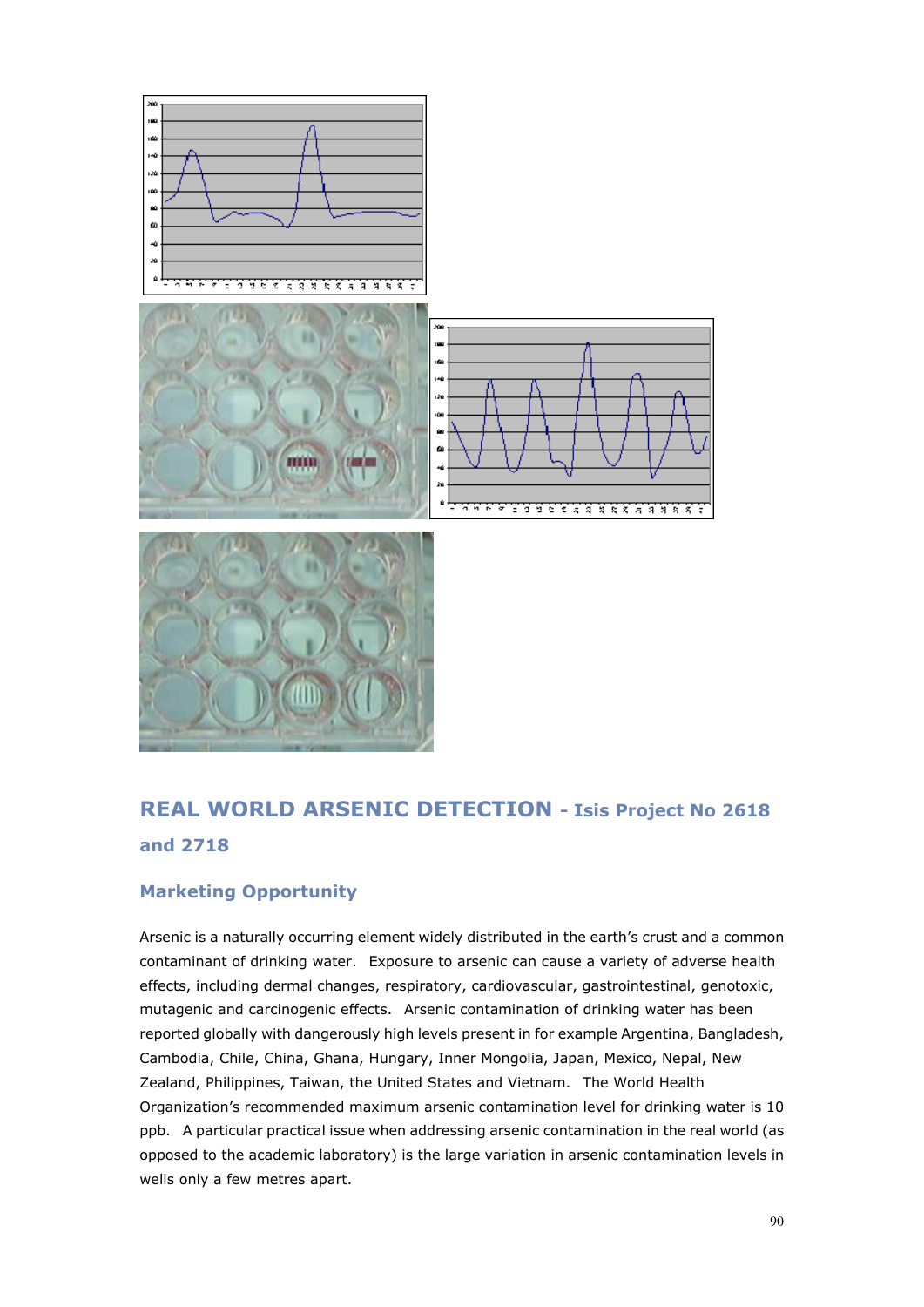

# **REAL WORLD ARSENIC DETECTION - Isis Project No 2618 and 2718**

# **Marketing Opportunity**

Arsenic is a naturally occurring element widely distributed in the earth's crust and a common contaminant of drinking water. Exposure to arsenic can cause a variety of adverse health effects, including dermal changes, respiratory, cardiovascular, gastrointestinal, genotoxic, mutagenic and carcinogenic effects. Arsenic contamination of drinking water has been reported globally with dangerously high levels present in for example Argentina, Bangladesh, Cambodia, Chile, China, Ghana, Hungary, Inner Mongolia, Japan, Mexico, Nepal, New Zealand, Philippines, Taiwan, the United States and Vietnam. The World Health Organization's recommended maximum arsenic contamination level for drinking water is 10 ppb. A particular practical issue when addressing arsenic contamination in the real world (as opposed to the academic laboratory) is the large variation in arsenic contamination levels in wells only a few metres apart.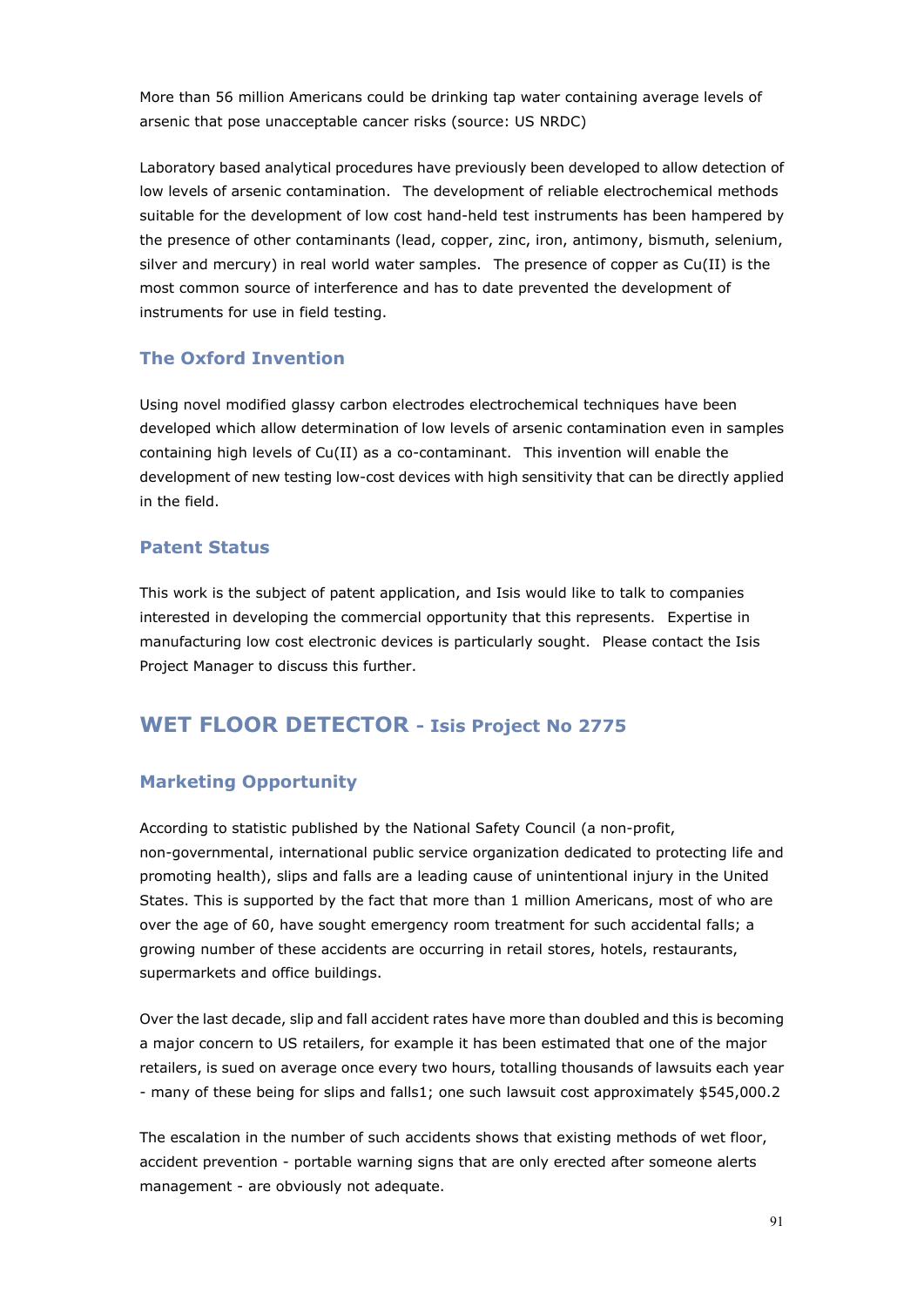More than 56 million Americans could be drinking tap water containing average levels of arsenic that pose unacceptable cancer risks (source: US NRDC)

Laboratory based analytical procedures have previously been developed to allow detection of low levels of arsenic contamination. The development of reliable electrochemical methods suitable for the development of low cost hand-held test instruments has been hampered by the presence of other contaminants (lead, copper, zinc, iron, antimony, bismuth, selenium, silver and mercury) in real world water samples. The presence of copper as Cu(II) is the most common source of interference and has to date prevented the development of instruments for use in field testing.

## **The Oxford Invention**

Using novel modified glassy carbon electrodes electrochemical techniques have been developed which allow determination of low levels of arsenic contamination even in samples containing high levels of Cu(II) as a co-contaminant. This invention will enable the development of new testing low-cost devices with high sensitivity that can be directly applied in the field.

#### **Patent Status**

This work is the subject of patent application, and Isis would like to talk to companies interested in developing the commercial opportunity that this represents. Expertise in manufacturing low cost electronic devices is particularly sought. Please contact the Isis Project Manager to discuss this further.

# **WET FLOOR DETECTOR - Isis Project No 2775**

# **Marketing Opportunity**

According to statistic published by the National Safety Council (a non-profit, non-governmental, international public service organization dedicated to protecting life and promoting health), slips and falls are a leading cause of unintentional injury in the United States. This is supported by the fact that more than 1 million Americans, most of who are over the age of 60, have sought emergency room treatment for such accidental falls; a growing number of these accidents are occurring in retail stores, hotels, restaurants, supermarkets and office buildings.

Over the last decade, slip and fall accident rates have more than doubled and this is becoming a major concern to US retailers, for example it has been estimated that one of the major retailers, is sued on average once every two hours, totalling thousands of lawsuits each year - many of these being for slips and falls1; one such lawsuit cost approximately \$545,000.2

The escalation in the number of such accidents shows that existing methods of wet floor, accident prevention - portable warning signs that are only erected after someone alerts management - are obviously not adequate.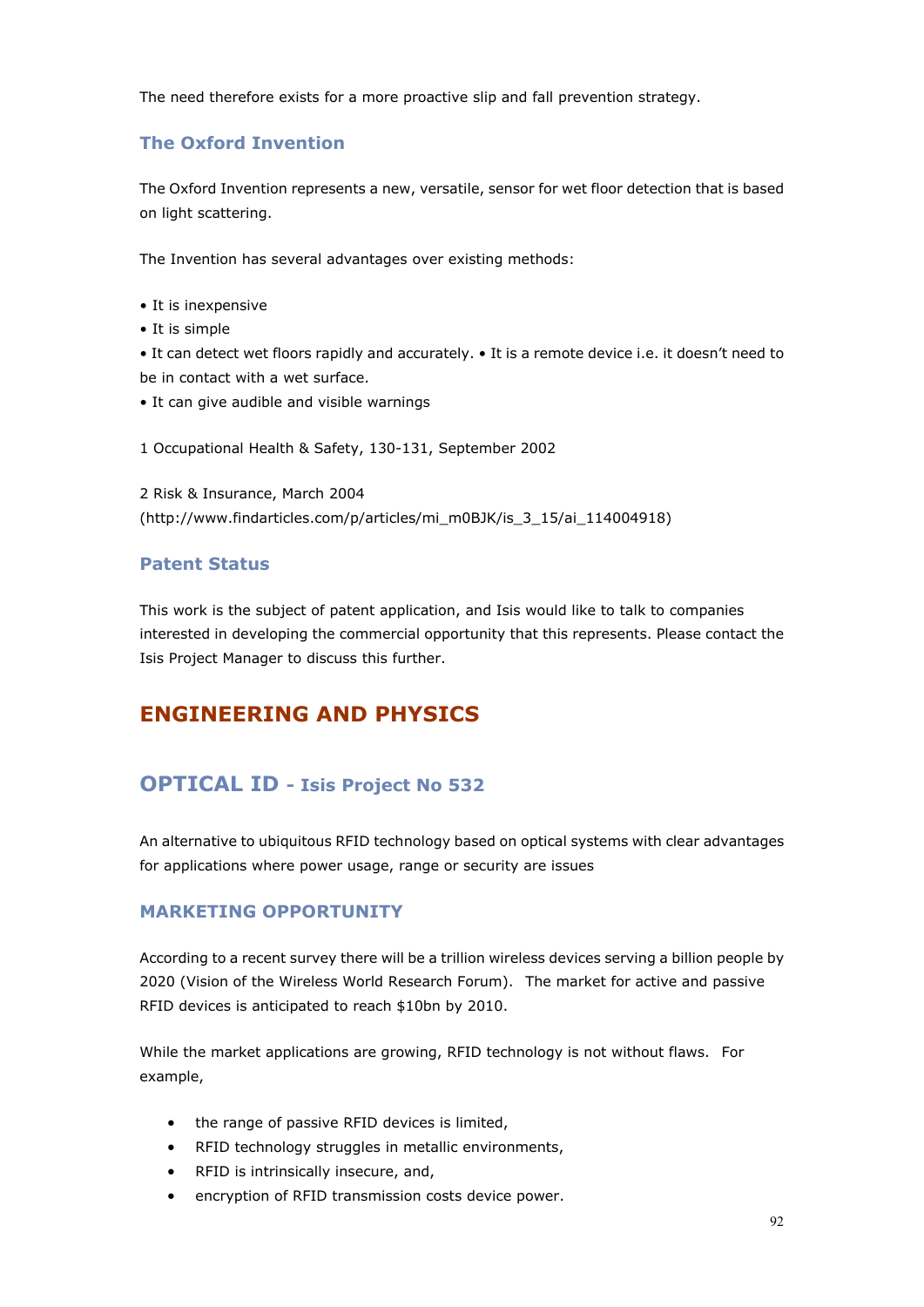The need therefore exists for a more proactive slip and fall prevention strategy.

## **The Oxford Invention**

The Oxford Invention represents a new, versatile, sensor for wet floor detection that is based on light scattering.

The Invention has several advantages over existing methods:

- It is inexpensive
- It is simple

• It can detect wet floors rapidly and accurately. • It is a remote device i.e. it doesn't need to be in contact with a wet surface.

• It can give audible and visible warnings

#### 1 Occupational Health & Safety, 130-131, September 2002

2 Risk & Insurance, March 2004 (http://www.findarticles.com/p/articles/mi\_m0BJK/is\_3\_15/ai\_114004918)

#### **Patent Status**

This work is the subject of patent application, and Isis would like to talk to companies interested in developing the commercial opportunity that this represents. Please contact the Isis Project Manager to discuss this further.

# **ENGINEERING AND PHYSICS**

# **OPTICAL ID - Isis Project No 532**

An alternative to ubiquitous RFID technology based on optical systems with clear advantages for applications where power usage, range or security are issues

#### **MARKETING OPPORTUNITY**

According to a recent survey there will be a trillion wireless devices serving a billion people by 2020 (Vision of the Wireless World Research Forum). The market for active and passive RFID devices is anticipated to reach \$10bn by 2010.

While the market applications are growing, RFID technology is not without flaws. For example,

- the range of passive RFID devices is limited,
- RFID technology struggles in metallic environments,
- RFID is intrinsically insecure, and,
- encryption of RFID transmission costs device power.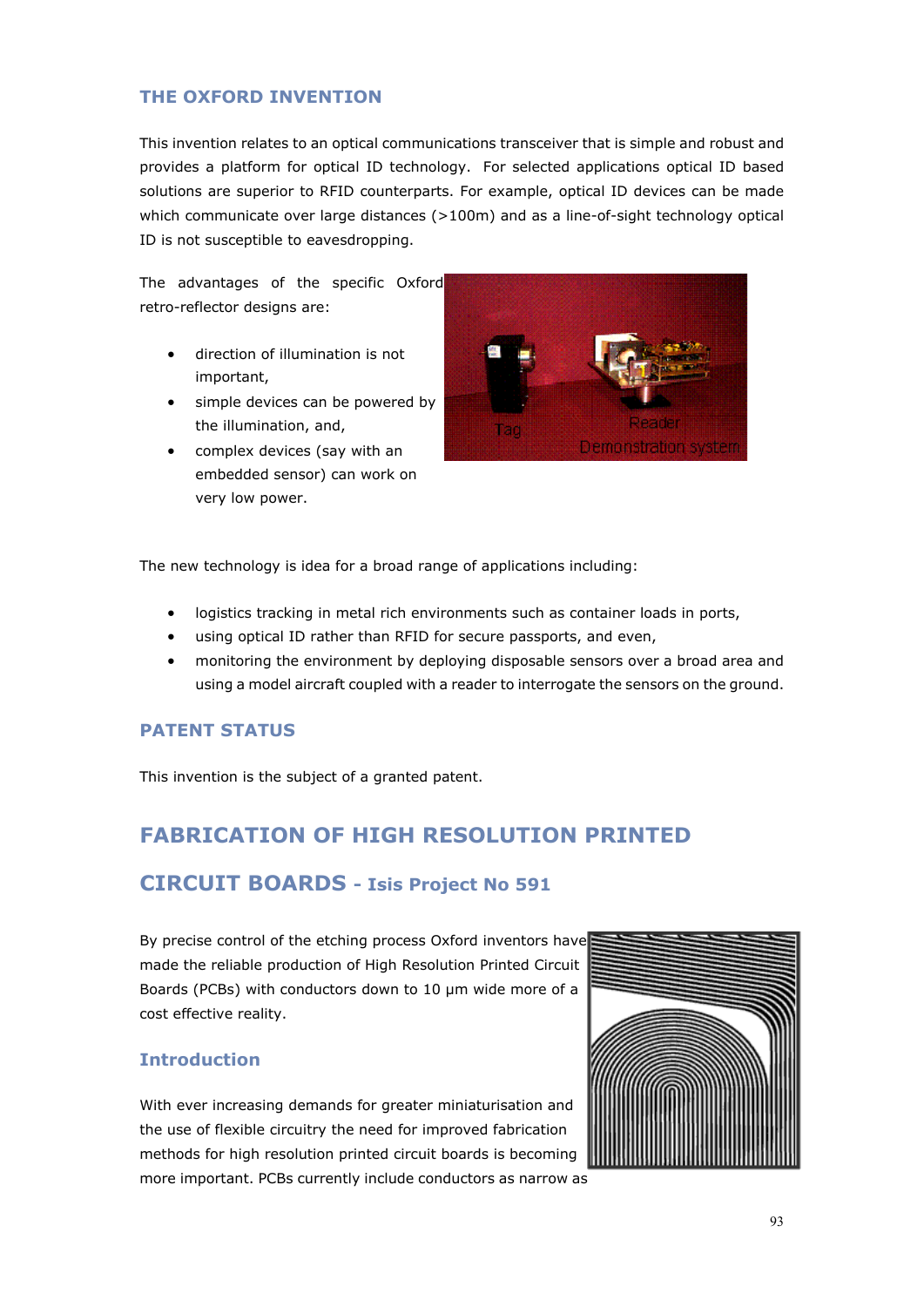## **THE OXFORD INVENTION**

This invention relates to an optical communications transceiver that is simple and robust and provides a platform for optical ID technology. For selected applications optical ID based solutions are superior to RFID counterparts. For example, optical ID devices can be made which communicate over large distances (>100m) and as a line-of-sight technology optical ID is not susceptible to eavesdropping.

The advantages of the specific Oxford retro-reflector designs are:

- direction of illumination is not important,
- simple devices can be powered by the illumination, and,
- complex devices (say with an embedded sensor) can work on very low power.



The new technology is idea for a broad range of applications including:

- logistics tracking in metal rich environments such as container loads in ports,
- using optical ID rather than RFID for secure passports, and even,
- monitoring the environment by deploying disposable sensors over a broad area and using a model aircraft coupled with a reader to interrogate the sensors on the ground.

# **PATENT STATUS**

This invention is the subject of a granted patent.

# **FABRICATION OF HIGH RESOLUTION PRINTED**

# **CIRCUIT BOARDS - Isis Project No 591**

By precise control of the etching process Oxford inventors have made the reliable production of High Resolution Printed Circuit Boards (PCBs) with conductors down to 10 µm wide more of a cost effective reality.

# **Introduction**

With ever increasing demands for greater miniaturisation and the use of flexible circuitry the need for improved fabrication methods for high resolution printed circuit boards is becoming more important. PCBs currently include conductors as narrow as

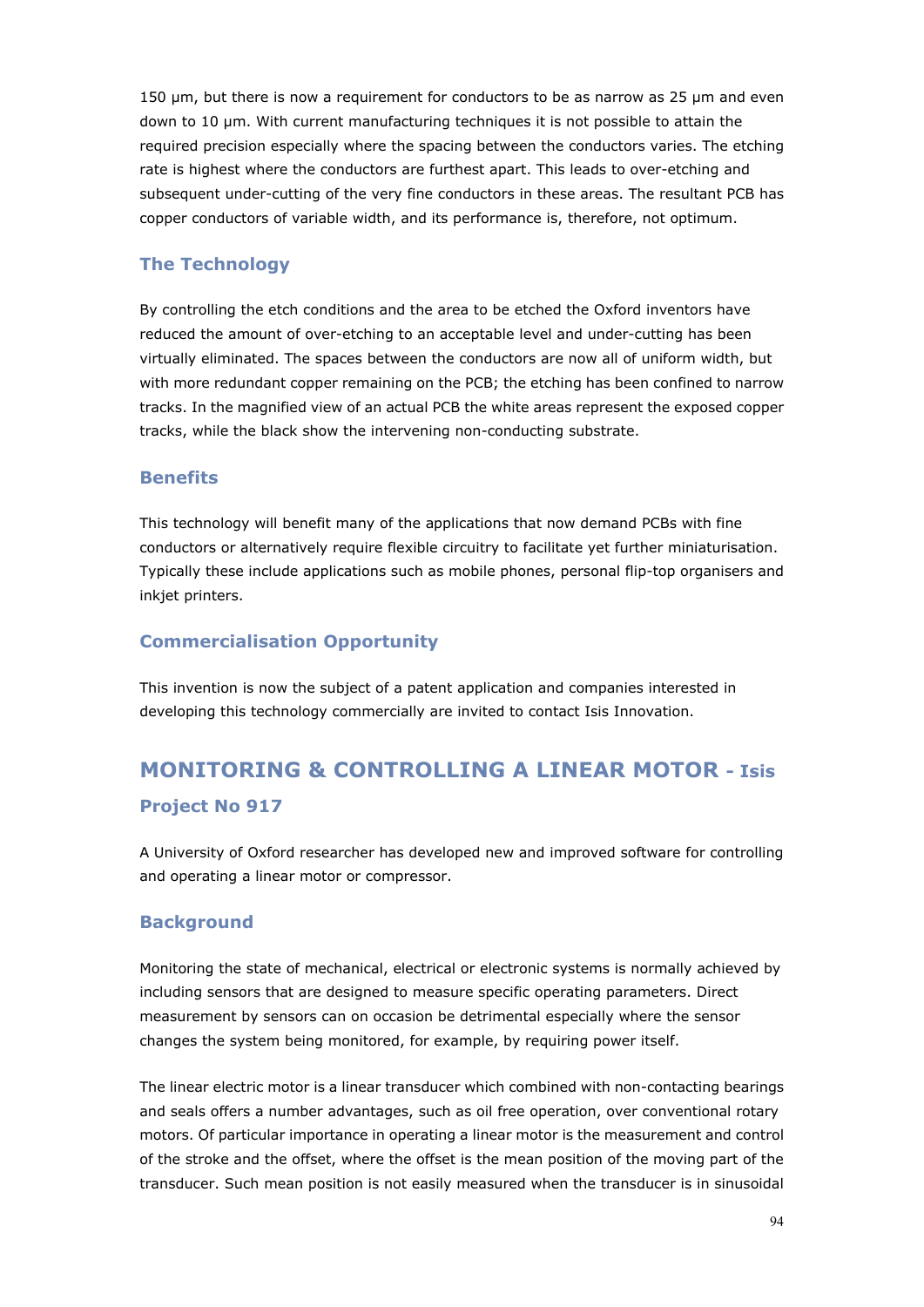150 µm, but there is now a requirement for conductors to be as narrow as 25 µm and even down to 10 µm. With current manufacturing techniques it is not possible to attain the required precision especially where the spacing between the conductors varies. The etching rate is highest where the conductors are furthest apart. This leads to over-etching and subsequent under-cutting of the very fine conductors in these areas. The resultant PCB has copper conductors of variable width, and its performance is, therefore, not optimum.

## **The Technology**

By controlling the etch conditions and the area to be etched the Oxford inventors have reduced the amount of over-etching to an acceptable level and under-cutting has been virtually eliminated. The spaces between the conductors are now all of uniform width, but with more redundant copper remaining on the PCB; the etching has been confined to narrow tracks. In the magnified view of an actual PCB the white areas represent the exposed copper tracks, while the black show the intervening non-conducting substrate.

#### **Benefits**

This technology will benefit many of the applications that now demand PCBs with fine conductors or alternatively require flexible circuitry to facilitate yet further miniaturisation. Typically these include applications such as mobile phones, personal flip-top organisers and inkjet printers.

## **Commercialisation Opportunity**

This invention is now the subject of a patent application and companies interested in developing this technology commercially are invited to contact Isis Innovation.

# **MONITORING & CONTROLLING A LINEAR MOTOR - Isis Project No 917**

A University of Oxford researcher has developed new and improved software for controlling and operating a linear motor or compressor.

#### **Background**

Monitoring the state of mechanical, electrical or electronic systems is normally achieved by including sensors that are designed to measure specific operating parameters. Direct measurement by sensors can on occasion be detrimental especially where the sensor changes the system being monitored, for example, by requiring power itself.

The linear electric motor is a linear transducer which combined with non-contacting bearings and seals offers a number advantages, such as oil free operation, over conventional rotary motors. Of particular importance in operating a linear motor is the measurement and control of the stroke and the offset, where the offset is the mean position of the moving part of the transducer. Such mean position is not easily measured when the transducer is in sinusoidal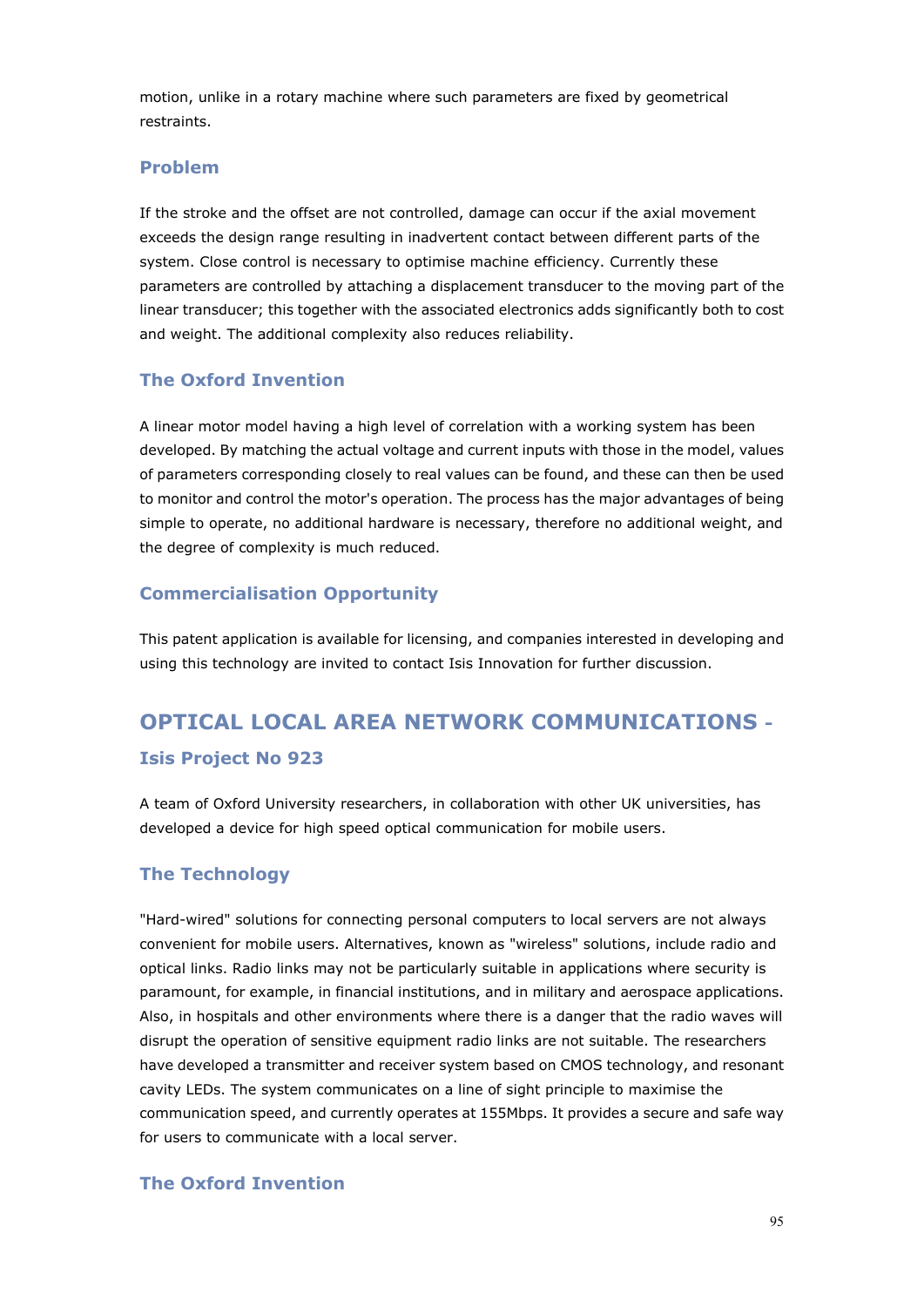motion, unlike in a rotary machine where such parameters are fixed by geometrical restraints.

#### **Problem**

If the stroke and the offset are not controlled, damage can occur if the axial movement exceeds the design range resulting in inadvertent contact between different parts of the system. Close control is necessary to optimise machine efficiency. Currently these parameters are controlled by attaching a displacement transducer to the moving part of the linear transducer; this together with the associated electronics adds significantly both to cost and weight. The additional complexity also reduces reliability.

#### **The Oxford Invention**

A linear motor model having a high level of correlation with a working system has been developed. By matching the actual voltage and current inputs with those in the model, values of parameters corresponding closely to real values can be found, and these can then be used to monitor and control the motor's operation. The process has the major advantages of being simple to operate, no additional hardware is necessary, therefore no additional weight, and the degree of complexity is much reduced.

#### **Commercialisation Opportunity**

This patent application is available for licensing, and companies interested in developing and using this technology are invited to contact Isis Innovation for further discussion.

# **OPTICAL LOCAL AREA NETWORK COMMUNICATIONS - Isis Project No 923**

A team of Oxford University researchers, in collaboration with other UK universities, has developed a device for high speed optical communication for mobile users.

#### **The Technology**

"Hard-wired" solutions for connecting personal computers to local servers are not always convenient for mobile users. Alternatives, known as "wireless" solutions, include radio and optical links. Radio links may not be particularly suitable in applications where security is paramount, for example, in financial institutions, and in military and aerospace applications. Also, in hospitals and other environments where there is a danger that the radio waves will disrupt the operation of sensitive equipment radio links are not suitable. The researchers have developed a transmitter and receiver system based on CMOS technology, and resonant cavity LEDs. The system communicates on a line of sight principle to maximise the communication speed, and currently operates at 155Mbps. It provides a secure and safe way for users to communicate with a local server.

#### **The Oxford Invention**